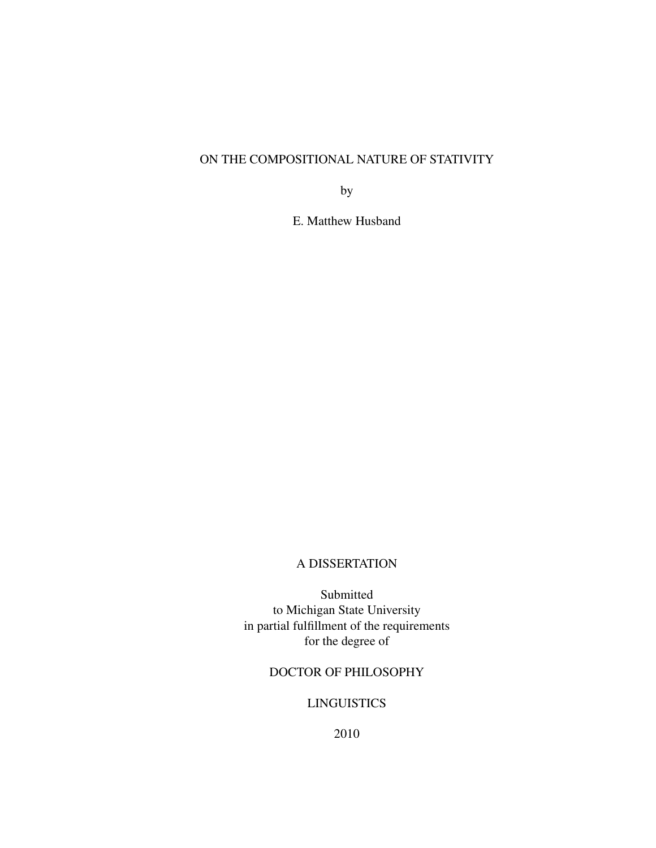## ON THE COMPOSITIONAL NATURE OF STATIVITY

by

E. Matthew Husband

## A DISSERTATION

Submitted to Michigan State University in partial fulfillment of the requirements for the degree of

## DOCTOR OF PHILOSOPHY

### **LINGUISTICS**

2010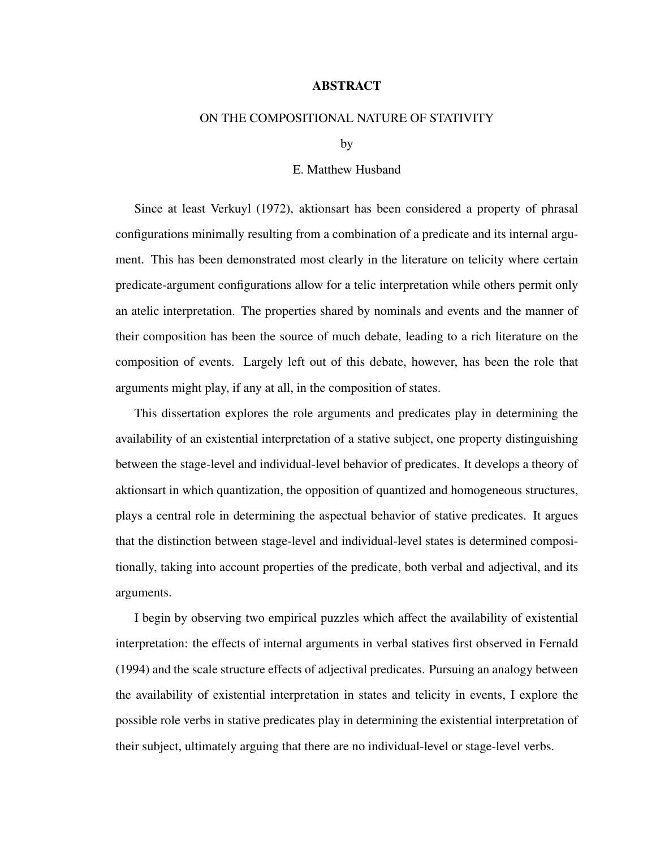#### ABSTRACT

### ON THE COMPOSITIONAL NATURE OF STATIVITY

by

#### E. Matthew Husband

Since at least Verkuyl (1972), aktionsart has been considered a property of phrasal configurations minimally resulting from a combination of a predicate and its internal argument. This has been demonstrated most clearly in the literature on telicity where certain predicate-argument configurations allow for a telic interpretation while others permit only an atelic interpretation. The properties shared by nominals and events and the manner of their composition has been the source of much debate, leading to a rich literature on the composition of events. Largely left out of this debate, however, has been the role that arguments might play, if any at all, in the composition of states.

This dissertation explores the role arguments and predicates play in determining the availability of an existential interpretation of a stative subject, one property distinguishing between the stage-level and individual-level behavior of predicates. It develops a theory of aktionsart in which quantization, the opposition of quantized and homogeneous structures, plays a central role in determining the aspectual behavior of stative predicates. It argues that the distinction between stage-level and individual-level states is determined compositionally, taking into account properties of the predicate, both verbal and adjectival, and its arguments.

I begin by observing two empirical puzzles which affect the availability of existential interpretation: the effects of internal arguments in verbal statives first observed in Fernald (1994) and the scale structure effects of adjectival predicates. Pursuing an analogy between the availability of existential interpretation in states and telicity in events, I explore the possible role verbs in stative predicates play in determining the existential interpretation of their subject, ultimately arguing that there are no individual-level or stage-level verbs.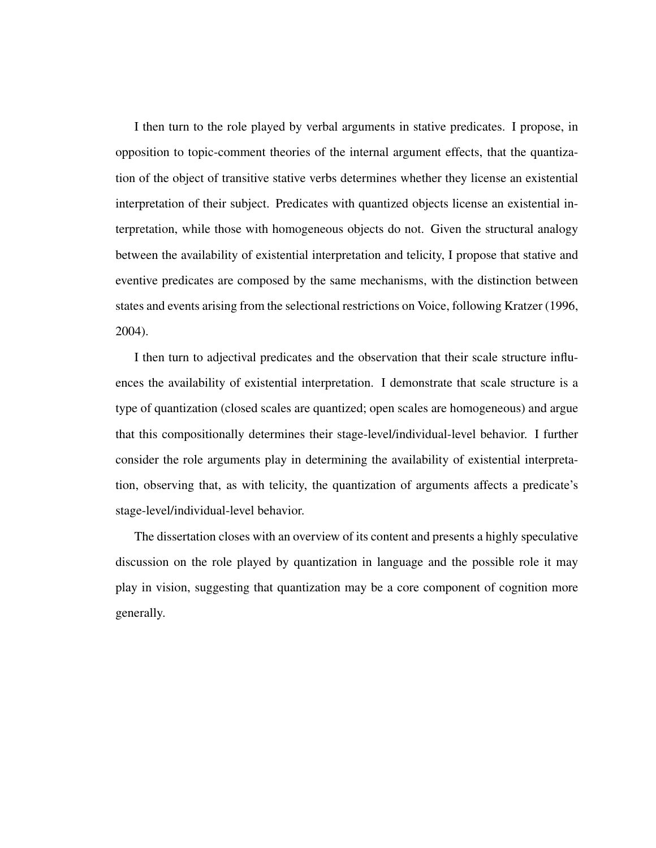I then turn to the role played by verbal arguments in stative predicates. I propose, in opposition to topic-comment theories of the internal argument effects, that the quantization of the object of transitive stative verbs determines whether they license an existential interpretation of their subject. Predicates with quantized objects license an existential interpretation, while those with homogeneous objects do not. Given the structural analogy between the availability of existential interpretation and telicity, I propose that stative and eventive predicates are composed by the same mechanisms, with the distinction between states and events arising from the selectional restrictions on Voice, following Kratzer (1996, 2004).

I then turn to adjectival predicates and the observation that their scale structure influences the availability of existential interpretation. I demonstrate that scale structure is a type of quantization (closed scales are quantized; open scales are homogeneous) and argue that this compositionally determines their stage-level/individual-level behavior. I further consider the role arguments play in determining the availability of existential interpretation, observing that, as with telicity, the quantization of arguments affects a predicate's stage-level/individual-level behavior.

The dissertation closes with an overview of its content and presents a highly speculative discussion on the role played by quantization in language and the possible role it may play in vision, suggesting that quantization may be a core component of cognition more generally.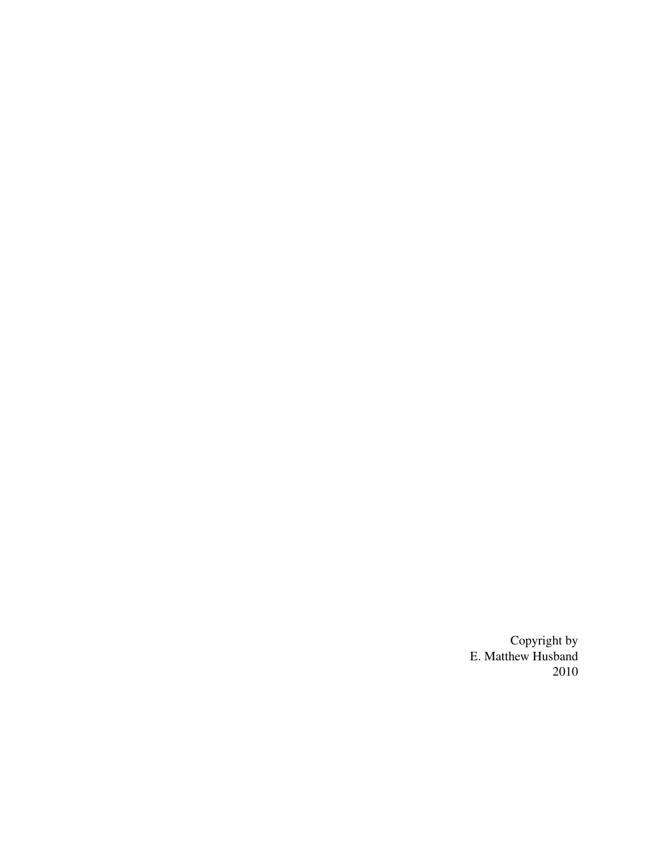Copyright by E. Matthew Husband 2010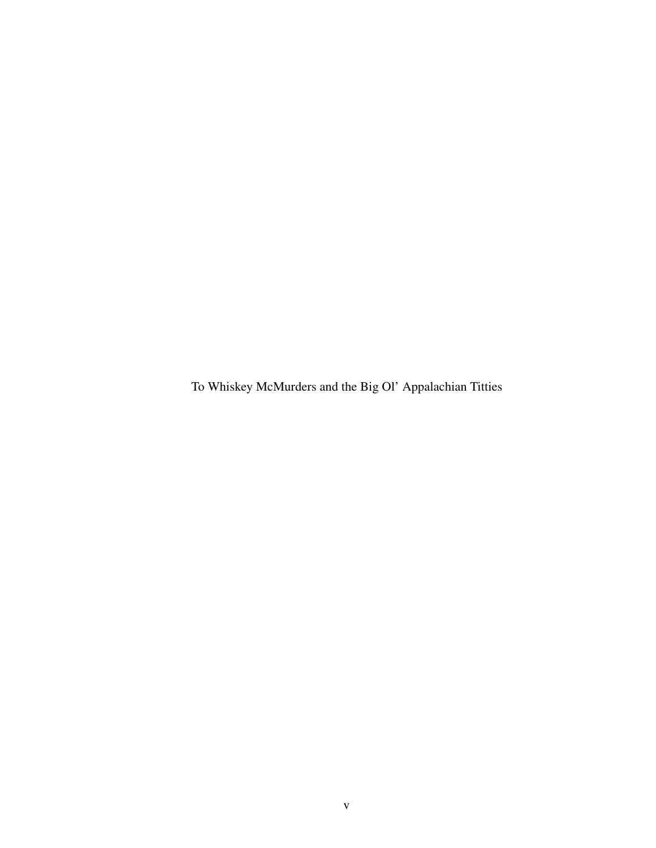To Whiskey McMurders and the Big Ol' Appalachian Titties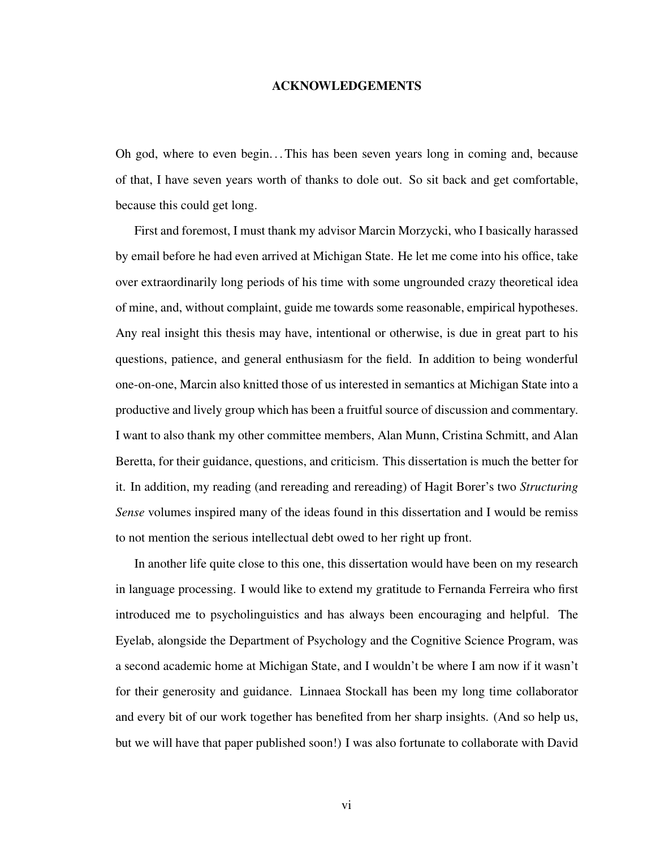### ACKNOWLEDGEMENTS

Oh god, where to even begin. . . This has been seven years long in coming and, because of that, I have seven years worth of thanks to dole out. So sit back and get comfortable, because this could get long.

First and foremost, I must thank my advisor Marcin Morzycki, who I basically harassed by email before he had even arrived at Michigan State. He let me come into his office, take over extraordinarily long periods of his time with some ungrounded crazy theoretical idea of mine, and, without complaint, guide me towards some reasonable, empirical hypotheses. Any real insight this thesis may have, intentional or otherwise, is due in great part to his questions, patience, and general enthusiasm for the field. In addition to being wonderful one-on-one, Marcin also knitted those of us interested in semantics at Michigan State into a productive and lively group which has been a fruitful source of discussion and commentary. I want to also thank my other committee members, Alan Munn, Cristina Schmitt, and Alan Beretta, for their guidance, questions, and criticism. This dissertation is much the better for it. In addition, my reading (and rereading and rereading) of Hagit Borer's two *Structuring Sense* volumes inspired many of the ideas found in this dissertation and I would be remiss to not mention the serious intellectual debt owed to her right up front.

In another life quite close to this one, this dissertation would have been on my research in language processing. I would like to extend my gratitude to Fernanda Ferreira who first introduced me to psycholinguistics and has always been encouraging and helpful. The Eyelab, alongside the Department of Psychology and the Cognitive Science Program, was a second academic home at Michigan State, and I wouldn't be where I am now if it wasn't for their generosity and guidance. Linnaea Stockall has been my long time collaborator and every bit of our work together has benefited from her sharp insights. (And so help us, but we will have that paper published soon!) I was also fortunate to collaborate with David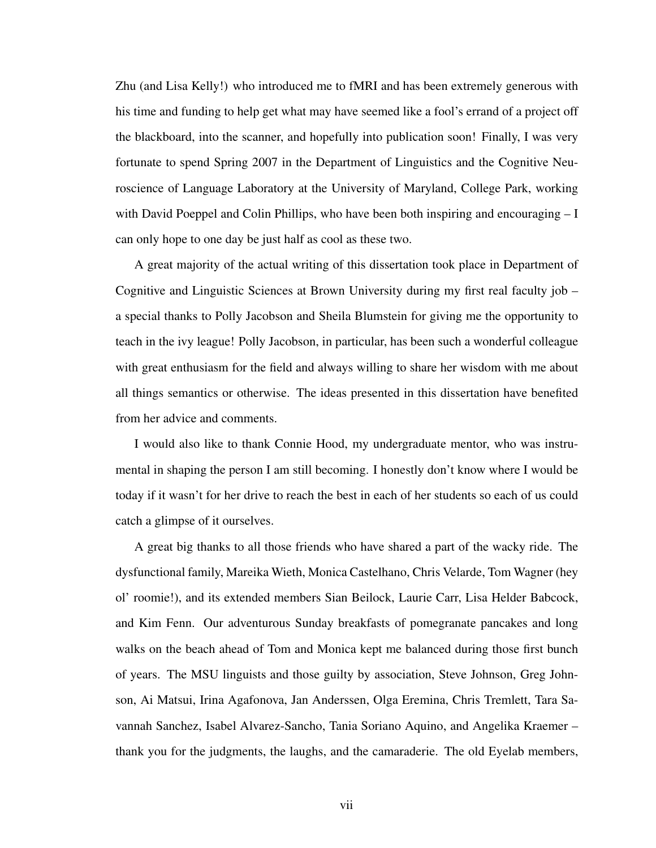Zhu (and Lisa Kelly!) who introduced me to fMRI and has been extremely generous with his time and funding to help get what may have seemed like a fool's errand of a project off the blackboard, into the scanner, and hopefully into publication soon! Finally, I was very fortunate to spend Spring 2007 in the Department of Linguistics and the Cognitive Neuroscience of Language Laboratory at the University of Maryland, College Park, working with David Poeppel and Colin Phillips, who have been both inspiring and encouraging  $-I$ can only hope to one day be just half as cool as these two.

A great majority of the actual writing of this dissertation took place in Department of Cognitive and Linguistic Sciences at Brown University during my first real faculty job – a special thanks to Polly Jacobson and Sheila Blumstein for giving me the opportunity to teach in the ivy league! Polly Jacobson, in particular, has been such a wonderful colleague with great enthusiasm for the field and always willing to share her wisdom with me about all things semantics or otherwise. The ideas presented in this dissertation have benefited from her advice and comments.

I would also like to thank Connie Hood, my undergraduate mentor, who was instrumental in shaping the person I am still becoming. I honestly don't know where I would be today if it wasn't for her drive to reach the best in each of her students so each of us could catch a glimpse of it ourselves.

A great big thanks to all those friends who have shared a part of the wacky ride. The dysfunctional family, Mareika Wieth, Monica Castelhano, Chris Velarde, Tom Wagner (hey ol' roomie!), and its extended members Sian Beilock, Laurie Carr, Lisa Helder Babcock, and Kim Fenn. Our adventurous Sunday breakfasts of pomegranate pancakes and long walks on the beach ahead of Tom and Monica kept me balanced during those first bunch of years. The MSU linguists and those guilty by association, Steve Johnson, Greg Johnson, Ai Matsui, Irina Agafonova, Jan Anderssen, Olga Eremina, Chris Tremlett, Tara Savannah Sanchez, Isabel Alvarez-Sancho, Tania Soriano Aquino, and Angelika Kraemer – thank you for the judgments, the laughs, and the camaraderie. The old Eyelab members,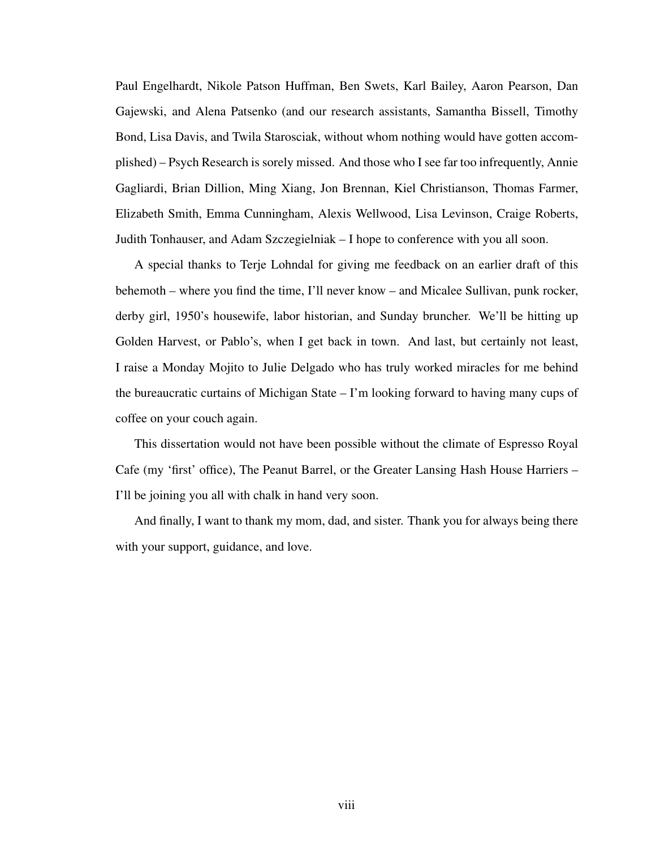Paul Engelhardt, Nikole Patson Huffman, Ben Swets, Karl Bailey, Aaron Pearson, Dan Gajewski, and Alena Patsenko (and our research assistants, Samantha Bissell, Timothy Bond, Lisa Davis, and Twila Starosciak, without whom nothing would have gotten accomplished) – Psych Research is sorely missed. And those who I see far too infrequently, Annie Gagliardi, Brian Dillion, Ming Xiang, Jon Brennan, Kiel Christianson, Thomas Farmer, Elizabeth Smith, Emma Cunningham, Alexis Wellwood, Lisa Levinson, Craige Roberts, Judith Tonhauser, and Adam Szczegielniak – I hope to conference with you all soon.

A special thanks to Terje Lohndal for giving me feedback on an earlier draft of this behemoth – where you find the time, I'll never know – and Micalee Sullivan, punk rocker, derby girl, 1950's housewife, labor historian, and Sunday bruncher. We'll be hitting up Golden Harvest, or Pablo's, when I get back in town. And last, but certainly not least, I raise a Monday Mojito to Julie Delgado who has truly worked miracles for me behind the bureaucratic curtains of Michigan State – I'm looking forward to having many cups of coffee on your couch again.

This dissertation would not have been possible without the climate of Espresso Royal Cafe (my 'first' office), The Peanut Barrel, or the Greater Lansing Hash House Harriers – I'll be joining you all with chalk in hand very soon.

And finally, I want to thank my mom, dad, and sister. Thank you for always being there with your support, guidance, and love.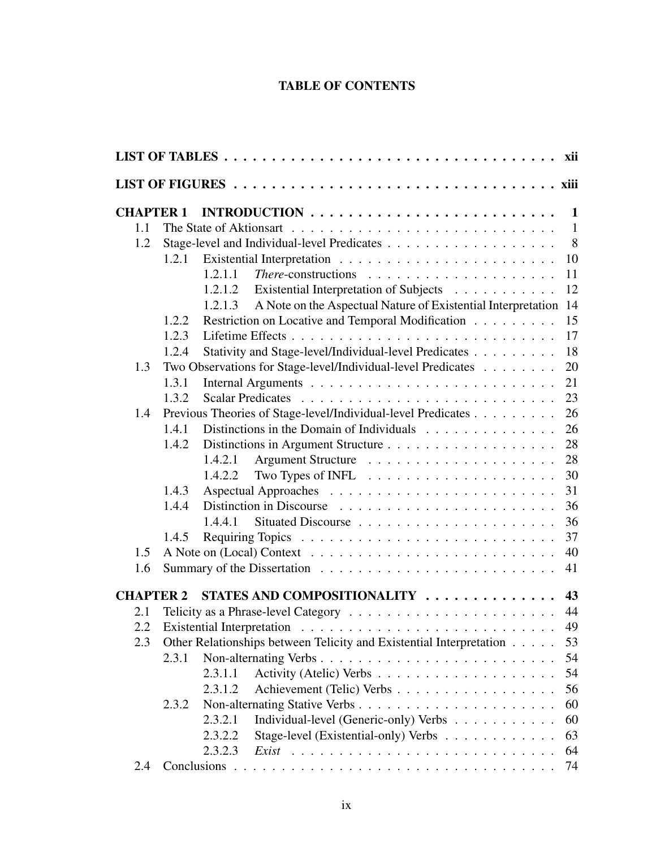# TABLE OF CONTENTS

|                  |       |                                                                         | xii          |
|------------------|-------|-------------------------------------------------------------------------|--------------|
|                  |       |                                                                         |              |
| <b>CHAPTER 1</b> |       |                                                                         | 1            |
| 1.1              |       |                                                                         | $\mathbf{1}$ |
| 1.2              |       |                                                                         | 8            |
|                  | 1.2.1 |                                                                         | 10           |
|                  |       | 1, 2, 1, 1                                                              | 11           |
|                  |       | Existential Interpretation of Subjects<br>1.2.1.2                       | 12           |
|                  |       | A Note on the Aspectual Nature of Existential Interpretation<br>1.2.1.3 | 14           |
|                  | 1.2.2 | Restriction on Locative and Temporal Modification                       | 15           |
|                  | 1.2.3 |                                                                         | 17           |
|                  | 1.2.4 | Stativity and Stage-level/Individual-level Predicates                   | 18           |
| 1.3              |       | Two Observations for Stage-level/Individual-level Predicates            | 20           |
|                  | 1.3.1 |                                                                         | 21           |
|                  | 1.3.2 |                                                                         | 23           |
| 1.4              |       | Previous Theories of Stage-level/Individual-level Predicates            | 26           |
|                  | 1.4.1 | Distinctions in the Domain of Individuals $\ldots$ ,                    | 26           |
|                  | 1.4.2 |                                                                         | 28           |
|                  |       | 1.4.2.1                                                                 | 28           |
|                  |       | 1.4.2.2                                                                 | 30           |
|                  | 1.4.3 |                                                                         | 31           |
|                  | 1.4.4 |                                                                         | 36           |
|                  |       | 1.4.4.1                                                                 | 36           |
|                  | 1.4.5 |                                                                         | 37           |
| 1.5              |       |                                                                         | 40           |
| 1.6              |       |                                                                         | 41           |
| <b>CHAPTER 2</b> |       | STATES AND COMPOSITIONALITY                                             | 43           |
| 2.1              |       |                                                                         | 44           |
| 2.2.             |       |                                                                         | 49           |
| 2.3              |       | Other Relationships between Telicity and Existential Interpretation     | 53           |
|                  | 2.3.1 |                                                                         | 54           |
|                  |       | 2.3.1.1                                                                 | 54           |
|                  |       | Achievement (Telic) Verbs<br>2.3.1.2                                    | 56           |
|                  | 2.3.2 |                                                                         | 60           |
|                  |       | Individual-level (Generic-only) Verbs<br>2.3.2.1                        | 60           |
|                  |       | Stage-level (Existential-only) Verbs<br>2.3.2.2                         | 63           |
|                  |       | 2.3.2.3                                                                 | 64           |
| 2.4              |       |                                                                         | 74           |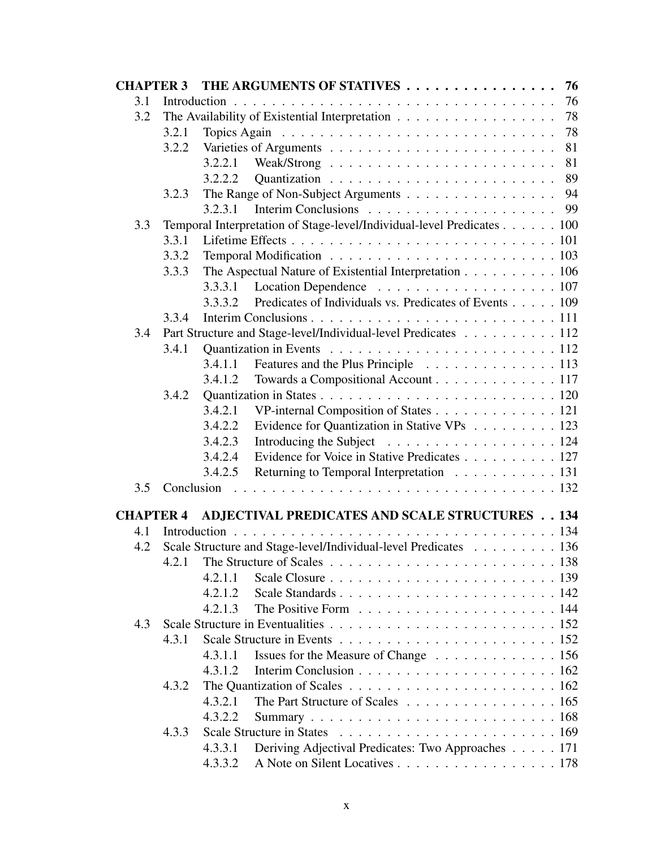| <b>CHAPTER 3</b> |       | THE ARGUMENTS OF STATIVES                                                                   | 76 |
|------------------|-------|---------------------------------------------------------------------------------------------|----|
| 3.1              |       |                                                                                             | 76 |
| 3.2              |       |                                                                                             | 78 |
|                  | 3.2.1 |                                                                                             | 78 |
|                  | 3.2.2 |                                                                                             | 81 |
|                  |       | 3.2.2.1                                                                                     | 81 |
|                  |       | 3.2.2.2                                                                                     |    |
|                  | 3.2.3 | The Range of Non-Subject Arguments 94                                                       |    |
|                  |       | 3.2.3.1                                                                                     |    |
| 3.3              |       | Temporal Interpretation of Stage-level/Individual-level Predicates 100                      |    |
|                  | 3.3.1 |                                                                                             |    |
|                  | 3.3.2 |                                                                                             |    |
|                  | 3.3.3 | The Aspectual Nature of Existential Interpretation 106                                      |    |
|                  |       | 3.3.3.1                                                                                     |    |
|                  |       | Predicates of Individuals vs. Predicates of Events 109<br>3.3.3.2                           |    |
|                  | 3.3.4 |                                                                                             |    |
| 3.4              |       | Part Structure and Stage-level/Individual-level Predicates 112                              |    |
|                  | 3.4.1 |                                                                                             |    |
|                  |       | 3.4.1.1<br>Features and the Plus Principle 113                                              |    |
|                  |       | Towards a Compositional Account 117<br>3.4.1.2                                              |    |
|                  | 3.4.2 |                                                                                             |    |
|                  |       | VP-internal Composition of States 121<br>3.4.2.1                                            |    |
|                  |       | Evidence for Quantization in Stative VPs 123<br>3.4.2.2                                     |    |
|                  |       | Introducing the Subject 124<br>3.4.2.3                                                      |    |
|                  |       | Evidence for Voice in Stative Predicates 127<br>3.4.2.4                                     |    |
|                  |       | Returning to Temporal Interpretation 131<br>3.4.2.5                                         |    |
| 3.5              |       |                                                                                             |    |
| <b>CHAPTER 4</b> |       | <b>ADJECTIVAL PREDICATES AND SCALE STRUCTURES 134</b>                                       |    |
| 4.1              |       |                                                                                             |    |
| 4.2              |       | Scale Structure and Stage-level/Individual-level Predicates 136                             |    |
|                  | 4.2.1 |                                                                                             |    |
|                  |       | 4.2.1.1<br>Scale Closure $\ldots \ldots \ldots \ldots \ldots \ldots \ldots \ldots 139$      |    |
|                  |       | 4.2.1.2                                                                                     |    |
|                  |       | The Positive Form $\ldots \ldots \ldots \ldots \ldots \ldots \ldots 144$<br>4.2.1.3         |    |
| 4.3              |       |                                                                                             |    |
|                  | 4.3.1 |                                                                                             |    |
|                  |       | Issues for the Measure of Change 156<br>4.3.1.1                                             |    |
|                  |       | 4.3.1.2<br>Interim Conclusion $\ldots \ldots \ldots \ldots \ldots \ldots \ldots \ldots 162$ |    |
|                  | 4.3.2 |                                                                                             |    |
|                  |       | The Part Structure of Scales 165<br>4.3.2.1                                                 |    |
|                  |       | 4.3.2.2                                                                                     |    |
|                  | 4.3.3 |                                                                                             |    |
|                  |       | 4.3.3.1<br>Deriving Adjectival Predicates: Two Approaches 171                               |    |
|                  |       | 4.3.3.2<br>A Note on Silent Locatives 178                                                   |    |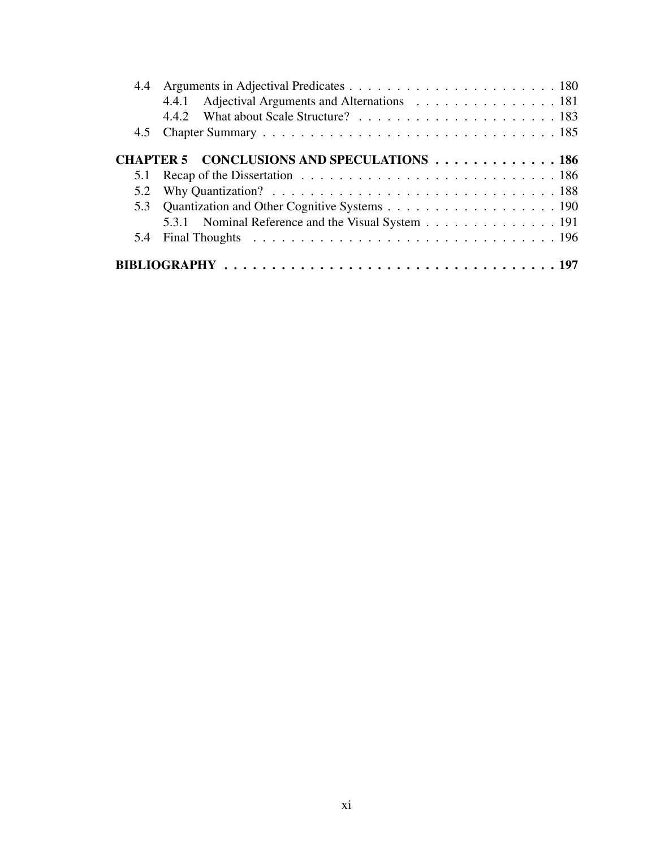| 4.4.1 Adjectival Arguments and Alternations 181   |
|---------------------------------------------------|
|                                                   |
|                                                   |
| CHAPTER 5 CONCLUSIONS AND SPECULATIONS 186        |
|                                                   |
|                                                   |
|                                                   |
| 5.3.1 Nominal Reference and the Visual System 191 |
|                                                   |
|                                                   |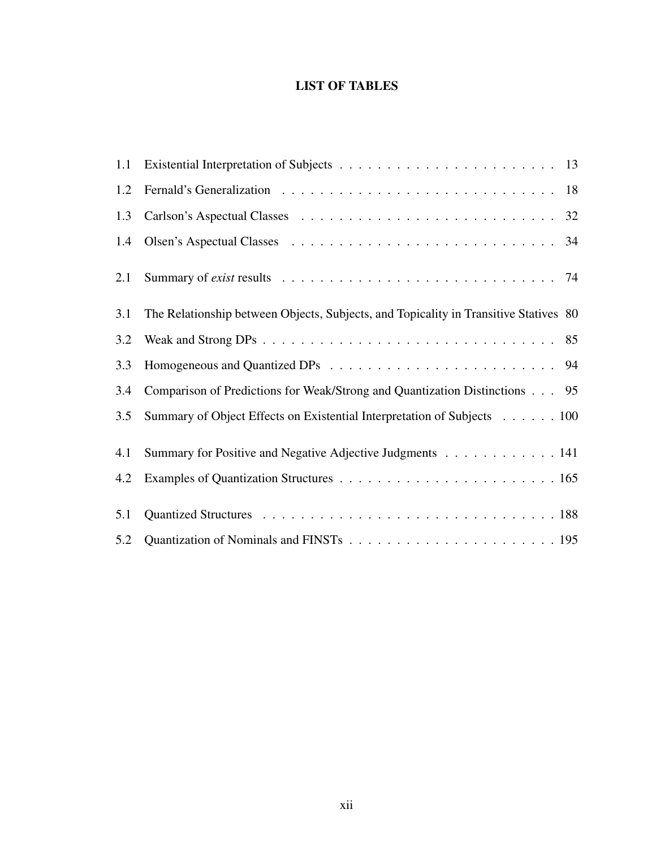# LIST OF TABLES

| 1.1 |                                                                                      |
|-----|--------------------------------------------------------------------------------------|
| 1.2 |                                                                                      |
| 1.3 |                                                                                      |
| 1.4 |                                                                                      |
| 2.1 |                                                                                      |
| 3.1 | The Relationship between Objects, Subjects, and Topicality in Transitive Statives 80 |
| 3.2 |                                                                                      |
| 3.3 |                                                                                      |
| 3.4 | Comparison of Predictions for Weak/Strong and Quantization Distinctions 95           |
| 3.5 | Summary of Object Effects on Existential Interpretation of Subjects 100              |
| 4.1 | Summary for Positive and Negative Adjective Judgments 141                            |
| 4.2 |                                                                                      |
| 5.1 |                                                                                      |
| 5.2 |                                                                                      |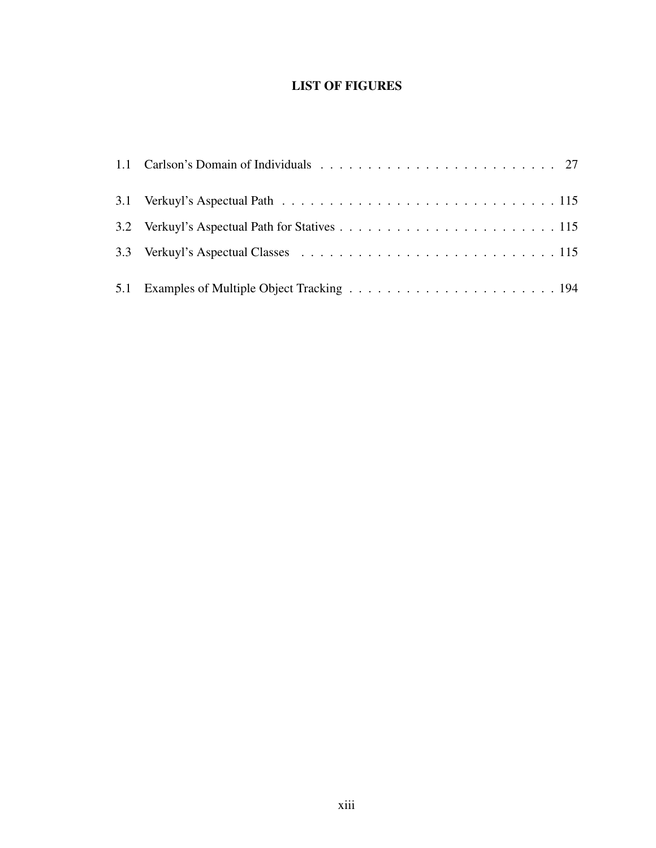# LIST OF FIGURES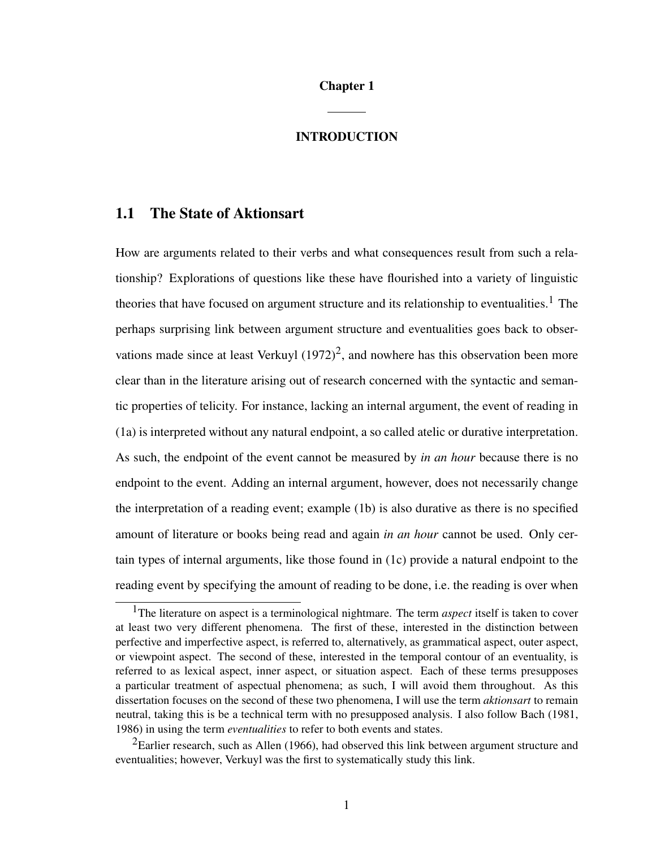### Chapter 1

### INTRODUCTION

# 1.1 The State of Aktionsart

How are arguments related to their verbs and what consequences result from such a relationship? Explorations of questions like these have flourished into a variety of linguistic theories that have focused on argument structure and its relationship to eventualities.<sup>1</sup> The perhaps surprising link between argument structure and eventualities goes back to observations made since at least Verkuyl  $(1972)^2$ , and nowhere has this observation been more clear than in the literature arising out of research concerned with the syntactic and semantic properties of telicity. For instance, lacking an internal argument, the event of reading in (1a) is interpreted without any natural endpoint, a so called atelic or durative interpretation. As such, the endpoint of the event cannot be measured by *in an hour* because there is no endpoint to the event. Adding an internal argument, however, does not necessarily change the interpretation of a reading event; example (1b) is also durative as there is no specified amount of literature or books being read and again *in an hour* cannot be used. Only certain types of internal arguments, like those found in (1c) provide a natural endpoint to the reading event by specifying the amount of reading to be done, i.e. the reading is over when

<sup>1</sup>The literature on aspect is a terminological nightmare. The term *aspect* itself is taken to cover at least two very different phenomena. The first of these, interested in the distinction between perfective and imperfective aspect, is referred to, alternatively, as grammatical aspect, outer aspect, or viewpoint aspect. The second of these, interested in the temporal contour of an eventuality, is referred to as lexical aspect, inner aspect, or situation aspect. Each of these terms presupposes a particular treatment of aspectual phenomena; as such, I will avoid them throughout. As this dissertation focuses on the second of these two phenomena, I will use the term *aktionsart* to remain neutral, taking this is be a technical term with no presupposed analysis. I also follow Bach (1981, 1986) in using the term *eventualities* to refer to both events and states.

 ${}^{2}$ Earlier research, such as Allen (1966), had observed this link between argument structure and eventualities; however, Verkuyl was the first to systematically study this link.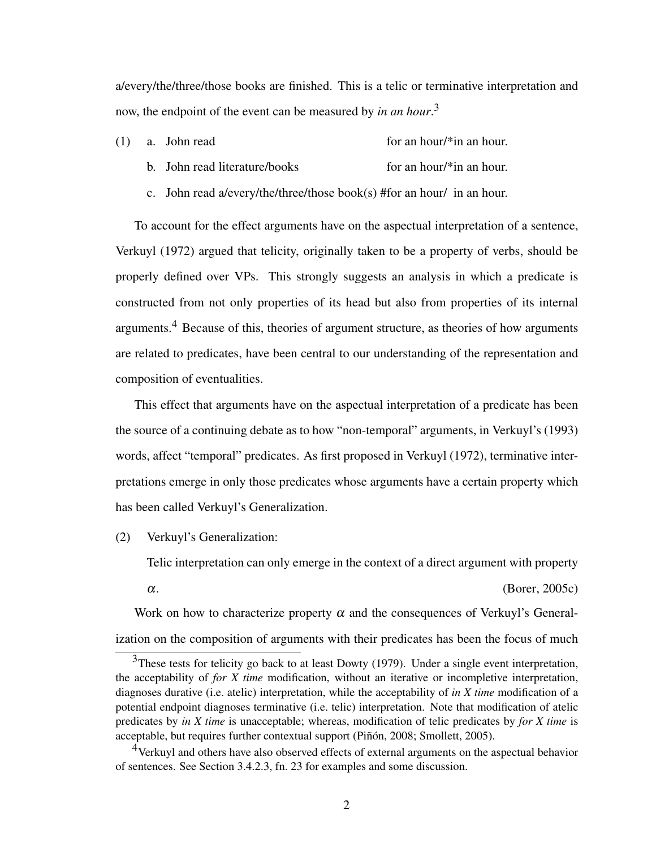a/every/the/three/those books are finished. This is a telic or terminative interpretation and now, the endpoint of the event can be measured by *in an hour*. 3

- (1) a. John read for an hour/\*in an hour.
	- b. John read literature/books for an hour/\*in an hour.
	- c. John read a/every/the/three/those book(s) #for an hour/ in an hour.

To account for the effect arguments have on the aspectual interpretation of a sentence, Verkuyl (1972) argued that telicity, originally taken to be a property of verbs, should be properly defined over VPs. This strongly suggests an analysis in which a predicate is constructed from not only properties of its head but also from properties of its internal arguments.<sup>4</sup> Because of this, theories of argument structure, as theories of how arguments are related to predicates, have been central to our understanding of the representation and composition of eventualities.

This effect that arguments have on the aspectual interpretation of a predicate has been the source of a continuing debate as to how "non-temporal" arguments, in Verkuyl's (1993) words, affect "temporal" predicates. As first proposed in Verkuyl (1972), terminative interpretations emerge in only those predicates whose arguments have a certain property which has been called Verkuyl's Generalization.

(2) Verkuyl's Generalization:

Telic interpretation can only emerge in the context of a direct argument with property

 $\alpha$ . (Borer, 2005c)

Work on how to characterize property  $\alpha$  and the consequences of Verkuyl's Generalization on the composition of arguments with their predicates has been the focus of much

 $3$ These tests for telicity go back to at least Dowty (1979). Under a single event interpretation, the acceptability of *for X time* modification, without an iterative or incompletive interpretation, diagnoses durative (i.e. atelic) interpretation, while the acceptability of *in X time* modification of a potential endpoint diagnoses terminative (i.e. telic) interpretation. Note that modification of atelic predicates by *in X time* is unacceptable; whereas, modification of telic predicates by *for X time* is acceptable, but requires further contextual support (Piñón, 2008; Smollett, 2005).

<sup>&</sup>lt;sup>4</sup>Verkuyl and others have also observed effects of external arguments on the aspectual behavior of sentences. See Section 3.4.2.3, fn. 23 for examples and some discussion.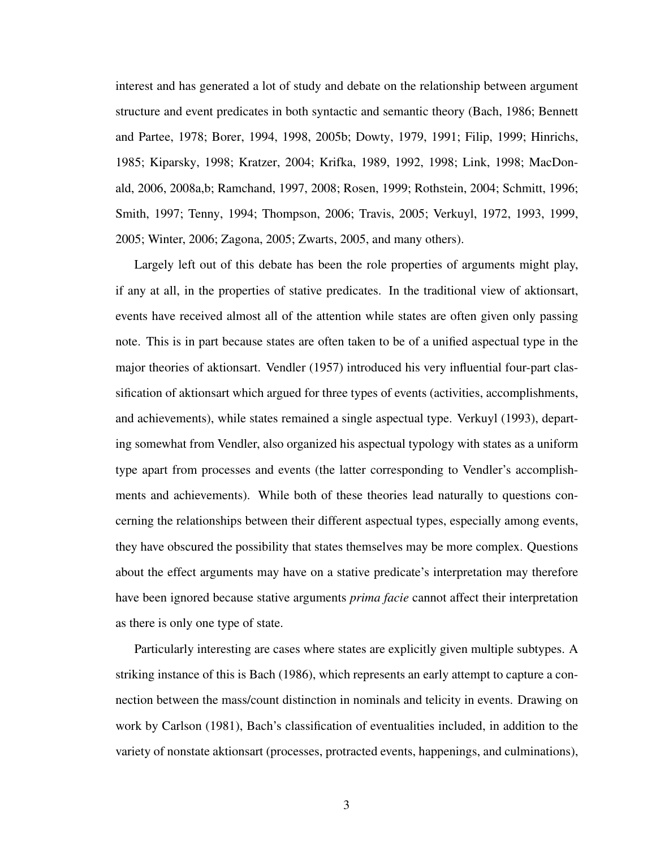interest and has generated a lot of study and debate on the relationship between argument structure and event predicates in both syntactic and semantic theory (Bach, 1986; Bennett and Partee, 1978; Borer, 1994, 1998, 2005b; Dowty, 1979, 1991; Filip, 1999; Hinrichs, 1985; Kiparsky, 1998; Kratzer, 2004; Krifka, 1989, 1992, 1998; Link, 1998; MacDonald, 2006, 2008a,b; Ramchand, 1997, 2008; Rosen, 1999; Rothstein, 2004; Schmitt, 1996; Smith, 1997; Tenny, 1994; Thompson, 2006; Travis, 2005; Verkuyl, 1972, 1993, 1999, 2005; Winter, 2006; Zagona, 2005; Zwarts, 2005, and many others).

Largely left out of this debate has been the role properties of arguments might play, if any at all, in the properties of stative predicates. In the traditional view of aktionsart, events have received almost all of the attention while states are often given only passing note. This is in part because states are often taken to be of a unified aspectual type in the major theories of aktionsart. Vendler (1957) introduced his very influential four-part classification of aktionsart which argued for three types of events (activities, accomplishments, and achievements), while states remained a single aspectual type. Verkuyl (1993), departing somewhat from Vendler, also organized his aspectual typology with states as a uniform type apart from processes and events (the latter corresponding to Vendler's accomplishments and achievements). While both of these theories lead naturally to questions concerning the relationships between their different aspectual types, especially among events, they have obscured the possibility that states themselves may be more complex. Questions about the effect arguments may have on a stative predicate's interpretation may therefore have been ignored because stative arguments *prima facie* cannot affect their interpretation as there is only one type of state.

Particularly interesting are cases where states are explicitly given multiple subtypes. A striking instance of this is Bach (1986), which represents an early attempt to capture a connection between the mass/count distinction in nominals and telicity in events. Drawing on work by Carlson (1981), Bach's classification of eventualities included, in addition to the variety of nonstate aktionsart (processes, protracted events, happenings, and culminations),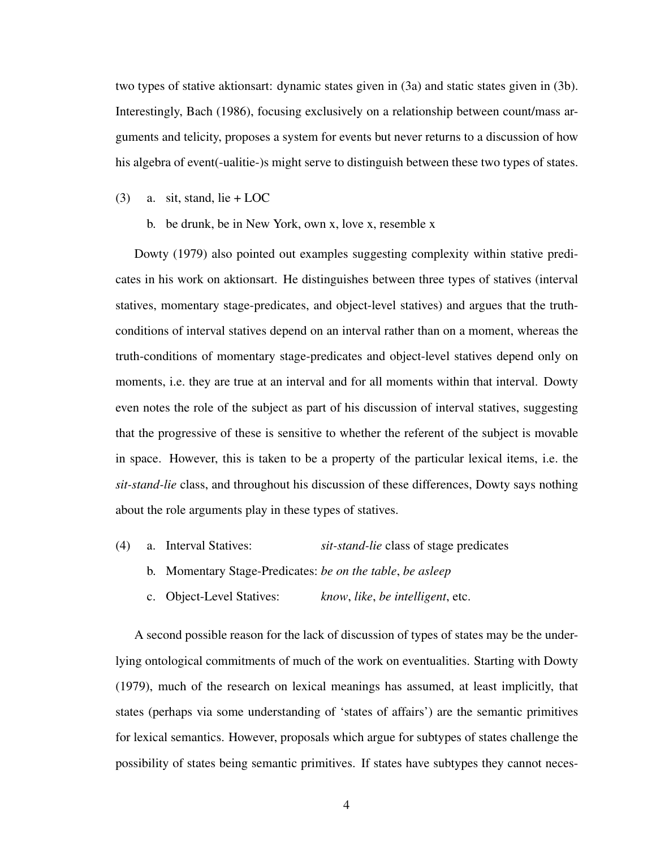two types of stative aktionsart: dynamic states given in (3a) and static states given in (3b). Interestingly, Bach (1986), focusing exclusively on a relationship between count/mass arguments and telicity, proposes a system for events but never returns to a discussion of how his algebra of event(-ualitie-)s might serve to distinguish between these two types of states.

- $(3)$  a. sit, stand, lie + LOC
	- b. be drunk, be in New York, own x, love x, resemble x

Dowty (1979) also pointed out examples suggesting complexity within stative predicates in his work on aktionsart. He distinguishes between three types of statives (interval statives, momentary stage-predicates, and object-level statives) and argues that the truthconditions of interval statives depend on an interval rather than on a moment, whereas the truth-conditions of momentary stage-predicates and object-level statives depend only on moments, i.e. they are true at an interval and for all moments within that interval. Dowty even notes the role of the subject as part of his discussion of interval statives, suggesting that the progressive of these is sensitive to whether the referent of the subject is movable in space. However, this is taken to be a property of the particular lexical items, i.e. the *sit-stand-lie* class, and throughout his discussion of these differences, Dowty says nothing about the role arguments play in these types of statives.

- (4) a. Interval Statives: *sit-stand-lie* class of stage predicates
	- b. Momentary Stage-Predicates: *be on the table*, *be asleep*
	- c. Object-Level Statives: *know*, *like*, *be intelligent*, etc.

A second possible reason for the lack of discussion of types of states may be the underlying ontological commitments of much of the work on eventualities. Starting with Dowty (1979), much of the research on lexical meanings has assumed, at least implicitly, that states (perhaps via some understanding of 'states of affairs') are the semantic primitives for lexical semantics. However, proposals which argue for subtypes of states challenge the possibility of states being semantic primitives. If states have subtypes they cannot neces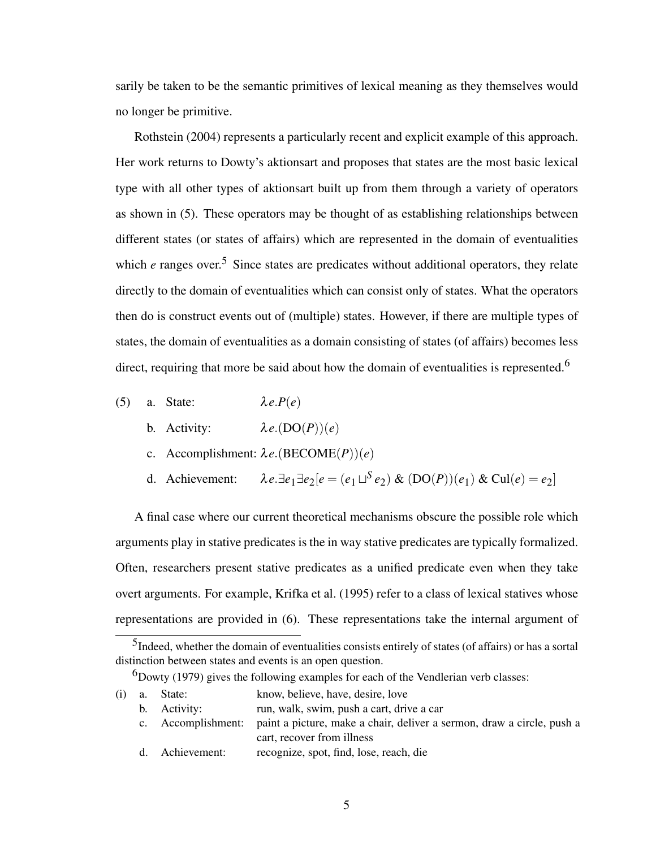sarily be taken to be the semantic primitives of lexical meaning as they themselves would no longer be primitive.

Rothstein (2004) represents a particularly recent and explicit example of this approach. Her work returns to Dowty's aktionsart and proposes that states are the most basic lexical type with all other types of aktionsart built up from them through a variety of operators as shown in (5). These operators may be thought of as establishing relationships between different states (or states of affairs) which are represented in the domain of eventualities which *e* ranges over.<sup>5</sup> Since states are predicates without additional operators, they relate directly to the domain of eventualities which can consist only of states. What the operators then do is construct events out of (multiple) states. However, if there are multiple types of states, the domain of eventualities as a domain consisting of states (of affairs) becomes less direct, requiring that more be said about how the domain of eventualities is represented.<sup>6</sup>

- (5) a. State: λ*e*.*P*(*e*)
	- b. Activity:  $\lambda e.(\text{DO}(P))(e)$
	- c. Accomplishment: λ*e*.(BECOME(*P*))(*e*)
	- d. Achievement:  $[e = (e_1 \sqcup^S e_2) \& (DO(P))(e_1) \& Cul(e) = e_2]$

A final case where our current theoretical mechanisms obscure the possible role which arguments play in stative predicates is the in way stative predicates are typically formalized. Often, researchers present stative predicates as a unified predicate even when they take overt arguments. For example, Krifka et al. (1995) refer to a class of lexical statives whose representations are provided in (6). These representations take the internal argument of

 $6$ Dowty (1979) gives the following examples for each of the Vendlerian verb classes:

- (i) a. State: know, believe, have, desire, love
	- b. Activity: run, walk, swim, push a cart, drive a car
	- c. Accomplishment: paint a picture, make a chair, deliver a sermon, draw a circle, push a cart, recover from illness
	- d. Achievement: recognize, spot, find, lose, reach, die

<sup>&</sup>lt;sup>5</sup>Indeed, whether the domain of eventualities consists entirely of states (of affairs) or has a sortal distinction between states and events is an open question.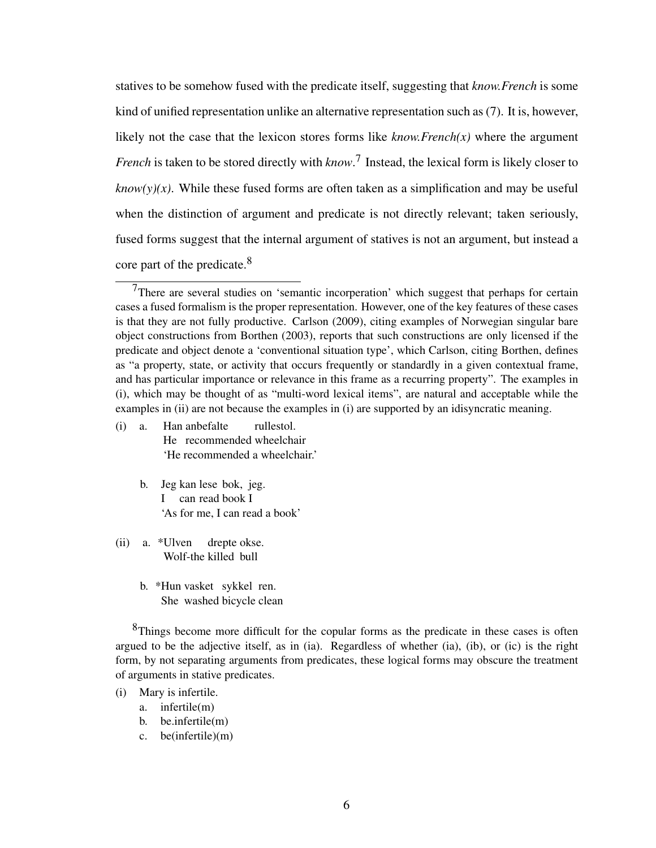statives to be somehow fused with the predicate itself, suggesting that *know.French* is some kind of unified representation unlike an alternative representation such as (7). It is, however, likely not the case that the lexicon stores forms like  $known. French(x)$  where the argument *French* is taken to be stored directly with *know*. 7 Instead, the lexical form is likely closer to  $know(y)(x)$ . While these fused forms are often taken as a simplification and may be useful when the distinction of argument and predicate is not directly relevant; taken seriously, fused forms suggest that the internal argument of statives is not an argument, but instead a core part of the predicate. $8$ 

- (i) a. Han anbefalte rullestol. He recommended wheelchair 'He recommended a wheelchair.'
	- b. Jeg kan lese bok, jeg. I can read book I 'As for me, I can read a book'
- (ii) a. \*Ulven drepte okse. Wolf-the killed bull
	- b. \*Hun vasket sykkel ren. She washed bicycle clean

<sup>8</sup>Things become more difficult for the copular forms as the predicate in these cases is often argued to be the adjective itself, as in (ia). Regardless of whether (ia), (ib), or (ic) is the right form, by not separating arguments from predicates, these logical forms may obscure the treatment of arguments in stative predicates.

- (i) Mary is infertile.
	- a. infertile(m)
	- b. be.infertile(m)
	- c. be(infertile)(m)

<sup>7</sup>There are several studies on 'semantic incorperation' which suggest that perhaps for certain cases a fused formalism is the proper representation. However, one of the key features of these cases is that they are not fully productive. Carlson (2009), citing examples of Norwegian singular bare object constructions from Borthen (2003), reports that such constructions are only licensed if the predicate and object denote a 'conventional situation type', which Carlson, citing Borthen, defines as "a property, state, or activity that occurs frequently or standardly in a given contextual frame, and has particular importance or relevance in this frame as a recurring property". The examples in (i), which may be thought of as "multi-word lexical items", are natural and acceptable while the examples in (ii) are not because the examples in (i) are supported by an idisyncratic meaning.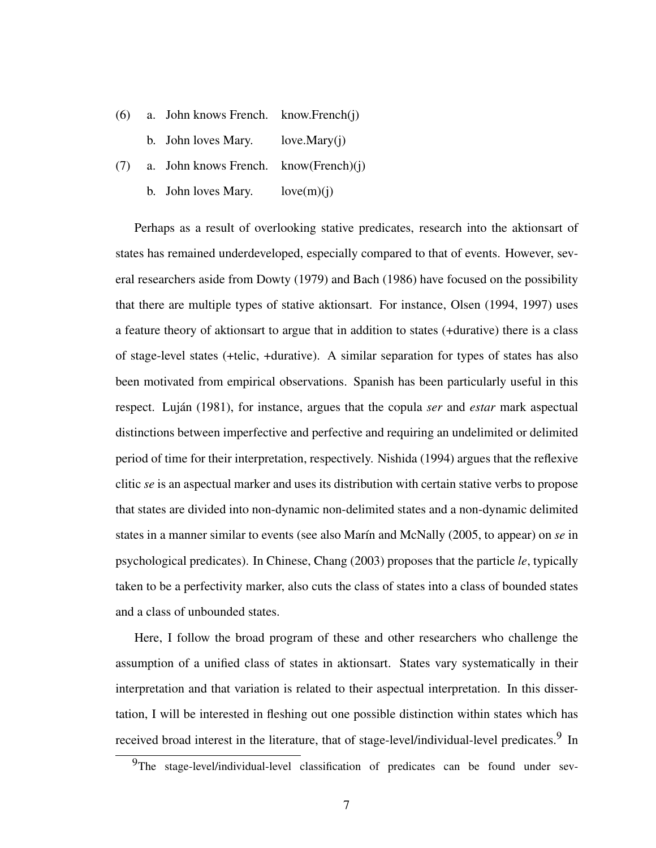| (6) |  | a. John knows French. |  | know.French(j) |
|-----|--|-----------------------|--|----------------|
|-----|--|-----------------------|--|----------------|

|  |  | b. John loves Mary. | love.Mary(j) |
|--|--|---------------------|--------------|
|--|--|---------------------|--------------|

- (7) a. John knows French. know(French)(j)
	- b. John loves Mary.  $love(m)(i)$

Perhaps as a result of overlooking stative predicates, research into the aktionsart of states has remained underdeveloped, especially compared to that of events. However, several researchers aside from Dowty (1979) and Bach (1986) have focused on the possibility that there are multiple types of stative aktionsart. For instance, Olsen (1994, 1997) uses a feature theory of aktionsart to argue that in addition to states (+durative) there is a class of stage-level states (+telic, +durative). A similar separation for types of states has also been motivated from empirical observations. Spanish has been particularly useful in this respect. Luján (1981), for instance, argues that the copula *ser* and *estar* mark aspectual distinctions between imperfective and perfective and requiring an undelimited or delimited period of time for their interpretation, respectively. Nishida (1994) argues that the reflexive clitic *se* is an aspectual marker and uses its distribution with certain stative verbs to propose that states are divided into non-dynamic non-delimited states and a non-dynamic delimited states in a manner similar to events (see also Marín and McNally (2005, to appear) on *se* in psychological predicates). In Chinese, Chang (2003) proposes that the particle *le*, typically taken to be a perfectivity marker, also cuts the class of states into a class of bounded states and a class of unbounded states.

Here, I follow the broad program of these and other researchers who challenge the assumption of a unified class of states in aktionsart. States vary systematically in their interpretation and that variation is related to their aspectual interpretation. In this dissertation, I will be interested in fleshing out one possible distinction within states which has received broad interest in the literature, that of stage-level/individual-level predicates.<sup>9</sup> In

<sup>&</sup>lt;sup>9</sup>The stage-level/individual-level classification of predicates can be found under sev-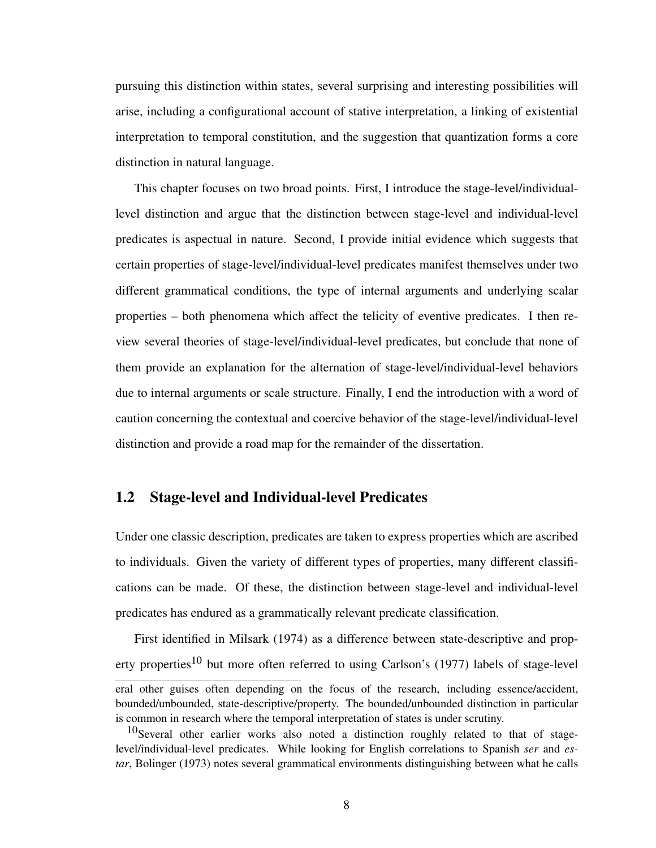pursuing this distinction within states, several surprising and interesting possibilities will arise, including a configurational account of stative interpretation, a linking of existential interpretation to temporal constitution, and the suggestion that quantization forms a core distinction in natural language.

This chapter focuses on two broad points. First, I introduce the stage-level/individuallevel distinction and argue that the distinction between stage-level and individual-level predicates is aspectual in nature. Second, I provide initial evidence which suggests that certain properties of stage-level/individual-level predicates manifest themselves under two different grammatical conditions, the type of internal arguments and underlying scalar properties – both phenomena which affect the telicity of eventive predicates. I then review several theories of stage-level/individual-level predicates, but conclude that none of them provide an explanation for the alternation of stage-level/individual-level behaviors due to internal arguments or scale structure. Finally, I end the introduction with a word of caution concerning the contextual and coercive behavior of the stage-level/individual-level distinction and provide a road map for the remainder of the dissertation.

# 1.2 Stage-level and Individual-level Predicates

Under one classic description, predicates are taken to express properties which are ascribed to individuals. Given the variety of different types of properties, many different classifications can be made. Of these, the distinction between stage-level and individual-level predicates has endured as a grammatically relevant predicate classification.

First identified in Milsark (1974) as a difference between state-descriptive and property properties<sup>10</sup> but more often referred to using Carlson's (1977) labels of stage-level

eral other guises often depending on the focus of the research, including essence/accident, bounded/unbounded, state-descriptive/property. The bounded/unbounded distinction in particular is common in research where the temporal interpretation of states is under scrutiny.

<sup>&</sup>lt;sup>10</sup>Several other earlier works also noted a distinction roughly related to that of stagelevel/individual-level predicates. While looking for English correlations to Spanish *ser* and *estar*, Bolinger (1973) notes several grammatical environments distinguishing between what he calls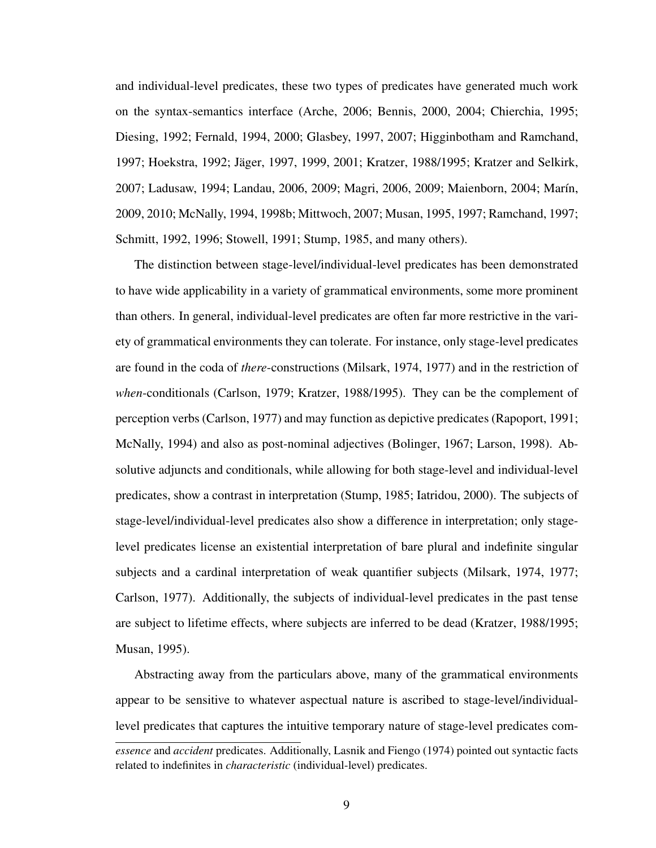and individual-level predicates, these two types of predicates have generated much work on the syntax-semantics interface (Arche, 2006; Bennis, 2000, 2004; Chierchia, 1995; Diesing, 1992; Fernald, 1994, 2000; Glasbey, 1997, 2007; Higginbotham and Ramchand, 1997; Hoekstra, 1992; Jäger, 1997, 1999, 2001; Kratzer, 1988/1995; Kratzer and Selkirk, 2007; Ladusaw, 1994; Landau, 2006, 2009; Magri, 2006, 2009; Maienborn, 2004; Marín, 2009, 2010; McNally, 1994, 1998b; Mittwoch, 2007; Musan, 1995, 1997; Ramchand, 1997; Schmitt, 1992, 1996; Stowell, 1991; Stump, 1985, and many others).

The distinction between stage-level/individual-level predicates has been demonstrated to have wide applicability in a variety of grammatical environments, some more prominent than others. In general, individual-level predicates are often far more restrictive in the variety of grammatical environments they can tolerate. For instance, only stage-level predicates are found in the coda of *there*-constructions (Milsark, 1974, 1977) and in the restriction of *when*-conditionals (Carlson, 1979; Kratzer, 1988/1995). They can be the complement of perception verbs (Carlson, 1977) and may function as depictive predicates (Rapoport, 1991; McNally, 1994) and also as post-nominal adjectives (Bolinger, 1967; Larson, 1998). Absolutive adjuncts and conditionals, while allowing for both stage-level and individual-level predicates, show a contrast in interpretation (Stump, 1985; Iatridou, 2000). The subjects of stage-level/individual-level predicates also show a difference in interpretation; only stagelevel predicates license an existential interpretation of bare plural and indefinite singular subjects and a cardinal interpretation of weak quantifier subjects (Milsark, 1974, 1977; Carlson, 1977). Additionally, the subjects of individual-level predicates in the past tense are subject to lifetime effects, where subjects are inferred to be dead (Kratzer, 1988/1995; Musan, 1995).

Abstracting away from the particulars above, many of the grammatical environments appear to be sensitive to whatever aspectual nature is ascribed to stage-level/individuallevel predicates that captures the intuitive temporary nature of stage-level predicates com-

*essence* and *accident* predicates. Additionally, Lasnik and Fiengo (1974) pointed out syntactic facts related to indefinites in *characteristic* (individual-level) predicates.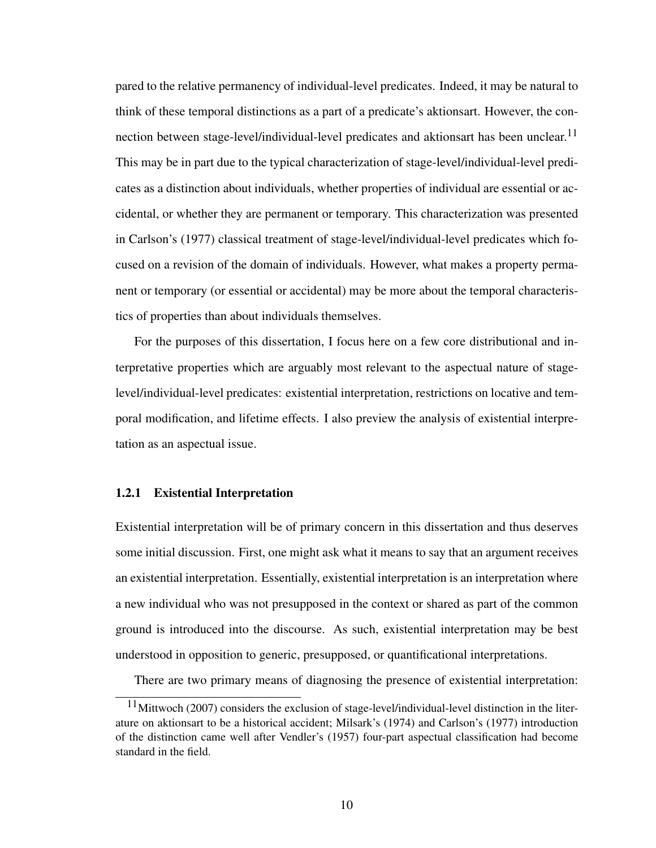pared to the relative permanency of individual-level predicates. Indeed, it may be natural to think of these temporal distinctions as a part of a predicate's aktionsart. However, the connection between stage-level/individual-level predicates and aktionsart has been unclear.<sup>11</sup> This may be in part due to the typical characterization of stage-level/individual-level predicates as a distinction about individuals, whether properties of individual are essential or accidental, or whether they are permanent or temporary. This characterization was presented in Carlson's (1977) classical treatment of stage-level/individual-level predicates which focused on a revision of the domain of individuals. However, what makes a property permanent or temporary (or essential or accidental) may be more about the temporal characteristics of properties than about individuals themselves.

For the purposes of this dissertation, I focus here on a few core distributional and interpretative properties which are arguably most relevant to the aspectual nature of stagelevel/individual-level predicates: existential interpretation, restrictions on locative and temporal modification, and lifetime effects. I also preview the analysis of existential interpretation as an aspectual issue.

### 1.2.1 Existential Interpretation

Existential interpretation will be of primary concern in this dissertation and thus deserves some initial discussion. First, one might ask what it means to say that an argument receives an existential interpretation. Essentially, existential interpretation is an interpretation where a new individual who was not presupposed in the context or shared as part of the common ground is introduced into the discourse. As such, existential interpretation may be best understood in opposition to generic, presupposed, or quantificational interpretations.

There are two primary means of diagnosing the presence of existential interpretation:

 $\frac{11}{11}$ Mittwoch (2007) considers the exclusion of stage-level/individual-level distinction in the literature on aktionsart to be a historical accident; Milsark's (1974) and Carlson's (1977) introduction of the distinction came well after Vendler's (1957) four-part aspectual classification had become standard in the field.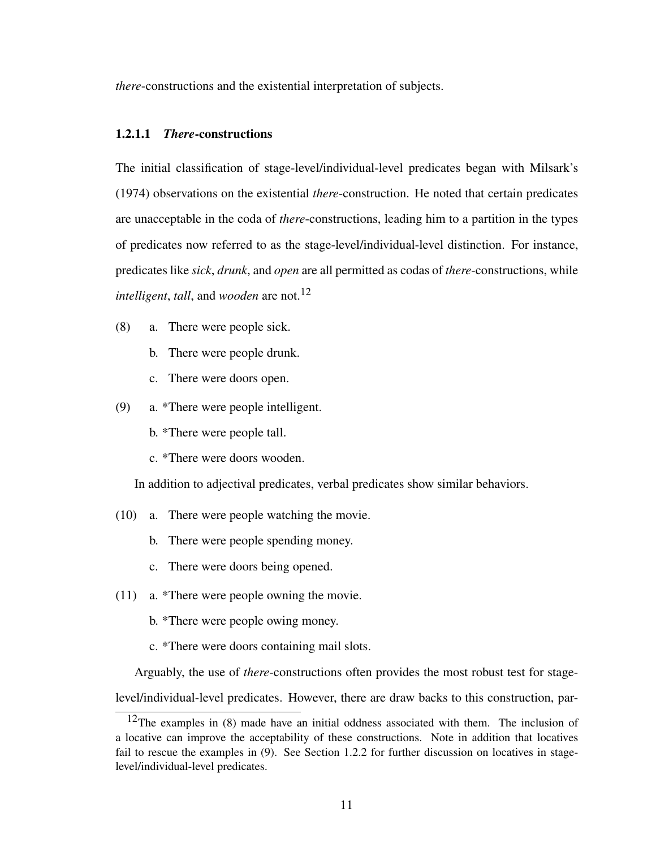*there*-constructions and the existential interpretation of subjects.

### 1.2.1.1 *There*-constructions

The initial classification of stage-level/individual-level predicates began with Milsark's (1974) observations on the existential *there*-construction. He noted that certain predicates are unacceptable in the coda of *there*-constructions, leading him to a partition in the types of predicates now referred to as the stage-level/individual-level distinction. For instance, predicates like *sick*, *drunk*, and *open* are all permitted as codas of *there*-constructions, while *intelligent, tall, and wooden are not.*<sup>12</sup>

- (8) a. There were people sick.
	- b. There were people drunk.
	- c. There were doors open.
- (9) a. \*There were people intelligent.
	- b. \*There were people tall.
	- c. \*There were doors wooden.

In addition to adjectival predicates, verbal predicates show similar behaviors.

- (10) a. There were people watching the movie.
	- b. There were people spending money.
	- c. There were doors being opened.
- (11) a. \*There were people owning the movie.
	- b. \*There were people owing money.
	- c. \*There were doors containing mail slots.

Arguably, the use of *there*-constructions often provides the most robust test for stage-

level/individual-level predicates. However, there are draw backs to this construction, par-

 $12$ The examples in (8) made have an initial oddness associated with them. The inclusion of a locative can improve the acceptability of these constructions. Note in addition that locatives fail to rescue the examples in (9). See Section 1.2.2 for further discussion on locatives in stagelevel/individual-level predicates.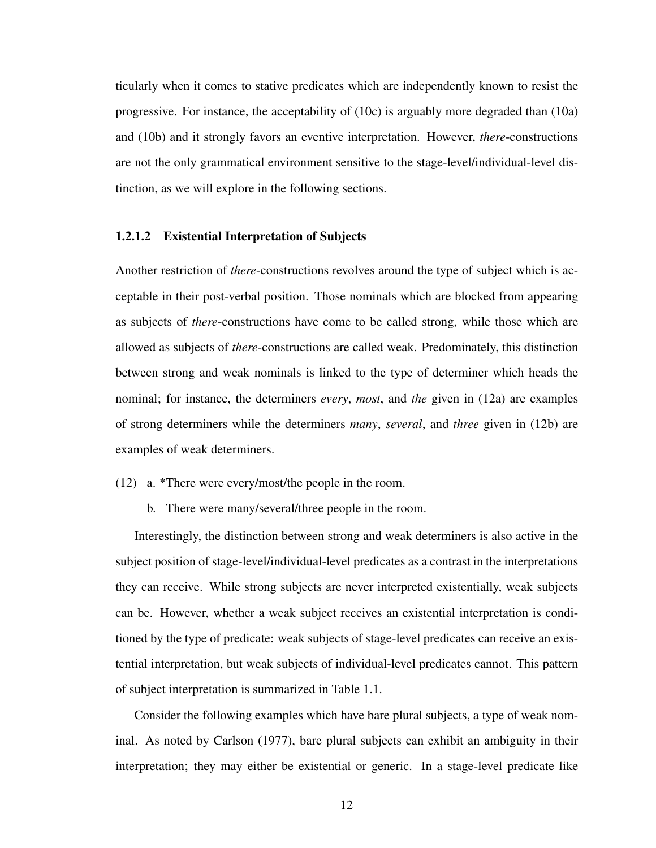ticularly when it comes to stative predicates which are independently known to resist the progressive. For instance, the acceptability of (10c) is arguably more degraded than (10a) and (10b) and it strongly favors an eventive interpretation. However, *there*-constructions are not the only grammatical environment sensitive to the stage-level/individual-level distinction, as we will explore in the following sections.

#### 1.2.1.2 Existential Interpretation of Subjects

Another restriction of *there*-constructions revolves around the type of subject which is acceptable in their post-verbal position. Those nominals which are blocked from appearing as subjects of *there*-constructions have come to be called strong, while those which are allowed as subjects of *there*-constructions are called weak. Predominately, this distinction between strong and weak nominals is linked to the type of determiner which heads the nominal; for instance, the determiners *every*, *most*, and *the* given in (12a) are examples of strong determiners while the determiners *many*, *several*, and *three* given in (12b) are examples of weak determiners.

- (12) a. \*There were every/most/the people in the room.
	- b. There were many/several/three people in the room.

Interestingly, the distinction between strong and weak determiners is also active in the subject position of stage-level/individual-level predicates as a contrast in the interpretations they can receive. While strong subjects are never interpreted existentially, weak subjects can be. However, whether a weak subject receives an existential interpretation is conditioned by the type of predicate: weak subjects of stage-level predicates can receive an existential interpretation, but weak subjects of individual-level predicates cannot. This pattern of subject interpretation is summarized in Table 1.1.

Consider the following examples which have bare plural subjects, a type of weak nominal. As noted by Carlson (1977), bare plural subjects can exhibit an ambiguity in their interpretation; they may either be existential or generic. In a stage-level predicate like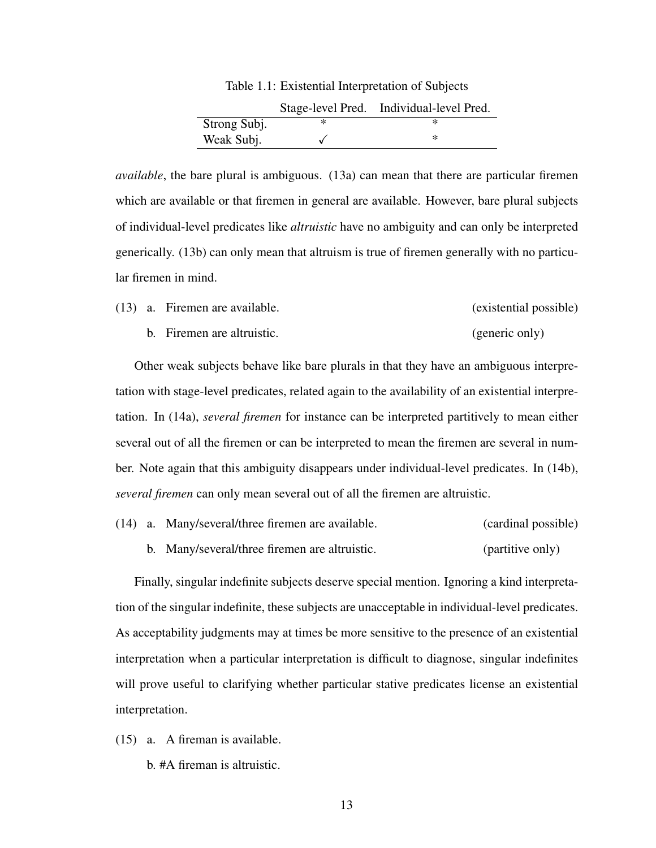|              | Stage-level Pred. Individual-level Pred. |
|--------------|------------------------------------------|
| Strong Subj. |                                          |
| Weak Subj.   | ж                                        |

Table 1.1: Existential Interpretation of Subjects

*available*, the bare plural is ambiguous. (13a) can mean that there are particular firemen which are available or that firemen in general are available. However, bare plural subjects of individual-level predicates like *altruistic* have no ambiguity and can only be interpreted generically. (13b) can only mean that altruism is true of firemen generally with no particular firemen in mind.

- (13) a. Firemen are available. (existential possible)
	- b. Firemen are altruistic. (generic only)

Other weak subjects behave like bare plurals in that they have an ambiguous interpretation with stage-level predicates, related again to the availability of an existential interpretation. In (14a), *several firemen* for instance can be interpreted partitively to mean either several out of all the firemen or can be interpreted to mean the firemen are several in number. Note again that this ambiguity disappears under individual-level predicates. In (14b), *several firemen* can only mean several out of all the firemen are altruistic.

- (14) a. Many/several/three firemen are available. (cardinal possible)
	- b. Many/several/three firemen are altruistic. (partitive only)

Finally, singular indefinite subjects deserve special mention. Ignoring a kind interpretation of the singular indefinite, these subjects are unacceptable in individual-level predicates. As acceptability judgments may at times be more sensitive to the presence of an existential interpretation when a particular interpretation is difficult to diagnose, singular indefinites will prove useful to clarifying whether particular stative predicates license an existential interpretation.

(15) a. A fireman is available.

b. #A fireman is altruistic.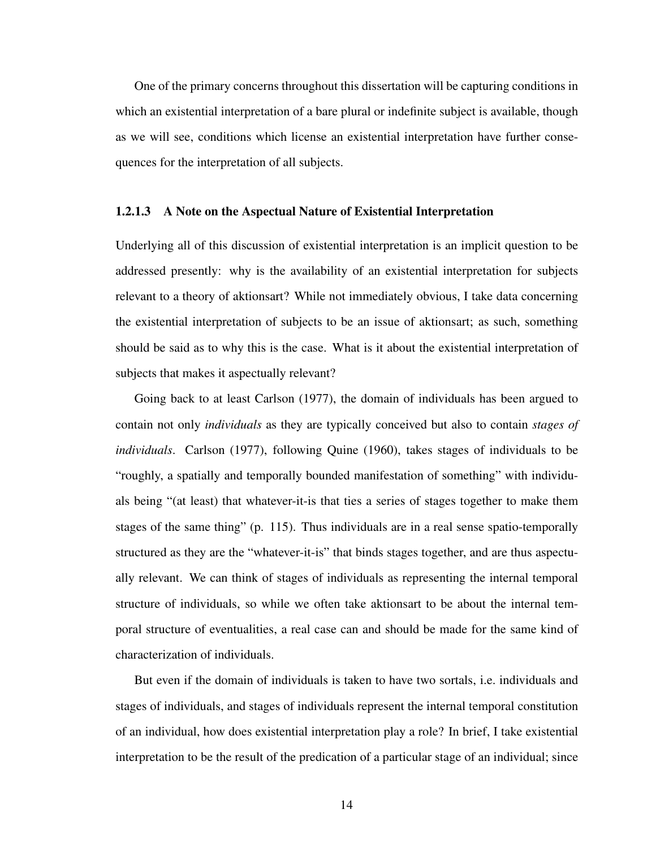One of the primary concerns throughout this dissertation will be capturing conditions in which an existential interpretation of a bare plural or indefinite subject is available, though as we will see, conditions which license an existential interpretation have further consequences for the interpretation of all subjects.

#### 1.2.1.3 A Note on the Aspectual Nature of Existential Interpretation

Underlying all of this discussion of existential interpretation is an implicit question to be addressed presently: why is the availability of an existential interpretation for subjects relevant to a theory of aktionsart? While not immediately obvious, I take data concerning the existential interpretation of subjects to be an issue of aktionsart; as such, something should be said as to why this is the case. What is it about the existential interpretation of subjects that makes it aspectually relevant?

Going back to at least Carlson (1977), the domain of individuals has been argued to contain not only *individuals* as they are typically conceived but also to contain *stages of individuals*. Carlson (1977), following Quine (1960), takes stages of individuals to be "roughly, a spatially and temporally bounded manifestation of something" with individuals being "(at least) that whatever-it-is that ties a series of stages together to make them stages of the same thing" (p. 115). Thus individuals are in a real sense spatio-temporally structured as they are the "whatever-it-is" that binds stages together, and are thus aspectually relevant. We can think of stages of individuals as representing the internal temporal structure of individuals, so while we often take aktionsart to be about the internal temporal structure of eventualities, a real case can and should be made for the same kind of characterization of individuals.

But even if the domain of individuals is taken to have two sortals, i.e. individuals and stages of individuals, and stages of individuals represent the internal temporal constitution of an individual, how does existential interpretation play a role? In brief, I take existential interpretation to be the result of the predication of a particular stage of an individual; since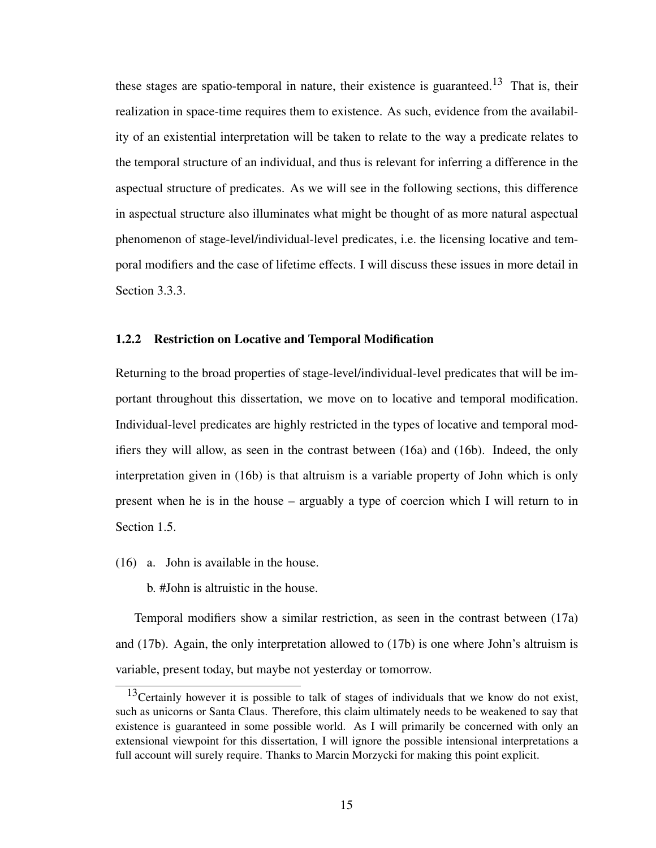these stages are spatio-temporal in nature, their existence is guaranteed.<sup>13</sup> That is, their realization in space-time requires them to existence. As such, evidence from the availability of an existential interpretation will be taken to relate to the way a predicate relates to the temporal structure of an individual, and thus is relevant for inferring a difference in the aspectual structure of predicates. As we will see in the following sections, this difference in aspectual structure also illuminates what might be thought of as more natural aspectual phenomenon of stage-level/individual-level predicates, i.e. the licensing locative and temporal modifiers and the case of lifetime effects. I will discuss these issues in more detail in Section 3.3.3.

#### 1.2.2 Restriction on Locative and Temporal Modification

Returning to the broad properties of stage-level/individual-level predicates that will be important throughout this dissertation, we move on to locative and temporal modification. Individual-level predicates are highly restricted in the types of locative and temporal modifiers they will allow, as seen in the contrast between (16a) and (16b). Indeed, the only interpretation given in (16b) is that altruism is a variable property of John which is only present when he is in the house – arguably a type of coercion which I will return to in Section 1.5.

(16) a. John is available in the house.

b. #John is altruistic in the house.

Temporal modifiers show a similar restriction, as seen in the contrast between (17a) and (17b). Again, the only interpretation allowed to (17b) is one where John's altruism is variable, present today, but maybe not yesterday or tomorrow.

<sup>&</sup>lt;sup>13</sup>Certainly however it is possible to talk of stages of individuals that we know do not exist, such as unicorns or Santa Claus. Therefore, this claim ultimately needs to be weakened to say that existence is guaranteed in some possible world. As I will primarily be concerned with only an extensional viewpoint for this dissertation, I will ignore the possible intensional interpretations a full account will surely require. Thanks to Marcin Morzycki for making this point explicit.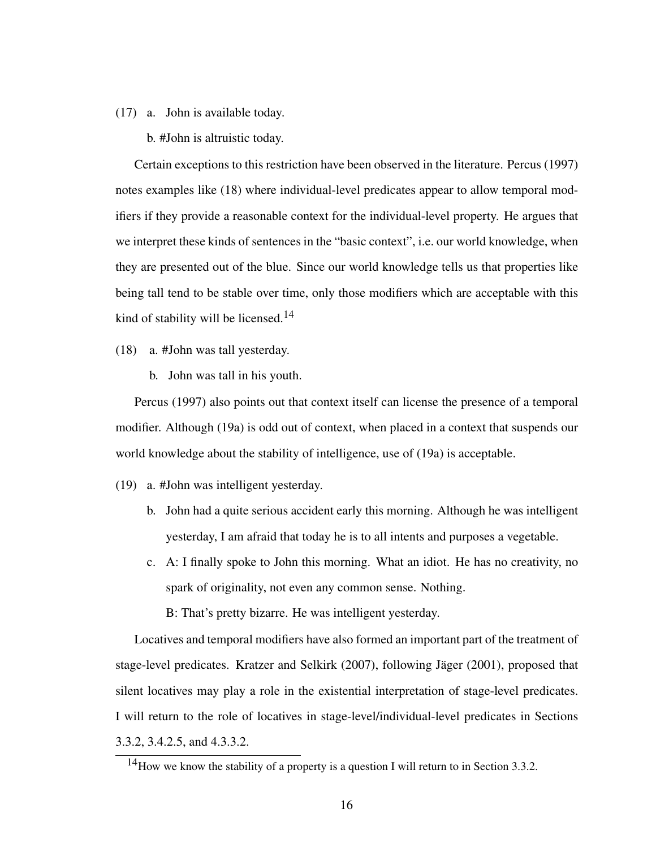(17) a. John is available today.

b. #John is altruistic today.

Certain exceptions to this restriction have been observed in the literature. Percus (1997) notes examples like (18) where individual-level predicates appear to allow temporal modifiers if they provide a reasonable context for the individual-level property. He argues that we interpret these kinds of sentences in the "basic context", i.e. our world knowledge, when they are presented out of the blue. Since our world knowledge tells us that properties like being tall tend to be stable over time, only those modifiers which are acceptable with this kind of stability will be licensed.<sup>14</sup>

(18) a. #John was tall yesterday.

b. John was tall in his youth.

Percus (1997) also points out that context itself can license the presence of a temporal modifier. Although (19a) is odd out of context, when placed in a context that suspends our world knowledge about the stability of intelligence, use of (19a) is acceptable.

(19) a. #John was intelligent yesterday.

- b. John had a quite serious accident early this morning. Although he was intelligent yesterday, I am afraid that today he is to all intents and purposes a vegetable.
- c. A: I finally spoke to John this morning. What an idiot. He has no creativity, no spark of originality, not even any common sense. Nothing.

B: That's pretty bizarre. He was intelligent yesterday.

Locatives and temporal modifiers have also formed an important part of the treatment of stage-level predicates. Kratzer and Selkirk (2007), following Jäger (2001), proposed that silent locatives may play a role in the existential interpretation of stage-level predicates. I will return to the role of locatives in stage-level/individual-level predicates in Sections 3.3.2, 3.4.2.5, and 4.3.3.2.

<sup>&</sup>lt;sup>14</sup>How we know the stability of a property is a question I will return to in Section 3.3.2.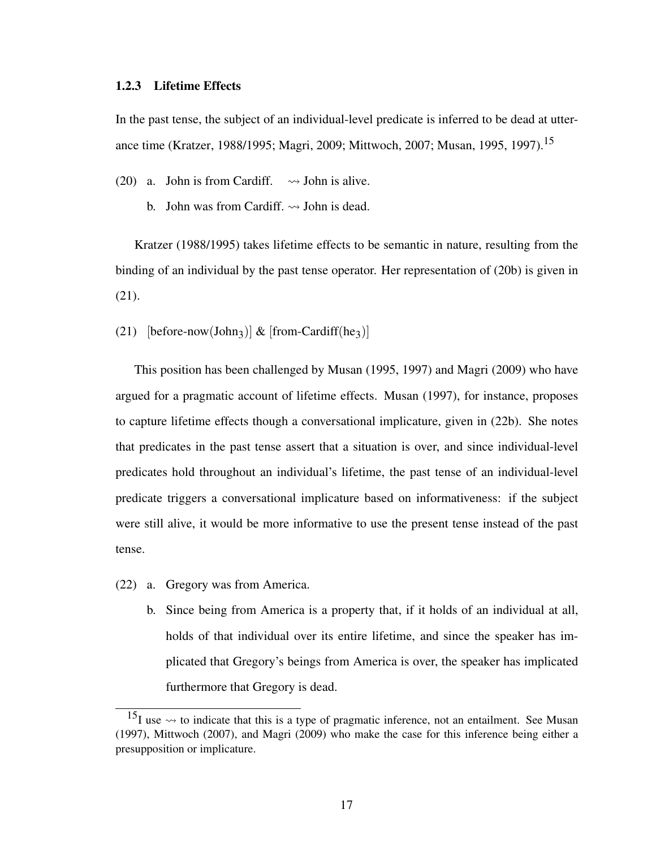### 1.2.3 Lifetime Effects

In the past tense, the subject of an individual-level predicate is inferred to be dead at utterance time (Kratzer, 1988/1995; Magri, 2009; Mittwoch, 2007; Musan, 1995, 1997).<sup>15</sup>

(20) a. John is from Cardiff.  $\rightsquigarrow$  John is alive.

b. John was from Cardiff.  $\rightsquigarrow$  John is dead.

Kratzer (1988/1995) takes lifetime effects to be semantic in nature, resulting from the binding of an individual by the past tense operator. Her representation of (20b) is given in (21).

(21) [before-now(John<sub>3</sub>)] &  $[from-Cardiff(he_3)]$ 

This position has been challenged by Musan (1995, 1997) and Magri (2009) who have argued for a pragmatic account of lifetime effects. Musan (1997), for instance, proposes to capture lifetime effects though a conversational implicature, given in (22b). She notes that predicates in the past tense assert that a situation is over, and since individual-level predicates hold throughout an individual's lifetime, the past tense of an individual-level predicate triggers a conversational implicature based on informativeness: if the subject were still alive, it would be more informative to use the present tense instead of the past tense.

- (22) a. Gregory was from America.
	- b. Since being from America is a property that, if it holds of an individual at all, holds of that individual over its entire lifetime, and since the speaker has implicated that Gregory's beings from America is over, the speaker has implicated furthermore that Gregory is dead.

<sup>&</sup>lt;sup>15</sup>I use  $\rightsquigarrow$  to indicate that this is a type of pragmatic inference, not an entailment. See Musan (1997), Mittwoch (2007), and Magri (2009) who make the case for this inference being either a presupposition or implicature.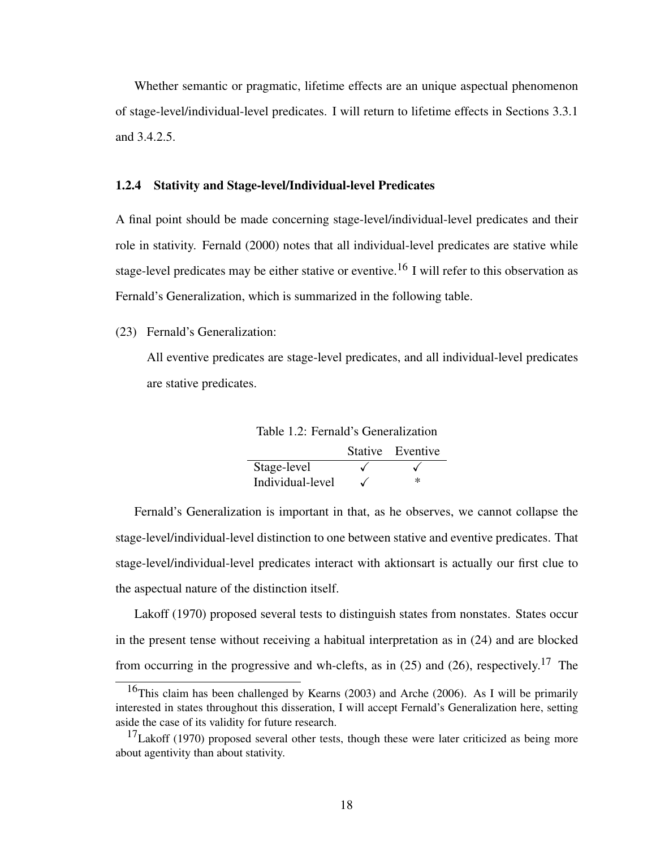Whether semantic or pragmatic, lifetime effects are an unique aspectual phenomenon of stage-level/individual-level predicates. I will return to lifetime effects in Sections 3.3.1 and 3.4.2.5.

### 1.2.4 Stativity and Stage-level/Individual-level Predicates

A final point should be made concerning stage-level/individual-level predicates and their role in stativity. Fernald (2000) notes that all individual-level predicates are stative while stage-level predicates may be either stative or eventive.<sup>16</sup> I will refer to this observation as Fernald's Generalization, which is summarized in the following table.

(23) Fernald's Generalization:

All eventive predicates are stage-level predicates, and all individual-level predicates are stative predicates.

|                  | Stative Eventive |
|------------------|------------------|
| Stage-level      |                  |
| Individual-level | ж                |

Table 1.2: Fernald's Generalization

Fernald's Generalization is important in that, as he observes, we cannot collapse the stage-level/individual-level distinction to one between stative and eventive predicates. That stage-level/individual-level predicates interact with aktionsart is actually our first clue to the aspectual nature of the distinction itself.

Lakoff (1970) proposed several tests to distinguish states from nonstates. States occur in the present tense without receiving a habitual interpretation as in (24) and are blocked from occurring in the progressive and wh-clefts, as in  $(25)$  and  $(26)$ , respectively.<sup>17</sup> The

<sup>16</sup>This claim has been challenged by Kearns (2003) and Arche (2006). As I will be primarily interested in states throughout this disseration, I will accept Fernald's Generalization here, setting aside the case of its validity for future research.

 $^{17}$ Lakoff (1970) proposed several other tests, though these were later criticized as being more about agentivity than about stativity.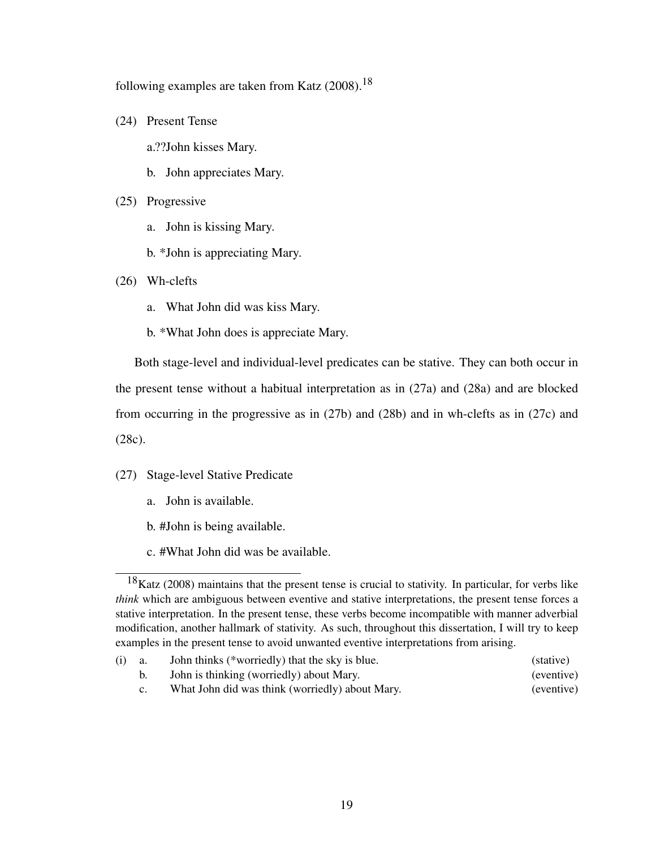following examples are taken from Katz  $(2008).<sup>18</sup>$ 

- (24) Present Tense
	- a.??John kisses Mary.
	- b. John appreciates Mary.

### (25) Progressive

- a. John is kissing Mary.
- b. \*John is appreciating Mary.
- (26) Wh-clefts
	- a. What John did was kiss Mary.
	- b. \*What John does is appreciate Mary.

Both stage-level and individual-level predicates can be stative. They can both occur in the present tense without a habitual interpretation as in (27a) and (28a) and are blocked from occurring in the progressive as in (27b) and (28b) and in wh-clefts as in (27c) and (28c).

### (27) Stage-level Stative Predicate

- a. John is available.
- b. #John is being available.
- c. #What John did was be available.

<sup>18</sup>Katz (2008) maintains that the present tense is crucial to stativity. In particular, for verbs like *think* which are ambiguous between eventive and stative interpretations, the present tense forces a stative interpretation. In the present tense, these verbs become incompatible with manner adverbial modification, another hallmark of stativity. As such, throughout this dissertation, I will try to keep examples in the present tense to avoid unwanted eventive interpretations from arising.

<sup>(</sup>i) a. John thinks (\*worriedly) that the sky is blue. (stative) b. John is thinking (worriedly) about Mary. (eventive) c. What John did was think (worriedly) about Mary. (eventive)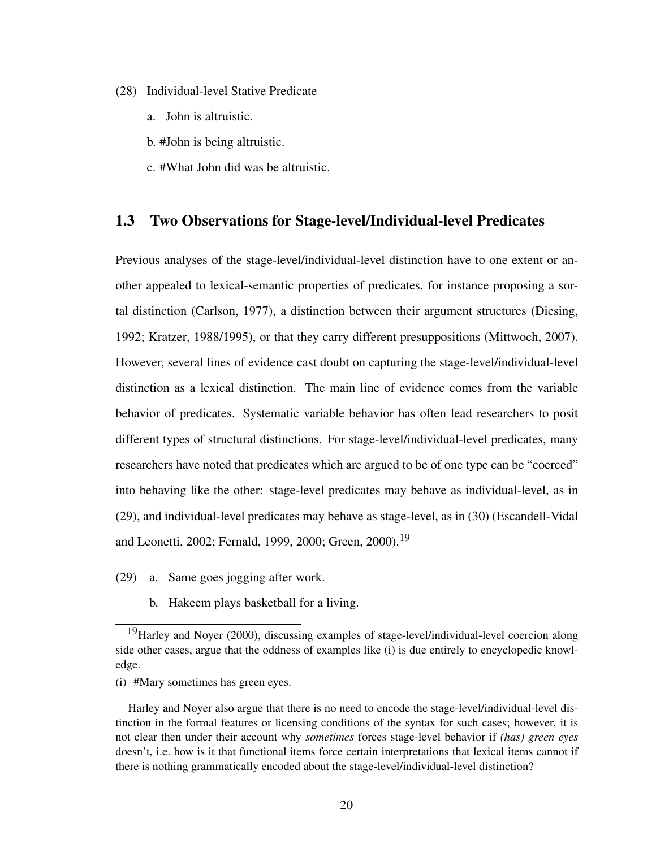- (28) Individual-level Stative Predicate
	- a. John is altruistic.
	- b. #John is being altruistic.
	- c. #What John did was be altruistic.

### 1.3 Two Observations for Stage-level/Individual-level Predicates

Previous analyses of the stage-level/individual-level distinction have to one extent or another appealed to lexical-semantic properties of predicates, for instance proposing a sortal distinction (Carlson, 1977), a distinction between their argument structures (Diesing, 1992; Kratzer, 1988/1995), or that they carry different presuppositions (Mittwoch, 2007). However, several lines of evidence cast doubt on capturing the stage-level/individual-level distinction as a lexical distinction. The main line of evidence comes from the variable behavior of predicates. Systematic variable behavior has often lead researchers to posit different types of structural distinctions. For stage-level/individual-level predicates, many researchers have noted that predicates which are argued to be of one type can be "coerced" into behaving like the other: stage-level predicates may behave as individual-level, as in (29), and individual-level predicates may behave as stage-level, as in (30) (Escandell-Vidal and Leonetti, 2002; Fernald, 1999, 2000; Green, 2000).<sup>19</sup>

- (29) a. Same goes jogging after work.
	- b. Hakeem plays basketball for a living.

<sup>19</sup>Harley and Noyer (2000), discussing examples of stage-level/individual-level coercion along side other cases, argue that the oddness of examples like (i) is due entirely to encyclopedic knowledge.

<sup>(</sup>i) #Mary sometimes has green eyes.

Harley and Noyer also argue that there is no need to encode the stage-level/individual-level distinction in the formal features or licensing conditions of the syntax for such cases; however, it is not clear then under their account why *sometimes* forces stage-level behavior if *(has) green eyes* doesn't, i.e. how is it that functional items force certain interpretations that lexical items cannot if there is nothing grammatically encoded about the stage-level/individual-level distinction?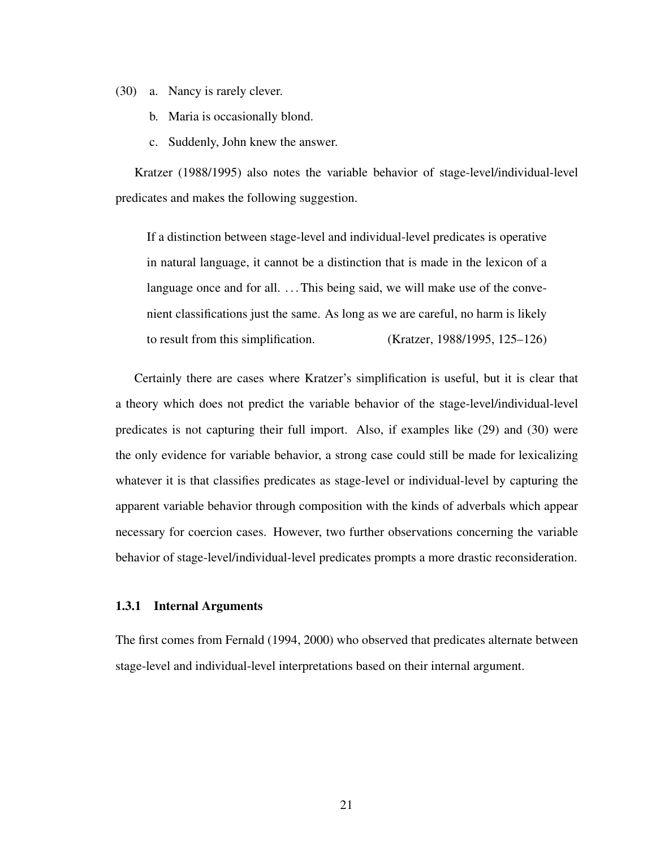(30) a. Nancy is rarely clever.

- b. Maria is occasionally blond.
- c. Suddenly, John knew the answer.

Kratzer (1988/1995) also notes the variable behavior of stage-level/individual-level predicates and makes the following suggestion.

If a distinction between stage-level and individual-level predicates is operative in natural language, it cannot be a distinction that is made in the lexicon of a language once and for all. ... This being said, we will make use of the convenient classifications just the same. As long as we are careful, no harm is likely to result from this simplification. (Kratzer, 1988/1995, 125–126)

Certainly there are cases where Kratzer's simplification is useful, but it is clear that a theory which does not predict the variable behavior of the stage-level/individual-level predicates is not capturing their full import. Also, if examples like (29) and (30) were the only evidence for variable behavior, a strong case could still be made for lexicalizing whatever it is that classifies predicates as stage-level or individual-level by capturing the apparent variable behavior through composition with the kinds of adverbals which appear necessary for coercion cases. However, two further observations concerning the variable behavior of stage-level/individual-level predicates prompts a more drastic reconsideration.

### 1.3.1 Internal Arguments

The first comes from Fernald (1994, 2000) who observed that predicates alternate between stage-level and individual-level interpretations based on their internal argument.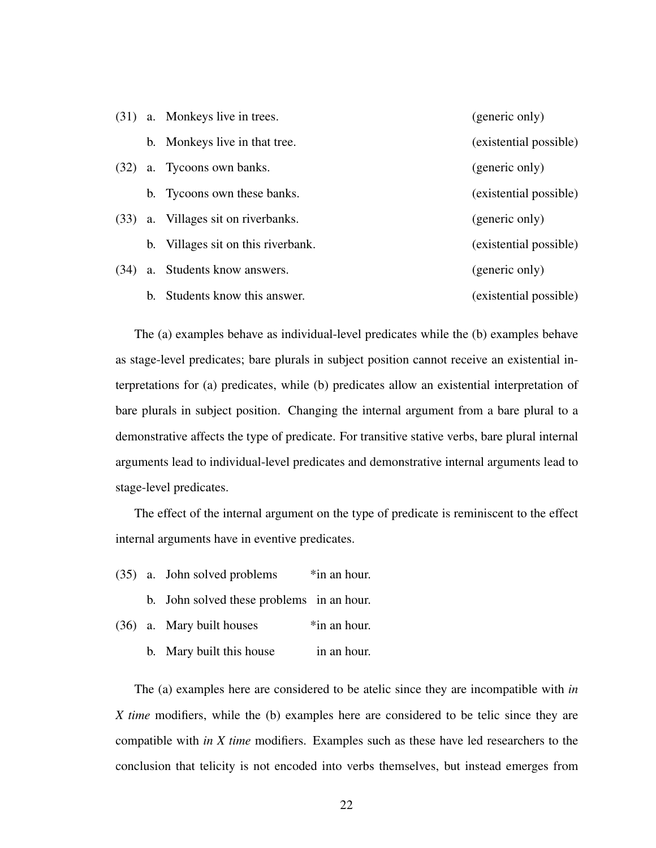| (31) |    | a. Monkeys live in trees.          | (generic only)         |
|------|----|------------------------------------|------------------------|
|      |    | b. Monkeys live in that tree.      | (existential possible) |
| (32) |    | a. Tycoons own banks.              | (generic only)         |
|      |    | b. Tycoons own these banks.        | (existential possible) |
| (33) |    | a. Villages sit on riverbanks.     | (generic only)         |
|      |    | b. Villages sit on this riverbank. | (existential possible) |
| (34) |    | a. Students know answers.          | (generic only)         |
|      | b. | Students know this answer.         | (existential possible) |

The (a) examples behave as individual-level predicates while the (b) examples behave as stage-level predicates; bare plurals in subject position cannot receive an existential interpretations for (a) predicates, while (b) predicates allow an existential interpretation of bare plurals in subject position. Changing the internal argument from a bare plural to a demonstrative affects the type of predicate. For transitive stative verbs, bare plural internal arguments lead to individual-level predicates and demonstrative internal arguments lead to stage-level predicates.

The effect of the internal argument on the type of predicate is reminiscent to the effect internal arguments have in eventive predicates.

- $(35)$  a. John solved problems  $*in$  an hour.
	- b. John solved these problems in an hour.
- $(36)$  a. Mary built houses  $*in$  an hour.
	- b. Mary built this house in an hour.

The (a) examples here are considered to be atelic since they are incompatible with *in X time* modifiers, while the (b) examples here are considered to be telic since they are compatible with *in X time* modifiers. Examples such as these have led researchers to the conclusion that telicity is not encoded into verbs themselves, but instead emerges from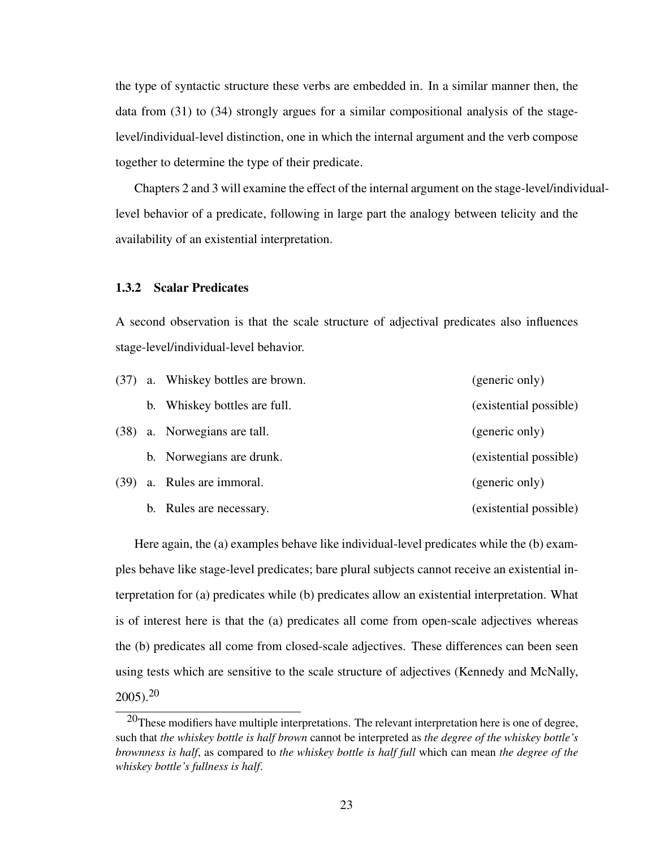the type of syntactic structure these verbs are embedded in. In a similar manner then, the data from (31) to (34) strongly argues for a similar compositional analysis of the stagelevel/individual-level distinction, one in which the internal argument and the verb compose together to determine the type of their predicate.

Chapters 2 and 3 will examine the effect of the internal argument on the stage-level/individuallevel behavior of a predicate, following in large part the analogy between telicity and the availability of an existential interpretation.

### 1.3.2 Scalar Predicates

A second observation is that the scale structure of adjectival predicates also influences stage-level/individual-level behavior.

|      | (37) a. Whiskey bottles are brown. | (generic only)         |
|------|------------------------------------|------------------------|
|      | b. Whiskey bottles are full.       | (existential possible) |
| (38) | a. Norwegians are tall.            | (generic only)         |
|      | b. Norwegians are drunk.           | (existential possible) |
| (39) | a. Rules are immoral.              | (generic only)         |
|      | b. Rules are necessary.            | (existential possible) |

Here again, the (a) examples behave like individual-level predicates while the (b) examples behave like stage-level predicates; bare plural subjects cannot receive an existential interpretation for (a) predicates while (b) predicates allow an existential interpretation. What is of interest here is that the (a) predicates all come from open-scale adjectives whereas the (b) predicates all come from closed-scale adjectives. These differences can been seen using tests which are sensitive to the scale structure of adjectives (Kennedy and McNally,  $2005$ ).<sup>20</sup>

 $20$ These modifiers have multiple interpretations. The relevant interpretation here is one of degree, such that *the whiskey bottle is half brown* cannot be interpreted as *the degree of the whiskey bottle's brownness is half*, as compared to *the whiskey bottle is half full* which can mean *the degree of the whiskey bottle's fullness is half*.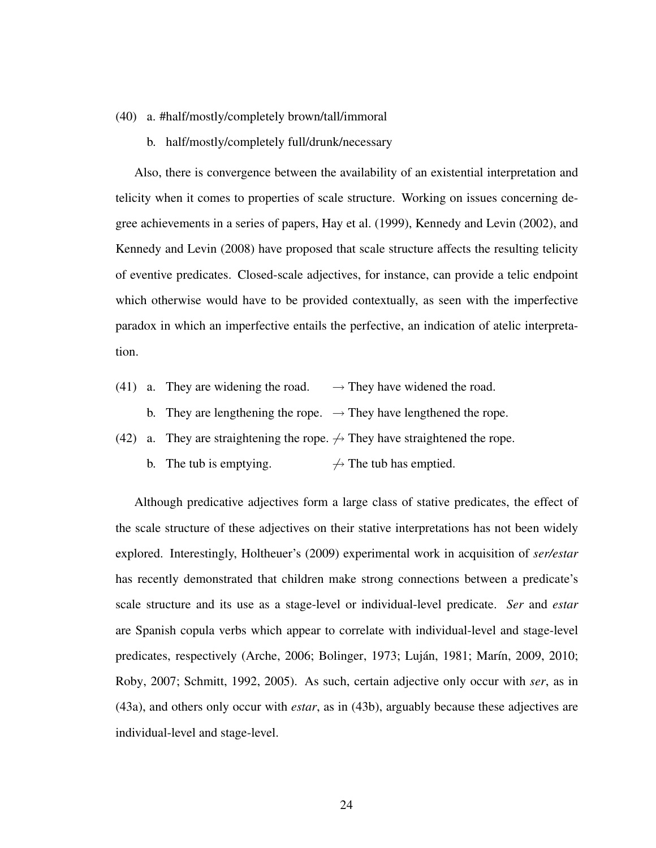- (40) a. #half/mostly/completely brown/tall/immoral
	- b. half/mostly/completely full/drunk/necessary

Also, there is convergence between the availability of an existential interpretation and telicity when it comes to properties of scale structure. Working on issues concerning degree achievements in a series of papers, Hay et al. (1999), Kennedy and Levin (2002), and Kennedy and Levin (2008) have proposed that scale structure affects the resulting telicity of eventive predicates. Closed-scale adjectives, for instance, can provide a telic endpoint which otherwise would have to be provided contextually, as seen with the imperfective paradox in which an imperfective entails the perfective, an indication of atelic interpretation.

- (41) a. They are widening the road.  $\rightarrow$  They have widened the road.
	- b. They are lengthening the rope.  $\rightarrow$  They have lengthened the rope.
- (42) a. They are straightening the rope.  $\rightarrow$  They have straightened the rope.
	- b. The tub is emptying.  $\rightarrow$  The tub has emptied.

Although predicative adjectives form a large class of stative predicates, the effect of the scale structure of these adjectives on their stative interpretations has not been widely explored. Interestingly, Holtheuer's (2009) experimental work in acquisition of *ser/estar* has recently demonstrated that children make strong connections between a predicate's scale structure and its use as a stage-level or individual-level predicate. *Ser* and *estar* are Spanish copula verbs which appear to correlate with individual-level and stage-level predicates, respectively (Arche, 2006; Bolinger, 1973; Luján, 1981; Marín, 2009, 2010; Roby, 2007; Schmitt, 1992, 2005). As such, certain adjective only occur with *ser*, as in (43a), and others only occur with *estar*, as in (43b), arguably because these adjectives are individual-level and stage-level.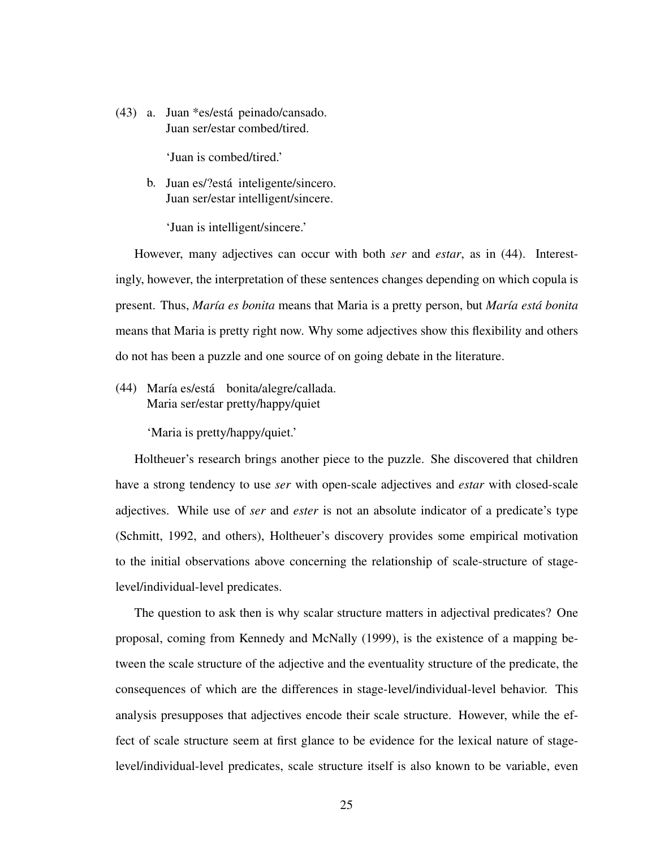(43) a. Juan \*es/está peinado/cansado. Juan ser/estar combed/tired.

'Juan is combed/tired.'

b. Juan es/?está inteligente/sincero. Juan ser/estar intelligent/sincere.

'Juan is intelligent/sincere.'

However, many adjectives can occur with both *ser* and *estar*, as in (44). Interestingly, however, the interpretation of these sentences changes depending on which copula is present. Thus, *María es bonita* means that Maria is a pretty person, but *María está bonita* means that Maria is pretty right now. Why some adjectives show this flexibility and others do not has been a puzzle and one source of on going debate in the literature.

(44) María es/está bonita/alegre/callada. Maria ser/estar pretty/happy/quiet

'Maria is pretty/happy/quiet.'

Holtheuer's research brings another piece to the puzzle. She discovered that children have a strong tendency to use *ser* with open-scale adjectives and *estar* with closed-scale adjectives. While use of *ser* and *ester* is not an absolute indicator of a predicate's type (Schmitt, 1992, and others), Holtheuer's discovery provides some empirical motivation to the initial observations above concerning the relationship of scale-structure of stagelevel/individual-level predicates.

The question to ask then is why scalar structure matters in adjectival predicates? One proposal, coming from Kennedy and McNally (1999), is the existence of a mapping between the scale structure of the adjective and the eventuality structure of the predicate, the consequences of which are the differences in stage-level/individual-level behavior. This analysis presupposes that adjectives encode their scale structure. However, while the effect of scale structure seem at first glance to be evidence for the lexical nature of stagelevel/individual-level predicates, scale structure itself is also known to be variable, even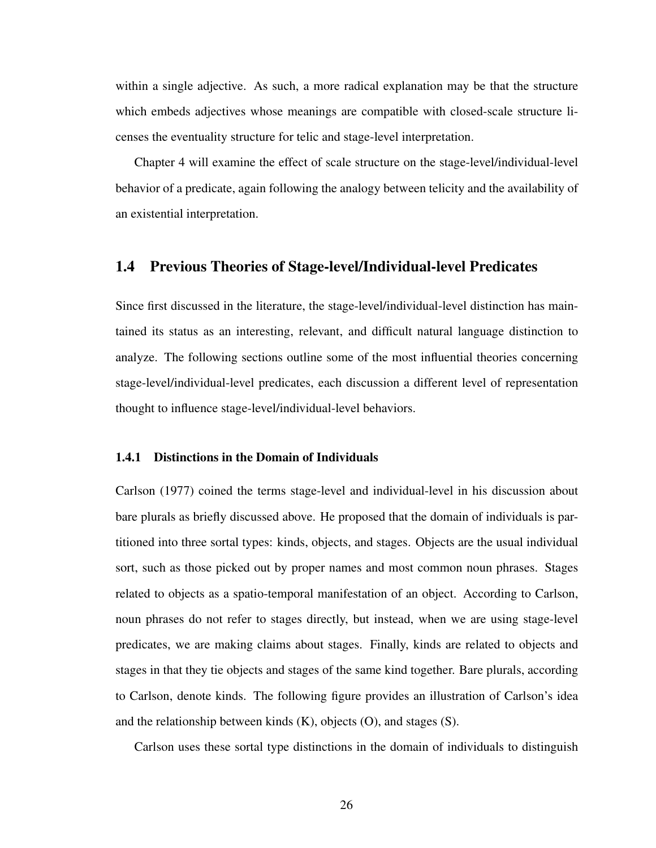within a single adjective. As such, a more radical explanation may be that the structure which embeds adjectives whose meanings are compatible with closed-scale structure licenses the eventuality structure for telic and stage-level interpretation.

Chapter 4 will examine the effect of scale structure on the stage-level/individual-level behavior of a predicate, again following the analogy between telicity and the availability of an existential interpretation.

# 1.4 Previous Theories of Stage-level/Individual-level Predicates

Since first discussed in the literature, the stage-level/individual-level distinction has maintained its status as an interesting, relevant, and difficult natural language distinction to analyze. The following sections outline some of the most influential theories concerning stage-level/individual-level predicates, each discussion a different level of representation thought to influence stage-level/individual-level behaviors.

#### 1.4.1 Distinctions in the Domain of Individuals

Carlson (1977) coined the terms stage-level and individual-level in his discussion about bare plurals as briefly discussed above. He proposed that the domain of individuals is partitioned into three sortal types: kinds, objects, and stages. Objects are the usual individual sort, such as those picked out by proper names and most common noun phrases. Stages related to objects as a spatio-temporal manifestation of an object. According to Carlson, noun phrases do not refer to stages directly, but instead, when we are using stage-level predicates, we are making claims about stages. Finally, kinds are related to objects and stages in that they tie objects and stages of the same kind together. Bare plurals, according to Carlson, denote kinds. The following figure provides an illustration of Carlson's idea and the relationship between kinds (K), objects (O), and stages (S).

Carlson uses these sortal type distinctions in the domain of individuals to distinguish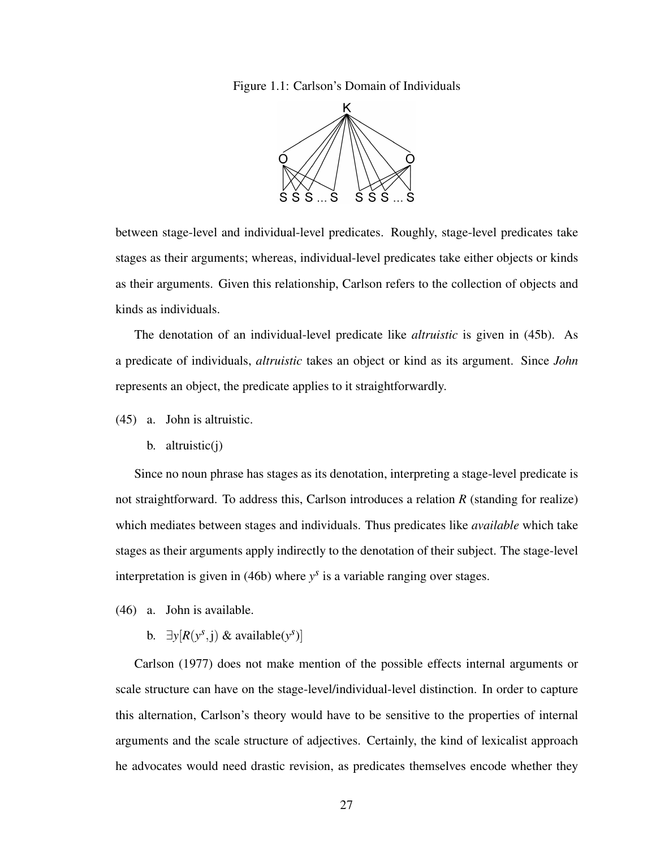Figure 1.1: Carlson's Domain of Individuals



between stage-level and individual-level predicates. Roughly, stage-level predicates take stages as their arguments; whereas, individual-level predicates take either objects or kinds as their arguments. Given this relationship, Carlson refers to the collection of objects and kinds as individuals.

The denotation of an individual-level predicate like *altruistic* is given in (45b). As a predicate of individuals, *altruistic* takes an object or kind as its argument. Since *John* represents an object, the predicate applies to it straightforwardly.

- (45) a. John is altruistic.
	- b. altruistic(j)

Since no noun phrase has stages as its denotation, interpreting a stage-level predicate is not straightforward. To address this, Carlson introduces a relation *R* (standing for realize) which mediates between stages and individuals. Thus predicates like *available* which take stages as their arguments apply indirectly to the denotation of their subject. The stage-level interpretation is given in (46b) where  $y^s$  is a variable ranging over stages.

- (46) a. John is available.
	- b.  $\exists y[R(y^s, j) \& \text{available}(y^s)]$

Carlson (1977) does not make mention of the possible effects internal arguments or scale structure can have on the stage-level/individual-level distinction. In order to capture this alternation, Carlson's theory would have to be sensitive to the properties of internal arguments and the scale structure of adjectives. Certainly, the kind of lexicalist approach he advocates would need drastic revision, as predicates themselves encode whether they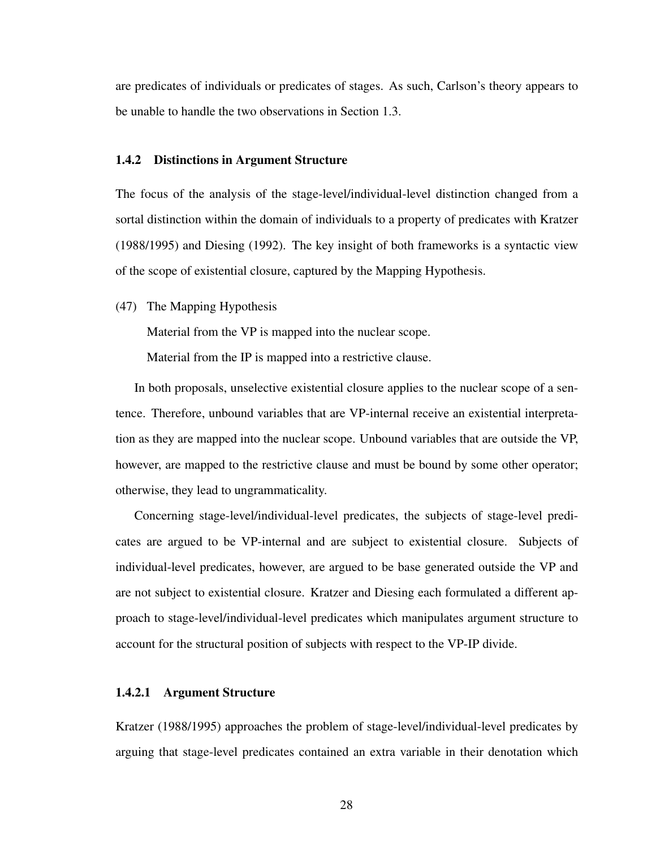are predicates of individuals or predicates of stages. As such, Carlson's theory appears to be unable to handle the two observations in Section 1.3.

### 1.4.2 Distinctions in Argument Structure

The focus of the analysis of the stage-level/individual-level distinction changed from a sortal distinction within the domain of individuals to a property of predicates with Kratzer (1988/1995) and Diesing (1992). The key insight of both frameworks is a syntactic view of the scope of existential closure, captured by the Mapping Hypothesis.

(47) The Mapping Hypothesis

Material from the VP is mapped into the nuclear scope.

Material from the IP is mapped into a restrictive clause.

In both proposals, unselective existential closure applies to the nuclear scope of a sentence. Therefore, unbound variables that are VP-internal receive an existential interpretation as they are mapped into the nuclear scope. Unbound variables that are outside the VP, however, are mapped to the restrictive clause and must be bound by some other operator; otherwise, they lead to ungrammaticality.

Concerning stage-level/individual-level predicates, the subjects of stage-level predicates are argued to be VP-internal and are subject to existential closure. Subjects of individual-level predicates, however, are argued to be base generated outside the VP and are not subject to existential closure. Kratzer and Diesing each formulated a different approach to stage-level/individual-level predicates which manipulates argument structure to account for the structural position of subjects with respect to the VP-IP divide.

## 1.4.2.1 Argument Structure

Kratzer (1988/1995) approaches the problem of stage-level/individual-level predicates by arguing that stage-level predicates contained an extra variable in their denotation which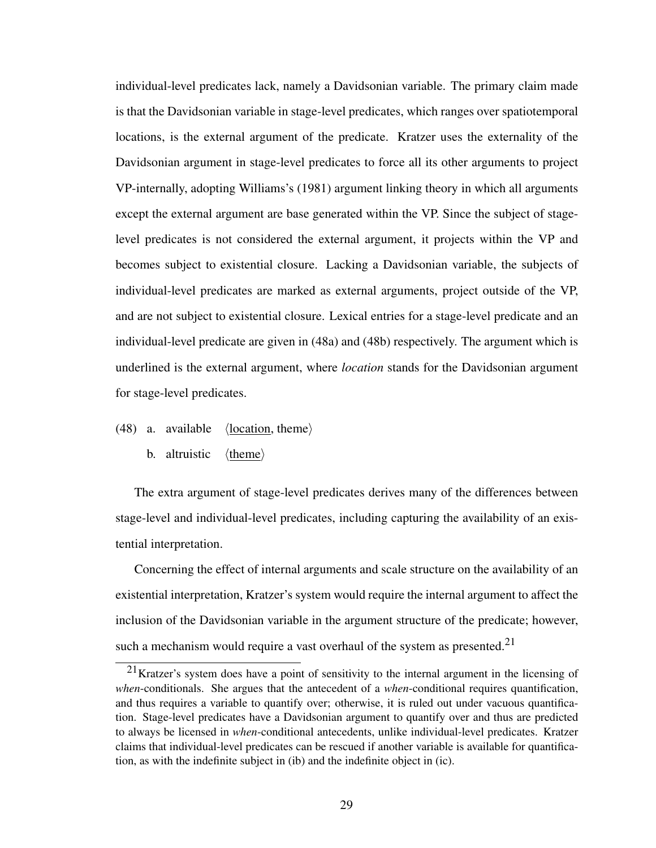individual-level predicates lack, namely a Davidsonian variable. The primary claim made is that the Davidsonian variable in stage-level predicates, which ranges over spatiotemporal locations, is the external argument of the predicate. Kratzer uses the externality of the Davidsonian argument in stage-level predicates to force all its other arguments to project VP-internally, adopting Williams's (1981) argument linking theory in which all arguments except the external argument are base generated within the VP. Since the subject of stagelevel predicates is not considered the external argument, it projects within the VP and becomes subject to existential closure. Lacking a Davidsonian variable, the subjects of individual-level predicates are marked as external arguments, project outside of the VP, and are not subject to existential closure. Lexical entries for a stage-level predicate and an individual-level predicate are given in (48a) and (48b) respectively. The argument which is underlined is the external argument, where *location* stands for the Davidsonian argument for stage-level predicates.

- (48) a. available  $\langle$  location, theme $\rangle$ 
	- b. altruistic  $\langle$  theme $\rangle$

The extra argument of stage-level predicates derives many of the differences between stage-level and individual-level predicates, including capturing the availability of an existential interpretation.

Concerning the effect of internal arguments and scale structure on the availability of an existential interpretation, Kratzer's system would require the internal argument to affect the inclusion of the Davidsonian variable in the argument structure of the predicate; however, such a mechanism would require a vast overhaul of the system as presented.<sup>21</sup>

<sup>&</sup>lt;sup>21</sup>Kratzer's system does have a point of sensitivity to the internal argument in the licensing of *when*-conditionals. She argues that the antecedent of a *when*-conditional requires quantification, and thus requires a variable to quantify over; otherwise, it is ruled out under vacuous quantification. Stage-level predicates have a Davidsonian argument to quantify over and thus are predicted to always be licensed in *when*-conditional antecedents, unlike individual-level predicates. Kratzer claims that individual-level predicates can be rescued if another variable is available for quantification, as with the indefinite subject in (ib) and the indefinite object in (ic).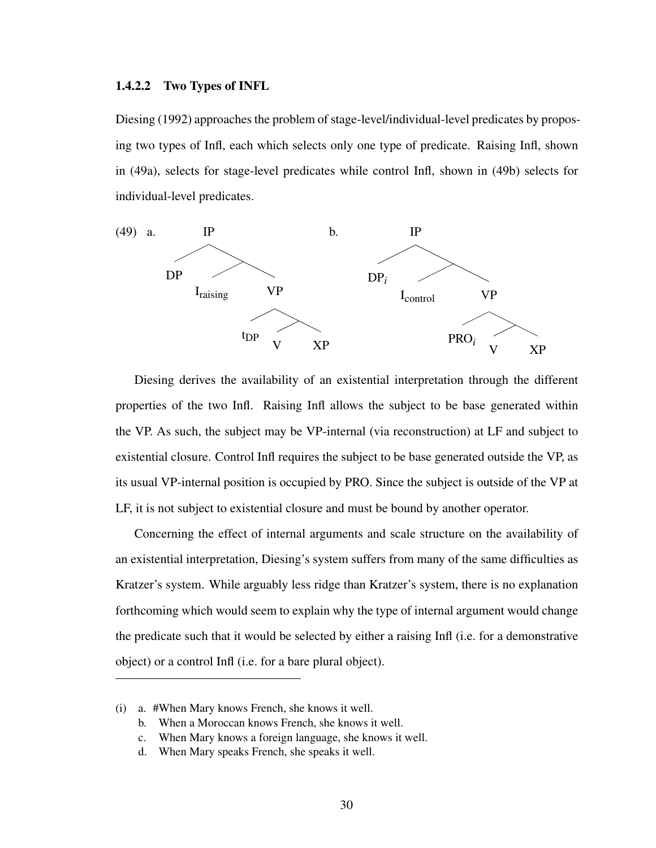## 1.4.2.2 Two Types of INFL

Diesing (1992) approaches the problem of stage-level/individual-level predicates by proposing two types of Infl, each which selects only one type of predicate. Raising Infl, shown in (49a), selects for stage-level predicates while control Infl, shown in (49b) selects for individual-level predicates.



Diesing derives the availability of an existential interpretation through the different properties of the two Infl. Raising Infl allows the subject to be base generated within the VP. As such, the subject may be VP-internal (via reconstruction) at LF and subject to existential closure. Control Infl requires the subject to be base generated outside the VP, as its usual VP-internal position is occupied by PRO. Since the subject is outside of the VP at LF, it is not subject to existential closure and must be bound by another operator.

Concerning the effect of internal arguments and scale structure on the availability of an existential interpretation, Diesing's system suffers from many of the same difficulties as Kratzer's system. While arguably less ridge than Kratzer's system, there is no explanation forthcoming which would seem to explain why the type of internal argument would change the predicate such that it would be selected by either a raising Infl (i.e. for a demonstrative object) or a control Infl (i.e. for a bare plural object).

<sup>(</sup>i) a. #When Mary knows French, she knows it well.

b. When a Moroccan knows French, she knows it well.

c. When Mary knows a foreign language, she knows it well.

d. When Mary speaks French, she speaks it well.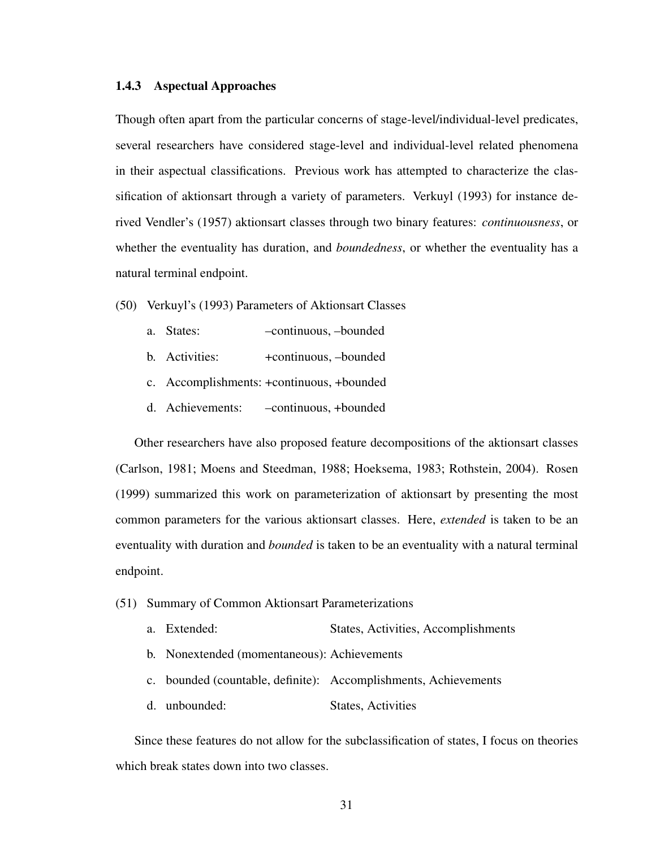#### 1.4.3 Aspectual Approaches

Though often apart from the particular concerns of stage-level/individual-level predicates, several researchers have considered stage-level and individual-level related phenomena in their aspectual classifications. Previous work has attempted to characterize the classification of aktionsart through a variety of parameters. Verkuyl (1993) for instance derived Vendler's (1957) aktionsart classes through two binary features: *continuousness*, or whether the eventuality has duration, and *boundedness*, or whether the eventuality has a natural terminal endpoint.

- (50) Verkuyl's (1993) Parameters of Aktionsart Classes
	- a. States: –continuous, –bounded
	- b. Activities: +continuous, -bounded
	- c. Accomplishments: +continuous, +bounded
	- d. Achievements: –continuous, +bounded

Other researchers have also proposed feature decompositions of the aktionsart classes (Carlson, 1981; Moens and Steedman, 1988; Hoeksema, 1983; Rothstein, 2004). Rosen (1999) summarized this work on parameterization of aktionsart by presenting the most common parameters for the various aktionsart classes. Here, *extended* is taken to be an eventuality with duration and *bounded* is taken to be an eventuality with a natural terminal endpoint.

- (51) Summary of Common Aktionsart Parameterizations
	- a. Extended: States, Activities, Accomplishments
	- b. Nonextended (momentaneous): Achievements
	- c. bounded (countable, definite): Accomplishments, Achievements
	- d. unbounded: States, Activities

Since these features do not allow for the subclassification of states, I focus on theories which break states down into two classes.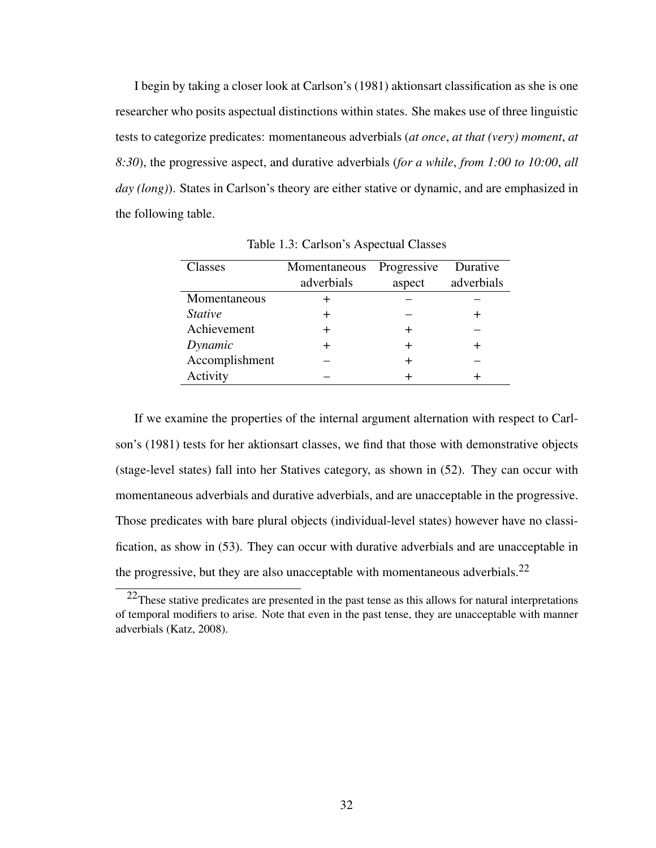I begin by taking a closer look at Carlson's (1981) aktionsart classification as she is one researcher who posits aspectual distinctions within states. She makes use of three linguistic tests to categorize predicates: momentaneous adverbials (*at once*, *at that (very) moment*, *at 8:30*), the progressive aspect, and durative adverbials (*for a while*, *from 1:00 to 10:00*, *all day (long)*). States in Carlson's theory are either stative or dynamic, and are emphasized in the following table.

| Classes        | Momentaneous | Progressive | Durative   |
|----------------|--------------|-------------|------------|
|                | adverbials   | aspect      | adverbials |
| Momentaneous   |              |             |            |
| <i>Stative</i> |              |             |            |
| Achievement    |              |             |            |
| Dynamic        |              | ┿           |            |
| Accomplishment |              |             |            |
| Activity       |              |             |            |

Table 1.3: Carlson's Aspectual Classes

If we examine the properties of the internal argument alternation with respect to Carlson's (1981) tests for her aktionsart classes, we find that those with demonstrative objects (stage-level states) fall into her Statives category, as shown in (52). They can occur with momentaneous adverbials and durative adverbials, and are unacceptable in the progressive. Those predicates with bare plural objects (individual-level states) however have no classification, as show in (53). They can occur with durative adverbials and are unacceptable in the progressive, but they are also unacceptable with momentaneous adverbials.<sup>22</sup>

 $22$ These stative predicates are presented in the past tense as this allows for natural interpretations of temporal modifiers to arise. Note that even in the past tense, they are unacceptable with manner adverbials (Katz, 2008).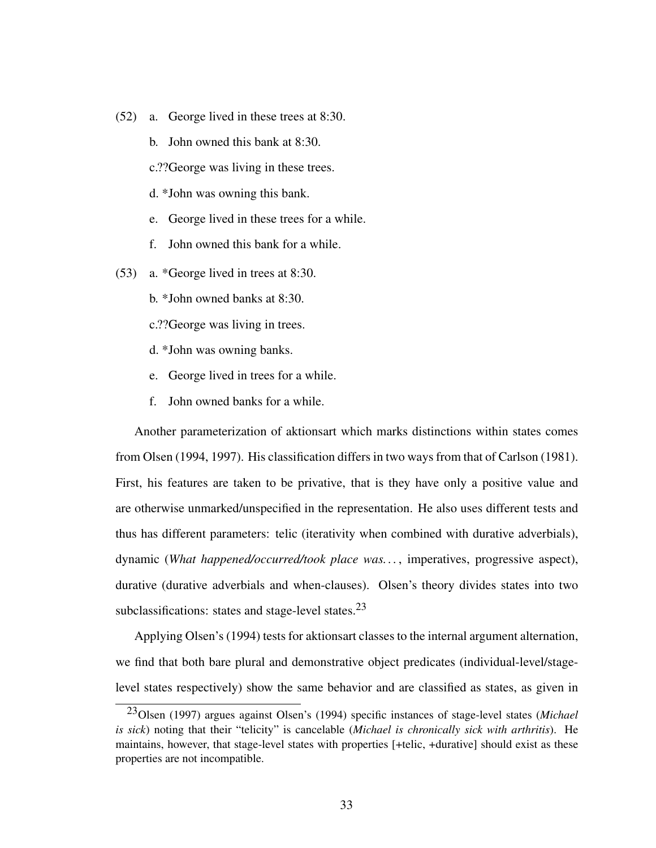- (52) a. George lived in these trees at 8:30.
	- b. John owned this bank at 8:30.
	- c.??George was living in these trees.
	- d. \*John was owning this bank.
	- e. George lived in these trees for a while.
	- f. John owned this bank for a while.
- (53) a. \*George lived in trees at 8:30.
	- b. \*John owned banks at 8:30.
	- c.??George was living in trees.
	- d. \*John was owning banks.
	- e. George lived in trees for a while.
	- f. John owned banks for a while.

Another parameterization of aktionsart which marks distinctions within states comes from Olsen (1994, 1997). His classification differs in two ways from that of Carlson (1981). First, his features are taken to be privative, that is they have only a positive value and are otherwise unmarked/unspecified in the representation. He also uses different tests and thus has different parameters: telic (iterativity when combined with durative adverbials), dynamic (*What happened/occurred/took place was. . .* , imperatives, progressive aspect), durative (durative adverbials and when-clauses). Olsen's theory divides states into two subclassifications: states and stage-level states.<sup>23</sup>

Applying Olsen's (1994) tests for aktionsart classes to the internal argument alternation, we find that both bare plural and demonstrative object predicates (individual-level/stagelevel states respectively) show the same behavior and are classified as states, as given in

<sup>23</sup>Olsen (1997) argues against Olsen's (1994) specific instances of stage-level states (*Michael is sick*) noting that their "telicity" is cancelable (*Michael is chronically sick with arthritis*). He maintains, however, that stage-level states with properties [+telic, +durative] should exist as these properties are not incompatible.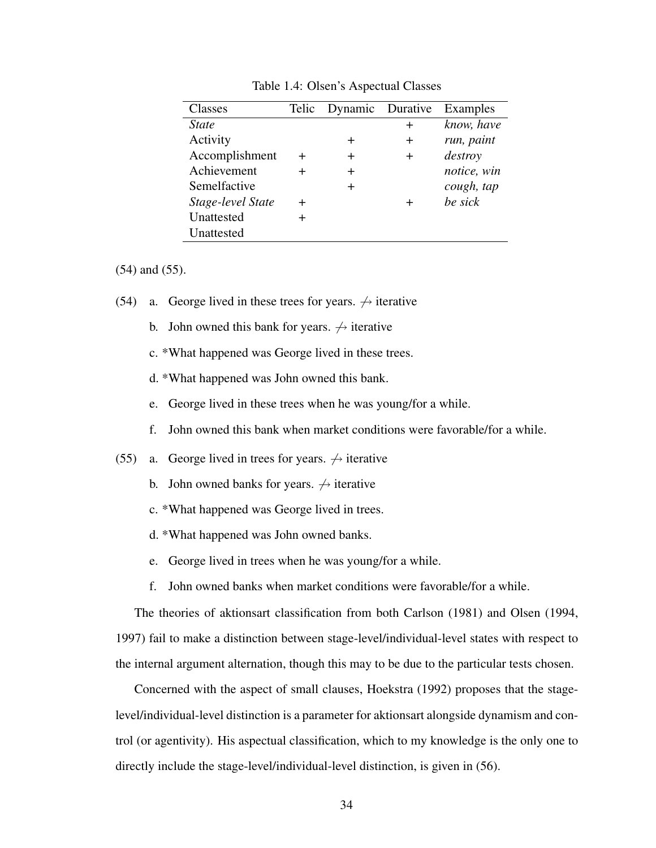| Classes           | Telic | Dynamic Durative |   | Examples    |
|-------------------|-------|------------------|---|-------------|
| <i>State</i>      |       |                  | ┿ | know, have  |
| Activity          |       | $\pm$            | ┿ | run, paint  |
| Accomplishment    |       |                  | ┿ | destroy     |
| Achievement       |       |                  |   | notice, win |
| Semelfactive      |       |                  |   | cough, tap  |
| Stage-level State |       |                  | ┿ | be sick     |
| Unattested        |       |                  |   |             |
| Unattested        |       |                  |   |             |

Table 1.4: Olsen's Aspectual Classes

(54) and (55).

- (54) a. George lived in these trees for years.  $\rightarrow$  iterative
	- b. John owned this bank for years.  $\rightarrow$  iterative
	- c. \*What happened was George lived in these trees.
	- d. \*What happened was John owned this bank.
	- e. George lived in these trees when he was young/for a while.
	- f. John owned this bank when market conditions were favorable/for a while.
- (55) a. George lived in trees for years.  $\rightarrow$  iterative
	- b. John owned banks for years.  $\rightarrow$  iterative
	- c. \*What happened was George lived in trees.
	- d. \*What happened was John owned banks.
	- e. George lived in trees when he was young/for a while.
	- f. John owned banks when market conditions were favorable/for a while.

The theories of aktionsart classification from both Carlson (1981) and Olsen (1994, 1997) fail to make a distinction between stage-level/individual-level states with respect to the internal argument alternation, though this may to be due to the particular tests chosen.

Concerned with the aspect of small clauses, Hoekstra (1992) proposes that the stagelevel/individual-level distinction is a parameter for aktionsart alongside dynamism and control (or agentivity). His aspectual classification, which to my knowledge is the only one to directly include the stage-level/individual-level distinction, is given in (56).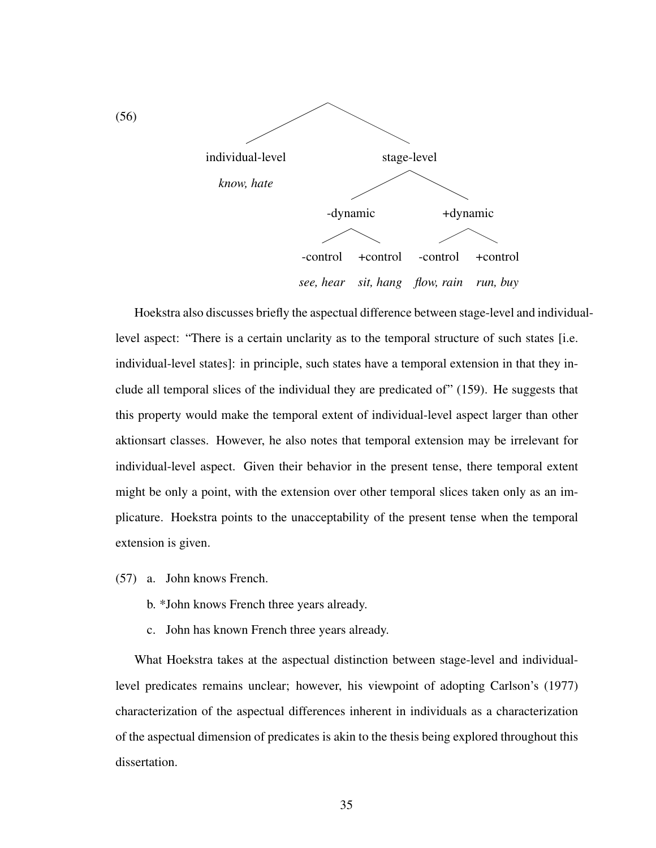

Hoekstra also discusses briefly the aspectual difference between stage-level and individuallevel aspect: "There is a certain unclarity as to the temporal structure of such states [i.e. individual-level states]: in principle, such states have a temporal extension in that they include all temporal slices of the individual they are predicated of" (159). He suggests that this property would make the temporal extent of individual-level aspect larger than other aktionsart classes. However, he also notes that temporal extension may be irrelevant for individual-level aspect. Given their behavior in the present tense, there temporal extent might be only a point, with the extension over other temporal slices taken only as an implicature. Hoekstra points to the unacceptability of the present tense when the temporal extension is given.

- (57) a. John knows French.
	- b. \*John knows French three years already.
	- c. John has known French three years already.

What Hoekstra takes at the aspectual distinction between stage-level and individuallevel predicates remains unclear; however, his viewpoint of adopting Carlson's (1977) characterization of the aspectual differences inherent in individuals as a characterization of the aspectual dimension of predicates is akin to the thesis being explored throughout this dissertation.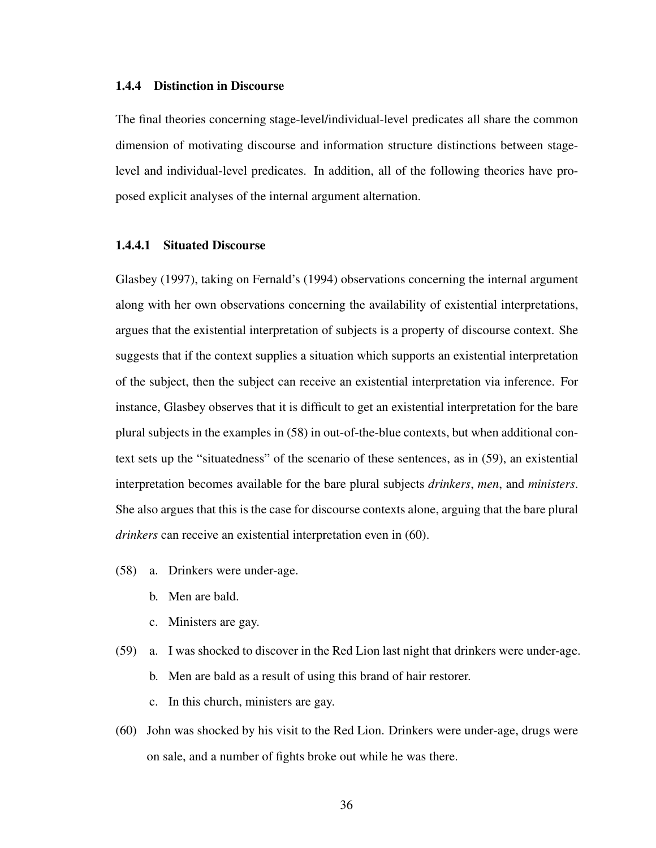## 1.4.4 Distinction in Discourse

The final theories concerning stage-level/individual-level predicates all share the common dimension of motivating discourse and information structure distinctions between stagelevel and individual-level predicates. In addition, all of the following theories have proposed explicit analyses of the internal argument alternation.

#### 1.4.4.1 Situated Discourse

Glasbey (1997), taking on Fernald's (1994) observations concerning the internal argument along with her own observations concerning the availability of existential interpretations, argues that the existential interpretation of subjects is a property of discourse context. She suggests that if the context supplies a situation which supports an existential interpretation of the subject, then the subject can receive an existential interpretation via inference. For instance, Glasbey observes that it is difficult to get an existential interpretation for the bare plural subjects in the examples in (58) in out-of-the-blue contexts, but when additional context sets up the "situatedness" of the scenario of these sentences, as in (59), an existential interpretation becomes available for the bare plural subjects *drinkers*, *men*, and *ministers*. She also argues that this is the case for discourse contexts alone, arguing that the bare plural *drinkers* can receive an existential interpretation even in (60).

- (58) a. Drinkers were under-age.
	- b. Men are bald.
	- c. Ministers are gay.
- (59) a. I was shocked to discover in the Red Lion last night that drinkers were under-age.
	- b. Men are bald as a result of using this brand of hair restorer.
	- c. In this church, ministers are gay.
- (60) John was shocked by his visit to the Red Lion. Drinkers were under-age, drugs were on sale, and a number of fights broke out while he was there.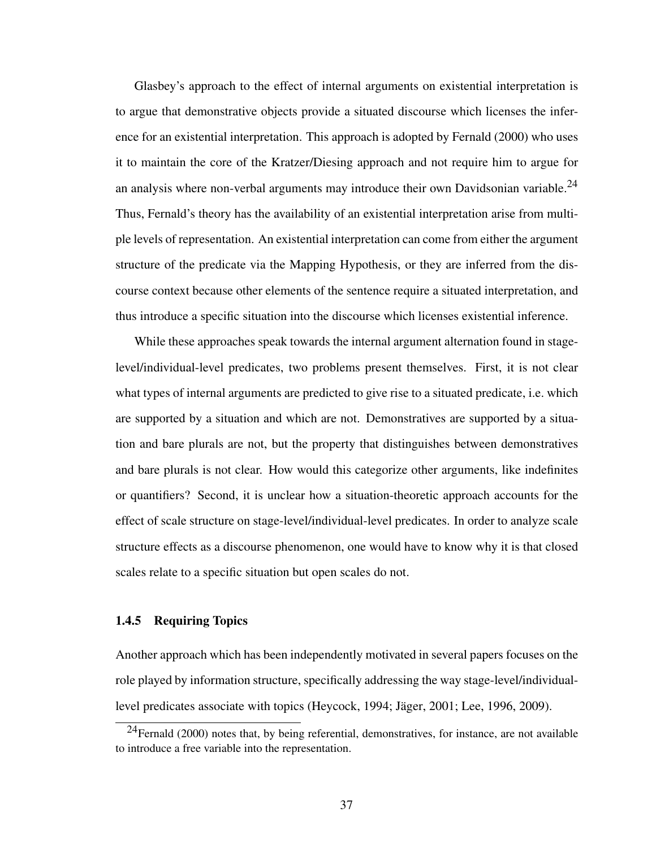Glasbey's approach to the effect of internal arguments on existential interpretation is to argue that demonstrative objects provide a situated discourse which licenses the inference for an existential interpretation. This approach is adopted by Fernald (2000) who uses it to maintain the core of the Kratzer/Diesing approach and not require him to argue for an analysis where non-verbal arguments may introduce their own Davidsonian variable.<sup>24</sup> Thus, Fernald's theory has the availability of an existential interpretation arise from multiple levels of representation. An existential interpretation can come from either the argument structure of the predicate via the Mapping Hypothesis, or they are inferred from the discourse context because other elements of the sentence require a situated interpretation, and thus introduce a specific situation into the discourse which licenses existential inference.

While these approaches speak towards the internal argument alternation found in stagelevel/individual-level predicates, two problems present themselves. First, it is not clear what types of internal arguments are predicted to give rise to a situated predicate, i.e. which are supported by a situation and which are not. Demonstratives are supported by a situation and bare plurals are not, but the property that distinguishes between demonstratives and bare plurals is not clear. How would this categorize other arguments, like indefinites or quantifiers? Second, it is unclear how a situation-theoretic approach accounts for the effect of scale structure on stage-level/individual-level predicates. In order to analyze scale structure effects as a discourse phenomenon, one would have to know why it is that closed scales relate to a specific situation but open scales do not.

## 1.4.5 Requiring Topics

Another approach which has been independently motivated in several papers focuses on the role played by information structure, specifically addressing the way stage-level/individuallevel predicates associate with topics (Heycock, 1994; Jäger, 2001; Lee, 1996, 2009).

 $^{24}$ Fernald (2000) notes that, by being referential, demonstratives, for instance, are not available to introduce a free variable into the representation.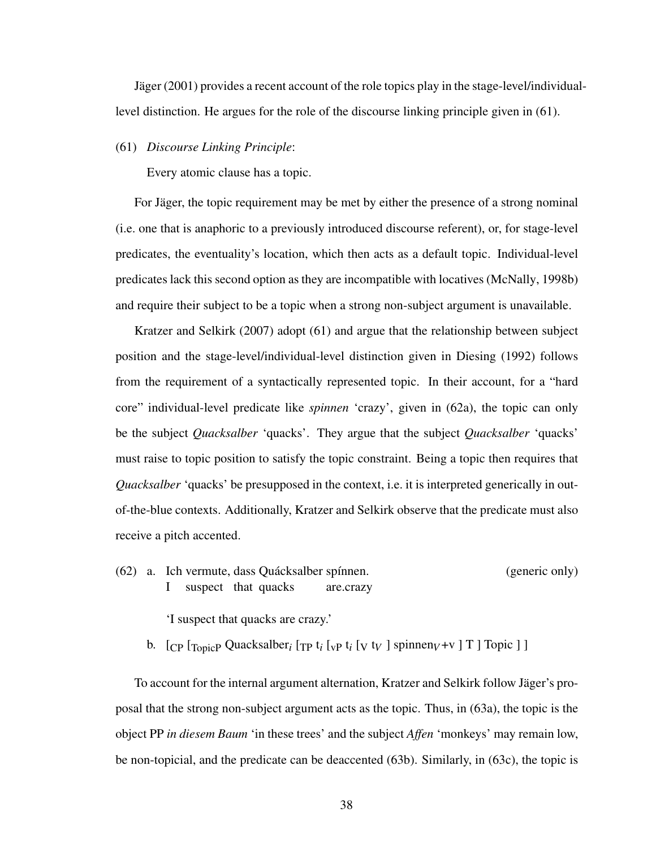Jäger (2001) provides a recent account of the role topics play in the stage-level/individuallevel distinction. He argues for the role of the discourse linking principle given in (61).

## (61) *Discourse Linking Principle*:

Every atomic clause has a topic.

For Jäger, the topic requirement may be met by either the presence of a strong nominal (i.e. one that is anaphoric to a previously introduced discourse referent), or, for stage-level predicates, the eventuality's location, which then acts as a default topic. Individual-level predicates lack this second option as they are incompatible with locatives (McNally, 1998b) and require their subject to be a topic when a strong non-subject argument is unavailable.

Kratzer and Selkirk (2007) adopt (61) and argue that the relationship between subject position and the stage-level/individual-level distinction given in Diesing (1992) follows from the requirement of a syntactically represented topic. In their account, for a "hard core" individual-level predicate like *spinnen* 'crazy', given in (62a), the topic can only be the subject *Quacksalber* 'quacks'. They argue that the subject *Quacksalber* 'quacks' must raise to topic position to satisfy the topic constraint. Being a topic then requires that *Quacksalber* 'quacks' be presupposed in the context, i.e. it is interpreted generically in outof-the-blue contexts. Additionally, Kratzer and Selkirk observe that the predicate must also receive a pitch accented.

(62) a. Ich vermute, dass Quácksalber spínnen. I suspect that quacks are.crazy (generic only)

'I suspect that quacks are crazy.'

b.  $[CP [TopieP Quacksalber<sub>i</sub> [TP t<sub>i</sub> [VP t<sub>i</sub> [V t<sub>V</sub>] spinnen<sub>V</sub>+V ]T ] Topic ] ]$ 

To account for the internal argument alternation, Kratzer and Selkirk follow Jäger's proposal that the strong non-subject argument acts as the topic. Thus, in (63a), the topic is the object PP *in diesem Baum* 'in these trees' and the subject *Affen* 'monkeys' may remain low, be non-topicial, and the predicate can be deaccented (63b). Similarly, in (63c), the topic is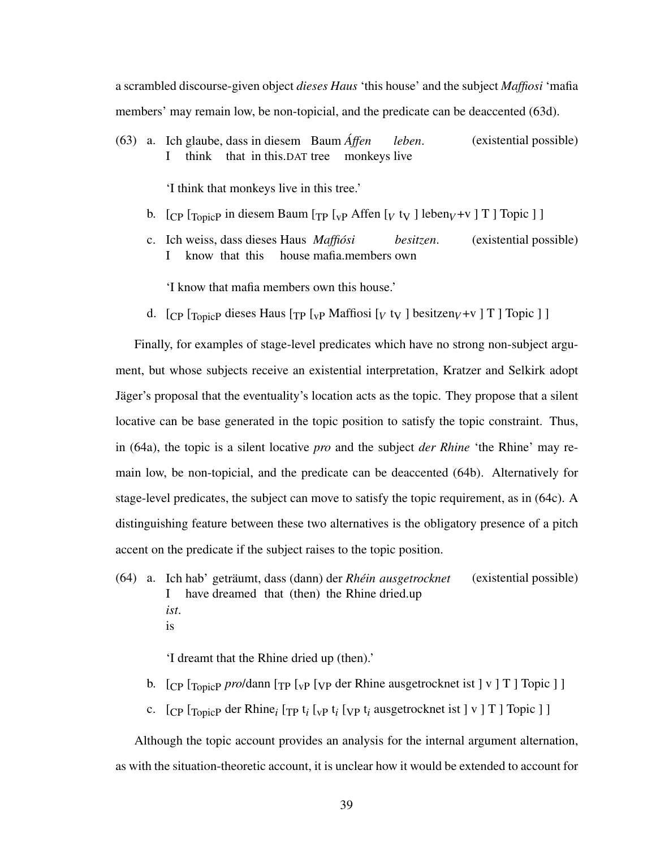a scrambled discourse-given object *dieses Haus* 'this house' and the subject *Maffiosi* 'mafia members' may remain low, be non-topicial, and the predicate can be deaccented (63d).

(63) a. Ich glaube, dass in diesem Baum *Áffen* I think that in this.DAT tree monkeys live *leben*. (existential possible)

'I think that monkeys live in this tree.'

- b. [CP [TopicP in diesem Baum [TP [vP Affen [*V* tV ] leben*V* +v ] T ] Topic ] ]
- c. Ich weiss, dass dieses Haus *Maffiósi* I know that this house mafia.members own *besitzen*. (existential possible)

'I know that mafia members own this house.'

d.  $[CP [To price]\]$  dieses Haus  $[TP [VP]$  Maffiosi  $[V \text{ty}]\$  besitzen $V + V]$  T  $]$  Topic  $]$ 

Finally, for examples of stage-level predicates which have no strong non-subject argument, but whose subjects receive an existential interpretation, Kratzer and Selkirk adopt Jäger's proposal that the eventuality's location acts as the topic. They propose that a silent locative can be base generated in the topic position to satisfy the topic constraint. Thus, in (64a), the topic is a silent locative *pro* and the subject *der Rhine* 'the Rhine' may remain low, be non-topicial, and the predicate can be deaccented (64b). Alternatively for stage-level predicates, the subject can move to satisfy the topic requirement, as in (64c). A distinguishing feature between these two alternatives is the obligatory presence of a pitch accent on the predicate if the subject raises to the topic position.

(64) a. Ich hab' geträumt, dass (dann) der *Rhéin ausgetrocknet* I have dreamed that (then) the Rhine dried.up *ist*. is (existential possible)

'I dreamt that the Rhine dried up (then).'

- b. [CP  $[\text{TopicP} \, \text{pro/dann} \, [\text{TP} \, [\text{VP} \, \text{dep} \, \text{Rhine} \, \text{ausgetrocknet} \, \text{ist} \, ] \, v \, ] \, T ]$  Topic ] ]
- c.  $[\text{Cp }[\text{Topic}]\text{ der Rhine}_{i}[\text{TP }t_{i}[\text{VP }t_{i}]\text{ = }t_{i}]\text{ = }t_{i}[\text{VPR }t_{i}]\text{ = }t_{i}[\text{VPR }t_{i}]\text{ = }t_{i}[\text{VPR }t_{i}]\text{ = }t_{i}[\text{VPR }t_{i}]\text{ = }t_{i}[\text{VPR }t_{i}]\text{ = }t_{i}[\text{VPR }t_{i}]\text{ = }t_{i}[\text{VPR }t_{i}]\text{ = }t_{i}[\text{VPR }t_{i}]\text{ = }t_{i}[\text{VPR }t_{i}$

Although the topic account provides an analysis for the internal argument alternation, as with the situation-theoretic account, it is unclear how it would be extended to account for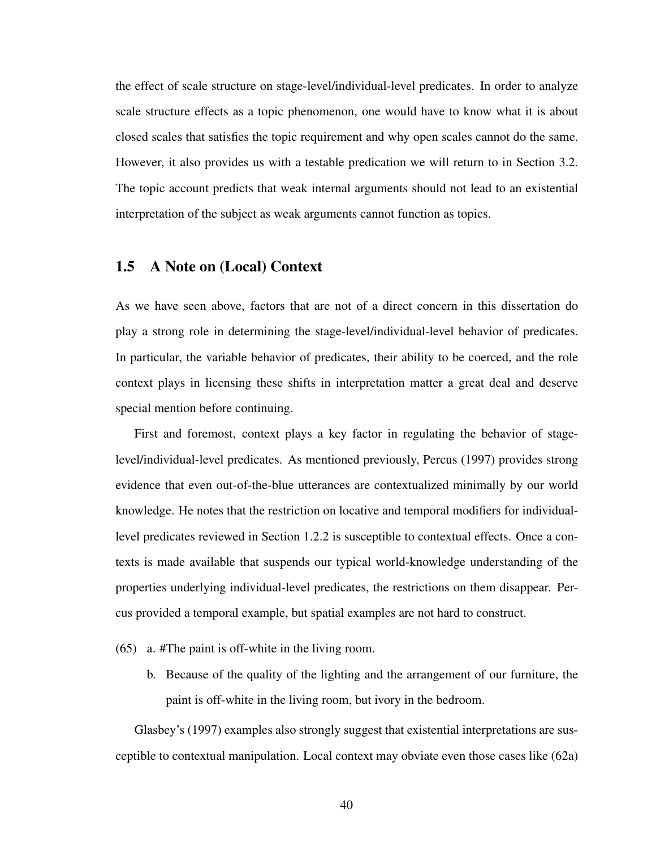the effect of scale structure on stage-level/individual-level predicates. In order to analyze scale structure effects as a topic phenomenon, one would have to know what it is about closed scales that satisfies the topic requirement and why open scales cannot do the same. However, it also provides us with a testable predication we will return to in Section 3.2. The topic account predicts that weak internal arguments should not lead to an existential interpretation of the subject as weak arguments cannot function as topics.

# 1.5 A Note on (Local) Context

As we have seen above, factors that are not of a direct concern in this dissertation do play a strong role in determining the stage-level/individual-level behavior of predicates. In particular, the variable behavior of predicates, their ability to be coerced, and the role context plays in licensing these shifts in interpretation matter a great deal and deserve special mention before continuing.

First and foremost, context plays a key factor in regulating the behavior of stagelevel/individual-level predicates. As mentioned previously, Percus (1997) provides strong evidence that even out-of-the-blue utterances are contextualized minimally by our world knowledge. He notes that the restriction on locative and temporal modifiers for individuallevel predicates reviewed in Section 1.2.2 is susceptible to contextual effects. Once a contexts is made available that suspends our typical world-knowledge understanding of the properties underlying individual-level predicates, the restrictions on them disappear. Percus provided a temporal example, but spatial examples are not hard to construct.

(65) a. #The paint is off-white in the living room.

b. Because of the quality of the lighting and the arrangement of our furniture, the paint is off-white in the living room, but ivory in the bedroom.

Glasbey's (1997) examples also strongly suggest that existential interpretations are susceptible to contextual manipulation. Local context may obviate even those cases like (62a)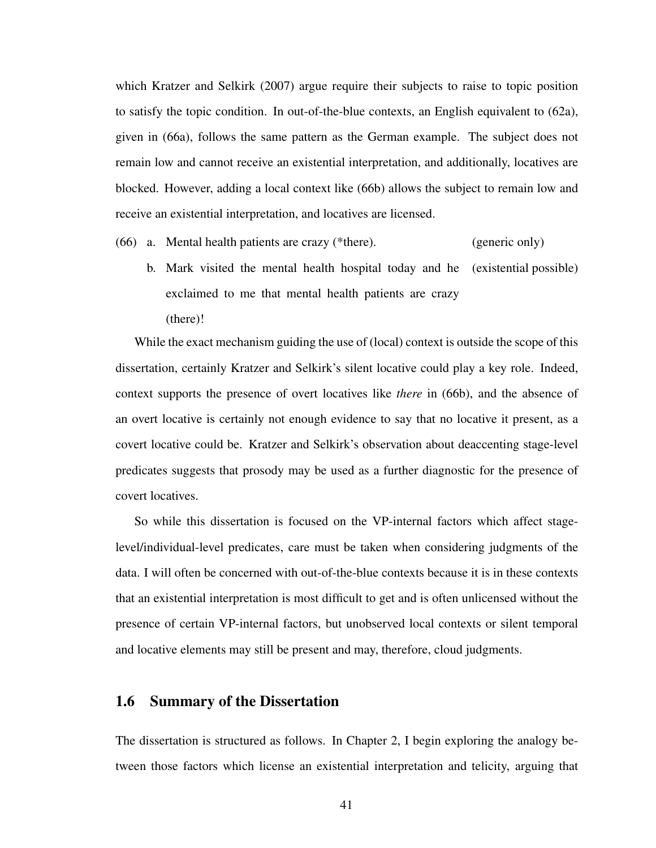which Kratzer and Selkirk (2007) argue require their subjects to raise to topic position to satisfy the topic condition. In out-of-the-blue contexts, an English equivalent to (62a), given in (66a), follows the same pattern as the German example. The subject does not remain low and cannot receive an existential interpretation, and additionally, locatives are blocked. However, adding a local context like (66b) allows the subject to remain low and receive an existential interpretation, and locatives are licensed.

- $(66)$  a. Mental health patients are crazy (\*there). (generic only)
	- b. Mark visited the mental health hospital today and he exclaimed to me that mental health patients are crazy (there)! (existential possible)

While the exact mechanism guiding the use of (local) context is outside the scope of this dissertation, certainly Kratzer and Selkirk's silent locative could play a key role. Indeed, context supports the presence of overt locatives like *there* in (66b), and the absence of an overt locative is certainly not enough evidence to say that no locative it present, as a covert locative could be. Kratzer and Selkirk's observation about deaccenting stage-level predicates suggests that prosody may be used as a further diagnostic for the presence of covert locatives.

So while this dissertation is focused on the VP-internal factors which affect stagelevel/individual-level predicates, care must be taken when considering judgments of the data. I will often be concerned with out-of-the-blue contexts because it is in these contexts that an existential interpretation is most difficult to get and is often unlicensed without the presence of certain VP-internal factors, but unobserved local contexts or silent temporal and locative elements may still be present and may, therefore, cloud judgments.

## 1.6 Summary of the Dissertation

The dissertation is structured as follows. In Chapter 2, I begin exploring the analogy between those factors which license an existential interpretation and telicity, arguing that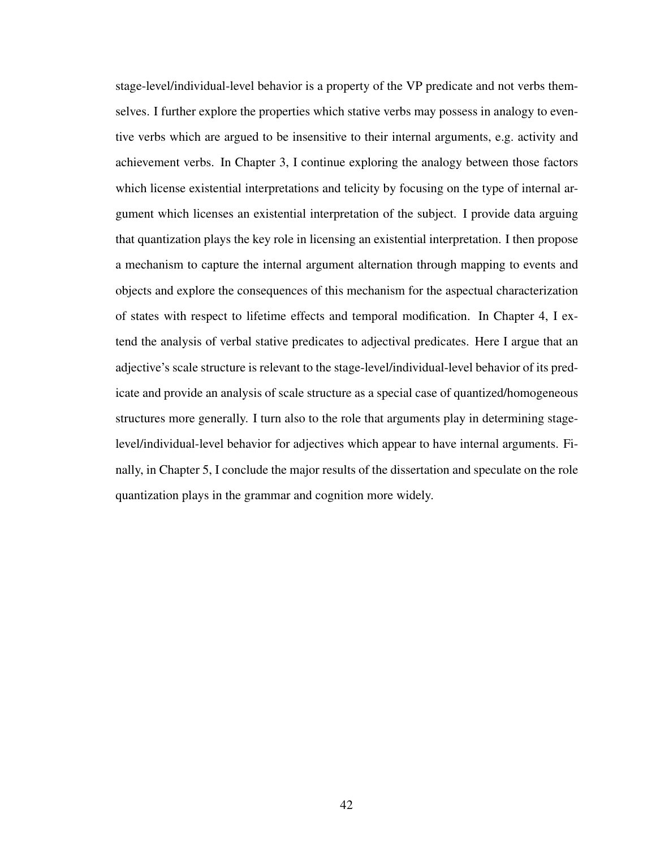stage-level/individual-level behavior is a property of the VP predicate and not verbs themselves. I further explore the properties which stative verbs may possess in analogy to eventive verbs which are argued to be insensitive to their internal arguments, e.g. activity and achievement verbs. In Chapter 3, I continue exploring the analogy between those factors which license existential interpretations and telicity by focusing on the type of internal argument which licenses an existential interpretation of the subject. I provide data arguing that quantization plays the key role in licensing an existential interpretation. I then propose a mechanism to capture the internal argument alternation through mapping to events and objects and explore the consequences of this mechanism for the aspectual characterization of states with respect to lifetime effects and temporal modification. In Chapter 4, I extend the analysis of verbal stative predicates to adjectival predicates. Here I argue that an adjective's scale structure is relevant to the stage-level/individual-level behavior of its predicate and provide an analysis of scale structure as a special case of quantized/homogeneous structures more generally. I turn also to the role that arguments play in determining stagelevel/individual-level behavior for adjectives which appear to have internal arguments. Finally, in Chapter 5, I conclude the major results of the dissertation and speculate on the role quantization plays in the grammar and cognition more widely.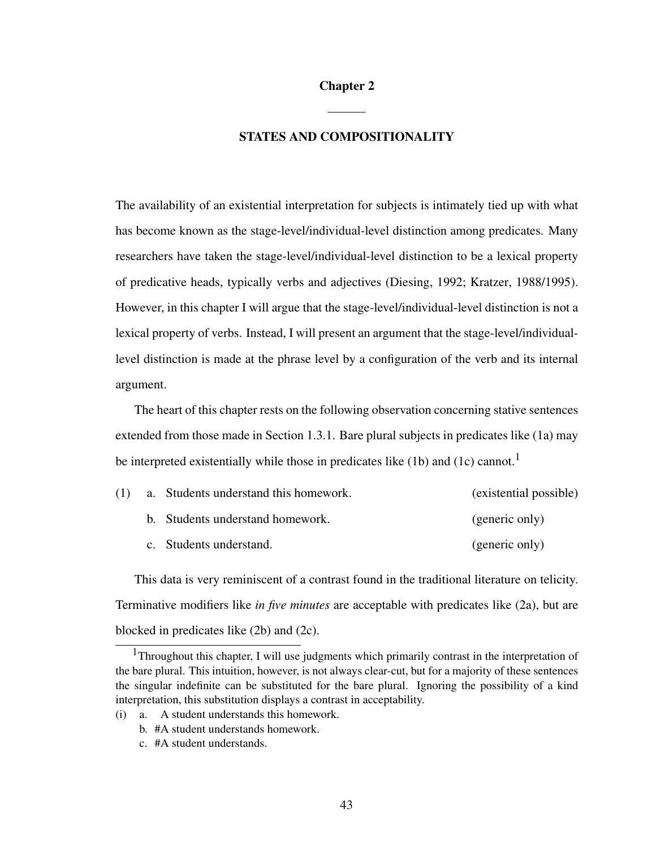## Chapter 2

# STATES AND COMPOSITIONALITY

The availability of an existential interpretation for subjects is intimately tied up with what has become known as the stage-level/individual-level distinction among predicates. Many researchers have taken the stage-level/individual-level distinction to be a lexical property of predicative heads, typically verbs and adjectives (Diesing, 1992; Kratzer, 1988/1995). However, in this chapter I will argue that the stage-level/individual-level distinction is not a lexical property of verbs. Instead, I will present an argument that the stage-level/individuallevel distinction is made at the phrase level by a configuration of the verb and its internal argument.

The heart of this chapter rests on the following observation concerning stative sentences extended from those made in Section 1.3.1. Bare plural subjects in predicates like (1a) may be interpreted existentially while those in predicates like (1b) and (1c) cannot.<sup>1</sup>

| (1) | a. Students understand this homework. | (existential possible) |
|-----|---------------------------------------|------------------------|
|     | b. Students understand homework.      | (generic only)         |
|     | c. Students understand.               | (generic only)         |

This data is very reminiscent of a contrast found in the traditional literature on telicity. Terminative modifiers like *in five minutes* are acceptable with predicates like (2a), but are blocked in predicates like (2b) and (2c).

<sup>&</sup>lt;sup>1</sup>Throughout this chapter, I will use judgments which primarily contrast in the interpretation of the bare plural. This intuition, however, is not always clear-cut, but for a majority of these sentences the singular indefinite can be substituted for the bare plural. Ignoring the possibility of a kind interpretation, this substitution displays a contrast in acceptability.

<sup>(</sup>i) a. A student understands this homework.

b. #A student understands homework.

c. #A student understands.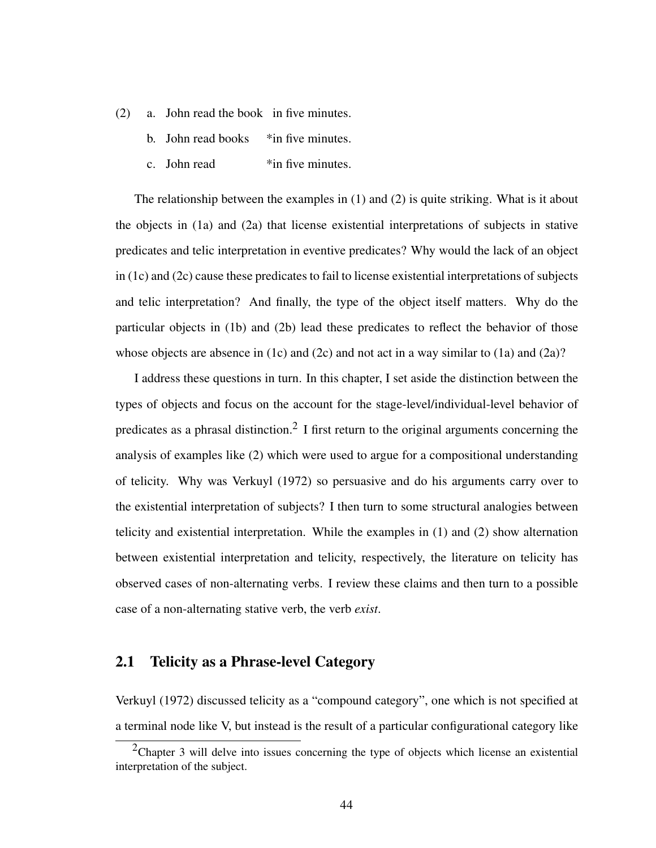(2) a. John read the book in five minutes.

- b. John read books \*in five minutes.
- c. John read  $*$ in five minutes.

The relationship between the examples in (1) and (2) is quite striking. What is it about the objects in (1a) and (2a) that license existential interpretations of subjects in stative predicates and telic interpretation in eventive predicates? Why would the lack of an object in (1c) and (2c) cause these predicates to fail to license existential interpretations of subjects and telic interpretation? And finally, the type of the object itself matters. Why do the particular objects in (1b) and (2b) lead these predicates to reflect the behavior of those whose objects are absence in  $(1c)$  and  $(2c)$  and not act in a way similar to  $(1a)$  and  $(2a)$ ?

I address these questions in turn. In this chapter, I set aside the distinction between the types of objects and focus on the account for the stage-level/individual-level behavior of predicates as a phrasal distinction.<sup>2</sup> I first return to the original arguments concerning the analysis of examples like (2) which were used to argue for a compositional understanding of telicity. Why was Verkuyl (1972) so persuasive and do his arguments carry over to the existential interpretation of subjects? I then turn to some structural analogies between telicity and existential interpretation. While the examples in (1) and (2) show alternation between existential interpretation and telicity, respectively, the literature on telicity has observed cases of non-alternating verbs. I review these claims and then turn to a possible case of a non-alternating stative verb, the verb *exist*.

# 2.1 Telicity as a Phrase-level Category

Verkuyl (1972) discussed telicity as a "compound category", one which is not specified at a terminal node like V, but instead is the result of a particular configurational category like

 $2$ Chapter 3 will delve into issues concerning the type of objects which license an existential interpretation of the subject.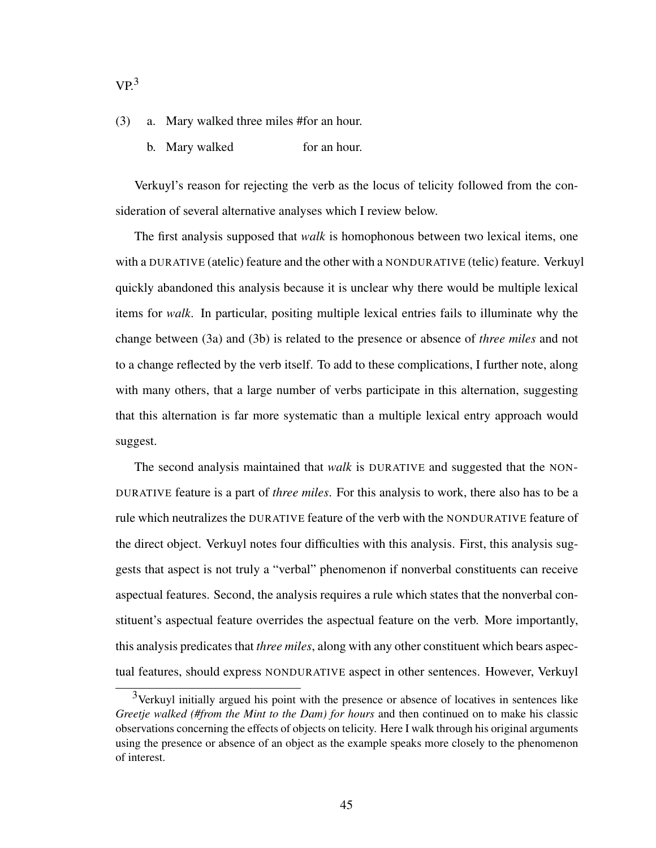- $VP<sup>3</sup>$
- (3) a. Mary walked three miles #for an hour.
	- b. Mary walked for an hour.

Verkuyl's reason for rejecting the verb as the locus of telicity followed from the consideration of several alternative analyses which I review below.

The first analysis supposed that *walk* is homophonous between two lexical items, one with a DURATIVE (atelic) feature and the other with a NONDURATIVE (telic) feature. Verkuyl quickly abandoned this analysis because it is unclear why there would be multiple lexical items for *walk*. In particular, positing multiple lexical entries fails to illuminate why the change between (3a) and (3b) is related to the presence or absence of *three miles* and not to a change reflected by the verb itself. To add to these complications, I further note, along with many others, that a large number of verbs participate in this alternation, suggesting that this alternation is far more systematic than a multiple lexical entry approach would suggest.

The second analysis maintained that *walk* is DURATIVE and suggested that the NON-DURATIVE feature is a part of *three miles*. For this analysis to work, there also has to be a rule which neutralizes the DURATIVE feature of the verb with the NONDURATIVE feature of the direct object. Verkuyl notes four difficulties with this analysis. First, this analysis suggests that aspect is not truly a "verbal" phenomenon if nonverbal constituents can receive aspectual features. Second, the analysis requires a rule which states that the nonverbal constituent's aspectual feature overrides the aspectual feature on the verb. More importantly, this analysis predicates that *three miles*, along with any other constituent which bears aspectual features, should express NONDURATIVE aspect in other sentences. However, Verkuyl

<sup>&</sup>lt;sup>3</sup>Verkuyl initially argued his point with the presence or absence of locatives in sentences like *Greetje walked (#from the Mint to the Dam) for hours* and then continued on to make his classic observations concerning the effects of objects on telicity. Here I walk through his original arguments using the presence or absence of an object as the example speaks more closely to the phenomenon of interest.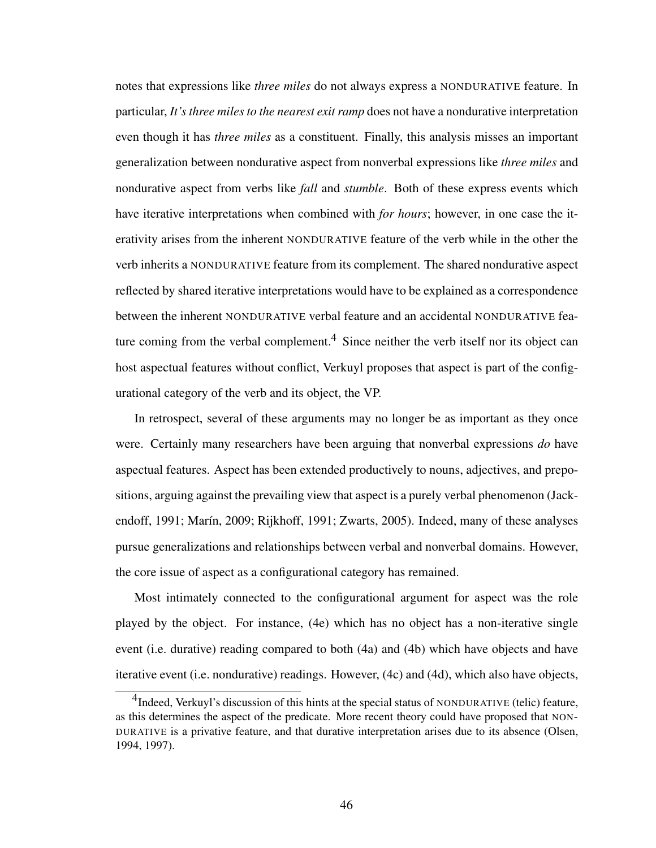notes that expressions like *three miles* do not always express a NONDURATIVE feature. In particular, *It's three miles to the nearest exit ramp* does not have a nondurative interpretation even though it has *three miles* as a constituent. Finally, this analysis misses an important generalization between nondurative aspect from nonverbal expressions like *three miles* and nondurative aspect from verbs like *fall* and *stumble*. Both of these express events which have iterative interpretations when combined with *for hours*; however, in one case the iterativity arises from the inherent NONDURATIVE feature of the verb while in the other the verb inherits a NONDURATIVE feature from its complement. The shared nondurative aspect reflected by shared iterative interpretations would have to be explained as a correspondence between the inherent NONDURATIVE verbal feature and an accidental NONDURATIVE feature coming from the verbal complement.<sup>4</sup> Since neither the verb itself nor its object can host aspectual features without conflict, Verkuyl proposes that aspect is part of the configurational category of the verb and its object, the VP.

In retrospect, several of these arguments may no longer be as important as they once were. Certainly many researchers have been arguing that nonverbal expressions *do* have aspectual features. Aspect has been extended productively to nouns, adjectives, and prepositions, arguing against the prevailing view that aspect is a purely verbal phenomenon (Jackendoff, 1991; Marín, 2009; Rijkhoff, 1991; Zwarts, 2005). Indeed, many of these analyses pursue generalizations and relationships between verbal and nonverbal domains. However, the core issue of aspect as a configurational category has remained.

Most intimately connected to the configurational argument for aspect was the role played by the object. For instance, (4e) which has no object has a non-iterative single event (i.e. durative) reading compared to both (4a) and (4b) which have objects and have iterative event (i.e. nondurative) readings. However, (4c) and (4d), which also have objects,

<sup>&</sup>lt;sup>4</sup>Indeed, Verkuyl's discussion of this hints at the special status of NONDURATIVE (telic) feature, as this determines the aspect of the predicate. More recent theory could have proposed that NON-DURATIVE is a privative feature, and that durative interpretation arises due to its absence (Olsen, 1994, 1997).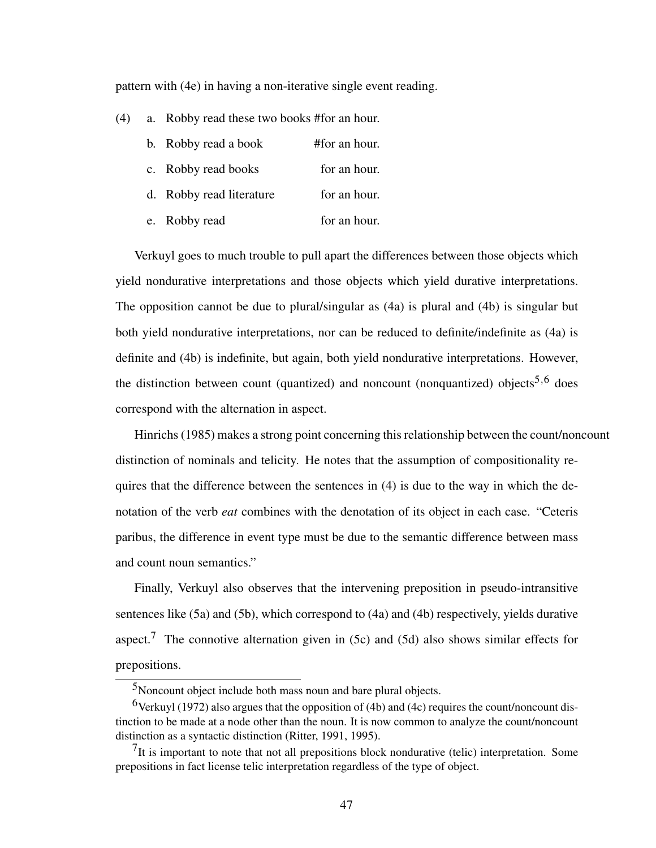pattern with (4e) in having a non-iterative single event reading.

(4) a. Robby read these two books #for an hour.

| b. Robby read a book     | #for an hour. |
|--------------------------|---------------|
| c. Robby read books      | for an hour.  |
| d. Robby read literature | for an hour.  |
| e. Robby read            | for an hour.  |

Verkuyl goes to much trouble to pull apart the differences between those objects which yield nondurative interpretations and those objects which yield durative interpretations. The opposition cannot be due to plural/singular as (4a) is plural and (4b) is singular but both yield nondurative interpretations, nor can be reduced to definite/indefinite as (4a) is definite and (4b) is indefinite, but again, both yield nondurative interpretations. However, the distinction between count (quantized) and noncount (nonquantized) objects<sup>5,6</sup> does correspond with the alternation in aspect.

Hinrichs (1985) makes a strong point concerning this relationship between the count/noncount distinction of nominals and telicity. He notes that the assumption of compositionality requires that the difference between the sentences in (4) is due to the way in which the denotation of the verb *eat* combines with the denotation of its object in each case. "Ceteris paribus, the difference in event type must be due to the semantic difference between mass and count noun semantics."

Finally, Verkuyl also observes that the intervening preposition in pseudo-intransitive sentences like (5a) and (5b), which correspond to (4a) and (4b) respectively, yields durative aspect.<sup>7</sup> The connotive alternation given in (5c) and (5d) also shows similar effects for prepositions.

<sup>5</sup>Noncount object include both mass noun and bare plural objects.

 $6$ Verkuyl (1972) also argues that the opposition of (4b) and (4c) requires the count/noncount distinction to be made at a node other than the noun. It is now common to analyze the count/noncount distinction as a syntactic distinction (Ritter, 1991, 1995).

 $<sup>7</sup>$ It is important to note that not all prepositions block nondurative (telic) interpretation. Some</sup> prepositions in fact license telic interpretation regardless of the type of object.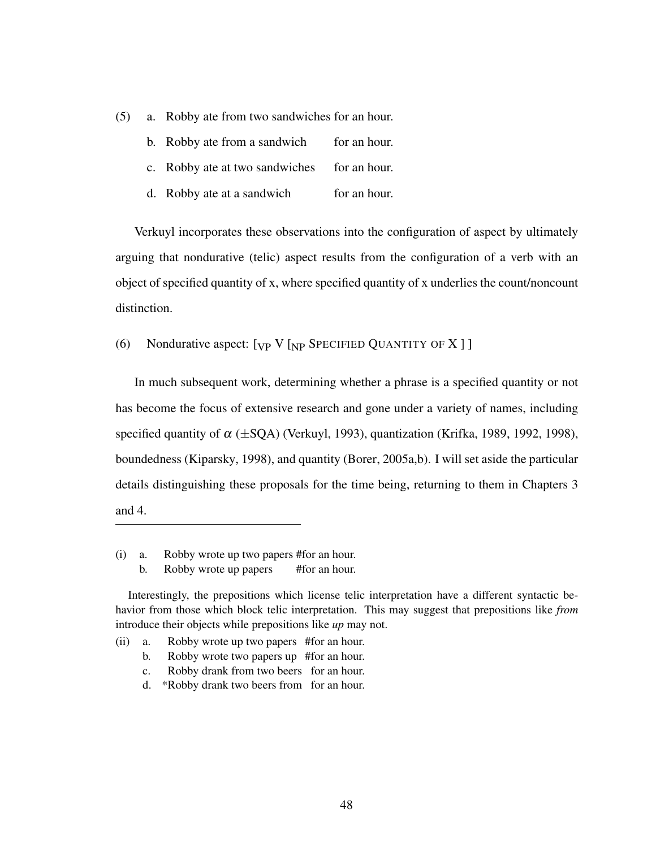(5) a. Robby ate from two sandwiches for an hour.

|  | b. |  |  | Robby ate from a sandwich | for an hour. |
|--|----|--|--|---------------------------|--------------|
|--|----|--|--|---------------------------|--------------|

- c. Robby ate at two sandwiches for an hour.
- d. Robby ate at a sandwich for an hour.

Verkuyl incorporates these observations into the configuration of aspect by ultimately arguing that nondurative (telic) aspect results from the configuration of a verb with an object of specified quantity of x, where specified quantity of x underlies the count/noncount distinction.

(6) Nondurative aspect:  $[\nabla \Psi]$   $[\nabla \Psi]$  Specified QUANTITY OF X ] ]

In much subsequent work, determining whether a phrase is a specified quantity or not has become the focus of extensive research and gone under a variety of names, including specified quantity of  $\alpha$  ( $\pm$ SQA) (Verkuyl, 1993), quantization (Krifka, 1989, 1992, 1998), boundedness (Kiparsky, 1998), and quantity (Borer, 2005a,b). I will set aside the particular details distinguishing these proposals for the time being, returning to them in Chapters 3 and 4.

(i) a. Robby wrote up two papers #for an hour.

Interestingly, the prepositions which license telic interpretation have a different syntactic behavior from those which block telic interpretation. This may suggest that prepositions like *from* introduce their objects while prepositions like *up* may not.

- (ii) a. Robby wrote up two papers #for an hour.
	- b. Robby wrote two papers up #for an hour.
	- c. Robby drank from two beers for an hour.
	- d. \*Robby drank two beers from for an hour.

b. Robby wrote up papers #for an hour.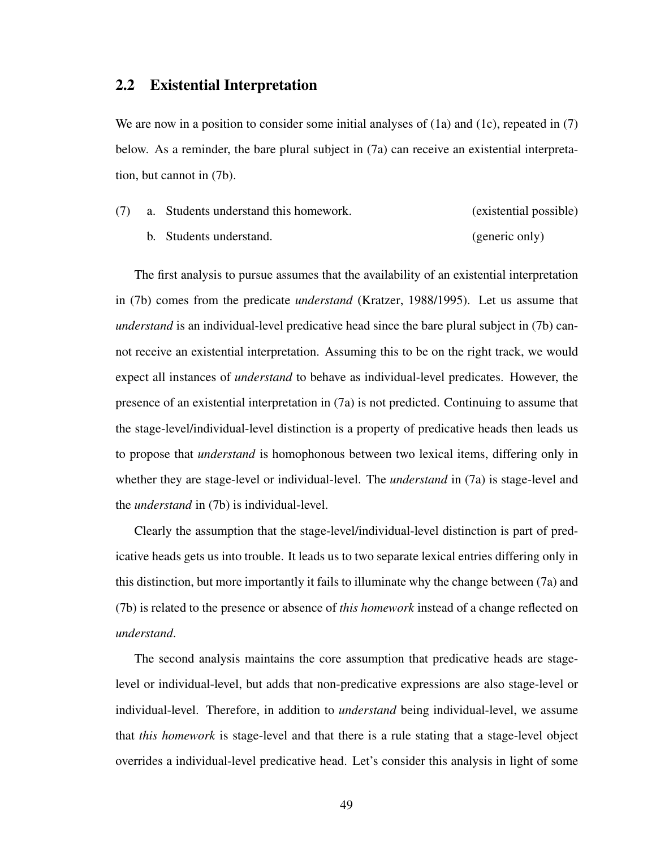## 2.2 Existential Interpretation

We are now in a position to consider some initial analyses of  $(1a)$  and  $(1c)$ , repeated in  $(7)$ below. As a reminder, the bare plural subject in (7a) can receive an existential interpretation, but cannot in (7b).

|  | (7) a. Students understand this homework. | (existential possible) |
|--|-------------------------------------------|------------------------|
|  | b. Students understand.                   | (generic only)         |

The first analysis to pursue assumes that the availability of an existential interpretation in (7b) comes from the predicate *understand* (Kratzer, 1988/1995). Let us assume that *understand* is an individual-level predicative head since the bare plural subject in (7b) cannot receive an existential interpretation. Assuming this to be on the right track, we would expect all instances of *understand* to behave as individual-level predicates. However, the presence of an existential interpretation in (7a) is not predicted. Continuing to assume that the stage-level/individual-level distinction is a property of predicative heads then leads us to propose that *understand* is homophonous between two lexical items, differing only in whether they are stage-level or individual-level. The *understand* in (7a) is stage-level and the *understand* in (7b) is individual-level.

Clearly the assumption that the stage-level/individual-level distinction is part of predicative heads gets us into trouble. It leads us to two separate lexical entries differing only in this distinction, but more importantly it fails to illuminate why the change between (7a) and (7b) is related to the presence or absence of *this homework* instead of a change reflected on *understand*.

The second analysis maintains the core assumption that predicative heads are stagelevel or individual-level, but adds that non-predicative expressions are also stage-level or individual-level. Therefore, in addition to *understand* being individual-level, we assume that *this homework* is stage-level and that there is a rule stating that a stage-level object overrides a individual-level predicative head. Let's consider this analysis in light of some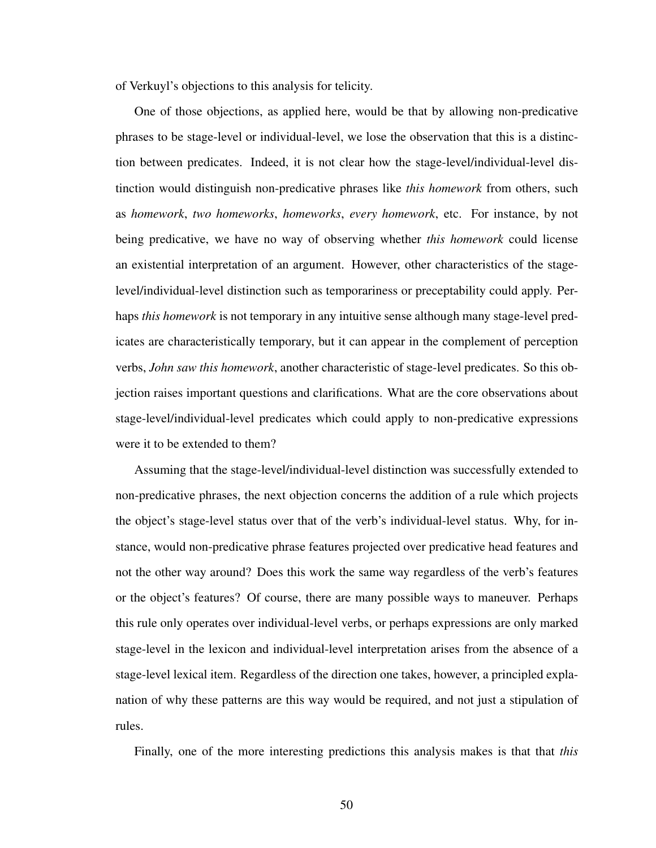of Verkuyl's objections to this analysis for telicity.

One of those objections, as applied here, would be that by allowing non-predicative phrases to be stage-level or individual-level, we lose the observation that this is a distinction between predicates. Indeed, it is not clear how the stage-level/individual-level distinction would distinguish non-predicative phrases like *this homework* from others, such as *homework*, *two homeworks*, *homeworks*, *every homework*, etc. For instance, by not being predicative, we have no way of observing whether *this homework* could license an existential interpretation of an argument. However, other characteristics of the stagelevel/individual-level distinction such as temporariness or preceptability could apply. Perhaps *this homework* is not temporary in any intuitive sense although many stage-level predicates are characteristically temporary, but it can appear in the complement of perception verbs, *John saw this homework*, another characteristic of stage-level predicates. So this objection raises important questions and clarifications. What are the core observations about stage-level/individual-level predicates which could apply to non-predicative expressions were it to be extended to them?

Assuming that the stage-level/individual-level distinction was successfully extended to non-predicative phrases, the next objection concerns the addition of a rule which projects the object's stage-level status over that of the verb's individual-level status. Why, for instance, would non-predicative phrase features projected over predicative head features and not the other way around? Does this work the same way regardless of the verb's features or the object's features? Of course, there are many possible ways to maneuver. Perhaps this rule only operates over individual-level verbs, or perhaps expressions are only marked stage-level in the lexicon and individual-level interpretation arises from the absence of a stage-level lexical item. Regardless of the direction one takes, however, a principled explanation of why these patterns are this way would be required, and not just a stipulation of rules.

Finally, one of the more interesting predictions this analysis makes is that that *this*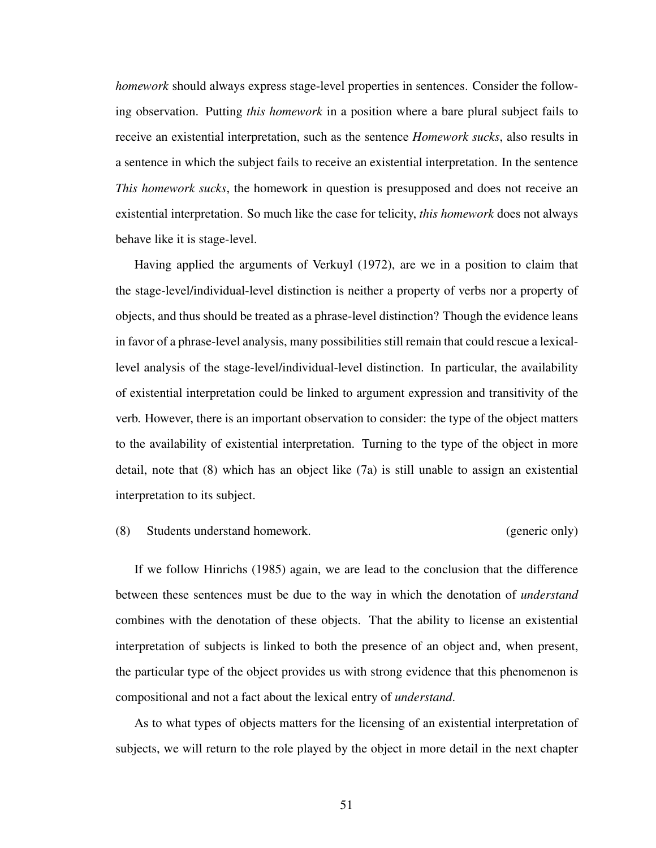*homework* should always express stage-level properties in sentences. Consider the following observation. Putting *this homework* in a position where a bare plural subject fails to receive an existential interpretation, such as the sentence *Homework sucks*, also results in a sentence in which the subject fails to receive an existential interpretation. In the sentence *This homework sucks*, the homework in question is presupposed and does not receive an existential interpretation. So much like the case for telicity, *this homework* does not always behave like it is stage-level.

Having applied the arguments of Verkuyl (1972), are we in a position to claim that the stage-level/individual-level distinction is neither a property of verbs nor a property of objects, and thus should be treated as a phrase-level distinction? Though the evidence leans in favor of a phrase-level analysis, many possibilities still remain that could rescue a lexicallevel analysis of the stage-level/individual-level distinction. In particular, the availability of existential interpretation could be linked to argument expression and transitivity of the verb. However, there is an important observation to consider: the type of the object matters to the availability of existential interpretation. Turning to the type of the object in more detail, note that (8) which has an object like (7a) is still unable to assign an existential interpretation to its subject.

## (8) Students understand homework. (generic only)

If we follow Hinrichs (1985) again, we are lead to the conclusion that the difference between these sentences must be due to the way in which the denotation of *understand* combines with the denotation of these objects. That the ability to license an existential interpretation of subjects is linked to both the presence of an object and, when present, the particular type of the object provides us with strong evidence that this phenomenon is compositional and not a fact about the lexical entry of *understand*.

As to what types of objects matters for the licensing of an existential interpretation of subjects, we will return to the role played by the object in more detail in the next chapter

51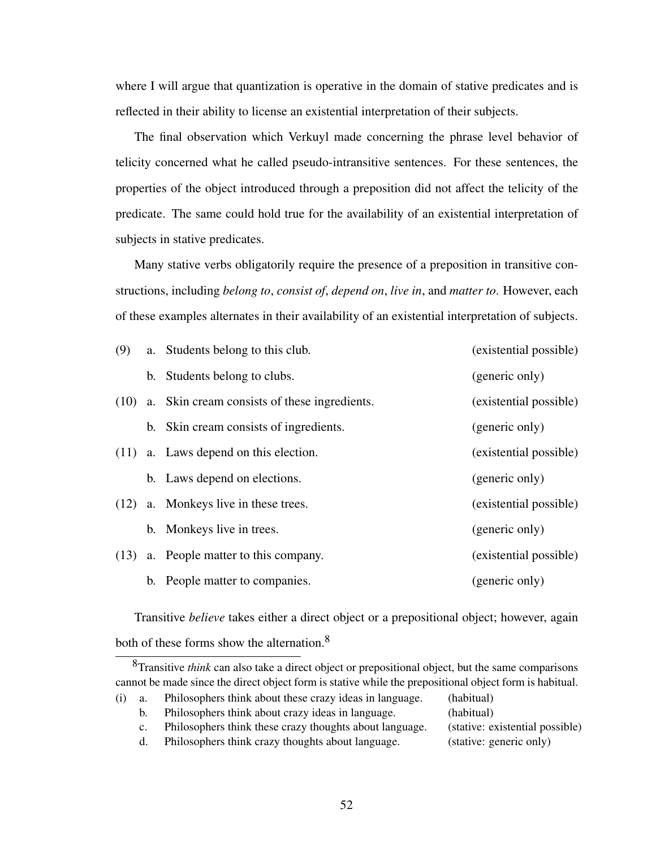where I will argue that quantization is operative in the domain of stative predicates and is reflected in their ability to license an existential interpretation of their subjects.

The final observation which Verkuyl made concerning the phrase level behavior of telicity concerned what he called pseudo-intransitive sentences. For these sentences, the properties of the object introduced through a preposition did not affect the telicity of the predicate. The same could hold true for the availability of an existential interpretation of subjects in stative predicates.

Many stative verbs obligatorily require the presence of a preposition in transitive constructions, including *belong to*, *consist of*, *depend on*, *live in*, and *matter to*. However, each of these examples alternates in their availability of an existential interpretation of subjects.

| (9) | a. Students belong to this club.                  | (existential possible) |
|-----|---------------------------------------------------|------------------------|
|     | b. Students belong to clubs.                      | (generic only)         |
|     | (10) a. Skin cream consists of these ingredients. | (existential possible) |
|     | b. Skin cream consists of ingredients.            | (generic only)         |
|     | $(11)$ a. Laws depend on this election.           | (existential possible) |
|     | b. Laws depend on elections.                      | (generic only)         |
|     | (12) a. Monkeys live in these trees.              | (existential possible) |
|     | b. Monkeys live in trees.                         | (generic only)         |
|     | (13) a. People matter to this company.            | (existential possible) |
|     | b. People matter to companies.                    | (generic only)         |

Transitive *believe* takes either a direct object or a prepositional object; however, again both of these forms show the alternation. $8$ 

| (i) a. |  | Philosophers think about these crazy ideas in language. |  |  |  | (habitual) |
|--------|--|---------------------------------------------------------|--|--|--|------------|
|--------|--|---------------------------------------------------------|--|--|--|------------|

- b. Philosophers think about crazy ideas in language. (habitual)
- c. Philosophers think these crazy thoughts about language. (stative: existential possible)
- d. Philosophers think crazy thoughts about language. (stative: generic only)
- 

<sup>8</sup>Transitive *think* can also take a direct object or prepositional object, but the same comparisons cannot be made since the direct object form is stative while the prepositional object form is habitual.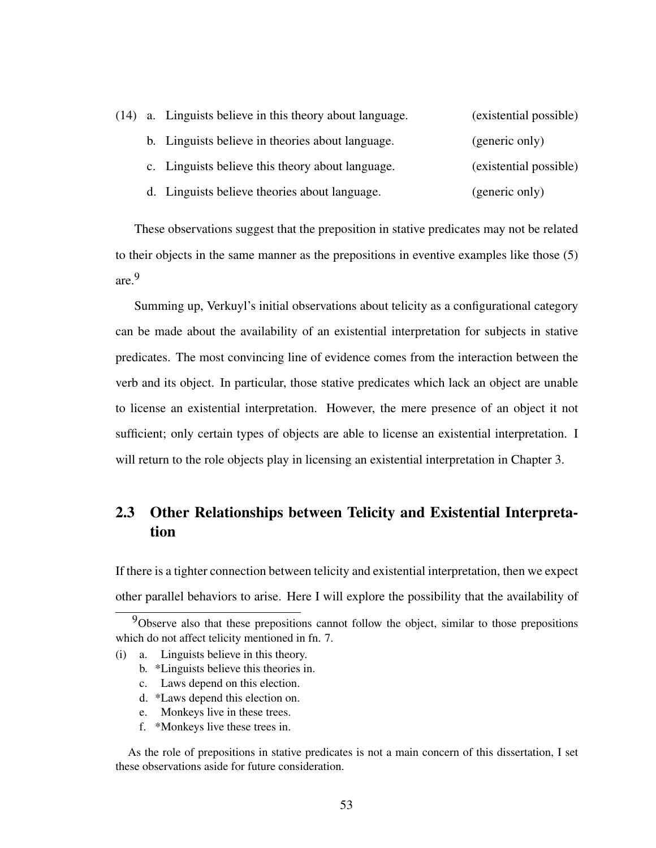|  | (14) a. Linguists believe in this theory about language. | (existential possible) |
|--|----------------------------------------------------------|------------------------|
|  | b. Linguists believe in theories about language.         | (generic only)         |
|  | c. Linguists believe this theory about language.         | (existential possible) |
|  | d. Linguists believe theories about language.            | (generic only)         |

These observations suggest that the preposition in stative predicates may not be related to their objects in the same manner as the prepositions in eventive examples like those (5) are.<sup>9</sup>

Summing up, Verkuyl's initial observations about telicity as a configurational category can be made about the availability of an existential interpretation for subjects in stative predicates. The most convincing line of evidence comes from the interaction between the verb and its object. In particular, those stative predicates which lack an object are unable to license an existential interpretation. However, the mere presence of an object it not sufficient; only certain types of objects are able to license an existential interpretation. I will return to the role objects play in licensing an existential interpretation in Chapter 3.

# 2.3 Other Relationships between Telicity and Existential Interpretation

If there is a tighter connection between telicity and existential interpretation, then we expect other parallel behaviors to arise. Here I will explore the possibility that the availability of

- c. Laws depend on this election.
- d. \*Laws depend this election on.
- e. Monkeys live in these trees.
- f. \*Monkeys live these trees in.

As the role of prepositions in stative predicates is not a main concern of this dissertation, I set these observations aside for future consideration.

<sup>&</sup>lt;sup>9</sup>Observe also that these prepositions cannot follow the object, similar to those prepositions which do not affect telicity mentioned in fn. 7.

<sup>(</sup>i) a. Linguists believe in this theory.

b. \*Linguists believe this theories in.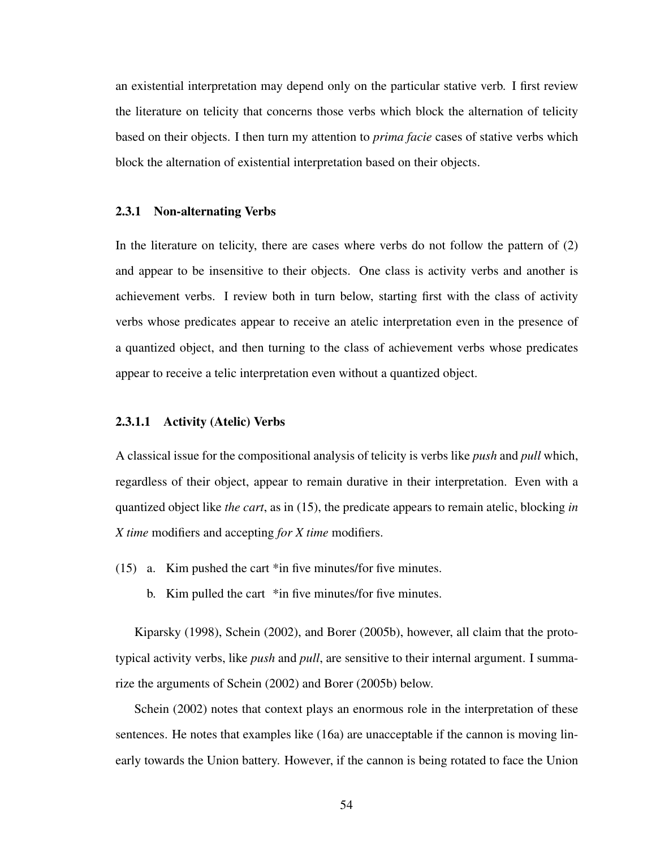an existential interpretation may depend only on the particular stative verb. I first review the literature on telicity that concerns those verbs which block the alternation of telicity based on their objects. I then turn my attention to *prima facie* cases of stative verbs which block the alternation of existential interpretation based on their objects.

#### 2.3.1 Non-alternating Verbs

In the literature on telicity, there are cases where verbs do not follow the pattern of (2) and appear to be insensitive to their objects. One class is activity verbs and another is achievement verbs. I review both in turn below, starting first with the class of activity verbs whose predicates appear to receive an atelic interpretation even in the presence of a quantized object, and then turning to the class of achievement verbs whose predicates appear to receive a telic interpretation even without a quantized object.

#### 2.3.1.1 Activity (Atelic) Verbs

A classical issue for the compositional analysis of telicity is verbs like *push* and *pull* which, regardless of their object, appear to remain durative in their interpretation. Even with a quantized object like *the cart*, as in (15), the predicate appears to remain atelic, blocking *in X time* modifiers and accepting *for X time* modifiers.

- (15) a. Kim pushed the cart \*in five minutes/for five minutes.
	- b. Kim pulled the cart \*in five minutes/for five minutes.

Kiparsky (1998), Schein (2002), and Borer (2005b), however, all claim that the prototypical activity verbs, like *push* and *pull*, are sensitive to their internal argument. I summarize the arguments of Schein (2002) and Borer (2005b) below.

Schein (2002) notes that context plays an enormous role in the interpretation of these sentences. He notes that examples like (16a) are unacceptable if the cannon is moving linearly towards the Union battery. However, if the cannon is being rotated to face the Union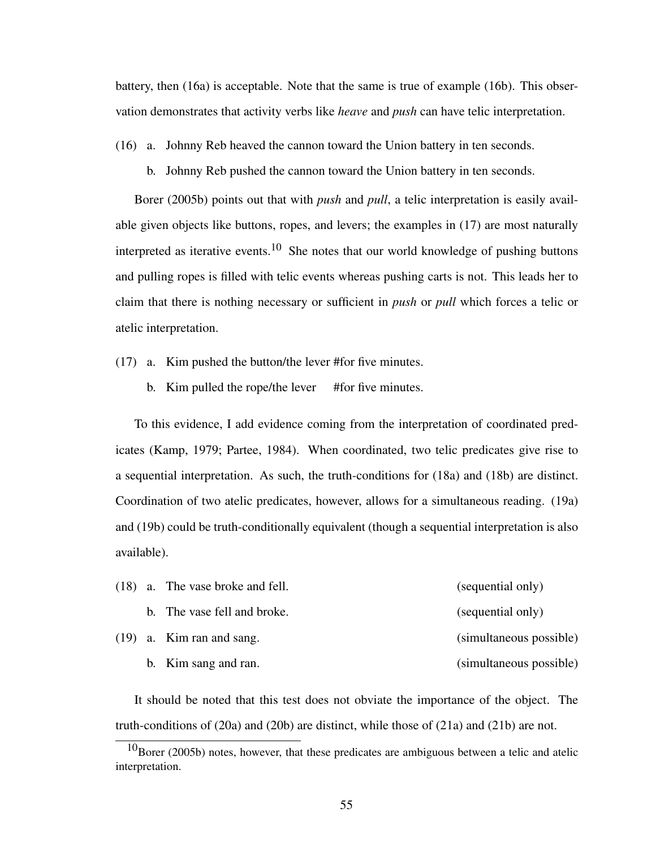battery, then (16a) is acceptable. Note that the same is true of example (16b). This observation demonstrates that activity verbs like *heave* and *push* can have telic interpretation.

- (16) a. Johnny Reb heaved the cannon toward the Union battery in ten seconds.
	- b. Johnny Reb pushed the cannon toward the Union battery in ten seconds.

Borer (2005b) points out that with *push* and *pull*, a telic interpretation is easily available given objects like buttons, ropes, and levers; the examples in (17) are most naturally interpreted as iterative events.<sup>10</sup> She notes that our world knowledge of pushing buttons and pulling ropes is filled with telic events whereas pushing carts is not. This leads her to claim that there is nothing necessary or sufficient in *push* or *pull* which forces a telic or atelic interpretation.

- (17) a. Kim pushed the button/the lever #for five minutes.
	- b. Kim pulled the rope/the lever #for five minutes.

To this evidence, I add evidence coming from the interpretation of coordinated predicates (Kamp, 1979; Partee, 1984). When coordinated, two telic predicates give rise to a sequential interpretation. As such, the truth-conditions for (18a) and (18b) are distinct. Coordination of two atelic predicates, however, allows for a simultaneous reading. (19a) and (19b) could be truth-conditionally equivalent (though a sequential interpretation is also available).

|  | (18) a. The vase broke and fell. | (sequential only)       |
|--|----------------------------------|-------------------------|
|  | b. The vase fell and broke.      | (sequential only)       |
|  | $(19)$ a. Kim ran and sang.      | (simultaneous possible) |
|  | b. Kim sang and ran.             | (simultaneous possible) |

It should be noted that this test does not obviate the importance of the object. The truth-conditions of (20a) and (20b) are distinct, while those of (21a) and (21b) are not.

 $10$ Borer (2005b) notes, however, that these predicates are ambiguous between a telic and atelic interpretation.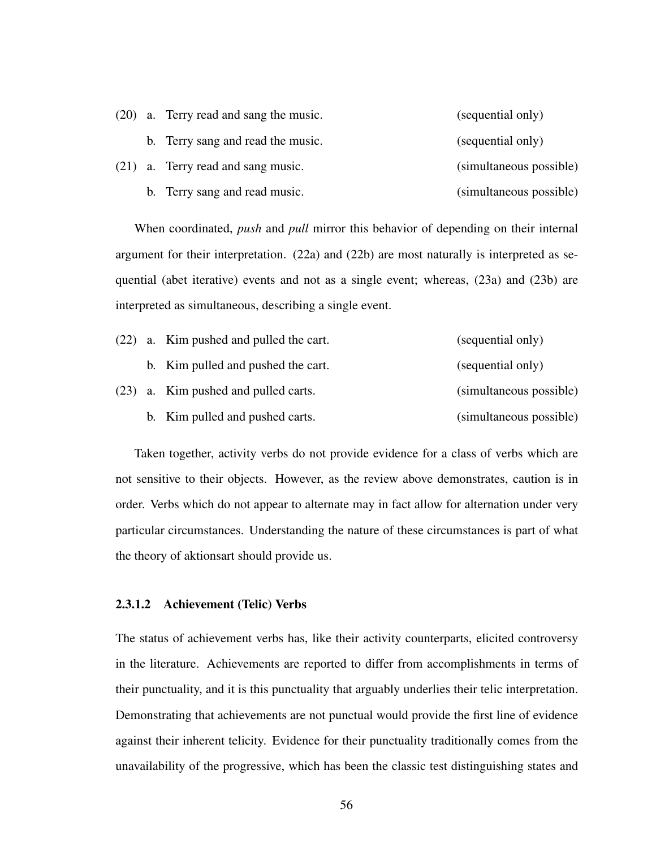|  | (20) a. Terry read and sang the music. | (sequential only)       |
|--|----------------------------------------|-------------------------|
|  | b. Terry sang and read the music.      | (sequential only)       |
|  | $(21)$ a. Terry read and sang music.   | (simultaneous possible) |
|  | b. Terry sang and read music.          | (simultaneous possible) |

When coordinated, *push* and *pull* mirror this behavior of depending on their internal argument for their interpretation. (22a) and (22b) are most naturally is interpreted as sequential (abet iterative) events and not as a single event; whereas, (23a) and (23b) are interpreted as simultaneous, describing a single event.

|  | (22) a. Kim pushed and pulled the cart. | (sequential only)       |
|--|-----------------------------------------|-------------------------|
|  | b. Kim pulled and pushed the cart.      | (sequential only)       |
|  | (23) a. Kim pushed and pulled carts.    | (simultaneous possible) |
|  | b. Kim pulled and pushed carts.         | (simultaneous possible) |

Taken together, activity verbs do not provide evidence for a class of verbs which are not sensitive to their objects. However, as the review above demonstrates, caution is in order. Verbs which do not appear to alternate may in fact allow for alternation under very particular circumstances. Understanding the nature of these circumstances is part of what the theory of aktionsart should provide us.

## 2.3.1.2 Achievement (Telic) Verbs

The status of achievement verbs has, like their activity counterparts, elicited controversy in the literature. Achievements are reported to differ from accomplishments in terms of their punctuality, and it is this punctuality that arguably underlies their telic interpretation. Demonstrating that achievements are not punctual would provide the first line of evidence against their inherent telicity. Evidence for their punctuality traditionally comes from the unavailability of the progressive, which has been the classic test distinguishing states and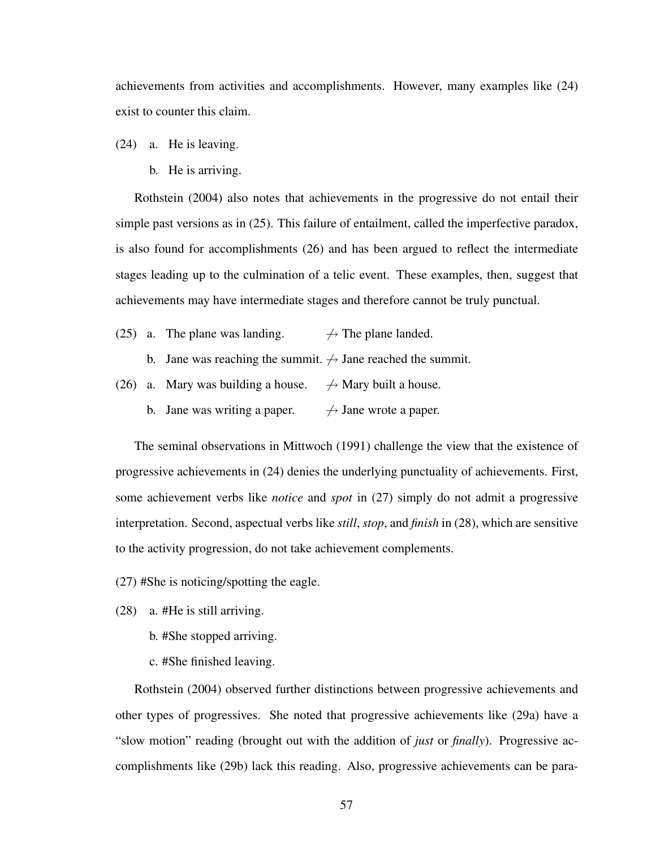achievements from activities and accomplishments. However, many examples like (24) exist to counter this claim.

- (24) a. He is leaving.
	- b. He is arriving.

Rothstein (2004) also notes that achievements in the progressive do not entail their simple past versions as in (25). This failure of entailment, called the imperfective paradox, is also found for accomplishments (26) and has been argued to reflect the intermediate stages leading up to the culmination of a telic event. These examples, then, suggest that achievements may have intermediate stages and therefore cannot be truly punctual.

- (25) a. The plane was landing.  $\rightarrow$  The plane landed.
	- b. Jane was reaching the summit.  $\rightarrow$  Jane reached the summit.
- (26) a. Mary was building a house.  $\rightarrow$  Mary built a house.
	- b. Jane was writing a paper.  $\rightarrow$  Jane wrote a paper.

The seminal observations in Mittwoch (1991) challenge the view that the existence of progressive achievements in (24) denies the underlying punctuality of achievements. First, some achievement verbs like *notice* and *spot* in (27) simply do not admit a progressive interpretation. Second, aspectual verbs like *still*, *stop*, and *finish* in (28), which are sensitive to the activity progression, do not take achievement complements.

- (27) #She is noticing/spotting the eagle.
- (28) a. #He is still arriving.
	- b. #She stopped arriving.
	- c. #She finished leaving.

Rothstein (2004) observed further distinctions between progressive achievements and other types of progressives. She noted that progressive achievements like (29a) have a "slow motion" reading (brought out with the addition of *just* or *finally*). Progressive accomplishments like (29b) lack this reading. Also, progressive achievements can be para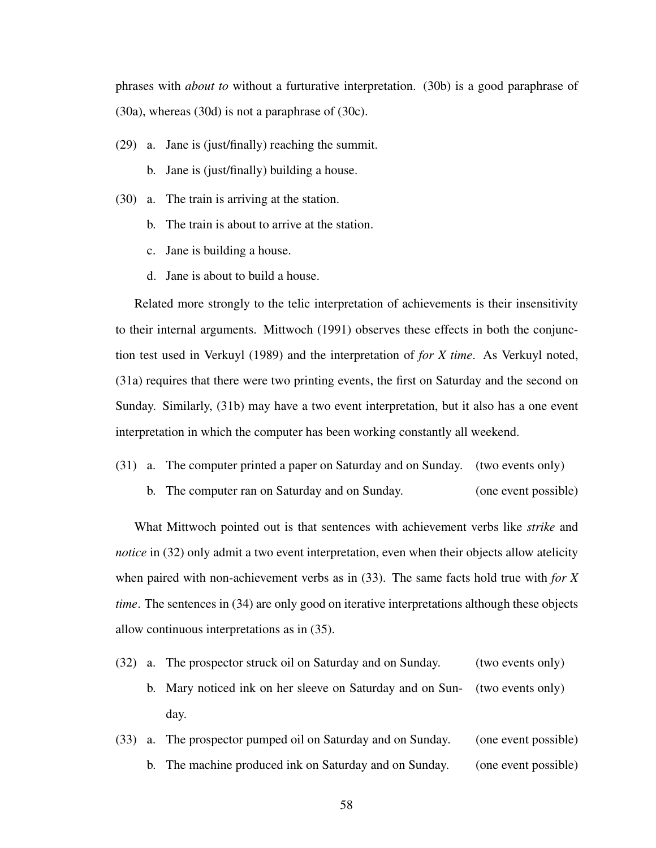phrases with *about to* without a furturative interpretation. (30b) is a good paraphrase of (30a), whereas (30d) is not a paraphrase of (30c).

(29) a. Jane is (just/finally) reaching the summit.

- b. Jane is (just/finally) building a house.
- (30) a. The train is arriving at the station.
	- b. The train is about to arrive at the station.
	- c. Jane is building a house.
	- d. Jane is about to build a house.

Related more strongly to the telic interpretation of achievements is their insensitivity to their internal arguments. Mittwoch (1991) observes these effects in both the conjunction test used in Verkuyl (1989) and the interpretation of *for X time*. As Verkuyl noted, (31a) requires that there were two printing events, the first on Saturday and the second on Sunday. Similarly, (31b) may have a two event interpretation, but it also has a one event interpretation in which the computer has been working constantly all weekend.

- (31) a. The computer printed a paper on Saturday and on Sunday. (two events only)
	- b. The computer ran on Saturday and on Sunday. (one event possible)

What Mittwoch pointed out is that sentences with achievement verbs like *strike* and *notice* in (32) only admit a two event interpretation, even when their objects allow atelicity when paired with non-achievement verbs as in (33). The same facts hold true with *for X time*. The sentences in (34) are only good on iterative interpretations although these objects allow continuous interpretations as in (35).

- (32) a. The prospector struck oil on Saturday and on Sunday. (two events only) b. Mary noticed ink on her sleeve on Saturday and on Sunday. (two events only)
- (33) a. The prospector pumped oil on Saturday and on Sunday. (one event possible) b. The machine produced ink on Saturday and on Sunday. (one event possible)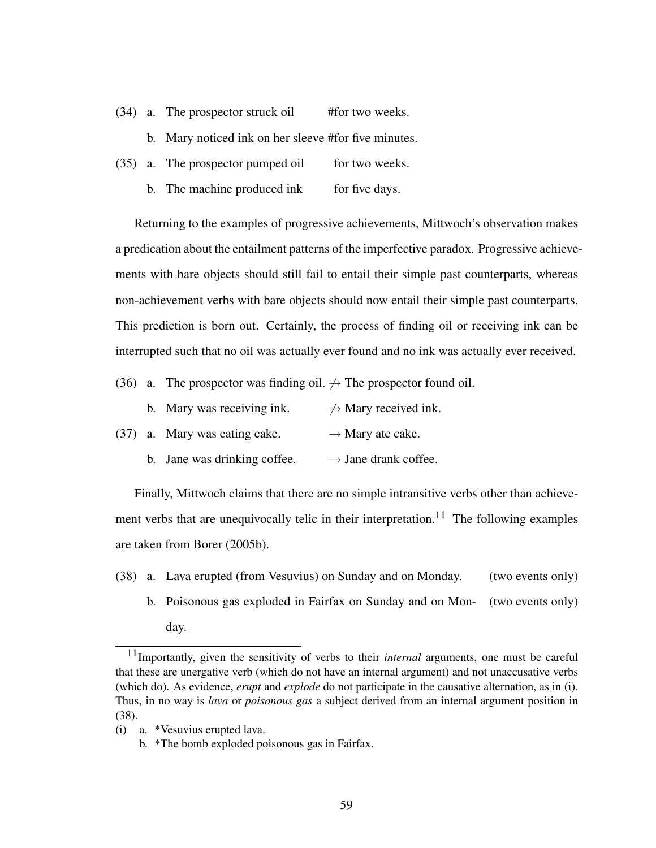- $(34)$  a. The prospector struck oil #for two weeks.
	- b. Mary noticed ink on her sleeve #for five minutes.
- $(35)$  a. The prospector pumped oil for two weeks.
	- b. The machine produced ink for five days.

Returning to the examples of progressive achievements, Mittwoch's observation makes a predication about the entailment patterns of the imperfective paradox. Progressive achievements with bare objects should still fail to entail their simple past counterparts, whereas non-achievement verbs with bare objects should now entail their simple past counterparts. This prediction is born out. Certainly, the process of finding oil or receiving ink can be interrupted such that no oil was actually ever found and no ink was actually ever received.

(36) a. The prospector was finding oil.  $\rightarrow$  The prospector found oil.

| Mary was receiving ink. | $\rightarrow$ Mary received ink. |
|-------------------------|----------------------------------|
|                         |                                  |

- (37) a. Mary was eating cake.  $\rightarrow$  Mary ate cake.
	- b. Jane was drinking coffee.  $\rightarrow$  Jane drank coffee.

Finally, Mittwoch claims that there are no simple intransitive verbs other than achievement verbs that are unequivocally telic in their interpretation.<sup>11</sup> The following examples are taken from Borer (2005b).

- (38) a. Lava erupted (from Vesuvius) on Sunday and on Monday. (two events only)
	- b. Poisonous gas exploded in Fairfax on Sunday and on Monday. (two events only)

<sup>11</sup>Importantly, given the sensitivity of verbs to their *internal* arguments, one must be careful that these are unergative verb (which do not have an internal argument) and not unaccusative verbs (which do). As evidence, *erupt* and *explode* do not participate in the causative alternation, as in (i). Thus, in no way is *lava* or *poisonous gas* a subject derived from an internal argument position in (38).

<sup>(</sup>i) a. \*Vesuvius erupted lava.

b. \*The bomb exploded poisonous gas in Fairfax.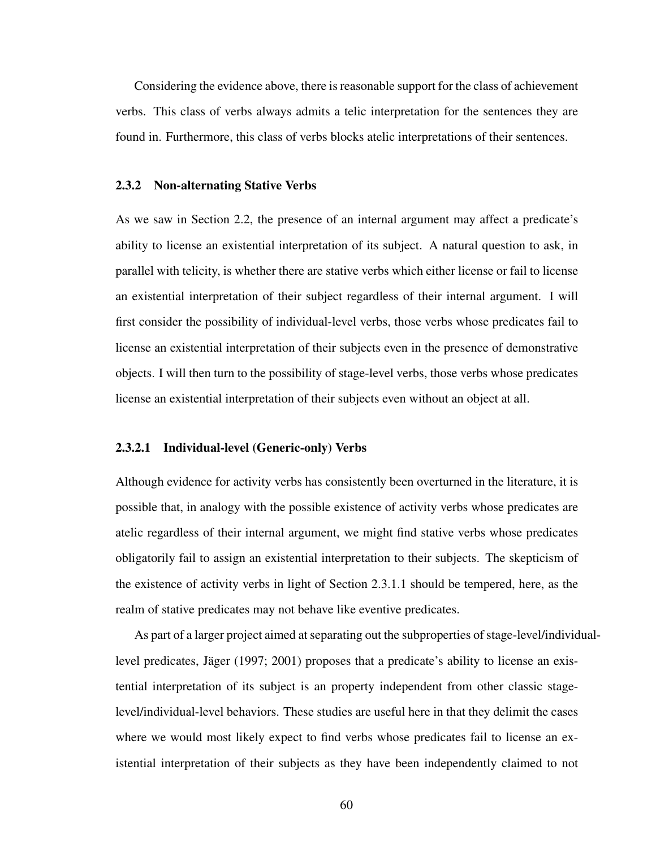Considering the evidence above, there is reasonable support for the class of achievement verbs. This class of verbs always admits a telic interpretation for the sentences they are found in. Furthermore, this class of verbs blocks atelic interpretations of their sentences.

#### 2.3.2 Non-alternating Stative Verbs

As we saw in Section 2.2, the presence of an internal argument may affect a predicate's ability to license an existential interpretation of its subject. A natural question to ask, in parallel with telicity, is whether there are stative verbs which either license or fail to license an existential interpretation of their subject regardless of their internal argument. I will first consider the possibility of individual-level verbs, those verbs whose predicates fail to license an existential interpretation of their subjects even in the presence of demonstrative objects. I will then turn to the possibility of stage-level verbs, those verbs whose predicates license an existential interpretation of their subjects even without an object at all.

# 2.3.2.1 Individual-level (Generic-only) Verbs

Although evidence for activity verbs has consistently been overturned in the literature, it is possible that, in analogy with the possible existence of activity verbs whose predicates are atelic regardless of their internal argument, we might find stative verbs whose predicates obligatorily fail to assign an existential interpretation to their subjects. The skepticism of the existence of activity verbs in light of Section 2.3.1.1 should be tempered, here, as the realm of stative predicates may not behave like eventive predicates.

As part of a larger project aimed at separating out the subproperties of stage-level/individuallevel predicates, Jäger (1997; 2001) proposes that a predicate's ability to license an existential interpretation of its subject is an property independent from other classic stagelevel/individual-level behaviors. These studies are useful here in that they delimit the cases where we would most likely expect to find verbs whose predicates fail to license an existential interpretation of their subjects as they have been independently claimed to not

60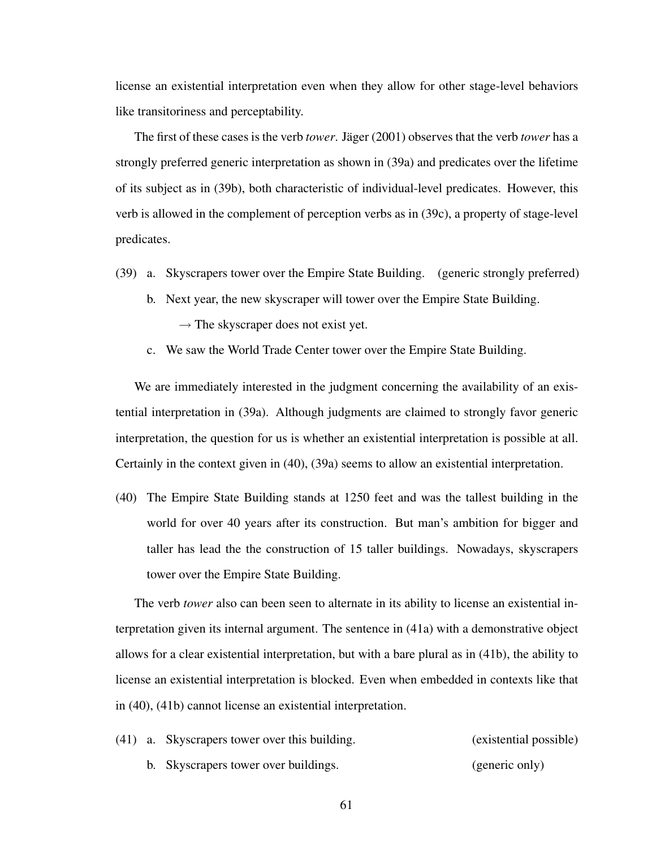license an existential interpretation even when they allow for other stage-level behaviors like transitoriness and perceptability.

The first of these cases is the verb *tower*. Jäger (2001) observes that the verb *tower* has a strongly preferred generic interpretation as shown in (39a) and predicates over the lifetime of its subject as in (39b), both characteristic of individual-level predicates. However, this verb is allowed in the complement of perception verbs as in (39c), a property of stage-level predicates.

- (39) a. Skyscrapers tower over the Empire State Building. (generic strongly preferred)
	- b. Next year, the new skyscraper will tower over the Empire State Building.

 $\rightarrow$  The skyscraper does not exist yet.

c. We saw the World Trade Center tower over the Empire State Building.

We are immediately interested in the judgment concerning the availability of an existential interpretation in (39a). Although judgments are claimed to strongly favor generic interpretation, the question for us is whether an existential interpretation is possible at all. Certainly in the context given in (40), (39a) seems to allow an existential interpretation.

(40) The Empire State Building stands at 1250 feet and was the tallest building in the world for over 40 years after its construction. But man's ambition for bigger and taller has lead the the construction of 15 taller buildings. Nowadays, skyscrapers tower over the Empire State Building.

The verb *tower* also can been seen to alternate in its ability to license an existential interpretation given its internal argument. The sentence in (41a) with a demonstrative object allows for a clear existential interpretation, but with a bare plural as in (41b), the ability to license an existential interpretation is blocked. Even when embedded in contexts like that in (40), (41b) cannot license an existential interpretation.

|  | (41) a. Skyscrapers tower over this building. | (existential possible) |
|--|-----------------------------------------------|------------------------|
|  | b. Skyscrapers tower over buildings.          | (generic only)         |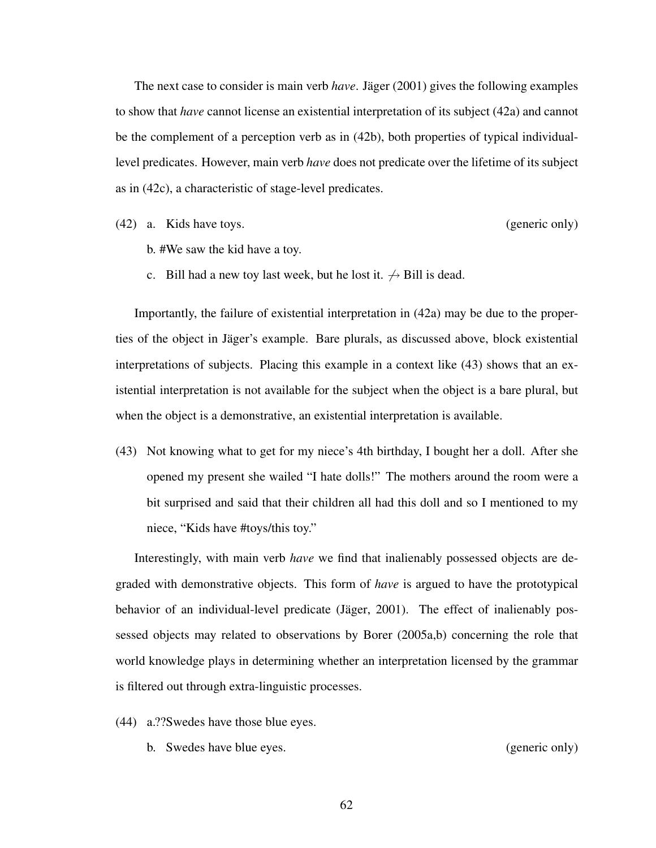The next case to consider is main verb *have*. Jäger (2001) gives the following examples to show that *have* cannot license an existential interpretation of its subject (42a) and cannot be the complement of a perception verb as in (42b), both properties of typical individuallevel predicates. However, main verb *have* does not predicate over the lifetime of its subject as in (42c), a characteristic of stage-level predicates.

(42) a. Kids have toys. (generic only)

- b. #We saw the kid have a toy.
- c. Bill had a new toy last week, but he lost it.  $\rightarrow$  Bill is dead.

Importantly, the failure of existential interpretation in (42a) may be due to the properties of the object in Jäger's example. Bare plurals, as discussed above, block existential interpretations of subjects. Placing this example in a context like (43) shows that an existential interpretation is not available for the subject when the object is a bare plural, but when the object is a demonstrative, an existential interpretation is available.

(43) Not knowing what to get for my niece's 4th birthday, I bought her a doll. After she opened my present she wailed "I hate dolls!" The mothers around the room were a bit surprised and said that their children all had this doll and so I mentioned to my niece, "Kids have #toys/this toy."

Interestingly, with main verb *have* we find that inalienably possessed objects are degraded with demonstrative objects. This form of *have* is argued to have the prototypical behavior of an individual-level predicate (Jäger, 2001). The effect of inalienably possessed objects may related to observations by Borer (2005a,b) concerning the role that world knowledge plays in determining whether an interpretation licensed by the grammar is filtered out through extra-linguistic processes.

- (44) a.??Swedes have those blue eyes.
	- b. Swedes have blue eyes. (generic only)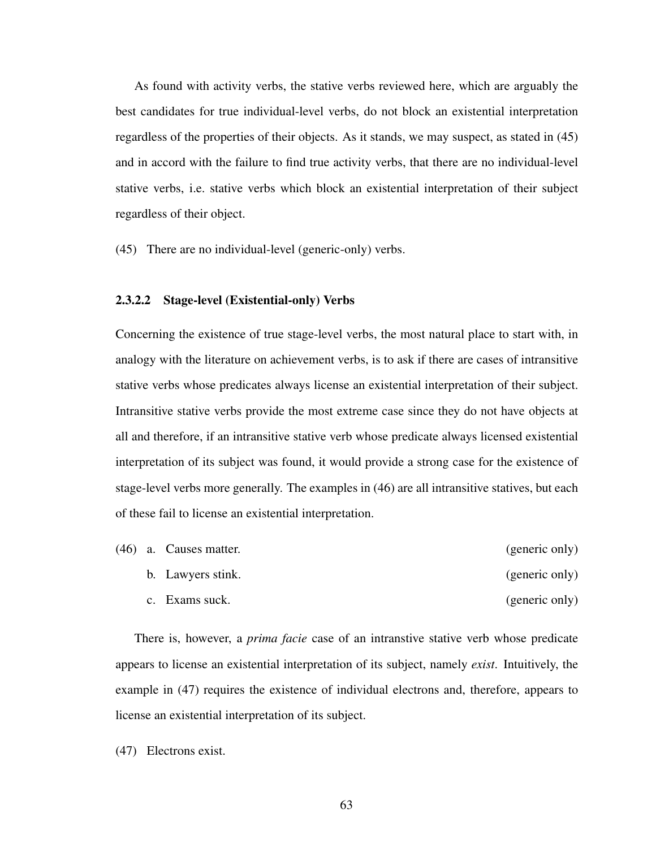As found with activity verbs, the stative verbs reviewed here, which are arguably the best candidates for true individual-level verbs, do not block an existential interpretation regardless of the properties of their objects. As it stands, we may suspect, as stated in (45) and in accord with the failure to find true activity verbs, that there are no individual-level stative verbs, i.e. stative verbs which block an existential interpretation of their subject regardless of their object.

(45) There are no individual-level (generic-only) verbs.

# 2.3.2.2 Stage-level (Existential-only) Verbs

Concerning the existence of true stage-level verbs, the most natural place to start with, in analogy with the literature on achievement verbs, is to ask if there are cases of intransitive stative verbs whose predicates always license an existential interpretation of their subject. Intransitive stative verbs provide the most extreme case since they do not have objects at all and therefore, if an intransitive stative verb whose predicate always licensed existential interpretation of its subject was found, it would provide a strong case for the existence of stage-level verbs more generally. The examples in (46) are all intransitive statives, but each of these fail to license an existential interpretation.

|  | $(46)$ a. Causes matter. | (generic only) |
|--|--------------------------|----------------|
|  | b. Lawyers stink.        | (generic only) |
|  | c. Exams suck.           | (generic only) |

There is, however, a *prima facie* case of an intranstive stative verb whose predicate appears to license an existential interpretation of its subject, namely *exist*. Intuitively, the example in (47) requires the existence of individual electrons and, therefore, appears to license an existential interpretation of its subject.

(47) Electrons exist.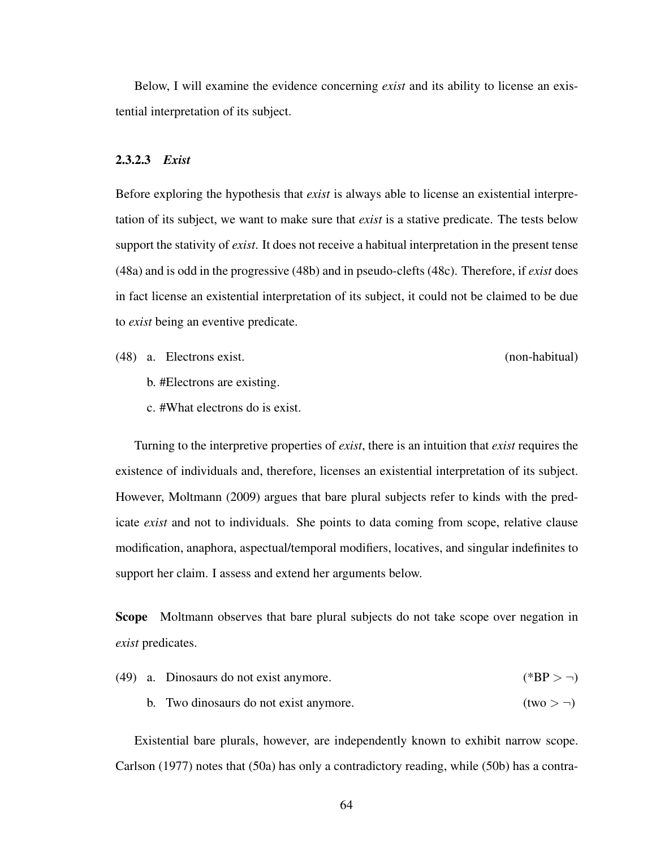Below, I will examine the evidence concerning *exist* and its ability to license an existential interpretation of its subject.

## 2.3.2.3 *Exist*

Before exploring the hypothesis that *exist* is always able to license an existential interpretation of its subject, we want to make sure that *exist* is a stative predicate. The tests below support the stativity of *exist*. It does not receive a habitual interpretation in the present tense (48a) and is odd in the progressive (48b) and in pseudo-clefts (48c). Therefore, if *exist* does in fact license an existential interpretation of its subject, it could not be claimed to be due to *exist* being an eventive predicate.

(48) a. Electrons exist. (non-habitual)

- b. #Electrons are existing.
- c. #What electrons do is exist.

Turning to the interpretive properties of *exist*, there is an intuition that *exist* requires the existence of individuals and, therefore, licenses an existential interpretation of its subject. However, Moltmann (2009) argues that bare plural subjects refer to kinds with the predicate *exist* and not to individuals. She points to data coming from scope, relative clause modification, anaphora, aspectual/temporal modifiers, locatives, and singular indefinites to support her claim. I assess and extend her arguments below.

Scope Moltmann observes that bare plural subjects do not take scope over negation in *exist* predicates.

|  | (49) a. Dinosaurs do not exist anymore. | $(*BP > \neg)$ |
|--|-----------------------------------------|----------------|
|  | b. Two dinosaurs do not exist anymore.  | $(two > \neg)$ |

Existential bare plurals, however, are independently known to exhibit narrow scope. Carlson (1977) notes that (50a) has only a contradictory reading, while (50b) has a contra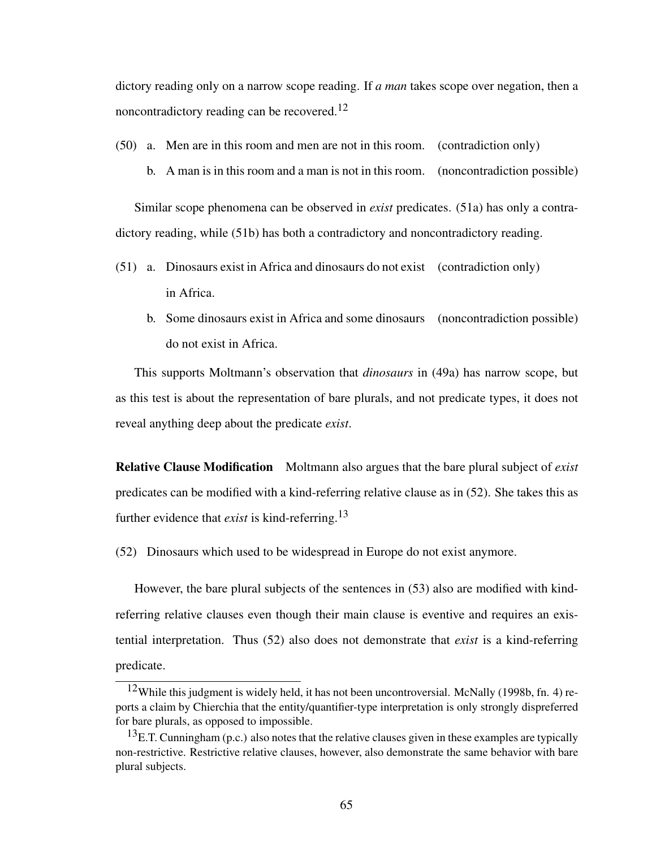dictory reading only on a narrow scope reading. If *a man* takes scope over negation, then a noncontradictory reading can be recovered.<sup>12</sup>

- (50) a. Men are in this room and men are not in this room. (contradiction only)
	- b. A man is in this room and a man is not in this room. (noncontradiction possible)

Similar scope phenomena can be observed in *exist* predicates. (51a) has only a contradictory reading, while (51b) has both a contradictory and noncontradictory reading.

- (51) a. Dinosaurs exist in Africa and dinosaurs do not exist (contradiction only) in Africa.
	- b. Some dinosaurs exist in Africa and some dinosaurs (noncontradiction possible) do not exist in Africa.

This supports Moltmann's observation that *dinosaurs* in (49a) has narrow scope, but as this test is about the representation of bare plurals, and not predicate types, it does not reveal anything deep about the predicate *exist*.

Relative Clause Modification Moltmann also argues that the bare plural subject of *exist* predicates can be modified with a kind-referring relative clause as in (52). She takes this as further evidence that *exist* is kind-referring.<sup>13</sup>

(52) Dinosaurs which used to be widespread in Europe do not exist anymore.

However, the bare plural subjects of the sentences in (53) also are modified with kindreferring relative clauses even though their main clause is eventive and requires an existential interpretation. Thus (52) also does not demonstrate that *exist* is a kind-referring predicate.

 $12$ While this judgment is widely held, it has not been uncontroversial. McNally (1998b, fn. 4) reports a claim by Chierchia that the entity/quantifier-type interpretation is only strongly dispreferred for bare plurals, as opposed to impossible.

 $^{13}$ E.T. Cunningham (p.c.) also notes that the relative clauses given in these examples are typically non-restrictive. Restrictive relative clauses, however, also demonstrate the same behavior with bare plural subjects.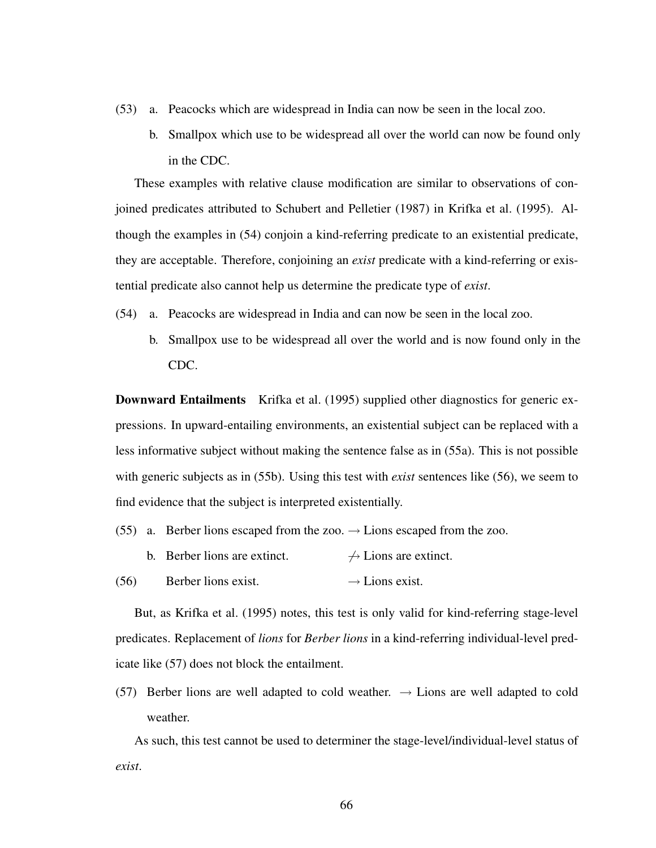- (53) a. Peacocks which are widespread in India can now be seen in the local zoo.
	- b. Smallpox which use to be widespread all over the world can now be found only in the CDC.

These examples with relative clause modification are similar to observations of conjoined predicates attributed to Schubert and Pelletier (1987) in Krifka et al. (1995). Although the examples in (54) conjoin a kind-referring predicate to an existential predicate, they are acceptable. Therefore, conjoining an *exist* predicate with a kind-referring or existential predicate also cannot help us determine the predicate type of *exist*.

- (54) a. Peacocks are widespread in India and can now be seen in the local zoo.
	- b. Smallpox use to be widespread all over the world and is now found only in the CDC.

Downward Entailments Krifka et al. (1995) supplied other diagnostics for generic expressions. In upward-entailing environments, an existential subject can be replaced with a less informative subject without making the sentence false as in (55a). This is not possible with generic subjects as in (55b). Using this test with *exist* sentences like (56), we seem to find evidence that the subject is interpreted existentially.

- (55) a. Berber lions escaped from the zoo.  $\rightarrow$  Lions escaped from the zoo.
	- b. Berber lions are extinct.  $\rightarrow$  Lions are extinct.
- (56) Berber lions exist.  $\rightarrow$  Lions exist.

But, as Krifka et al. (1995) notes, this test is only valid for kind-referring stage-level predicates. Replacement of *lions* for *Berber lions* in a kind-referring individual-level predicate like (57) does not block the entailment.

(57) Berber lions are well adapted to cold weather.  $\rightarrow$  Lions are well adapted to cold weather.

As such, this test cannot be used to determiner the stage-level/individual-level status of *exist*.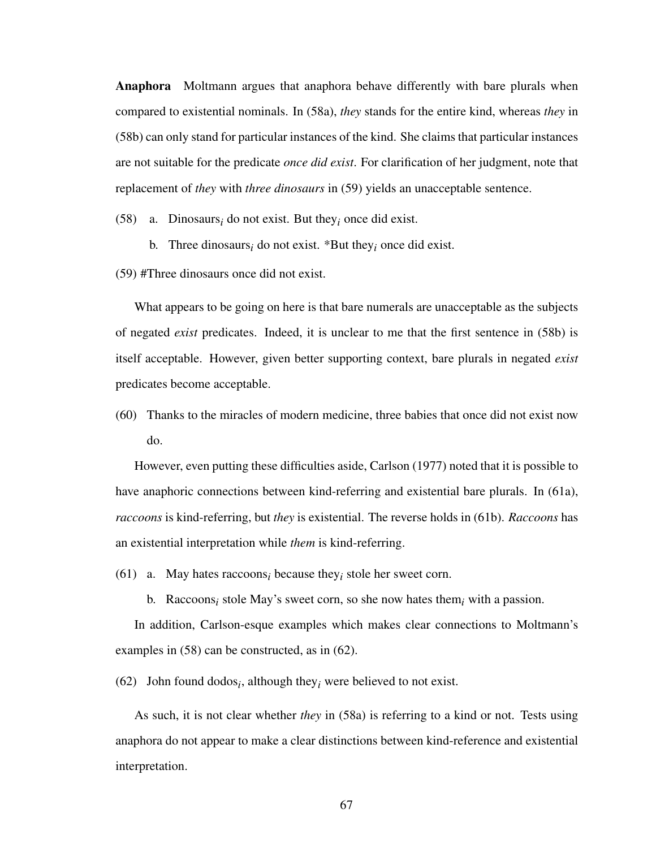Anaphora Moltmann argues that anaphora behave differently with bare plurals when compared to existential nominals. In (58a), *they* stands for the entire kind, whereas *they* in (58b) can only stand for particular instances of the kind. She claims that particular instances are not suitable for the predicate *once did exist*. For clarification of her judgment, note that replacement of *they* with *three dinosaurs* in (59) yields an unacceptable sentence.

- (58) a. Dinosaurs<sub>*i*</sub> do not exist. But they<sub>*i*</sub> once did exist.
	- b. Three dinosaurs<sub>*i*</sub> do not exist. \*But they<sub>*i*</sub> once did exist.
- (59) #Three dinosaurs once did not exist.

What appears to be going on here is that bare numerals are unacceptable as the subjects of negated *exist* predicates. Indeed, it is unclear to me that the first sentence in (58b) is itself acceptable. However, given better supporting context, bare plurals in negated *exist* predicates become acceptable.

(60) Thanks to the miracles of modern medicine, three babies that once did not exist now do.

However, even putting these difficulties aside, Carlson (1977) noted that it is possible to have anaphoric connections between kind-referring and existential bare plurals. In (61a), *raccoons* is kind-referring, but *they* is existential. The reverse holds in (61b). *Raccoons* has an existential interpretation while *them* is kind-referring.

(61) a. May hates raccoons<sub>i</sub> because they<sub>i</sub> stole her sweet corn.

b. Raccoons<sub>*i*</sub> stole May's sweet corn, so she now hates them<sub>*i*</sub> with a passion.

In addition, Carlson-esque examples which makes clear connections to Moltmann's examples in (58) can be constructed, as in (62).

(62) John found dodos<sub>*i*</sub>, although they<sub>*i*</sub> were believed to not exist.

As such, it is not clear whether *they* in (58a) is referring to a kind or not. Tests using anaphora do not appear to make a clear distinctions between kind-reference and existential interpretation.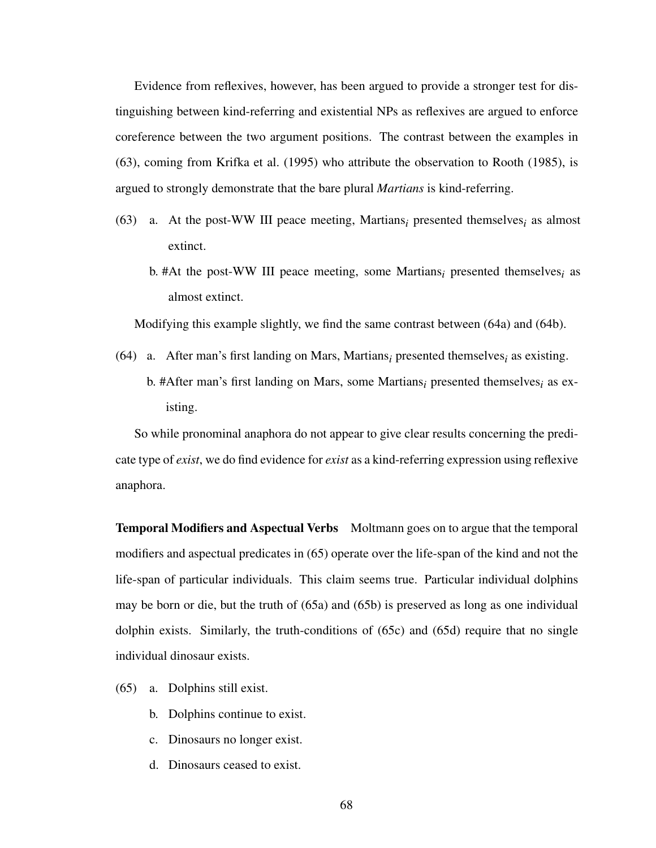Evidence from reflexives, however, has been argued to provide a stronger test for distinguishing between kind-referring and existential NPs as reflexives are argued to enforce coreference between the two argument positions. The contrast between the examples in (63), coming from Krifka et al. (1995) who attribute the observation to Rooth (1985), is argued to strongly demonstrate that the bare plural *Martians* is kind-referring.

- (63) a. At the post-WW III peace meeting, Martians*i* presented themselves*i* as almost extinct.
	- b. #At the post-WW III peace meeting, some Martians*i* presented themselves*i* as almost extinct.

Modifying this example slightly, we find the same contrast between (64a) and (64b).

(64) a. After man's first landing on Mars, Martians*i* presented themselves*i* as existing. b. #After man's first landing on Mars, some Martians*i* presented themselves*i* as existing.

So while pronominal anaphora do not appear to give clear results concerning the predicate type of *exist*, we do find evidence for *exist* as a kind-referring expression using reflexive anaphora.

Temporal Modifiers and Aspectual Verbs Moltmann goes on to argue that the temporal modifiers and aspectual predicates in (65) operate over the life-span of the kind and not the life-span of particular individuals. This claim seems true. Particular individual dolphins may be born or die, but the truth of (65a) and (65b) is preserved as long as one individual dolphin exists. Similarly, the truth-conditions of (65c) and (65d) require that no single individual dinosaur exists.

- (65) a. Dolphins still exist.
	- b. Dolphins continue to exist.
	- c. Dinosaurs no longer exist.
	- d. Dinosaurs ceased to exist.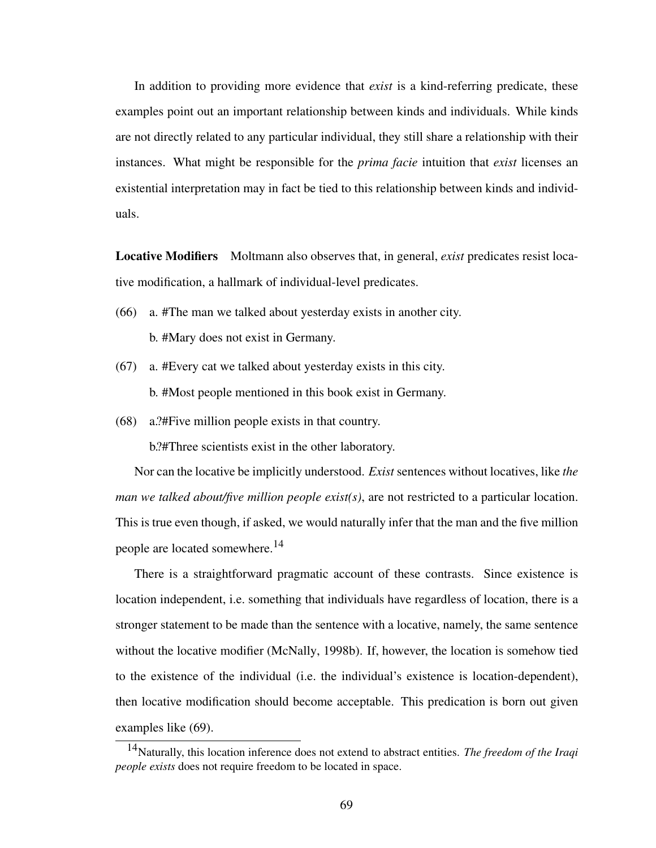In addition to providing more evidence that *exist* is a kind-referring predicate, these examples point out an important relationship between kinds and individuals. While kinds are not directly related to any particular individual, they still share a relationship with their instances. What might be responsible for the *prima facie* intuition that *exist* licenses an existential interpretation may in fact be tied to this relationship between kinds and individuals.

Locative Modifiers Moltmann also observes that, in general, *exist* predicates resist locative modification, a hallmark of individual-level predicates.

- (66) a. #The man we talked about yesterday exists in another city. b. #Mary does not exist in Germany.
- (67) a. #Every cat we talked about yesterday exists in this city.

b. #Most people mentioned in this book exist in Germany.

(68) a.?#Five million people exists in that country.

b.?#Three scientists exist in the other laboratory.

Nor can the locative be implicitly understood. *Exist* sentences without locatives, like *the man we talked about/five million people exist(s)*, are not restricted to a particular location. This is true even though, if asked, we would naturally infer that the man and the five million people are located somewhere.<sup>14</sup>

There is a straightforward pragmatic account of these contrasts. Since existence is location independent, i.e. something that individuals have regardless of location, there is a stronger statement to be made than the sentence with a locative, namely, the same sentence without the locative modifier (McNally, 1998b). If, however, the location is somehow tied to the existence of the individual (i.e. the individual's existence is location-dependent), then locative modification should become acceptable. This predication is born out given examples like (69).

<sup>14</sup>Naturally, this location inference does not extend to abstract entities. *The freedom of the Iraqi people exists* does not require freedom to be located in space.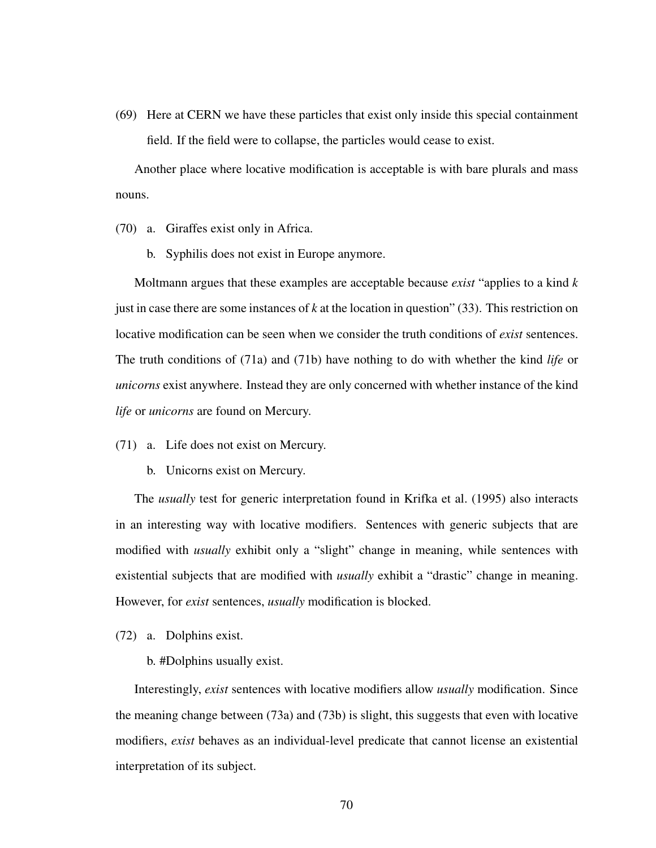(69) Here at CERN we have these particles that exist only inside this special containment field. If the field were to collapse, the particles would cease to exist.

Another place where locative modification is acceptable is with bare plurals and mass nouns.

- (70) a. Giraffes exist only in Africa.
	- b. Syphilis does not exist in Europe anymore.

Moltmann argues that these examples are acceptable because *exist* "applies to a kind *k* just in case there are some instances of *k* at the location in question" (33). This restriction on locative modification can be seen when we consider the truth conditions of *exist* sentences. The truth conditions of (71a) and (71b) have nothing to do with whether the kind *life* or *unicorns* exist anywhere. Instead they are only concerned with whether instance of the kind *life* or *unicorns* are found on Mercury.

- (71) a. Life does not exist on Mercury.
	- b. Unicorns exist on Mercury.

The *usually* test for generic interpretation found in Krifka et al. (1995) also interacts in an interesting way with locative modifiers. Sentences with generic subjects that are modified with *usually* exhibit only a "slight" change in meaning, while sentences with existential subjects that are modified with *usually* exhibit a "drastic" change in meaning. However, for *exist* sentences, *usually* modification is blocked.

(72) a. Dolphins exist.

b. #Dolphins usually exist.

Interestingly, *exist* sentences with locative modifiers allow *usually* modification. Since the meaning change between (73a) and (73b) is slight, this suggests that even with locative modifiers, *exist* behaves as an individual-level predicate that cannot license an existential interpretation of its subject.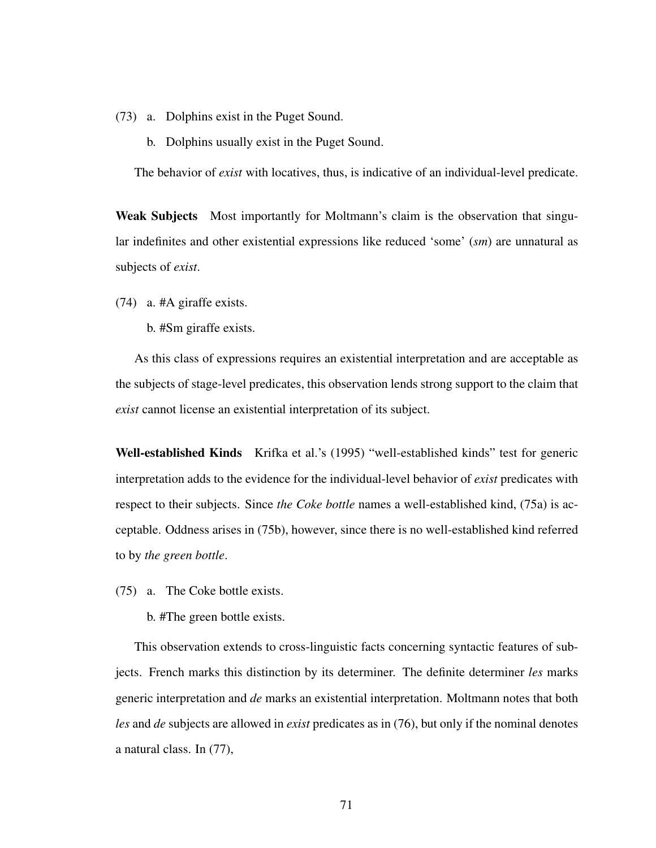(73) a. Dolphins exist in the Puget Sound.

b. Dolphins usually exist in the Puget Sound.

The behavior of *exist* with locatives, thus, is indicative of an individual-level predicate.

Weak Subjects Most importantly for Moltmann's claim is the observation that singular indefinites and other existential expressions like reduced 'some' (*sm*) are unnatural as subjects of *exist*.

(74) a. #A giraffe exists.

b. #Sm giraffe exists.

As this class of expressions requires an existential interpretation and are acceptable as the subjects of stage-level predicates, this observation lends strong support to the claim that *exist* cannot license an existential interpretation of its subject.

Well-established Kinds Krifka et al.'s (1995) "well-established kinds" test for generic interpretation adds to the evidence for the individual-level behavior of *exist* predicates with respect to their subjects. Since *the Coke bottle* names a well-established kind, (75a) is acceptable. Oddness arises in (75b), however, since there is no well-established kind referred to by *the green bottle*.

(75) a. The Coke bottle exists.

b. #The green bottle exists.

This observation extends to cross-linguistic facts concerning syntactic features of subjects. French marks this distinction by its determiner. The definite determiner *les* marks generic interpretation and *de* marks an existential interpretation. Moltmann notes that both *les* and *de* subjects are allowed in *exist* predicates as in (76), but only if the nominal denotes a natural class. In (77),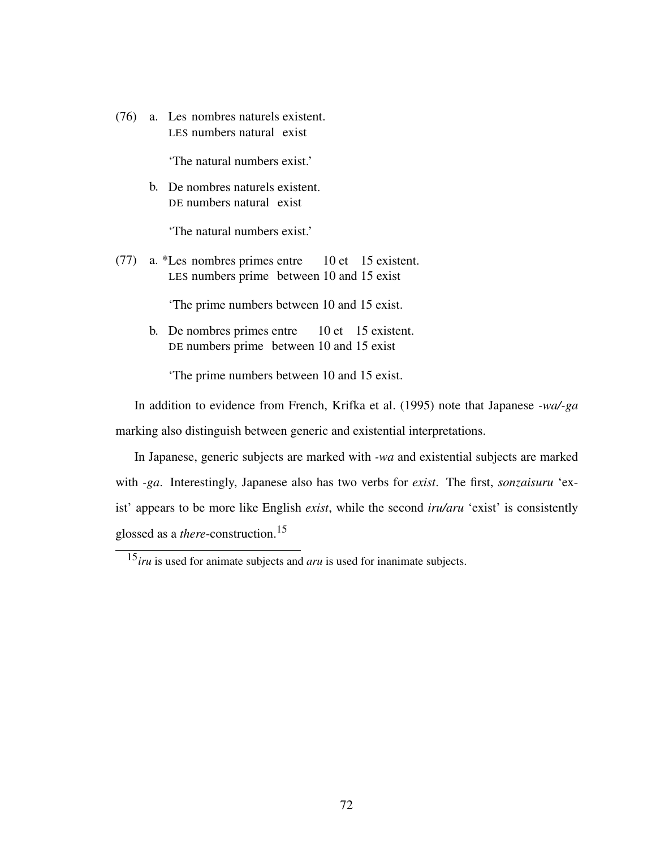(76) a. Les nombres naturels existent. LES numbers natural exist

'The natural numbers exist.'

b. De nombres naturels existent. DE numbers natural exist

'The natural numbers exist.'

(77) a. \*Les nombres primes entre LES numbers prime between 10 and 15 exist 10 et 15 existent.

'The prime numbers between 10 and 15 exist.

b. De nombres primes entre DE numbers prime between 10 and 15 exist 10 et 15 existent.

'The prime numbers between 10 and 15 exist.

In addition to evidence from French, Krifka et al. (1995) note that Japanese *-wa/-ga* marking also distinguish between generic and existential interpretations.

In Japanese, generic subjects are marked with *-wa* and existential subjects are marked with *-ga*. Interestingly, Japanese also has two verbs for *exist*. The first, *sonzaisuru* 'exist' appears to be more like English *exist*, while the second *iru/aru* 'exist' is consistently glossed as a *there*-construction.<sup>15</sup>

<sup>15</sup>*iru* is used for animate subjects and *aru* is used for inanimate subjects.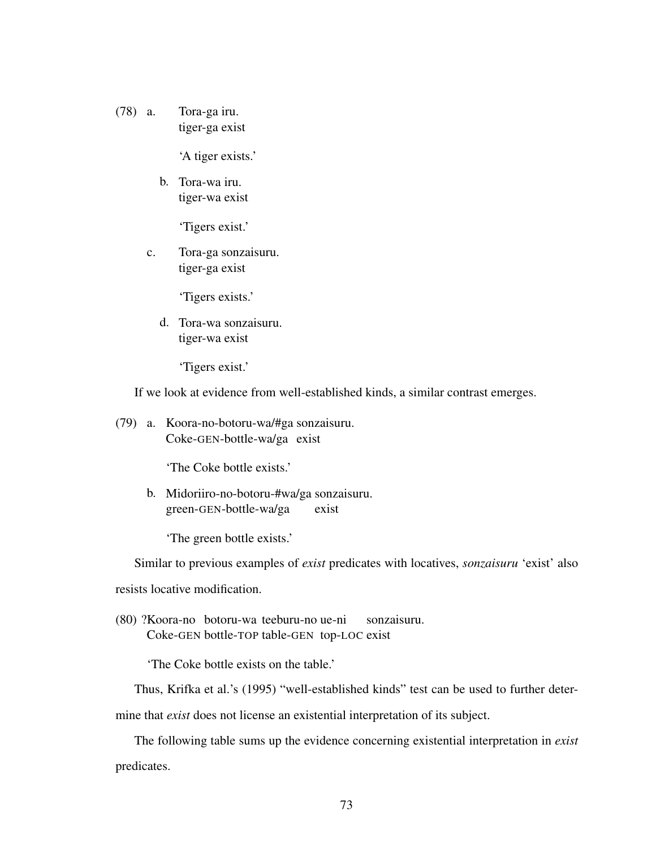$(78)$  a. tiger-ga exist Tora-ga iru.

'A tiger exists.'

b. Tora-wa iru. tiger-wa exist

'Tigers exist.'

c. Tora-ga sonzaisuru. tiger-ga exist

'Tigers exists.'

d. Tora-wa sonzaisuru. tiger-wa exist

'Tigers exist.'

If we look at evidence from well-established kinds, a similar contrast emerges.

(79) a. Koora-no-botoru-wa/#ga sonzaisuru. Coke-GEN-bottle-wa/ga exist

'The Coke bottle exists.'

b. Midoriiro-no-botoru-#wa/ga sonzaisuru. green-GEN-bottle-wa/ga exist

'The green bottle exists.'

Similar to previous examples of *exist* predicates with locatives, *sonzaisuru* 'exist' also

resists locative modification.

(80) ?Koora-no botoru-wa teeburu-no ue-ni Coke-GEN bottle-TOP table-GEN top-LOC exist sonzaisuru.

'The Coke bottle exists on the table.'

Thus, Krifka et al.'s (1995) "well-established kinds" test can be used to further deter-

mine that *exist* does not license an existential interpretation of its subject.

The following table sums up the evidence concerning existential interpretation in *exist* predicates.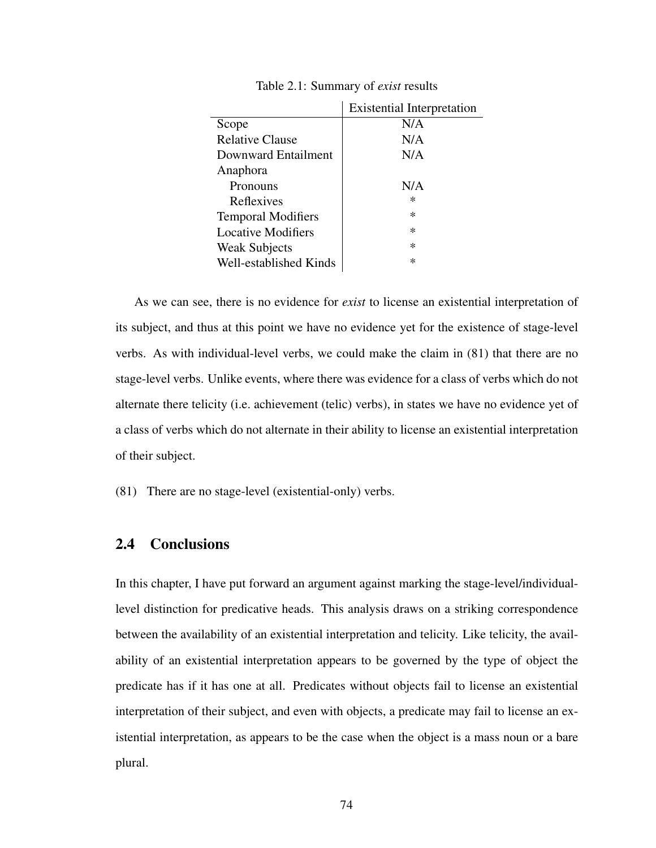|                           | <b>Existential Interpretation</b> |
|---------------------------|-----------------------------------|
| Scope                     | N/A                               |
| <b>Relative Clause</b>    | N/A                               |
| Downward Entailment       | N/A                               |
| Anaphora                  |                                   |
| Pronouns                  | N/A                               |
| Reflexives                | ∗                                 |
| <b>Temporal Modifiers</b> | ∗                                 |
| <b>Locative Modifiers</b> | *                                 |
| <b>Weak Subjects</b>      | *                                 |
| Well-established Kinds    | ∗                                 |

Table 2.1: Summary of *exist* results

As we can see, there is no evidence for *exist* to license an existential interpretation of its subject, and thus at this point we have no evidence yet for the existence of stage-level verbs. As with individual-level verbs, we could make the claim in (81) that there are no stage-level verbs. Unlike events, where there was evidence for a class of verbs which do not alternate there telicity (i.e. achievement (telic) verbs), in states we have no evidence yet of a class of verbs which do not alternate in their ability to license an existential interpretation of their subject.

(81) There are no stage-level (existential-only) verbs.

# 2.4 Conclusions

In this chapter, I have put forward an argument against marking the stage-level/individuallevel distinction for predicative heads. This analysis draws on a striking correspondence between the availability of an existential interpretation and telicity. Like telicity, the availability of an existential interpretation appears to be governed by the type of object the predicate has if it has one at all. Predicates without objects fail to license an existential interpretation of their subject, and even with objects, a predicate may fail to license an existential interpretation, as appears to be the case when the object is a mass noun or a bare plural.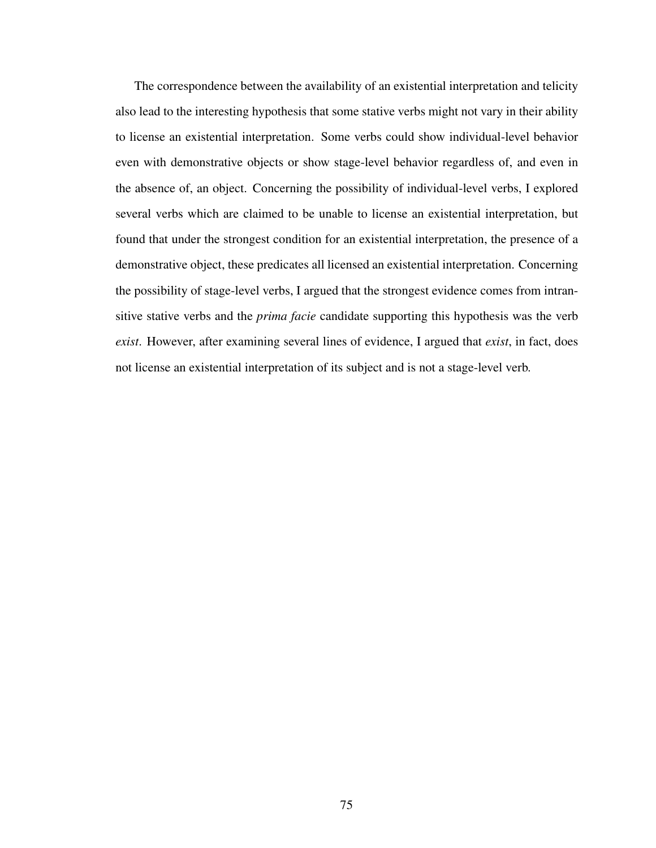The correspondence between the availability of an existential interpretation and telicity also lead to the interesting hypothesis that some stative verbs might not vary in their ability to license an existential interpretation. Some verbs could show individual-level behavior even with demonstrative objects or show stage-level behavior regardless of, and even in the absence of, an object. Concerning the possibility of individual-level verbs, I explored several verbs which are claimed to be unable to license an existential interpretation, but found that under the strongest condition for an existential interpretation, the presence of a demonstrative object, these predicates all licensed an existential interpretation. Concerning the possibility of stage-level verbs, I argued that the strongest evidence comes from intransitive stative verbs and the *prima facie* candidate supporting this hypothesis was the verb *exist*. However, after examining several lines of evidence, I argued that *exist*, in fact, does not license an existential interpretation of its subject and is not a stage-level verb.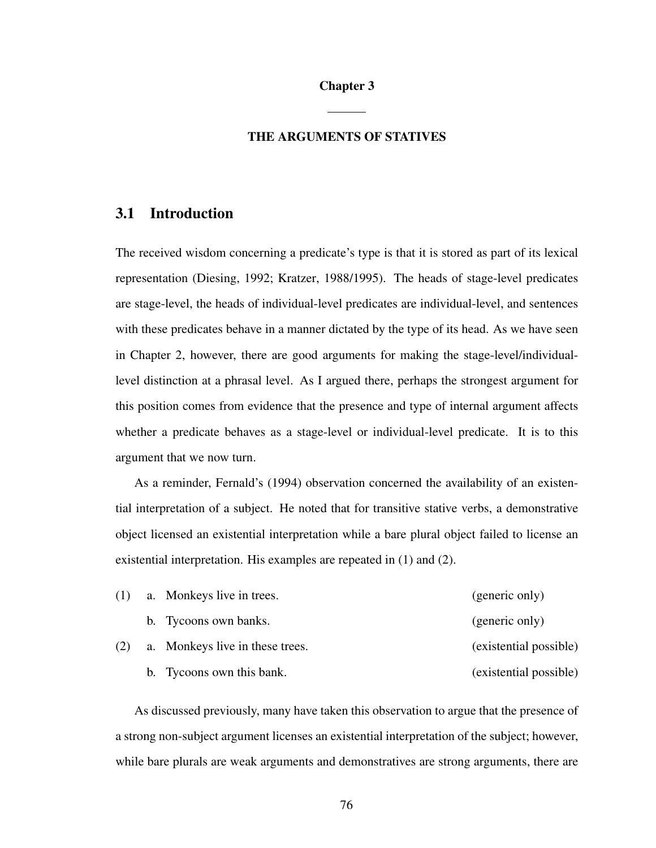# Chapter 3

# THE ARGUMENTS OF STATIVES

# 3.1 Introduction

The received wisdom concerning a predicate's type is that it is stored as part of its lexical representation (Diesing, 1992; Kratzer, 1988/1995). The heads of stage-level predicates are stage-level, the heads of individual-level predicates are individual-level, and sentences with these predicates behave in a manner dictated by the type of its head. As we have seen in Chapter 2, however, there are good arguments for making the stage-level/individuallevel distinction at a phrasal level. As I argued there, perhaps the strongest argument for this position comes from evidence that the presence and type of internal argument affects whether a predicate behaves as a stage-level or individual-level predicate. It is to this argument that we now turn.

As a reminder, Fernald's (1994) observation concerned the availability of an existential interpretation of a subject. He noted that for transitive stative verbs, a demonstrative object licensed an existential interpretation while a bare plural object failed to license an existential interpretation. His examples are repeated in (1) and (2).

| (1) | a. Monkeys live in trees.       | (generic only)         |
|-----|---------------------------------|------------------------|
|     | b. Tycoons own banks.           | (generic only)         |
| (2) | a. Monkeys live in these trees. | (existential possible) |
|     | b. Tycoons own this bank.       | (existential possible) |

As discussed previously, many have taken this observation to argue that the presence of a strong non-subject argument licenses an existential interpretation of the subject; however, while bare plurals are weak arguments and demonstratives are strong arguments, there are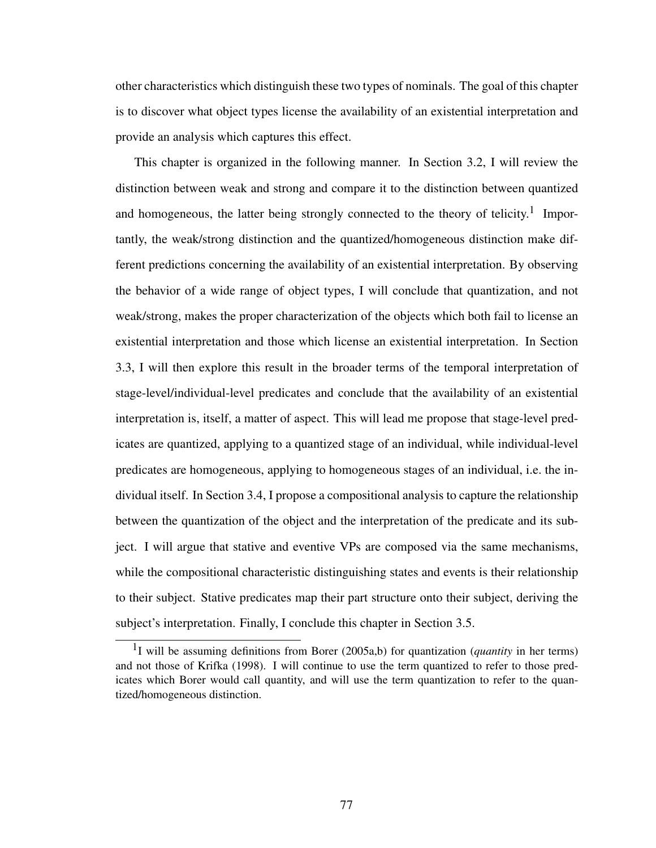other characteristics which distinguish these two types of nominals. The goal of this chapter is to discover what object types license the availability of an existential interpretation and provide an analysis which captures this effect.

This chapter is organized in the following manner. In Section 3.2, I will review the distinction between weak and strong and compare it to the distinction between quantized and homogeneous, the latter being strongly connected to the theory of telicity.<sup>1</sup> Importantly, the weak/strong distinction and the quantized/homogeneous distinction make different predictions concerning the availability of an existential interpretation. By observing the behavior of a wide range of object types, I will conclude that quantization, and not weak/strong, makes the proper characterization of the objects which both fail to license an existential interpretation and those which license an existential interpretation. In Section 3.3, I will then explore this result in the broader terms of the temporal interpretation of stage-level/individual-level predicates and conclude that the availability of an existential interpretation is, itself, a matter of aspect. This will lead me propose that stage-level predicates are quantized, applying to a quantized stage of an individual, while individual-level predicates are homogeneous, applying to homogeneous stages of an individual, i.e. the individual itself. In Section 3.4, I propose a compositional analysis to capture the relationship between the quantization of the object and the interpretation of the predicate and its subject. I will argue that stative and eventive VPs are composed via the same mechanisms, while the compositional characteristic distinguishing states and events is their relationship to their subject. Stative predicates map their part structure onto their subject, deriving the subject's interpretation. Finally, I conclude this chapter in Section 3.5.

<sup>&</sup>lt;sup>1</sup>I will be assuming definitions from Borer (2005a,b) for quantization (*quantity* in her terms) and not those of Krifka (1998). I will continue to use the term quantized to refer to those predicates which Borer would call quantity, and will use the term quantization to refer to the quantized/homogeneous distinction.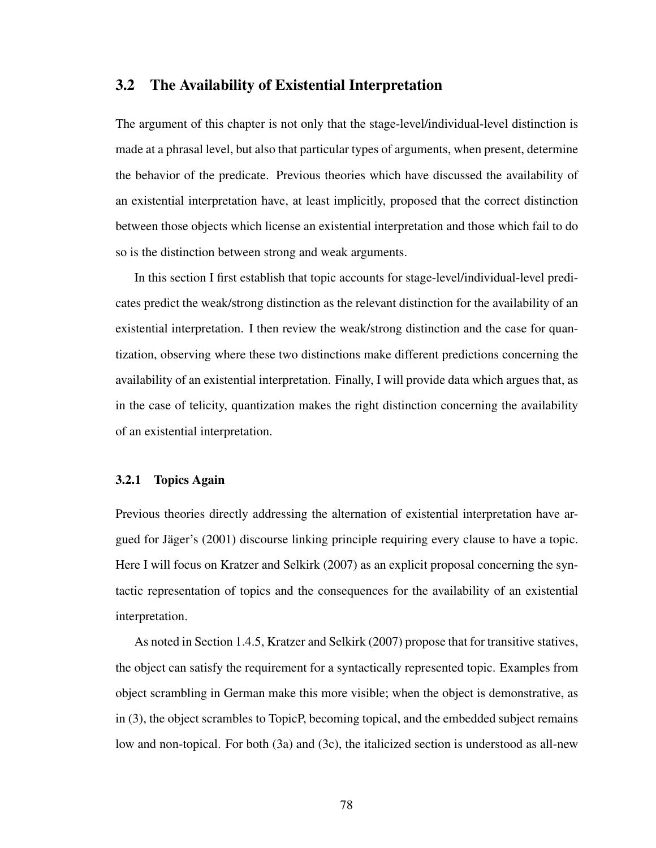# 3.2 The Availability of Existential Interpretation

The argument of this chapter is not only that the stage-level/individual-level distinction is made at a phrasal level, but also that particular types of arguments, when present, determine the behavior of the predicate. Previous theories which have discussed the availability of an existential interpretation have, at least implicitly, proposed that the correct distinction between those objects which license an existential interpretation and those which fail to do so is the distinction between strong and weak arguments.

In this section I first establish that topic accounts for stage-level/individual-level predicates predict the weak/strong distinction as the relevant distinction for the availability of an existential interpretation. I then review the weak/strong distinction and the case for quantization, observing where these two distinctions make different predictions concerning the availability of an existential interpretation. Finally, I will provide data which argues that, as in the case of telicity, quantization makes the right distinction concerning the availability of an existential interpretation.

## 3.2.1 Topics Again

Previous theories directly addressing the alternation of existential interpretation have argued for Jäger's (2001) discourse linking principle requiring every clause to have a topic. Here I will focus on Kratzer and Selkirk (2007) as an explicit proposal concerning the syntactic representation of topics and the consequences for the availability of an existential interpretation.

As noted in Section 1.4.5, Kratzer and Selkirk (2007) propose that for transitive statives, the object can satisfy the requirement for a syntactically represented topic. Examples from object scrambling in German make this more visible; when the object is demonstrative, as in (3), the object scrambles to TopicP, becoming topical, and the embedded subject remains low and non-topical. For both (3a) and (3c), the italicized section is understood as all-new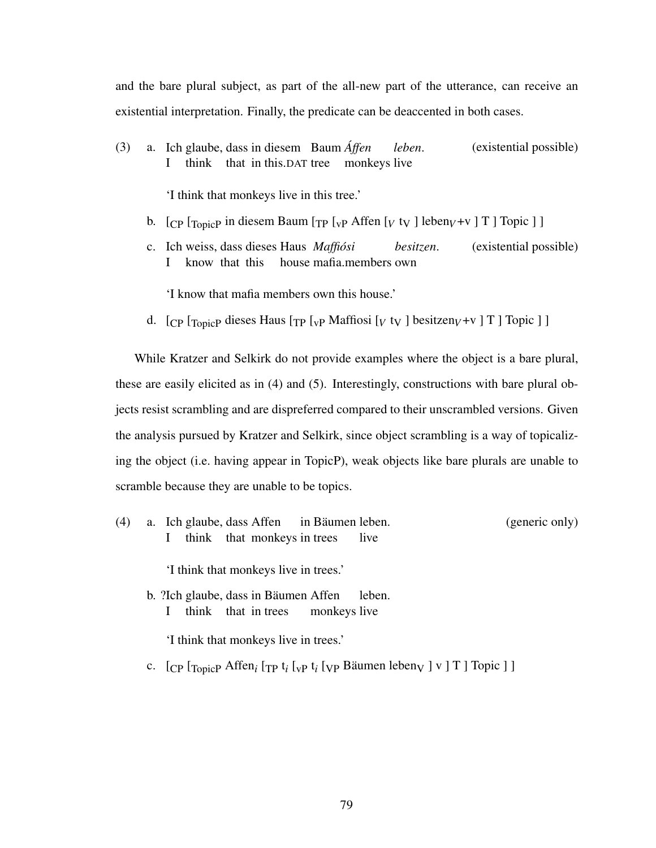and the bare plural subject, as part of the all-new part of the utterance, can receive an existential interpretation. Finally, the predicate can be deaccented in both cases.

(3) a. Ich glaube, dass in diesem Baum *Áffen* I think that in this.DAT tree monkeys live *leben*. (existential possible)

'I think that monkeys live in this tree.'

- b.  $[CP [Toopic] in theorem Baum [TP [VP] After [V] (V) ] (e) then [VP] T ] Topic ] ]$
- c. Ich weiss, dass dieses Haus *Maffiósi* I know that this house mafia.members own *besitzen*. (existential possible)

'I know that mafia members own this house.'

d.  $[CP [Toopic P]$  dieses Haus  $[TP [VP]$  Maffiosi  $[V \text{ty} ]$  besitzen $V + V ] T ]$  Topic  $[]$ 

While Kratzer and Selkirk do not provide examples where the object is a bare plural, these are easily elicited as in (4) and (5). Interestingly, constructions with bare plural objects resist scrambling and are dispreferred compared to their unscrambled versions. Given the analysis pursued by Kratzer and Selkirk, since object scrambling is a way of topicalizing the object (i.e. having appear in TopicP), weak objects like bare plurals are unable to scramble because they are unable to be topics.

(4) a. Ich glaube, dass Affen I think that monkeys in trees in Bäumen leben. live 'I think that monkeys live in trees.' (generic only) b. ?Ich glaube, dass in Bäumen Affen I think that in trees monkeys live leben.

'I think that monkeys live in trees.'

c.  $\left[$ <sub>CP</sub>  $\left[$ <sub>Topic</sub>p Affen<sub>*i*</sub>  $\left[$ <sub>TP</sub> t<sub>*i*</sub>  $\left[$ <sub>V</sub>P t<sub>*i*</sub>  $\left[$ <sub>V</sub>P Bäumen leben<sub>V</sub>  $\right]$  v  $\left]$  T  $\right]$  Topic  $\left]$   $\right]$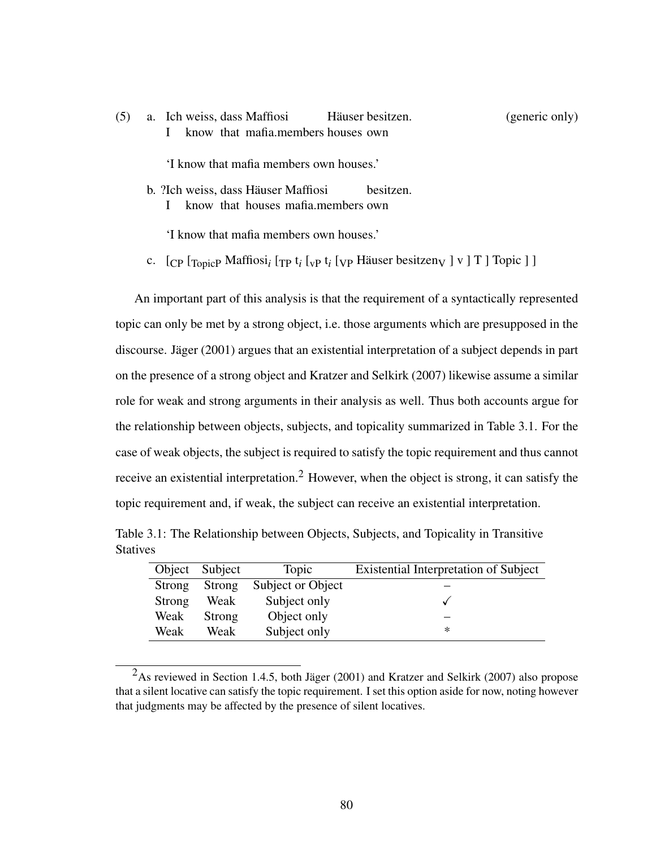|  |  | (5) a. Ich weiss, dass Maffiosi      | Häuser besitzen. | (generic only) |
|--|--|--------------------------------------|------------------|----------------|
|  |  | I know that mafia.members houses own |                  |                |

'I know that mafia members own houses.'

b. ?Ich weiss, dass Häuser Maffiosi I know that houses mafia.members own besitzen.

'I know that mafia members own houses.'

c.  $\left[$ <sub>CP</sub>  $\left[$ <sub>Topic</sub>P Maffiosi<sub>*i*</sub>  $\left[$ <sub>TP</sub> t<sub>*i*</sub>  $\left[$ <sub>VP</sub> t<sub>*i*</sub>  $\left[$ <sub>VP</sub> Häuser besitzen<sub>V</sub>  $\right]$  v  $\right]$  T  $\right]$  Topic  $\left]$   $\right]$ 

An important part of this analysis is that the requirement of a syntactically represented topic can only be met by a strong object, i.e. those arguments which are presupposed in the discourse. Jäger (2001) argues that an existential interpretation of a subject depends in part on the presence of a strong object and Kratzer and Selkirk (2007) likewise assume a similar role for weak and strong arguments in their analysis as well. Thus both accounts argue for the relationship between objects, subjects, and topicality summarized in Table 3.1. For the case of weak objects, the subject is required to satisfy the topic requirement and thus cannot receive an existential interpretation.<sup>2</sup> However, when the object is strong, it can satisfy the topic requirement and, if weak, the subject can receive an existential interpretation.

Table 3.1: The Relationship between Objects, Subjects, and Topicality in Transitive **Statives** 

|        | Object Subject | Topic             | Existential Interpretation of Subject |
|--------|----------------|-------------------|---------------------------------------|
| Strong | Strong         | Subject or Object |                                       |
| Strong | Weak           | Subject only      |                                       |
| Weak   | Strong         | Object only       |                                       |
| Weak   | Weak           | Subject only      | ∗                                     |

<sup>&</sup>lt;sup>2</sup>As reviewed in Section 1.4.5, both Jäger (2001) and Kratzer and Selkirk (2007) also propose that a silent locative can satisfy the topic requirement. I set this option aside for now, noting however that judgments may be affected by the presence of silent locatives.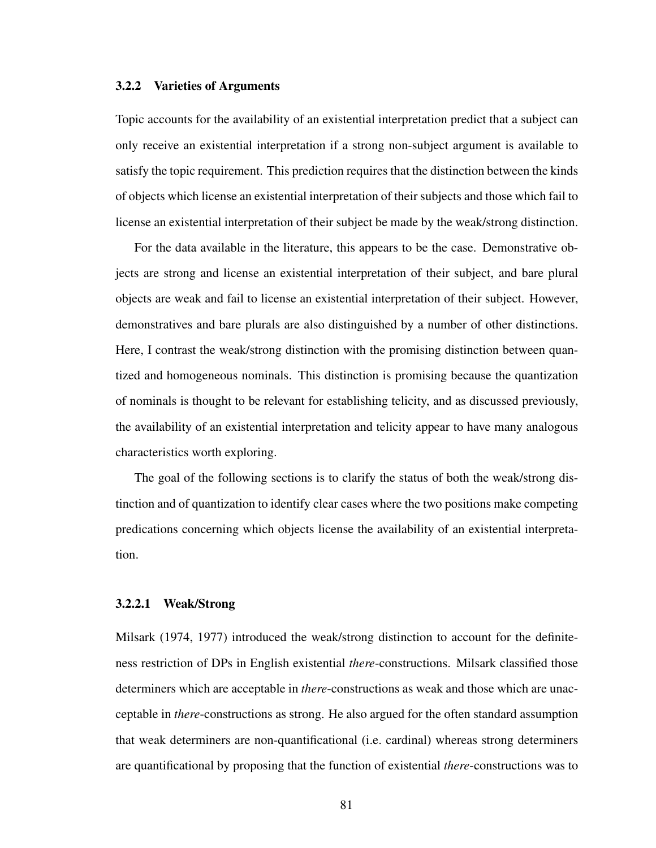#### 3.2.2 Varieties of Arguments

Topic accounts for the availability of an existential interpretation predict that a subject can only receive an existential interpretation if a strong non-subject argument is available to satisfy the topic requirement. This prediction requires that the distinction between the kinds of objects which license an existential interpretation of their subjects and those which fail to license an existential interpretation of their subject be made by the weak/strong distinction.

For the data available in the literature, this appears to be the case. Demonstrative objects are strong and license an existential interpretation of their subject, and bare plural objects are weak and fail to license an existential interpretation of their subject. However, demonstratives and bare plurals are also distinguished by a number of other distinctions. Here, I contrast the weak/strong distinction with the promising distinction between quantized and homogeneous nominals. This distinction is promising because the quantization of nominals is thought to be relevant for establishing telicity, and as discussed previously, the availability of an existential interpretation and telicity appear to have many analogous characteristics worth exploring.

The goal of the following sections is to clarify the status of both the weak/strong distinction and of quantization to identify clear cases where the two positions make competing predications concerning which objects license the availability of an existential interpretation.

### 3.2.2.1 Weak/Strong

Milsark (1974, 1977) introduced the weak/strong distinction to account for the definiteness restriction of DPs in English existential *there*-constructions. Milsark classified those determiners which are acceptable in *there*-constructions as weak and those which are unacceptable in *there*-constructions as strong. He also argued for the often standard assumption that weak determiners are non-quantificational (i.e. cardinal) whereas strong determiners are quantificational by proposing that the function of existential *there*-constructions was to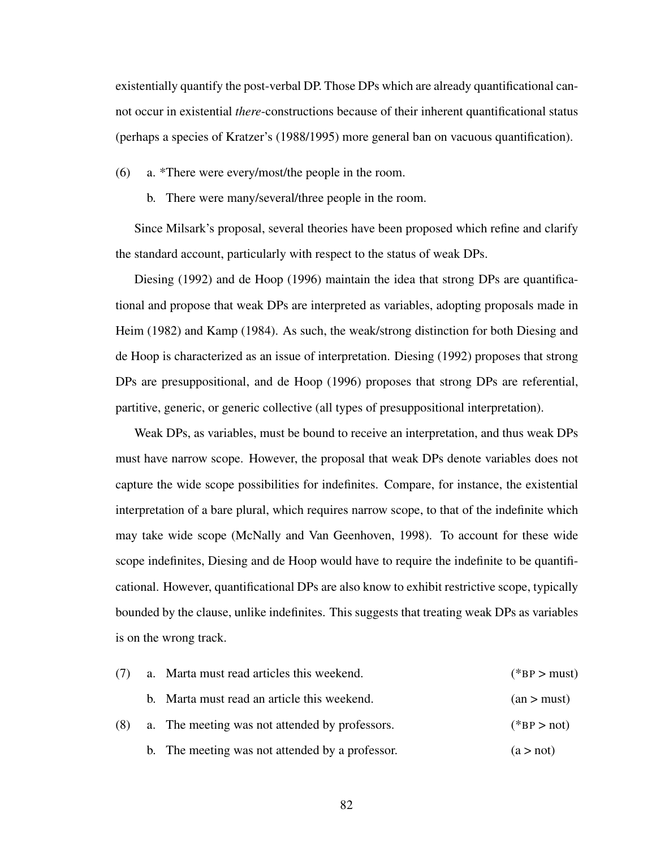existentially quantify the post-verbal DP. Those DPs which are already quantificational cannot occur in existential *there*-constructions because of their inherent quantificational status (perhaps a species of Kratzer's (1988/1995) more general ban on vacuous quantification).

(6) a. \*There were every/most/the people in the room.

b. There were many/several/three people in the room.

Since Milsark's proposal, several theories have been proposed which refine and clarify the standard account, particularly with respect to the status of weak DPs.

Diesing (1992) and de Hoop (1996) maintain the idea that strong DPs are quantificational and propose that weak DPs are interpreted as variables, adopting proposals made in Heim (1982) and Kamp (1984). As such, the weak/strong distinction for both Diesing and de Hoop is characterized as an issue of interpretation. Diesing (1992) proposes that strong DPs are presuppositional, and de Hoop (1996) proposes that strong DPs are referential, partitive, generic, or generic collective (all types of presuppositional interpretation).

Weak DPs, as variables, must be bound to receive an interpretation, and thus weak DPs must have narrow scope. However, the proposal that weak DPs denote variables does not capture the wide scope possibilities for indefinites. Compare, for instance, the existential interpretation of a bare plural, which requires narrow scope, to that of the indefinite which may take wide scope (McNally and Van Geenhoven, 1998). To account for these wide scope indefinites, Diesing and de Hoop would have to require the indefinite to be quantificational. However, quantificational DPs are also know to exhibit restrictive scope, typically bounded by the clause, unlike indefinites. This suggests that treating weak DPs as variables is on the wrong track.

| (7) | a. Marta must read articles this weekend.       | $(*BP > must)$ |
|-----|-------------------------------------------------|----------------|
|     | b. Marta must read an article this weekend.     | (an > must)    |
| (8) | a. The meeting was not attended by professors.  | $(*BP > not)$  |
|     | b. The meeting was not attended by a professor. | (a > not)      |

82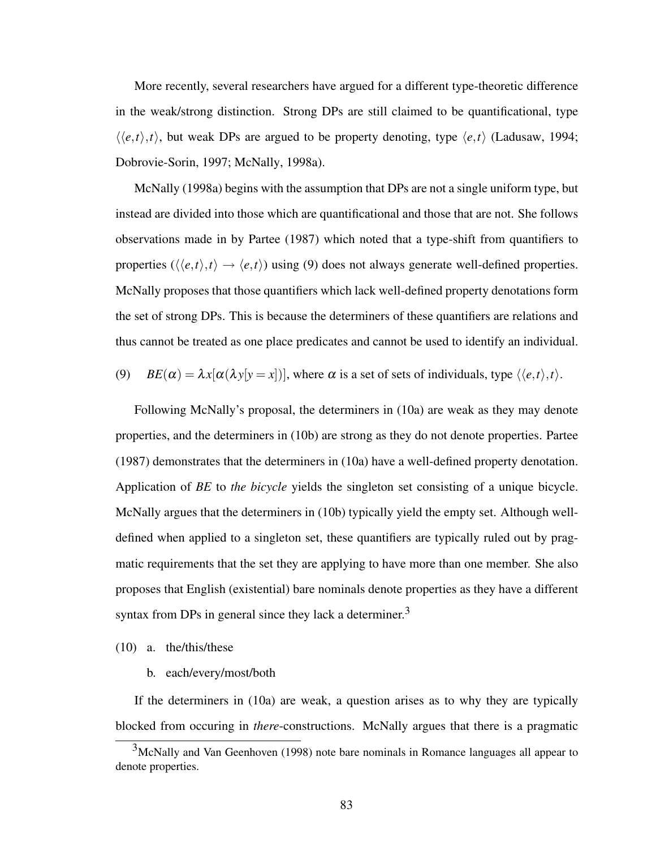More recently, several researchers have argued for a different type-theoretic difference in the weak/strong distinction. Strong DPs are still claimed to be quantificational, type  $\langle\langle e,t\rangle, t\rangle$ , but weak DPs are argued to be property denoting, type  $\langle e,t\rangle$  (Ladusaw, 1994; Dobrovie-Sorin, 1997; McNally, 1998a).

McNally (1998a) begins with the assumption that DPs are not a single uniform type, but instead are divided into those which are quantificational and those that are not. She follows observations made in by Partee (1987) which noted that a type-shift from quantifiers to properties ( $\langle \langle e, t \rangle, t \rangle \rightarrow \langle e, t \rangle$ ) using (9) does not always generate well-defined properties. McNally proposes that those quantifiers which lack well-defined property denotations form the set of strong DPs. This is because the determiners of these quantifiers are relations and thus cannot be treated as one place predicates and cannot be used to identify an individual.

(9)  $BE(\alpha) = \lambda x[\alpha(\lambda y[y = x])]$ , where  $\alpha$  is a set of sets of individuals, type  $\langle \langle e, t \rangle, t \rangle$ .

Following McNally's proposal, the determiners in (10a) are weak as they may denote properties, and the determiners in (10b) are strong as they do not denote properties. Partee (1987) demonstrates that the determiners in (10a) have a well-defined property denotation. Application of *BE* to *the bicycle* yields the singleton set consisting of a unique bicycle. McNally argues that the determiners in (10b) typically yield the empty set. Although welldefined when applied to a singleton set, these quantifiers are typically ruled out by pragmatic requirements that the set they are applying to have more than one member. She also proposes that English (existential) bare nominals denote properties as they have a different syntax from DPs in general since they lack a determiner.<sup>3</sup>

# (10) a. the/this/these

#### b. each/every/most/both

If the determiners in (10a) are weak, a question arises as to why they are typically blocked from occuring in *there*-constructions. McNally argues that there is a pragmatic

 $3$ McNally and Van Geenhoven (1998) note bare nominals in Romance languages all appear to denote properties.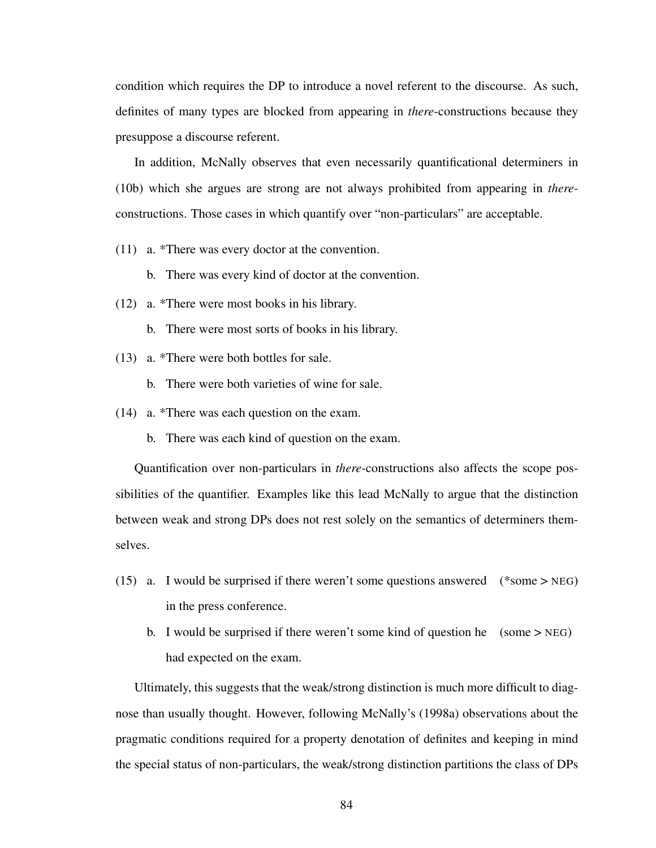condition which requires the DP to introduce a novel referent to the discourse. As such, definites of many types are blocked from appearing in *there*-constructions because they presuppose a discourse referent.

In addition, McNally observes that even necessarily quantificational determiners in (10b) which she argues are strong are not always prohibited from appearing in *there*constructions. Those cases in which quantify over "non-particulars" are acceptable.

(11) a. \*There was every doctor at the convention.

b. There was every kind of doctor at the convention.

- (12) a. \*There were most books in his library.
	- b. There were most sorts of books in his library.
- (13) a. \*There were both bottles for sale.
	- b. There were both varieties of wine for sale.
- (14) a. \*There was each question on the exam.
	- b. There was each kind of question on the exam.

Quantification over non-particulars in *there*-constructions also affects the scope possibilities of the quantifier. Examples like this lead McNally to argue that the distinction between weak and strong DPs does not rest solely on the semantics of determiners themselves.

- (15) a. I would be surprised if there weren't some questions answered (\*some > NEG) in the press conference.
	- b. I would be surprised if there weren't some kind of question he (some > NEG) had expected on the exam.

Ultimately, this suggests that the weak/strong distinction is much more difficult to diagnose than usually thought. However, following McNally's (1998a) observations about the pragmatic conditions required for a property denotation of definites and keeping in mind the special status of non-particulars, the weak/strong distinction partitions the class of DPs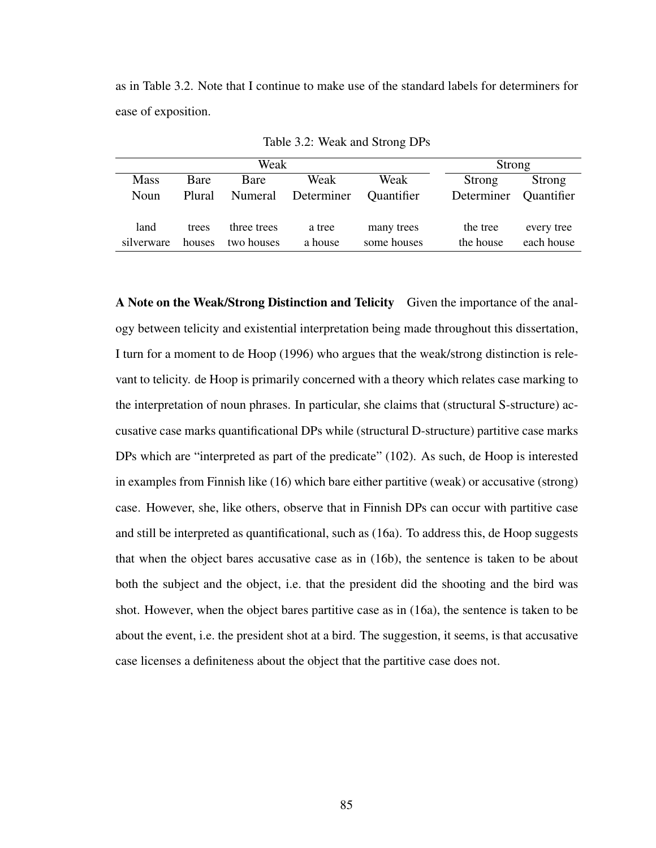as in Table 3.2. Note that I continue to make use of the standard labels for determiners for ease of exposition.

|             |        | Weak        |            |             | Strong     |            |
|-------------|--------|-------------|------------|-------------|------------|------------|
| <b>Mass</b> | Bare   | Bare        | Weak       | Weak        | Strong     | Strong     |
| Noun        | Plural | Numeral     | Determiner | Quantifier  | Determiner | Quantifier |
| land        | trees  | three trees | a tree     | many trees  | the tree   | every tree |
| silverware  | houses | two houses  | a house    | some houses | the house  | each house |

Table 3.2: Weak and Strong DPs

A Note on the Weak/Strong Distinction and Telicity Given the importance of the analogy between telicity and existential interpretation being made throughout this dissertation, I turn for a moment to de Hoop (1996) who argues that the weak/strong distinction is relevant to telicity. de Hoop is primarily concerned with a theory which relates case marking to the interpretation of noun phrases. In particular, she claims that (structural S-structure) accusative case marks quantificational DPs while (structural D-structure) partitive case marks DPs which are "interpreted as part of the predicate" (102). As such, de Hoop is interested in examples from Finnish like (16) which bare either partitive (weak) or accusative (strong) case. However, she, like others, observe that in Finnish DPs can occur with partitive case and still be interpreted as quantificational, such as (16a). To address this, de Hoop suggests that when the object bares accusative case as in (16b), the sentence is taken to be about both the subject and the object, i.e. that the president did the shooting and the bird was shot. However, when the object bares partitive case as in (16a), the sentence is taken to be about the event, i.e. the president shot at a bird. The suggestion, it seems, is that accusative case licenses a definiteness about the object that the partitive case does not.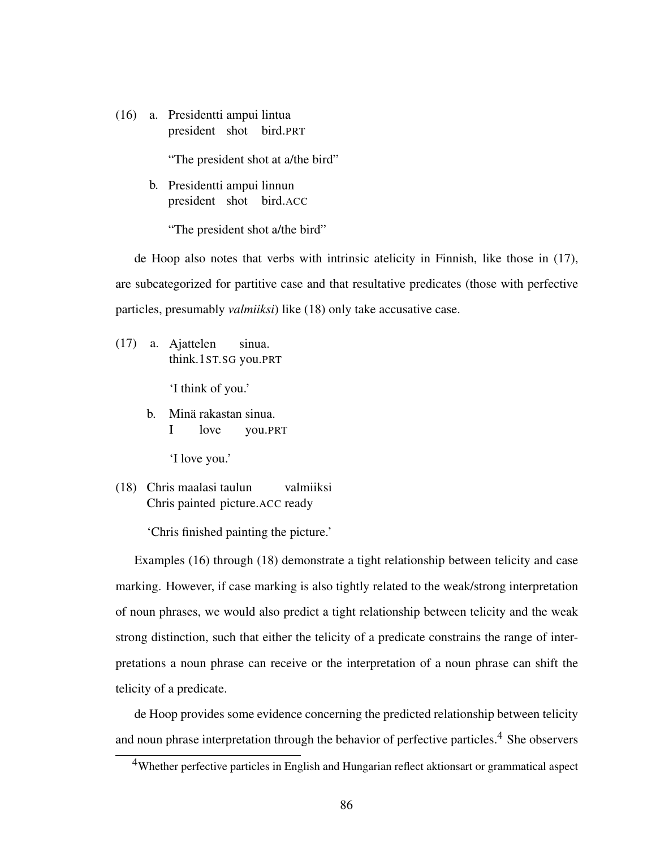(16) a. Presidentti ampui lintua president shot bird.PRT

"The president shot at a/the bird"

b. Presidentti ampui linnun president shot bird.ACC

"The president shot a/the bird"

de Hoop also notes that verbs with intrinsic atelicity in Finnish, like those in (17), are subcategorized for partitive case and that resultative predicates (those with perfective particles, presumably *valmiiksi*) like (18) only take accusative case.

(17) a. Ajattelen think.1ST.SG you.PRT sinua.

'I think of you.'

b. Minä rakastan sinua. I love you.PRT

'I love you.'

(18) Chris maalasi taulun Chris painted picture.ACC ready valmiiksi

'Chris finished painting the picture.'

Examples (16) through (18) demonstrate a tight relationship between telicity and case marking. However, if case marking is also tightly related to the weak/strong interpretation of noun phrases, we would also predict a tight relationship between telicity and the weak strong distinction, such that either the telicity of a predicate constrains the range of interpretations a noun phrase can receive or the interpretation of a noun phrase can shift the telicity of a predicate.

de Hoop provides some evidence concerning the predicted relationship between telicity and noun phrase interpretation through the behavior of perfective particles.<sup>4</sup> She observers

<sup>&</sup>lt;sup>4</sup>Whether perfective particles in English and Hungarian reflect aktionsart or grammatical aspect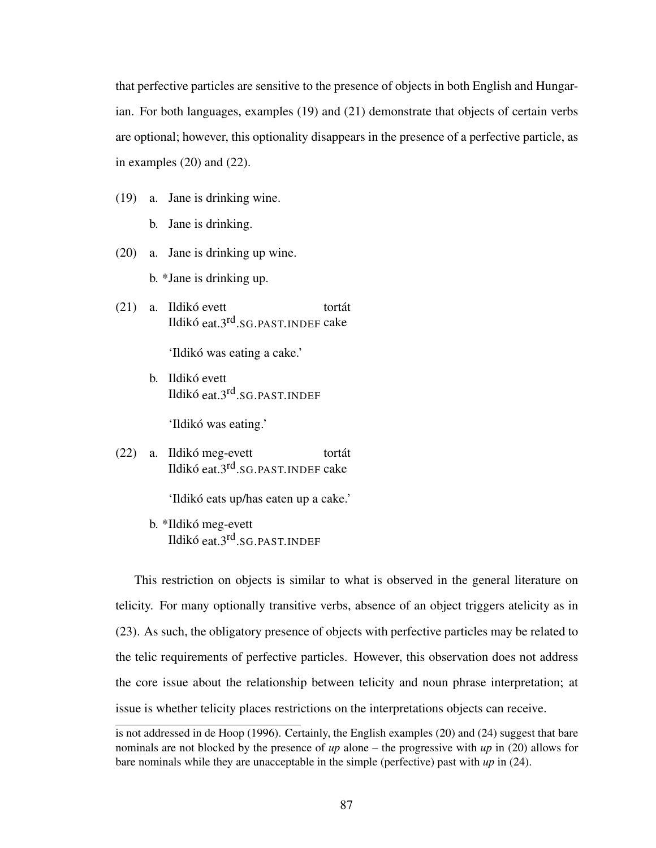that perfective particles are sensitive to the presence of objects in both English and Hungarian. For both languages, examples (19) and (21) demonstrate that objects of certain verbs are optional; however, this optionality disappears in the presence of a perfective particle, as in examples (20) and (22).

- (19) a. Jane is drinking wine.
	- b. Jane is drinking.
- (20) a. Jane is drinking up wine.
	- b. \*Jane is drinking up.
- (21) a. Ildikó evett Ildikó eat.3<sup>rd</sup>.sg.past.<mark>INDEF cake</mark> tortát

'Ildikó was eating a cake.'

b. Ildikó evett Ildikó eat.3<sup>rd</sup>.sg.past.indef

'Ildikó was eating.'

(22) a. Ildikó meg-evett Ildikó eat.3<sup>rd</sup>.sg.past.indef cake tortát

'Ildikó eats up/has eaten up a cake.'

b. \*Ildikó meg-evett Ildikó eat.3<sup>rd</sup>.sg.past.indef

This restriction on objects is similar to what is observed in the general literature on telicity. For many optionally transitive verbs, absence of an object triggers atelicity as in (23). As such, the obligatory presence of objects with perfective particles may be related to the telic requirements of perfective particles. However, this observation does not address the core issue about the relationship between telicity and noun phrase interpretation; at issue is whether telicity places restrictions on the interpretations objects can receive.

is not addressed in de Hoop (1996). Certainly, the English examples (20) and (24) suggest that bare nominals are not blocked by the presence of *up* alone – the progressive with *up* in (20) allows for bare nominals while they are unacceptable in the simple (perfective) past with *up* in (24).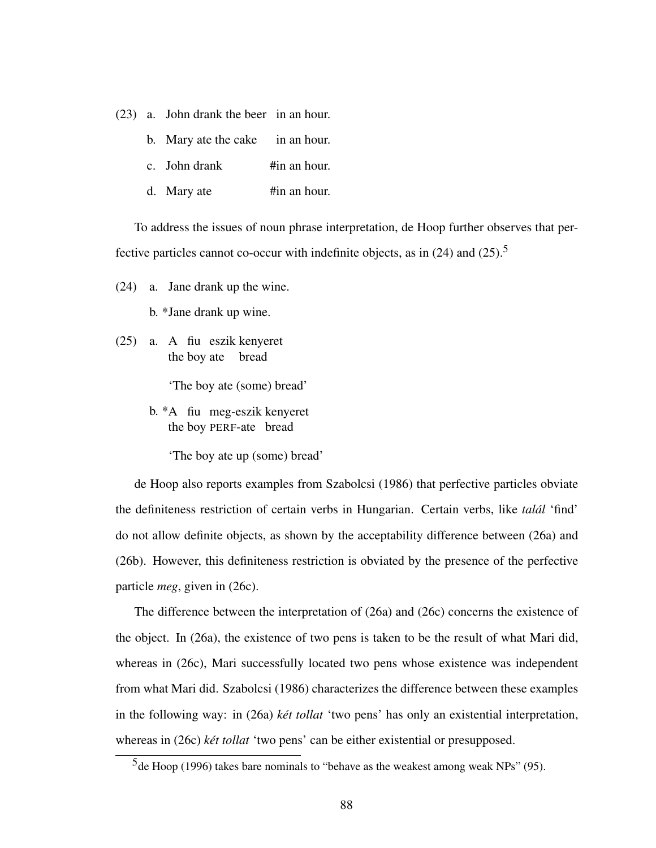(23) a. John drank the beer in an hour.

- b. Mary ate the cake in an hour.
- c. John drank  $\#$ in an hour.
- d. Mary ate #in an hour.

To address the issues of noun phrase interpretation, de Hoop further observes that perfective particles cannot co-occur with indefinite objects, as in  $(24)$  and  $(25)$ .<sup>5</sup>

(24) a. Jane drank up the wine.

b. \*Jane drank up wine.

(25) a. A fiu eszik kenyeret the boy ate bread

'The boy ate (some) bread'

b. \*A fiu meg-eszik kenyeret the boy PERF-ate bread

'The boy ate up (some) bread'

de Hoop also reports examples from Szabolcsi (1986) that perfective particles obviate the definiteness restriction of certain verbs in Hungarian. Certain verbs, like *talál* 'find' do not allow definite objects, as shown by the acceptability difference between (26a) and (26b). However, this definiteness restriction is obviated by the presence of the perfective particle *meg*, given in (26c).

The difference between the interpretation of (26a) and (26c) concerns the existence of the object. In (26a), the existence of two pens is taken to be the result of what Mari did, whereas in (26c), Mari successfully located two pens whose existence was independent from what Mari did. Szabolcsi (1986) characterizes the difference between these examples in the following way: in (26a) *két tollat* 'two pens' has only an existential interpretation, whereas in (26c) *két tollat* 'two pens' can be either existential or presupposed.

 $5$ de Hoop (1996) takes bare nominals to "behave as the weakest among weak NPs" (95).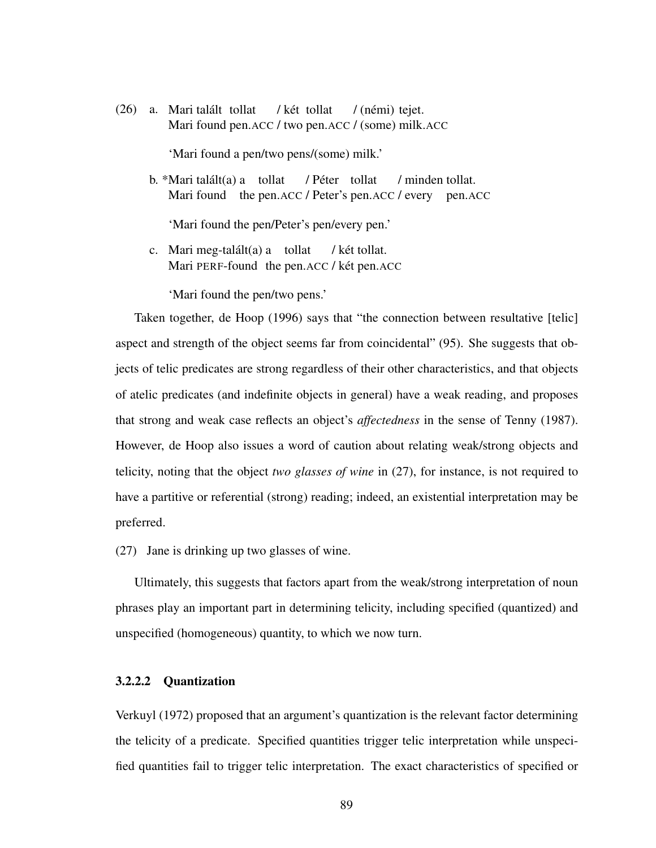(26) a. Mari talált tollat Mari found pen.ACC / two pen.ACC / (some) milk.ACC / két tollat / (némi) tejet.

'Mari found a pen/two pens/(some) milk.'

b. \*Mari talált(a) a tollat Mari found the pen.ACC / Peter's pen.ACC / every pen.ACC / Péter tollat / minden tollat.

'Mari found the pen/Peter's pen/every pen.'

c. Mari meg-talált(a) a tollat Mari PERF-found the pen.ACC / két pen.ACC / két tollat.

'Mari found the pen/two pens.'

Taken together, de Hoop (1996) says that "the connection between resultative [telic] aspect and strength of the object seems far from coincidental" (95). She suggests that objects of telic predicates are strong regardless of their other characteristics, and that objects of atelic predicates (and indefinite objects in general) have a weak reading, and proposes that strong and weak case reflects an object's *affectedness* in the sense of Tenny (1987). However, de Hoop also issues a word of caution about relating weak/strong objects and telicity, noting that the object *two glasses of wine* in (27), for instance, is not required to have a partitive or referential (strong) reading; indeed, an existential interpretation may be preferred.

(27) Jane is drinking up two glasses of wine.

Ultimately, this suggests that factors apart from the weak/strong interpretation of noun phrases play an important part in determining telicity, including specified (quantized) and unspecified (homogeneous) quantity, to which we now turn.

### 3.2.2.2 Quantization

Verkuyl (1972) proposed that an argument's quantization is the relevant factor determining the telicity of a predicate. Specified quantities trigger telic interpretation while unspecified quantities fail to trigger telic interpretation. The exact characteristics of specified or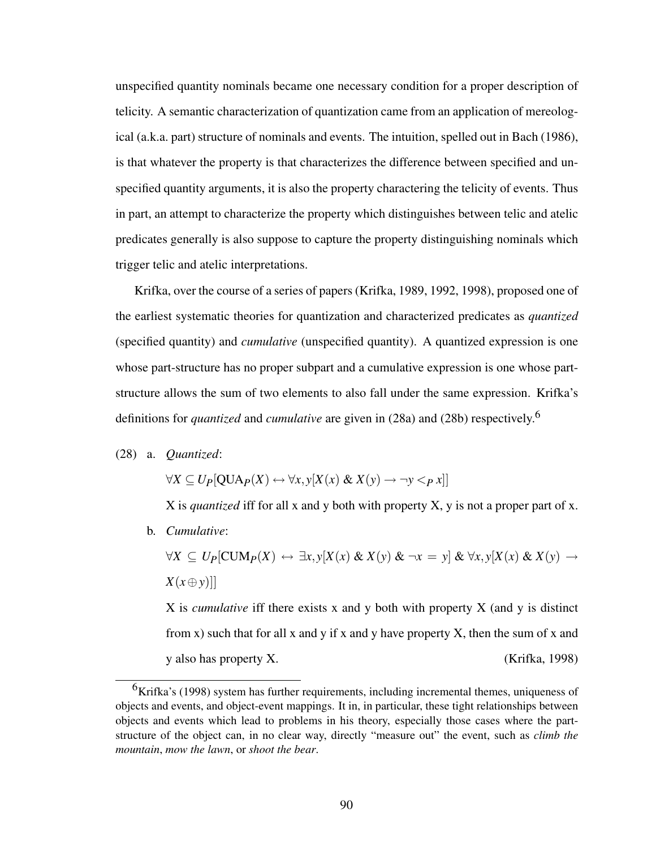unspecified quantity nominals became one necessary condition for a proper description of telicity. A semantic characterization of quantization came from an application of mereological (a.k.a. part) structure of nominals and events. The intuition, spelled out in Bach (1986), is that whatever the property is that characterizes the difference between specified and unspecified quantity arguments, it is also the property charactering the telicity of events. Thus in part, an attempt to characterize the property which distinguishes between telic and atelic predicates generally is also suppose to capture the property distinguishing nominals which trigger telic and atelic interpretations.

Krifka, over the course of a series of papers (Krifka, 1989, 1992, 1998), proposed one of the earliest systematic theories for quantization and characterized predicates as *quantized* (specified quantity) and *cumulative* (unspecified quantity). A quantized expression is one whose part-structure has no proper subpart and a cumulative expression is one whose partstructure allows the sum of two elements to also fall under the same expression. Krifka's definitions for *quantized* and *cumulative* are given in (28a) and (28b) respectively.<sup>6</sup>

(28) a. *Quantized*:

 $\forall X \subseteq U_P[\text{QUA}_P(X) \leftrightarrow \forall x, y[X(x) \& X(y) \rightarrow \neg y \leq_P x]$ 

X is *quantized* iff for all x and y both with property X, y is not a proper part of x.

b. *Cumulative*:

∀*X* ⊆ *UP*[CUM*P*(*X*) ↔ ∃*x*, *y*[*X*(*x*) & *X*(*y*) & ¬*x* = *y*] & ∀*x*, *y*[*X*(*x*) & *X*(*y*) → *X*(*x*⊕*y*)]] X is *cumulative* iff there exists x and y both with property X (and y is distinct

from  $x$ ) such that for all  $x$  and  $y$  if  $x$  and  $y$  have property  $X$ , then the sum of  $x$  and y also has property X. (Krifka, 1998)

 $<sup>6</sup>$ Krifka's (1998) system has further requirements, including incremental themes, uniqueness of</sup> objects and events, and object-event mappings. It in, in particular, these tight relationships between objects and events which lead to problems in his theory, especially those cases where the partstructure of the object can, in no clear way, directly "measure out" the event, such as *climb the mountain*, *mow the lawn*, or *shoot the bear*.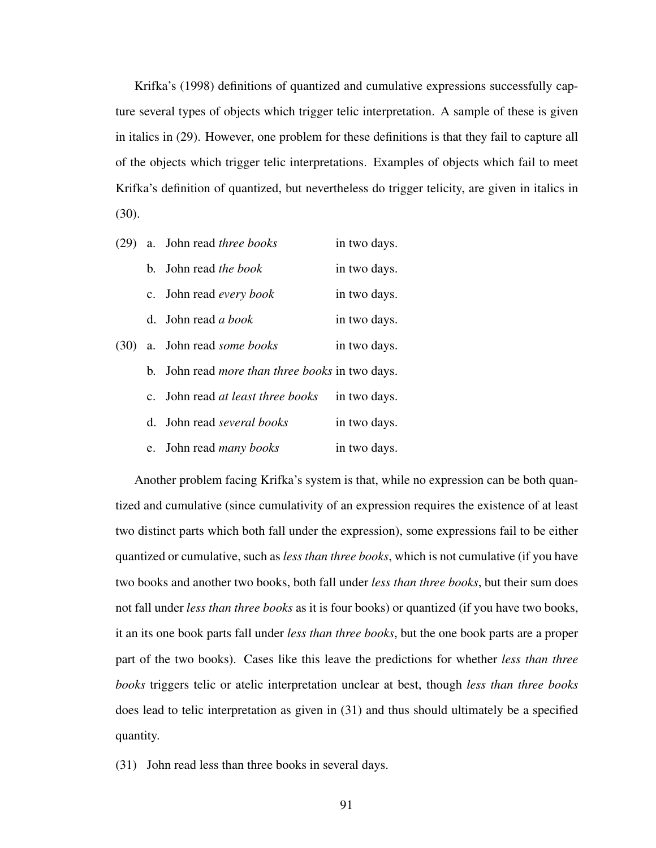Krifka's (1998) definitions of quantized and cumulative expressions successfully capture several types of objects which trigger telic interpretation. A sample of these is given in italics in (29). However, one problem for these definitions is that they fail to capture all of the objects which trigger telic interpretations. Examples of objects which fail to meet Krifka's definition of quantized, but nevertheless do trigger telicity, are given in italics in (30).

| (29) | a. John read <i>three books</i>                        | in two days. |
|------|--------------------------------------------------------|--------------|
|      | b. John read <i>the book</i>                           | in two days. |
|      | c. John read every book                                | in two days. |
|      | d. John read <i>a book</i>                             | in two days. |
| (30) | a. John read <i>some books</i>                         | in two days. |
|      | b. John read <i>more than three books</i> in two days. |              |
|      | c. John read at least three books                      | in two days. |
|      | d. John read several books                             | in two days. |

e. John read *many books* in two days.

Another problem facing Krifka's system is that, while no expression can be both quantized and cumulative (since cumulativity of an expression requires the existence of at least two distinct parts which both fall under the expression), some expressions fail to be either quantized or cumulative, such as *less than three books*, which is not cumulative (if you have two books and another two books, both fall under *less than three books*, but their sum does not fall under *less than three books* as it is four books) or quantized (if you have two books, it an its one book parts fall under *less than three books*, but the one book parts are a proper part of the two books). Cases like this leave the predictions for whether *less than three books* triggers telic or atelic interpretation unclear at best, though *less than three books* does lead to telic interpretation as given in (31) and thus should ultimately be a specified quantity.

(31) John read less than three books in several days.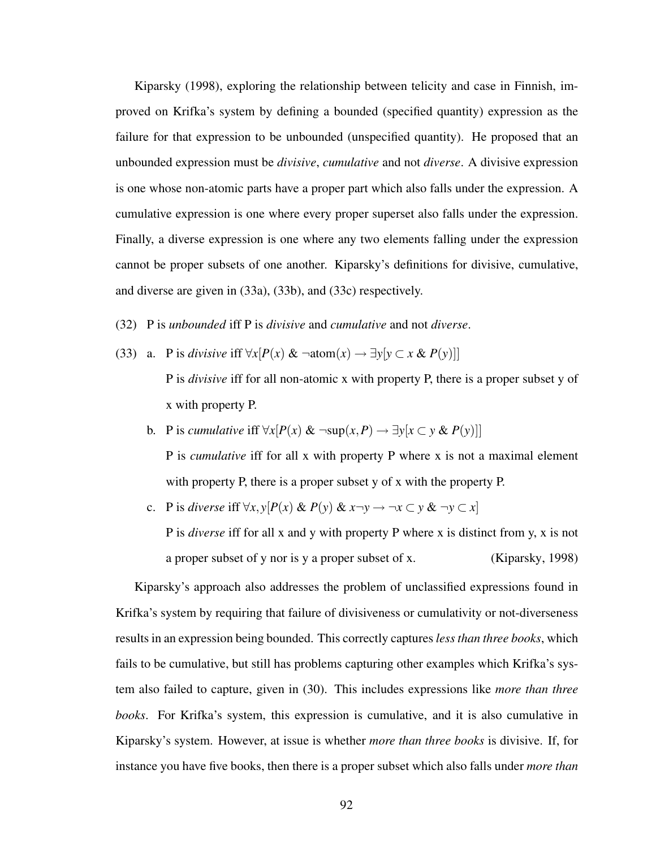Kiparsky (1998), exploring the relationship between telicity and case in Finnish, improved on Krifka's system by defining a bounded (specified quantity) expression as the failure for that expression to be unbounded (unspecified quantity). He proposed that an unbounded expression must be *divisive*, *cumulative* and not *diverse*. A divisive expression is one whose non-atomic parts have a proper part which also falls under the expression. A cumulative expression is one where every proper superset also falls under the expression. Finally, a diverse expression is one where any two elements falling under the expression cannot be proper subsets of one another. Kiparsky's definitions for divisive, cumulative, and diverse are given in (33a), (33b), and (33c) respectively.

- (32) P is *unbounded* iff P is *divisive* and *cumulative* and not *diverse*.
- (33) a. P is *divisive* iff  $\forall x$ [ $P(x) \& \neg \text{atom}(x) \rightarrow \exists y[y \subset x \& P(y)]]$ P is *divisive* iff for all non-atomic x with property P, there is a proper subset y of x with property P.
	- b. P is *cumulative* iff  $\forall x$ [ $P(x) \& \neg \text{sup}(x, P) \rightarrow \exists y$ [ $x \subset y \& P(y)$ ]] P is *cumulative* iff for all x with property P where x is not a maximal element with property P, there is a proper subset y of x with the property P.
	- c. P is *diverse* iff  $\forall x, y$ [ $P(x) \& P(y) \& x \rightarrow y \rightarrow \neg x \subseteq y \& \neg y \subseteq x$ ]

P is *diverse* iff for all x and y with property P where x is distinct from y, x is not a proper subset of y nor is y a proper subset of x. (Kiparsky, 1998)

Kiparsky's approach also addresses the problem of unclassified expressions found in Krifka's system by requiring that failure of divisiveness or cumulativity or not-diverseness results in an expression being bounded. This correctly captures *less than three books*, which fails to be cumulative, but still has problems capturing other examples which Krifka's system also failed to capture, given in (30). This includes expressions like *more than three books*. For Krifka's system, this expression is cumulative, and it is also cumulative in Kiparsky's system. However, at issue is whether *more than three books* is divisive. If, for instance you have five books, then there is a proper subset which also falls under *more than*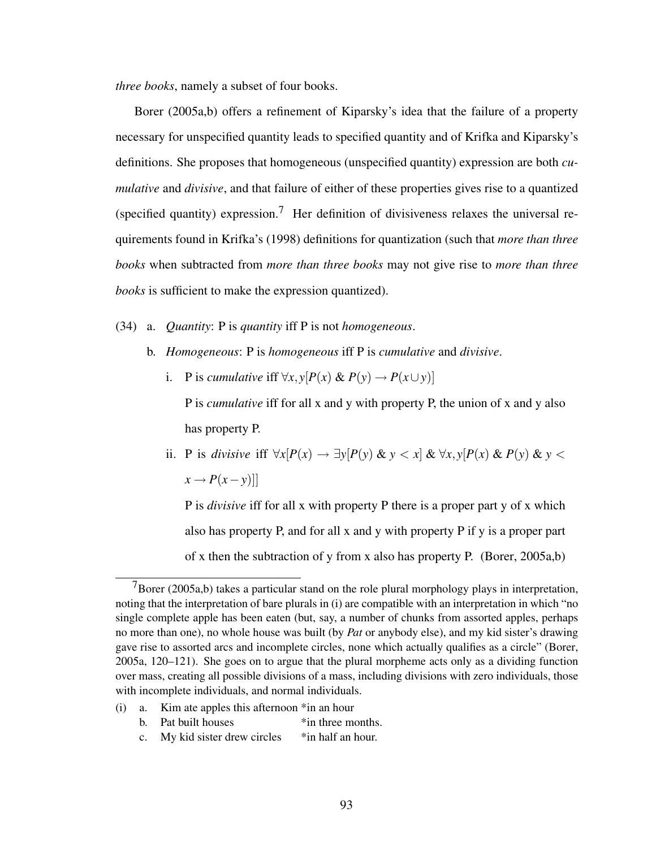*three books*, namely a subset of four books.

Borer (2005a,b) offers a refinement of Kiparsky's idea that the failure of a property necessary for unspecified quantity leads to specified quantity and of Krifka and Kiparsky's definitions. She proposes that homogeneous (unspecified quantity) expression are both *cumulative* and *divisive*, and that failure of either of these properties gives rise to a quantized (specified quantity) expression.<sup>7</sup> Her definition of divisiveness relaxes the universal requirements found in Krifka's (1998) definitions for quantization (such that *more than three books* when subtracted from *more than three books* may not give rise to *more than three books* is sufficient to make the expression quantized).

- (34) a. *Quantity*: P is *quantity* iff P is not *homogeneous*.
	- b. *Homogeneous*: P is *homogeneous* iff P is *cumulative* and *divisive*.
		- i. P is *cumulative* iff  $\forall x, y$ [ $P(x) \& P(y) \rightarrow P(x \cup y)$ ]

P is *cumulative* iff for all x and y with property P, the union of x and y also has property P.

ii. P is *divisive* iff ∀*x*[*P*(*x*) → ∃*y*[*P*(*y*) & *y* < *x*] & ∀*x*, *y*[*P*(*x*) & *P*(*y*) & *y* <  $x \rightarrow P(x-y)$ ]]

P is *divisive* iff for all x with property P there is a proper part y of x which also has property P, and for all x and y with property P if y is a proper part of x then the subtraction of y from x also has property P. (Borer, 2005a,b)

- (i) a. Kim ate apples this afternoon \*in an hour
	- b. Pat built houses  $\ddot{\text{m}}$  at three months.
	- c. My kid sister drew circles \*in half an hour.

 $7B$ orer (2005a,b) takes a particular stand on the role plural morphology plays in interpretation, noting that the interpretation of bare plurals in (i) are compatible with an interpretation in which "no single complete apple has been eaten (but, say, a number of chunks from assorted apples, perhaps no more than one), no whole house was built (by *Pat* or anybody else), and my kid sister's drawing gave rise to assorted arcs and incomplete circles, none which actually qualifies as a circle" (Borer, 2005a, 120–121). She goes on to argue that the plural morpheme acts only as a dividing function over mass, creating all possible divisions of a mass, including divisions with zero individuals, those with incomplete individuals, and normal individuals.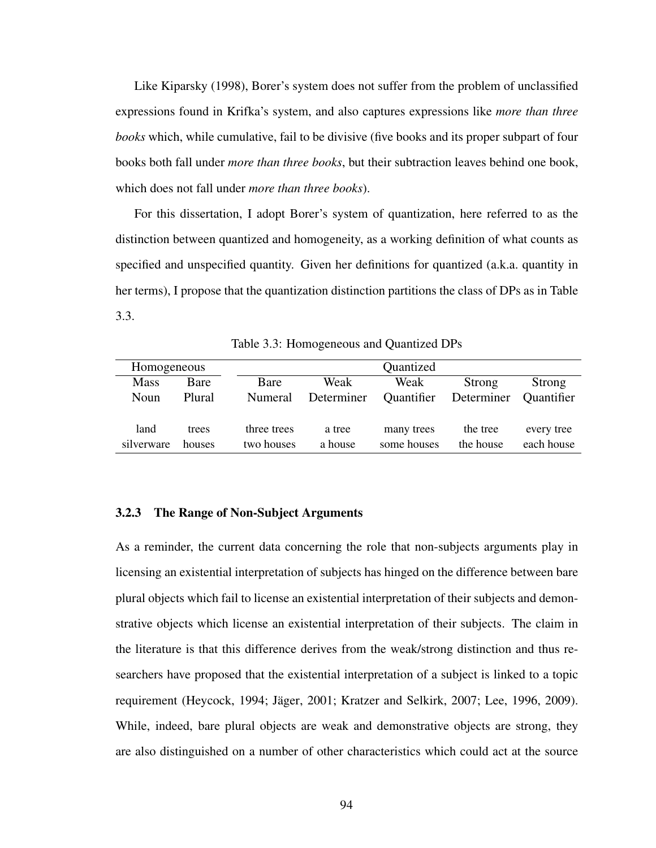Like Kiparsky (1998), Borer's system does not suffer from the problem of unclassified expressions found in Krifka's system, and also captures expressions like *more than three books* which, while cumulative, fail to be divisive (five books and its proper subpart of four books both fall under *more than three books*, but their subtraction leaves behind one book, which does not fall under *more than three books*).

For this dissertation, I adopt Borer's system of quantization, here referred to as the distinction between quantized and homogeneity, as a working definition of what counts as specified and unspecified quantity. Given her definitions for quantized (a.k.a. quantity in her terms), I propose that the quantization distinction partitions the class of DPs as in Table 3.3.

| Homogeneous |        |             |            | Quantized   |            |            |
|-------------|--------|-------------|------------|-------------|------------|------------|
| <b>Mass</b> | Bare   | Bare        | Weak       | Weak        | Strong     | Strong     |
| Noun        | Plural | Numeral     | Determiner | Quantifier  | Determiner | Quantifier |
| land        | trees  | three trees | a tree     | many trees  | the tree   | every tree |
| silverware  | houses | two houses  | a house    | some houses | the house  | each house |

Table 3.3: Homogeneous and Quantized DPs

### 3.2.3 The Range of Non-Subject Arguments

As a reminder, the current data concerning the role that non-subjects arguments play in licensing an existential interpretation of subjects has hinged on the difference between bare plural objects which fail to license an existential interpretation of their subjects and demonstrative objects which license an existential interpretation of their subjects. The claim in the literature is that this difference derives from the weak/strong distinction and thus researchers have proposed that the existential interpretation of a subject is linked to a topic requirement (Heycock, 1994; Jäger, 2001; Kratzer and Selkirk, 2007; Lee, 1996, 2009). While, indeed, bare plural objects are weak and demonstrative objects are strong, they are also distinguished on a number of other characteristics which could act at the source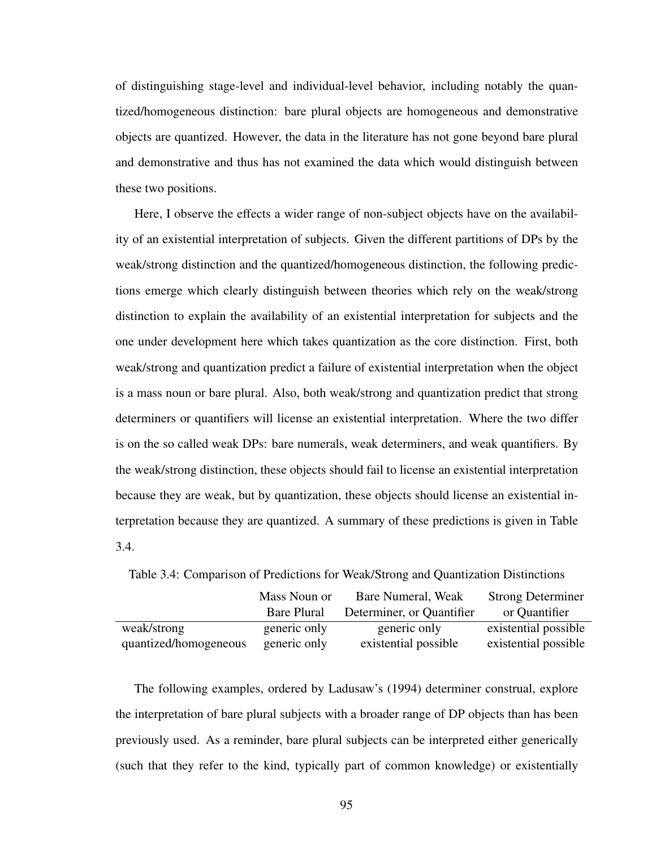of distinguishing stage-level and individual-level behavior, including notably the quantized/homogeneous distinction: bare plural objects are homogeneous and demonstrative objects are quantized. However, the data in the literature has not gone beyond bare plural and demonstrative and thus has not examined the data which would distinguish between these two positions.

Here, I observe the effects a wider range of non-subject objects have on the availability of an existential interpretation of subjects. Given the different partitions of DPs by the weak/strong distinction and the quantized/homogeneous distinction, the following predictions emerge which clearly distinguish between theories which rely on the weak/strong distinction to explain the availability of an existential interpretation for subjects and the one under development here which takes quantization as the core distinction. First, both weak/strong and quantization predict a failure of existential interpretation when the object is a mass noun or bare plural. Also, both weak/strong and quantization predict that strong determiners or quantifiers will license an existential interpretation. Where the two differ is on the so called weak DPs: bare numerals, weak determiners, and weak quantifiers. By the weak/strong distinction, these objects should fail to license an existential interpretation because they are weak, but by quantization, these objects should license an existential interpretation because they are quantized. A summary of these predictions is given in Table 3.4.

| Table 3.4: Comparison of Predictions for Weak/Strong and Quantization Distinctions |
|------------------------------------------------------------------------------------|
|------------------------------------------------------------------------------------|

|                       | Mass Noun or       | Bare Numeral, Weak        | <b>Strong Determiner</b> |
|-----------------------|--------------------|---------------------------|--------------------------|
|                       | <b>Bare Plural</b> | Determiner, or Quantifier | or Quantifier            |
| weak/strong           | generic only       | generic only              | existential possible     |
| quantized/homogeneous | generic only       | existential possible      | existential possible     |

The following examples, ordered by Ladusaw's (1994) determiner construal, explore the interpretation of bare plural subjects with a broader range of DP objects than has been previously used. As a reminder, bare plural subjects can be interpreted either generically (such that they refer to the kind, typically part of common knowledge) or existentially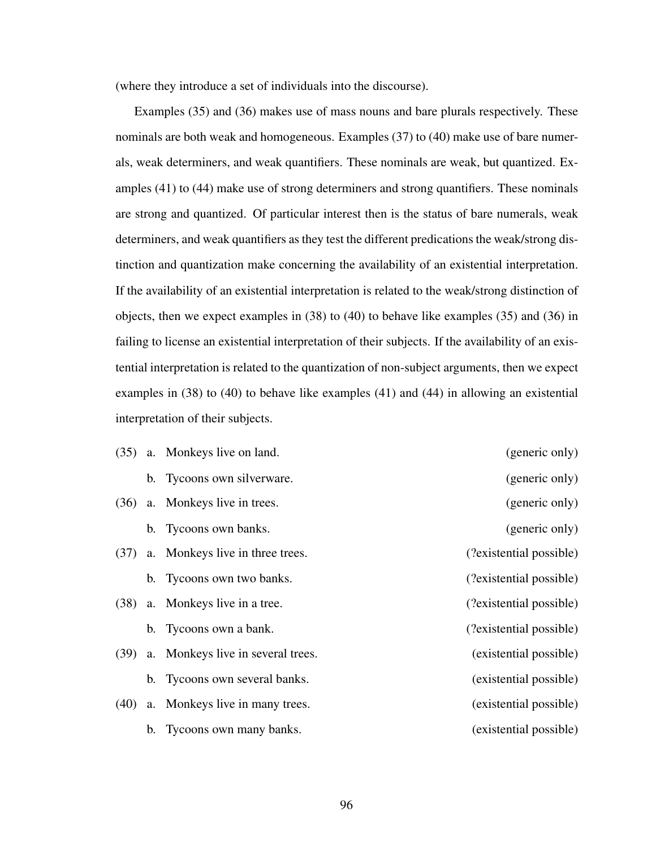(where they introduce a set of individuals into the discourse).

Examples (35) and (36) makes use of mass nouns and bare plurals respectively. These nominals are both weak and homogeneous. Examples (37) to (40) make use of bare numerals, weak determiners, and weak quantifiers. These nominals are weak, but quantized. Examples (41) to (44) make use of strong determiners and strong quantifiers. These nominals are strong and quantized. Of particular interest then is the status of bare numerals, weak determiners, and weak quantifiers as they test the different predications the weak/strong distinction and quantization make concerning the availability of an existential interpretation. If the availability of an existential interpretation is related to the weak/strong distinction of objects, then we expect examples in (38) to (40) to behave like examples (35) and (36) in failing to license an existential interpretation of their subjects. If the availability of an existential interpretation is related to the quantization of non-subject arguments, then we expect examples in (38) to (40) to behave like examples (41) and (44) in allowing an existential interpretation of their subjects.

|  | (35) a. Monkeys live on land.          | (generic only)          |
|--|----------------------------------------|-------------------------|
|  | b. Tycoons own silverware.             | (generic only)          |
|  | (36) a. Monkeys live in trees.         | (generic only)          |
|  | b. Tycoons own banks.                  | (generic only)          |
|  | (37) a. Monkeys live in three trees.   | (?existential possible) |
|  | b. Tycoons own two banks.              | (?existential possible) |
|  | (38) a. Monkeys live in a tree.        | (?existential possible) |
|  | b. Tycoons own a bank.                 | (?existential possible) |
|  | (39) a. Monkeys live in several trees. | (existential possible)  |
|  | b. Tycoons own several banks.          | (existential possible)  |
|  | (40) a. Monkeys live in many trees.    | (existential possible)  |
|  | b. Tycoons own many banks.             | (existential possible)  |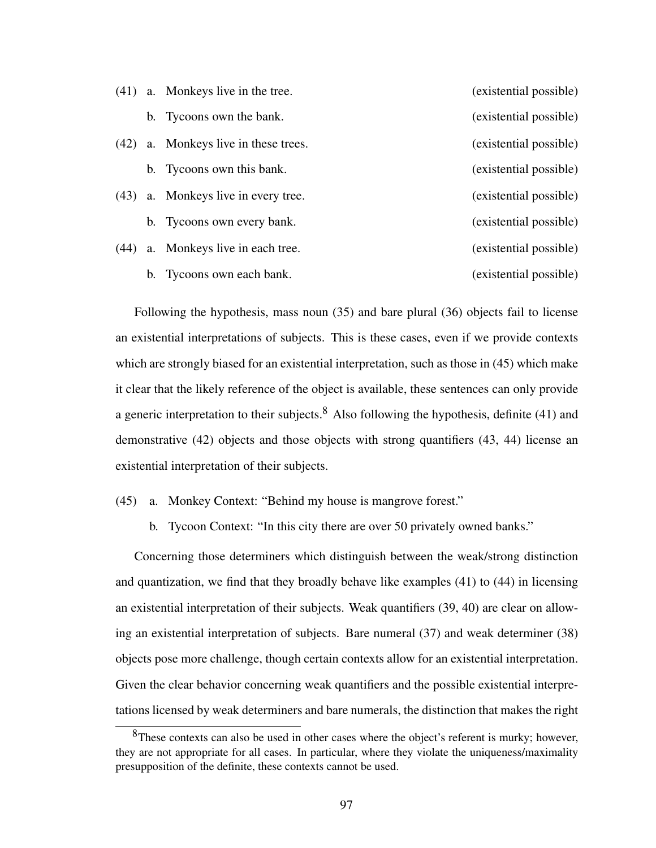| (41) |    | a. Monkeys live in the tree.    | (existential possible) |
|------|----|---------------------------------|------------------------|
|      |    | b. Tycoons own the bank.        | (existential possible) |
| (42) |    | a. Monkeys live in these trees. | (existential possible) |
|      | b. | Tycoons own this bank.          | (existential possible) |
| (43) |    | a. Monkeys live in every tree.  | (existential possible) |
|      |    | b. Tycoons own every bank.      | (existential possible) |
| (44) |    | a. Monkeys live in each tree.   | (existential possible) |
|      |    | b. Tycoons own each bank.       | (existential possible) |

Following the hypothesis, mass noun (35) and bare plural (36) objects fail to license an existential interpretations of subjects. This is these cases, even if we provide contexts which are strongly biased for an existential interpretation, such as those in (45) which make it clear that the likely reference of the object is available, these sentences can only provide a generic interpretation to their subjects.<sup>8</sup> Also following the hypothesis, definite (41) and demonstrative (42) objects and those objects with strong quantifiers (43, 44) license an existential interpretation of their subjects.

- (45) a. Monkey Context: "Behind my house is mangrove forest."
	- b. Tycoon Context: "In this city there are over 50 privately owned banks."

Concerning those determiners which distinguish between the weak/strong distinction and quantization, we find that they broadly behave like examples (41) to (44) in licensing an existential interpretation of their subjects. Weak quantifiers (39, 40) are clear on allowing an existential interpretation of subjects. Bare numeral (37) and weak determiner (38) objects pose more challenge, though certain contexts allow for an existential interpretation. Given the clear behavior concerning weak quantifiers and the possible existential interpretations licensed by weak determiners and bare numerals, the distinction that makes the right

<sup>&</sup>lt;sup>8</sup>These contexts can also be used in other cases where the object's referent is murky; however, they are not appropriate for all cases. In particular, where they violate the uniqueness/maximality presupposition of the definite, these contexts cannot be used.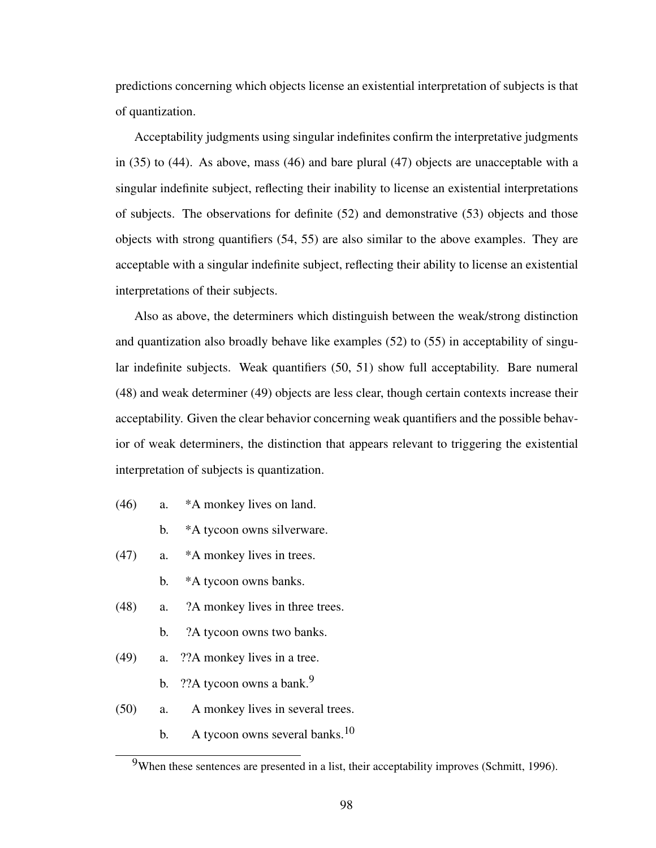predictions concerning which objects license an existential interpretation of subjects is that of quantization.

Acceptability judgments using singular indefinites confirm the interpretative judgments in (35) to (44). As above, mass (46) and bare plural (47) objects are unacceptable with a singular indefinite subject, reflecting their inability to license an existential interpretations of subjects. The observations for definite (52) and demonstrative (53) objects and those objects with strong quantifiers (54, 55) are also similar to the above examples. They are acceptable with a singular indefinite subject, reflecting their ability to license an existential interpretations of their subjects.

Also as above, the determiners which distinguish between the weak/strong distinction and quantization also broadly behave like examples (52) to (55) in acceptability of singular indefinite subjects. Weak quantifiers (50, 51) show full acceptability. Bare numeral (48) and weak determiner (49) objects are less clear, though certain contexts increase their acceptability. Given the clear behavior concerning weak quantifiers and the possible behavior of weak determiners, the distinction that appears relevant to triggering the existential interpretation of subjects is quantization.

- (46) a. \*A monkey lives on land.
	- b. \*A tycoon owns silverware.
- (47) a. \*A monkey lives in trees.
	- b. \*A tycoon owns banks.
- (48) a. ?A monkey lives in three trees.
	- b. ?A tycoon owns two banks.
- (49) a. ??A monkey lives in a tree.
	- b. ?? A tycoon owns a bank.<sup>9</sup>
- (50) a. A monkey lives in several trees.
	- b. A tycoon owns several banks.<sup>10</sup>

<sup>&</sup>lt;sup>9</sup>When these sentences are presented in a list, their acceptability improves (Schmitt, 1996).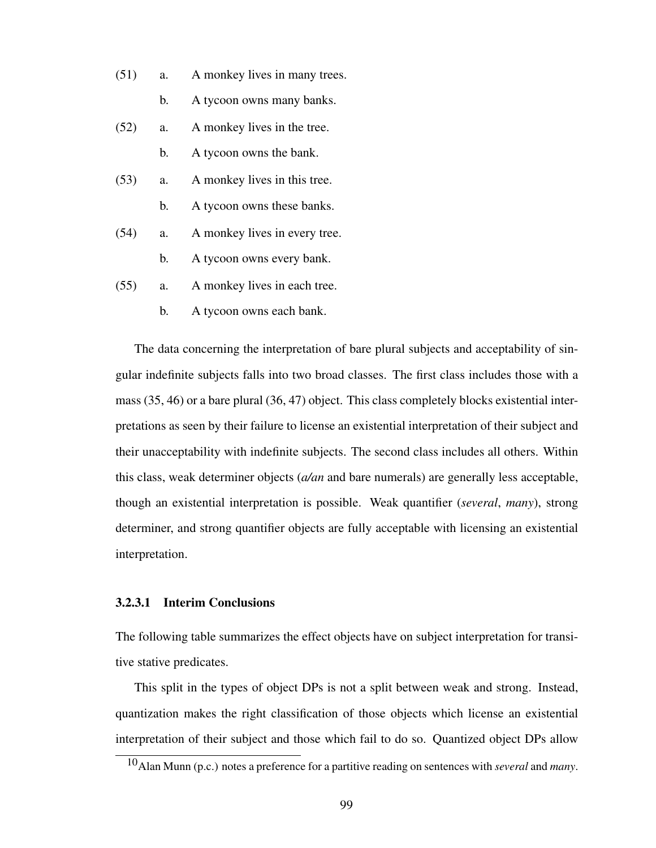- (51) a. A monkey lives in many trees.
	- b. A tycoon owns many banks.
- (52) a. A monkey lives in the tree.
	- b. A tycoon owns the bank.
- (53) a. A monkey lives in this tree.
	- b. A tycoon owns these banks.
- (54) a. A monkey lives in every tree.
	- b. A tycoon owns every bank.
- (55) a. A monkey lives in each tree.
	- b. A tycoon owns each bank.

The data concerning the interpretation of bare plural subjects and acceptability of singular indefinite subjects falls into two broad classes. The first class includes those with a mass (35, 46) or a bare plural (36, 47) object. This class completely blocks existential interpretations as seen by their failure to license an existential interpretation of their subject and their unacceptability with indefinite subjects. The second class includes all others. Within this class, weak determiner objects (*a/an* and bare numerals) are generally less acceptable, though an existential interpretation is possible. Weak quantifier (*several*, *many*), strong determiner, and strong quantifier objects are fully acceptable with licensing an existential interpretation.

#### 3.2.3.1 Interim Conclusions

The following table summarizes the effect objects have on subject interpretation for transitive stative predicates.

This split in the types of object DPs is not a split between weak and strong. Instead, quantization makes the right classification of those objects which license an existential interpretation of their subject and those which fail to do so. Quantized object DPs allow

<sup>10</sup>Alan Munn (p.c.) notes a preference for a partitive reading on sentences with *several* and *many*.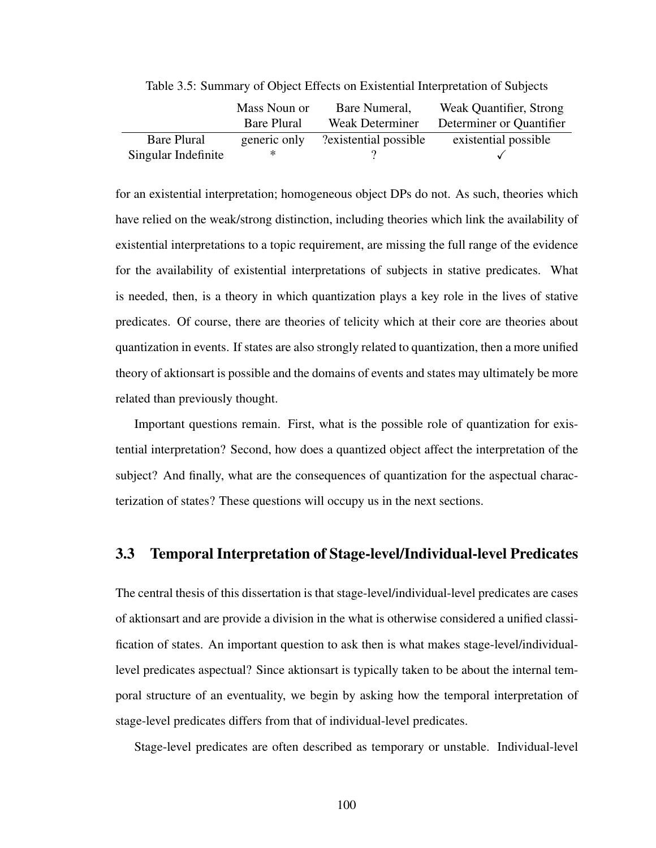|                     | Mass Noun or | Bare Numeral,          | Weak Quantifier, Strong  |
|---------------------|--------------|------------------------|--------------------------|
|                     | Bare Plural  | Weak Determiner        | Determiner or Quantifier |
| <b>Bare Plural</b>  | generic only | ?existential possible? | existential possible     |
| Singular Indefinite |              |                        |                          |

Table 3.5: Summary of Object Effects on Existential Interpretation of Subjects

for an existential interpretation; homogeneous object DPs do not. As such, theories which have relied on the weak/strong distinction, including theories which link the availability of existential interpretations to a topic requirement, are missing the full range of the evidence for the availability of existential interpretations of subjects in stative predicates. What is needed, then, is a theory in which quantization plays a key role in the lives of stative predicates. Of course, there are theories of telicity which at their core are theories about quantization in events. If states are also strongly related to quantization, then a more unified theory of aktionsart is possible and the domains of events and states may ultimately be more related than previously thought.

Important questions remain. First, what is the possible role of quantization for existential interpretation? Second, how does a quantized object affect the interpretation of the subject? And finally, what are the consequences of quantization for the aspectual characterization of states? These questions will occupy us in the next sections.

# 3.3 Temporal Interpretation of Stage-level/Individual-level Predicates

The central thesis of this dissertation is that stage-level/individual-level predicates are cases of aktionsart and are provide a division in the what is otherwise considered a unified classification of states. An important question to ask then is what makes stage-level/individuallevel predicates aspectual? Since aktionsart is typically taken to be about the internal temporal structure of an eventuality, we begin by asking how the temporal interpretation of stage-level predicates differs from that of individual-level predicates.

Stage-level predicates are often described as temporary or unstable. Individual-level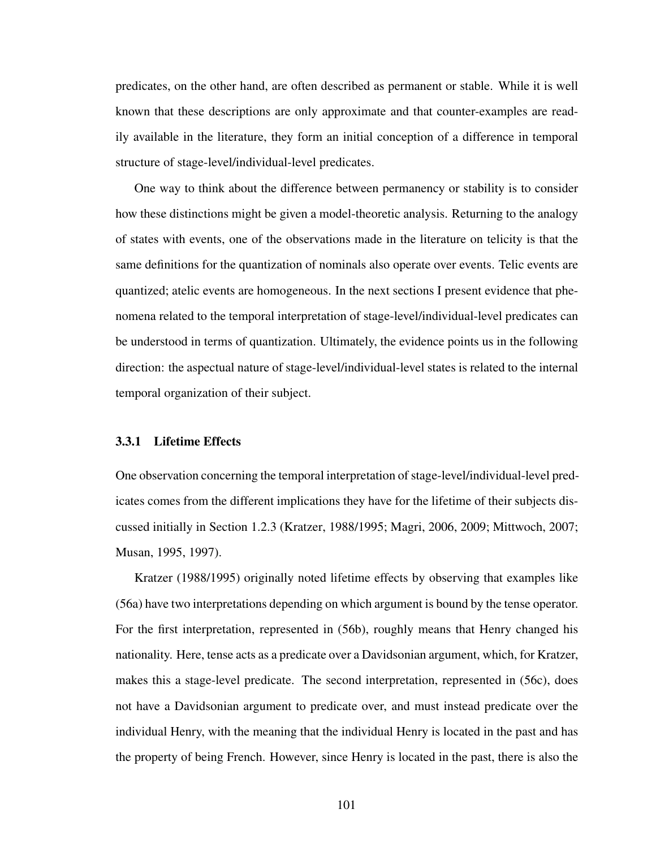predicates, on the other hand, are often described as permanent or stable. While it is well known that these descriptions are only approximate and that counter-examples are readily available in the literature, they form an initial conception of a difference in temporal structure of stage-level/individual-level predicates.

One way to think about the difference between permanency or stability is to consider how these distinctions might be given a model-theoretic analysis. Returning to the analogy of states with events, one of the observations made in the literature on telicity is that the same definitions for the quantization of nominals also operate over events. Telic events are quantized; atelic events are homogeneous. In the next sections I present evidence that phenomena related to the temporal interpretation of stage-level/individual-level predicates can be understood in terms of quantization. Ultimately, the evidence points us in the following direction: the aspectual nature of stage-level/individual-level states is related to the internal temporal organization of their subject.

#### 3.3.1 Lifetime Effects

One observation concerning the temporal interpretation of stage-level/individual-level predicates comes from the different implications they have for the lifetime of their subjects discussed initially in Section 1.2.3 (Kratzer, 1988/1995; Magri, 2006, 2009; Mittwoch, 2007; Musan, 1995, 1997).

Kratzer (1988/1995) originally noted lifetime effects by observing that examples like (56a) have two interpretations depending on which argument is bound by the tense operator. For the first interpretation, represented in (56b), roughly means that Henry changed his nationality. Here, tense acts as a predicate over a Davidsonian argument, which, for Kratzer, makes this a stage-level predicate. The second interpretation, represented in (56c), does not have a Davidsonian argument to predicate over, and must instead predicate over the individual Henry, with the meaning that the individual Henry is located in the past and has the property of being French. However, since Henry is located in the past, there is also the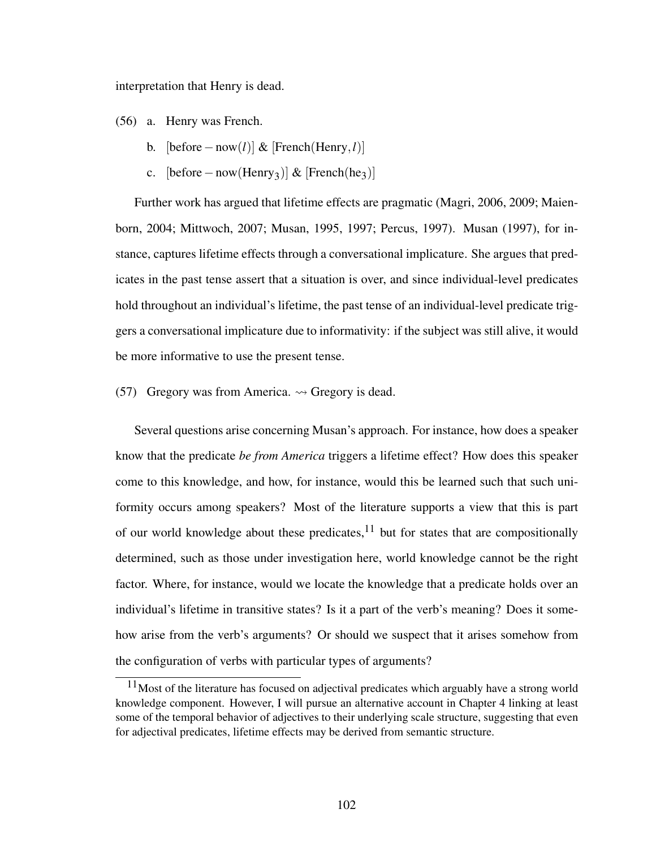interpretation that Henry is dead.

- (56) a. Henry was French.
	- b. [before−now(*l*)] & [French(Henry,*l*)]
	- c.  $[before now(Henry<sub>3</sub>)] & [French(he<sub>3</sub>)]$

Further work has argued that lifetime effects are pragmatic (Magri, 2006, 2009; Maienborn, 2004; Mittwoch, 2007; Musan, 1995, 1997; Percus, 1997). Musan (1997), for instance, captures lifetime effects through a conversational implicature. She argues that predicates in the past tense assert that a situation is over, and since individual-level predicates hold throughout an individual's lifetime, the past tense of an individual-level predicate triggers a conversational implicature due to informativity: if the subject was still alive, it would be more informative to use the present tense.

(57) Gregory was from America.  $\rightsquigarrow$  Gregory is dead.

Several questions arise concerning Musan's approach. For instance, how does a speaker know that the predicate *be from America* triggers a lifetime effect? How does this speaker come to this knowledge, and how, for instance, would this be learned such that such uniformity occurs among speakers? Most of the literature supports a view that this is part of our world knowledge about these predicates,  $^{11}$  but for states that are compositionally determined, such as those under investigation here, world knowledge cannot be the right factor. Where, for instance, would we locate the knowledge that a predicate holds over an individual's lifetime in transitive states? Is it a part of the verb's meaning? Does it somehow arise from the verb's arguments? Or should we suspect that it arises somehow from the configuration of verbs with particular types of arguments?

<sup>11</sup>Most of the literature has focused on adjectival predicates which arguably have a strong world knowledge component. However, I will pursue an alternative account in Chapter 4 linking at least some of the temporal behavior of adjectives to their underlying scale structure, suggesting that even for adjectival predicates, lifetime effects may be derived from semantic structure.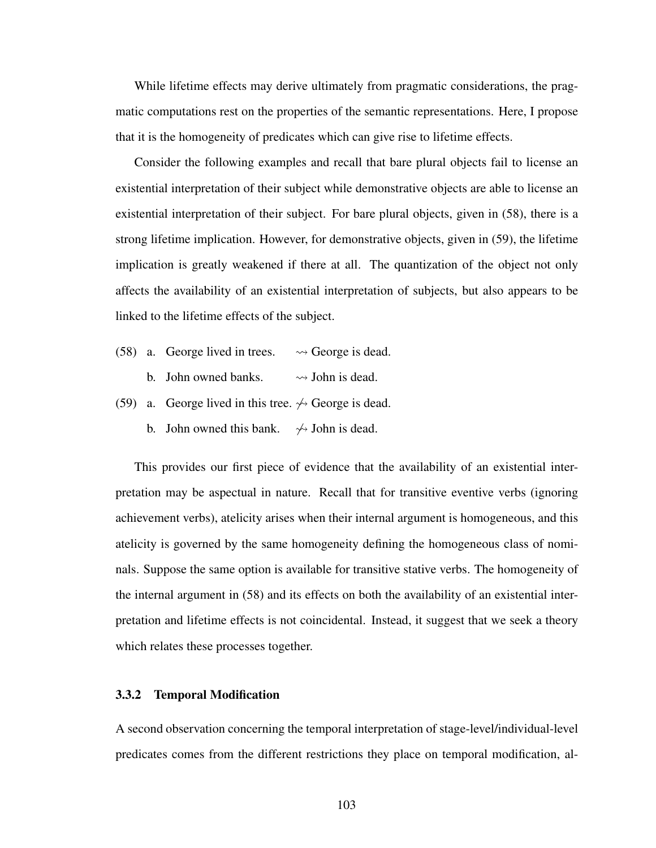While lifetime effects may derive ultimately from pragmatic considerations, the pragmatic computations rest on the properties of the semantic representations. Here, I propose that it is the homogeneity of predicates which can give rise to lifetime effects.

Consider the following examples and recall that bare plural objects fail to license an existential interpretation of their subject while demonstrative objects are able to license an existential interpretation of their subject. For bare plural objects, given in (58), there is a strong lifetime implication. However, for demonstrative objects, given in (59), the lifetime implication is greatly weakened if there at all. The quantization of the object not only affects the availability of an existential interpretation of subjects, but also appears to be linked to the lifetime effects of the subject.

- (58) a. George lived in trees.  $\rightsquigarrow$  George is dead.
	- b. John owned banks.  $\rightsquigarrow$  John is dead.
- (59) a. George lived in this tree.  $\leftrightarrow$  George is dead.
	- b. John owned this bank.  $\rightarrow$  John is dead.

This provides our first piece of evidence that the availability of an existential interpretation may be aspectual in nature. Recall that for transitive eventive verbs (ignoring achievement verbs), atelicity arises when their internal argument is homogeneous, and this atelicity is governed by the same homogeneity defining the homogeneous class of nominals. Suppose the same option is available for transitive stative verbs. The homogeneity of the internal argument in (58) and its effects on both the availability of an existential interpretation and lifetime effects is not coincidental. Instead, it suggest that we seek a theory which relates these processes together.

#### 3.3.2 Temporal Modification

A second observation concerning the temporal interpretation of stage-level/individual-level predicates comes from the different restrictions they place on temporal modification, al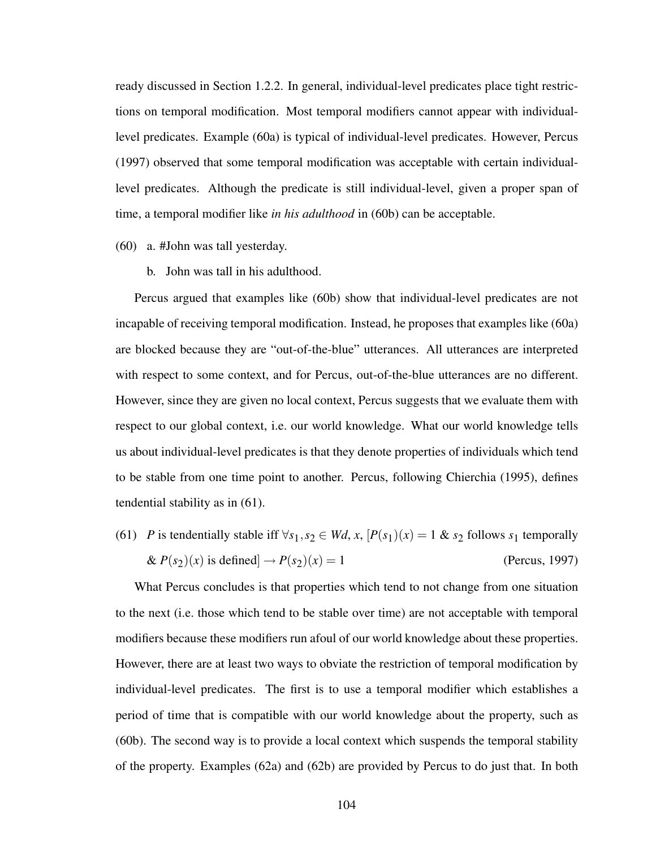ready discussed in Section 1.2.2. In general, individual-level predicates place tight restrictions on temporal modification. Most temporal modifiers cannot appear with individuallevel predicates. Example (60a) is typical of individual-level predicates. However, Percus (1997) observed that some temporal modification was acceptable with certain individuallevel predicates. Although the predicate is still individual-level, given a proper span of time, a temporal modifier like *in his adulthood* in (60b) can be acceptable.

#### (60) a. #John was tall yesterday.

b. John was tall in his adulthood.

Percus argued that examples like (60b) show that individual-level predicates are not incapable of receiving temporal modification. Instead, he proposes that examples like (60a) are blocked because they are "out-of-the-blue" utterances. All utterances are interpreted with respect to some context, and for Percus, out-of-the-blue utterances are no different. However, since they are given no local context, Percus suggests that we evaluate them with respect to our global context, i.e. our world knowledge. What our world knowledge tells us about individual-level predicates is that they denote properties of individuals which tend to be stable from one time point to another. Percus, following Chierchia (1995), defines tendential stability as in (61).

(61) *P* is tendentially stable iff  $\forall s_1, s_2 \in Wd$ ,  $x$ ,  $[P(s_1)(x) = 1 \& s_2$  follows  $s_1$  temporally  $\& P(s_2)(x)$  is defined]  $\rightarrow P(s_2)$ (Percus, 1997)

What Percus concludes is that properties which tend to not change from one situation to the next (i.e. those which tend to be stable over time) are not acceptable with temporal modifiers because these modifiers run afoul of our world knowledge about these properties. However, there are at least two ways to obviate the restriction of temporal modification by individual-level predicates. The first is to use a temporal modifier which establishes a period of time that is compatible with our world knowledge about the property, such as (60b). The second way is to provide a local context which suspends the temporal stability of the property. Examples (62a) and (62b) are provided by Percus to do just that. In both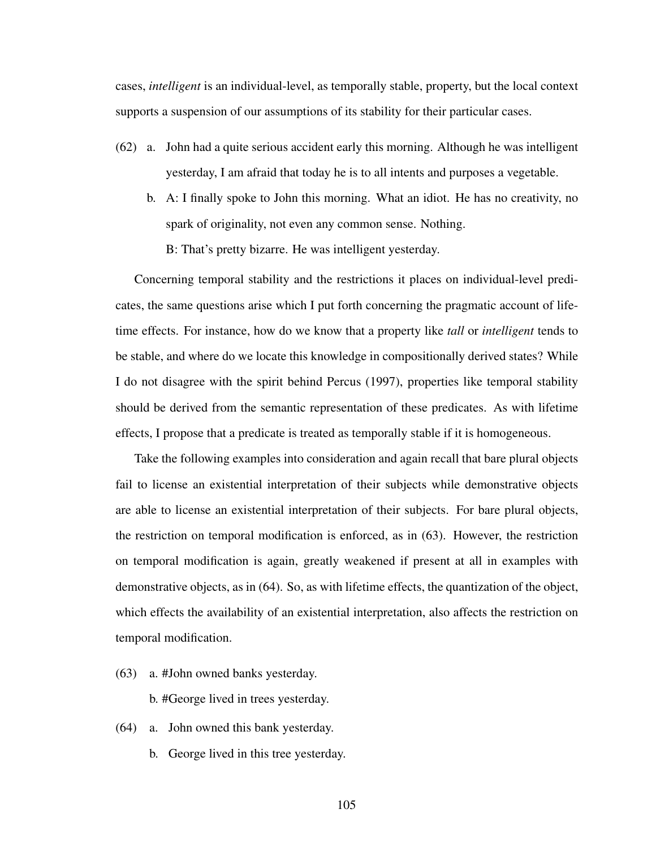cases, *intelligent* is an individual-level, as temporally stable, property, but the local context supports a suspension of our assumptions of its stability for their particular cases.

- (62) a. John had a quite serious accident early this morning. Although he was intelligent yesterday, I am afraid that today he is to all intents and purposes a vegetable.
	- b. A: I finally spoke to John this morning. What an idiot. He has no creativity, no spark of originality, not even any common sense. Nothing.

B: That's pretty bizarre. He was intelligent yesterday.

Concerning temporal stability and the restrictions it places on individual-level predicates, the same questions arise which I put forth concerning the pragmatic account of lifetime effects. For instance, how do we know that a property like *tall* or *intelligent* tends to be stable, and where do we locate this knowledge in compositionally derived states? While I do not disagree with the spirit behind Percus (1997), properties like temporal stability should be derived from the semantic representation of these predicates. As with lifetime effects, I propose that a predicate is treated as temporally stable if it is homogeneous.

Take the following examples into consideration and again recall that bare plural objects fail to license an existential interpretation of their subjects while demonstrative objects are able to license an existential interpretation of their subjects. For bare plural objects, the restriction on temporal modification is enforced, as in (63). However, the restriction on temporal modification is again, greatly weakened if present at all in examples with demonstrative objects, as in (64). So, as with lifetime effects, the quantization of the object, which effects the availability of an existential interpretation, also affects the restriction on temporal modification.

(63) a. #John owned banks yesterday.

b. #George lived in trees yesterday.

- (64) a. John owned this bank yesterday.
	- b. George lived in this tree yesterday.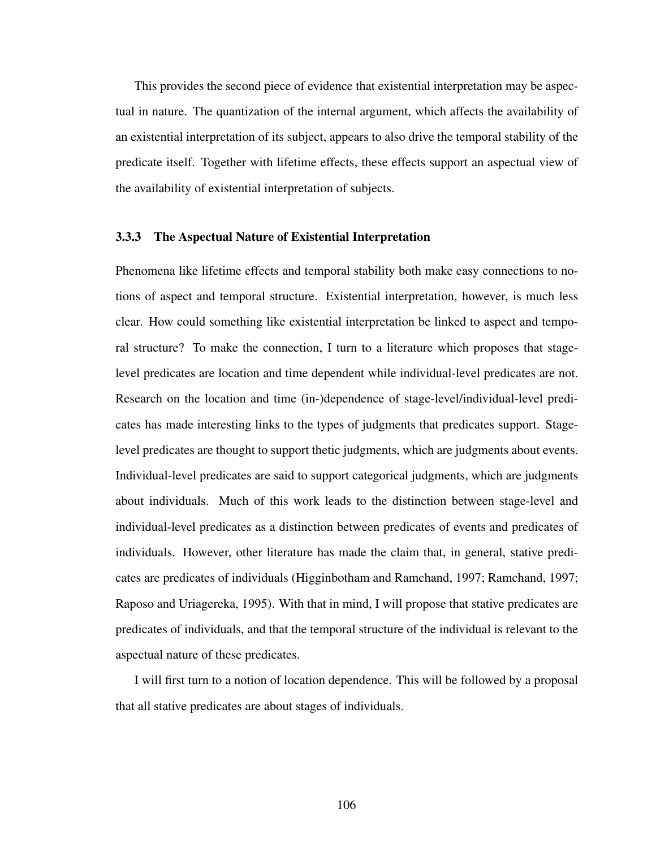This provides the second piece of evidence that existential interpretation may be aspectual in nature. The quantization of the internal argument, which affects the availability of an existential interpretation of its subject, appears to also drive the temporal stability of the predicate itself. Together with lifetime effects, these effects support an aspectual view of the availability of existential interpretation of subjects.

#### 3.3.3 The Aspectual Nature of Existential Interpretation

Phenomena like lifetime effects and temporal stability both make easy connections to notions of aspect and temporal structure. Existential interpretation, however, is much less clear. How could something like existential interpretation be linked to aspect and temporal structure? To make the connection, I turn to a literature which proposes that stagelevel predicates are location and time dependent while individual-level predicates are not. Research on the location and time (in-)dependence of stage-level/individual-level predicates has made interesting links to the types of judgments that predicates support. Stagelevel predicates are thought to support thetic judgments, which are judgments about events. Individual-level predicates are said to support categorical judgments, which are judgments about individuals. Much of this work leads to the distinction between stage-level and individual-level predicates as a distinction between predicates of events and predicates of individuals. However, other literature has made the claim that, in general, stative predicates are predicates of individuals (Higginbotham and Ramchand, 1997; Ramchand, 1997; Raposo and Uriagereka, 1995). With that in mind, I will propose that stative predicates are predicates of individuals, and that the temporal structure of the individual is relevant to the aspectual nature of these predicates.

I will first turn to a notion of location dependence. This will be followed by a proposal that all stative predicates are about stages of individuals.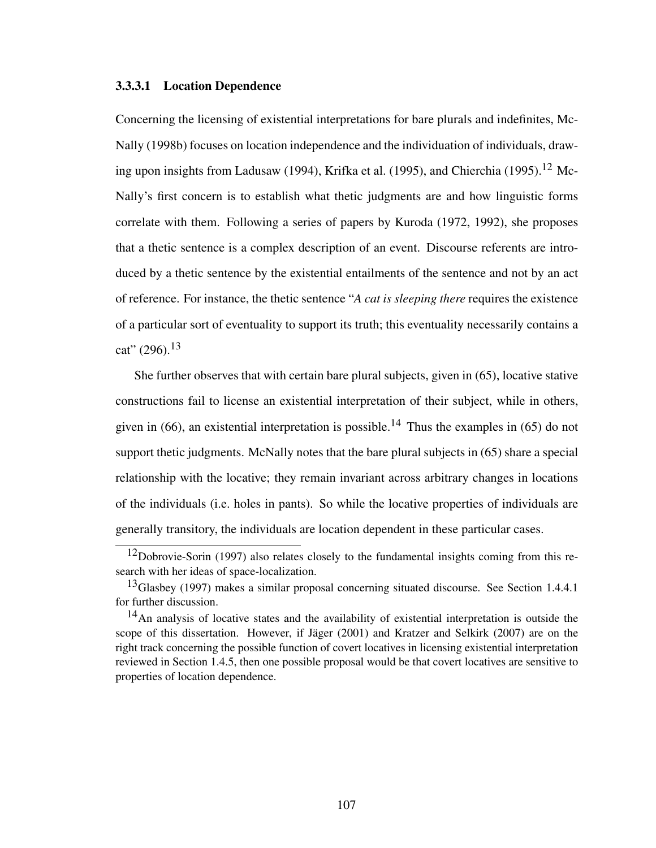#### 3.3.3.1 Location Dependence

Concerning the licensing of existential interpretations for bare plurals and indefinites, Mc-Nally (1998b) focuses on location independence and the individuation of individuals, drawing upon insights from Ladusaw (1994), Krifka et al. (1995), and Chierchia (1995).<sup>12</sup> Mc-Nally's first concern is to establish what thetic judgments are and how linguistic forms correlate with them. Following a series of papers by Kuroda (1972, 1992), she proposes that a thetic sentence is a complex description of an event. Discourse referents are introduced by a thetic sentence by the existential entailments of the sentence and not by an act of reference. For instance, the thetic sentence "*A cat is sleeping there* requires the existence of a particular sort of eventuality to support its truth; this eventuality necessarily contains a cat"  $(296)$ <sup>13</sup>

She further observes that with certain bare plural subjects, given in (65), locative stative constructions fail to license an existential interpretation of their subject, while in others, given in (66), an existential interpretation is possible.<sup>14</sup> Thus the examples in (65) do not support thetic judgments. McNally notes that the bare plural subjects in (65) share a special relationship with the locative; they remain invariant across arbitrary changes in locations of the individuals (i.e. holes in pants). So while the locative properties of individuals are generally transitory, the individuals are location dependent in these particular cases.

 $12$ Dobrovie-Sorin (1997) also relates closely to the fundamental insights coming from this research with her ideas of space-localization.

<sup>&</sup>lt;sup>13</sup>Glasbey (1997) makes a similar proposal concerning situated discourse. See Section 1.4.4.1 for further discussion.

<sup>&</sup>lt;sup>14</sup>An analysis of locative states and the availability of existential interpretation is outside the scope of this dissertation. However, if Jäger (2001) and Kratzer and Selkirk (2007) are on the right track concerning the possible function of covert locatives in licensing existential interpretation reviewed in Section 1.4.5, then one possible proposal would be that covert locatives are sensitive to properties of location dependence.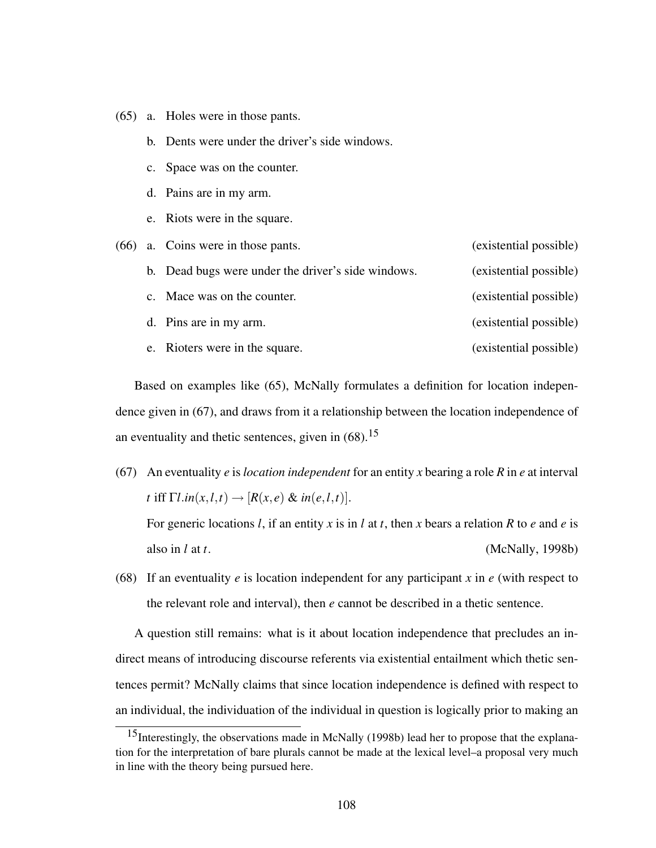- (65) a. Holes were in those pants.
	- b. Dents were under the driver's side windows.
	- c. Space was on the counter.
	- d. Pains are in my arm.
	- e. Riots were in the square.

|  | $(66)$ a. Coins were in those pants.               | (existential possible) |
|--|----------------------------------------------------|------------------------|
|  | b. Dead bugs were under the driver's side windows. | (existential possible) |
|  | c. Mace was on the counter.                        | (existential possible) |
|  | d. Pins are in my arm.                             | (existential possible) |
|  | e. Rioters were in the square.                     | (existential possible) |

Based on examples like (65), McNally formulates a definition for location independence given in (67), and draws from it a relationship between the location independence of an eventuality and thetic sentences, given in  $(68)$ <sup>15</sup>

(67) An eventuality *e* is *location independent* for an entity *x* bearing a role *R* in *e* at interval  $t$  iff  $\Gamma l$ *.in*(*x*,*l*,*t*)  $\rightarrow$   $[R(x,e) \& in(e, l, t)].$ 

For generic locations *l*, if an entity *x* is in *l* at *t*, then *x* bears a relation *R* to *e* and *e* is also in *l* at *t*. (McNally, 1998b)

(68) If an eventuality *e* is location independent for any participant *x* in *e* (with respect to the relevant role and interval), then *e* cannot be described in a thetic sentence.

A question still remains: what is it about location independence that precludes an indirect means of introducing discourse referents via existential entailment which thetic sentences permit? McNally claims that since location independence is defined with respect to an individual, the individuation of the individual in question is logically prior to making an

<sup>&</sup>lt;sup>15</sup>Interestingly, the observations made in McNally (1998b) lead her to propose that the explanation for the interpretation of bare plurals cannot be made at the lexical level–a proposal very much in line with the theory being pursued here.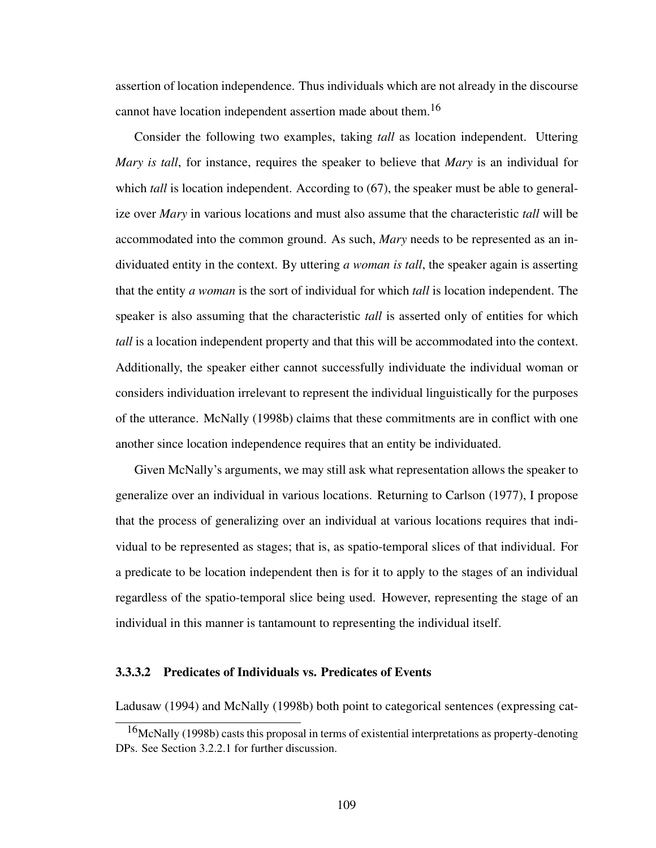assertion of location independence. Thus individuals which are not already in the discourse cannot have location independent assertion made about them.<sup>16</sup>

Consider the following two examples, taking *tall* as location independent. Uttering *Mary is tall*, for instance, requires the speaker to believe that *Mary* is an individual for which *tall* is location independent. According to (67), the speaker must be able to generalize over *Mary* in various locations and must also assume that the characteristic *tall* will be accommodated into the common ground. As such, *Mary* needs to be represented as an individuated entity in the context. By uttering *a woman is tall*, the speaker again is asserting that the entity *a woman* is the sort of individual for which *tall* is location independent. The speaker is also assuming that the characteristic *tall* is asserted only of entities for which *tall* is a location independent property and that this will be accommodated into the context. Additionally, the speaker either cannot successfully individuate the individual woman or considers individuation irrelevant to represent the individual linguistically for the purposes of the utterance. McNally (1998b) claims that these commitments are in conflict with one another since location independence requires that an entity be individuated.

Given McNally's arguments, we may still ask what representation allows the speaker to generalize over an individual in various locations. Returning to Carlson (1977), I propose that the process of generalizing over an individual at various locations requires that individual to be represented as stages; that is, as spatio-temporal slices of that individual. For a predicate to be location independent then is for it to apply to the stages of an individual regardless of the spatio-temporal slice being used. However, representing the stage of an individual in this manner is tantamount to representing the individual itself.

#### 3.3.3.2 Predicates of Individuals vs. Predicates of Events

Ladusaw (1994) and McNally (1998b) both point to categorical sentences (expressing cat-

<sup>16</sup>McNally (1998b) casts this proposal in terms of existential interpretations as property-denoting DPs. See Section 3.2.2.1 for further discussion.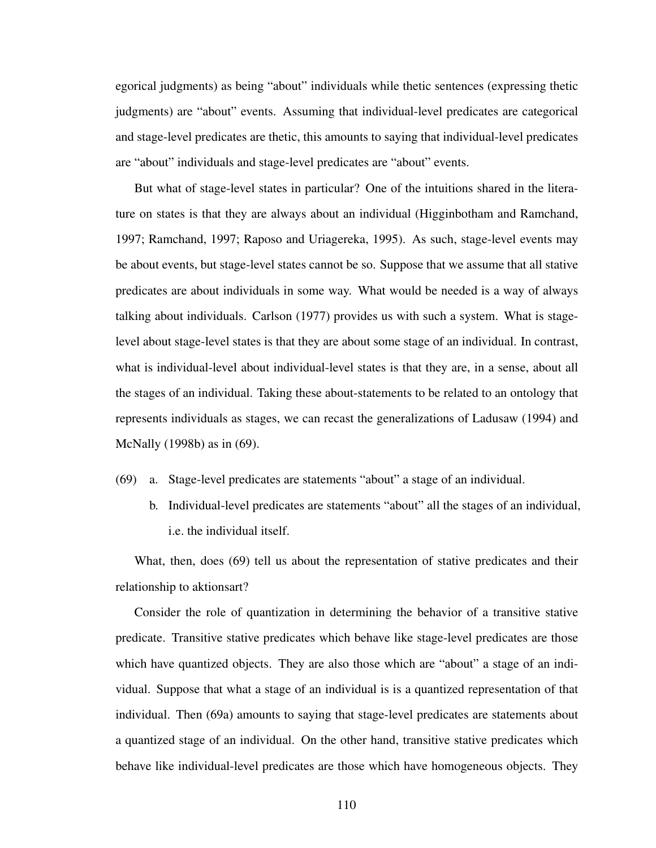egorical judgments) as being "about" individuals while thetic sentences (expressing thetic judgments) are "about" events. Assuming that individual-level predicates are categorical and stage-level predicates are thetic, this amounts to saying that individual-level predicates are "about" individuals and stage-level predicates are "about" events.

But what of stage-level states in particular? One of the intuitions shared in the literature on states is that they are always about an individual (Higginbotham and Ramchand, 1997; Ramchand, 1997; Raposo and Uriagereka, 1995). As such, stage-level events may be about events, but stage-level states cannot be so. Suppose that we assume that all stative predicates are about individuals in some way. What would be needed is a way of always talking about individuals. Carlson (1977) provides us with such a system. What is stagelevel about stage-level states is that they are about some stage of an individual. In contrast, what is individual-level about individual-level states is that they are, in a sense, about all the stages of an individual. Taking these about-statements to be related to an ontology that represents individuals as stages, we can recast the generalizations of Ladusaw (1994) and McNally (1998b) as in (69).

- (69) a. Stage-level predicates are statements "about" a stage of an individual.
	- b. Individual-level predicates are statements "about" all the stages of an individual, i.e. the individual itself.

What, then, does (69) tell us about the representation of stative predicates and their relationship to aktionsart?

Consider the role of quantization in determining the behavior of a transitive stative predicate. Transitive stative predicates which behave like stage-level predicates are those which have quantized objects. They are also those which are "about" a stage of an individual. Suppose that what a stage of an individual is is a quantized representation of that individual. Then (69a) amounts to saying that stage-level predicates are statements about a quantized stage of an individual. On the other hand, transitive stative predicates which behave like individual-level predicates are those which have homogeneous objects. They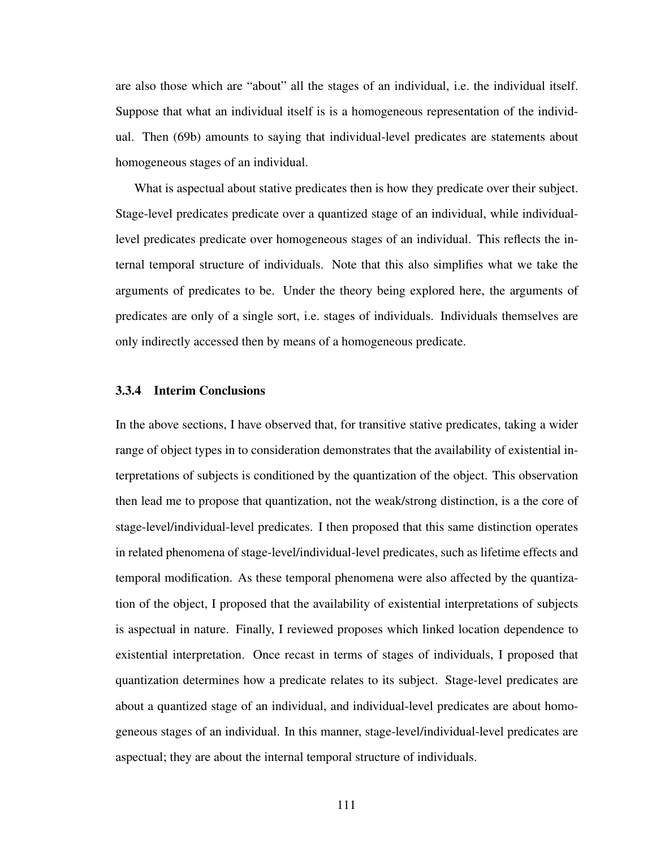are also those which are "about" all the stages of an individual, i.e. the individual itself. Suppose that what an individual itself is is a homogeneous representation of the individual. Then (69b) amounts to saying that individual-level predicates are statements about homogeneous stages of an individual.

What is aspectual about stative predicates then is how they predicate over their subject. Stage-level predicates predicate over a quantized stage of an individual, while individuallevel predicates predicate over homogeneous stages of an individual. This reflects the internal temporal structure of individuals. Note that this also simplifies what we take the arguments of predicates to be. Under the theory being explored here, the arguments of predicates are only of a single sort, i.e. stages of individuals. Individuals themselves are only indirectly accessed then by means of a homogeneous predicate.

# 3.3.4 Interim Conclusions

In the above sections, I have observed that, for transitive stative predicates, taking a wider range of object types in to consideration demonstrates that the availability of existential interpretations of subjects is conditioned by the quantization of the object. This observation then lead me to propose that quantization, not the weak/strong distinction, is a the core of stage-level/individual-level predicates. I then proposed that this same distinction operates in related phenomena of stage-level/individual-level predicates, such as lifetime effects and temporal modification. As these temporal phenomena were also affected by the quantization of the object, I proposed that the availability of existential interpretations of subjects is aspectual in nature. Finally, I reviewed proposes which linked location dependence to existential interpretation. Once recast in terms of stages of individuals, I proposed that quantization determines how a predicate relates to its subject. Stage-level predicates are about a quantized stage of an individual, and individual-level predicates are about homogeneous stages of an individual. In this manner, stage-level/individual-level predicates are aspectual; they are about the internal temporal structure of individuals.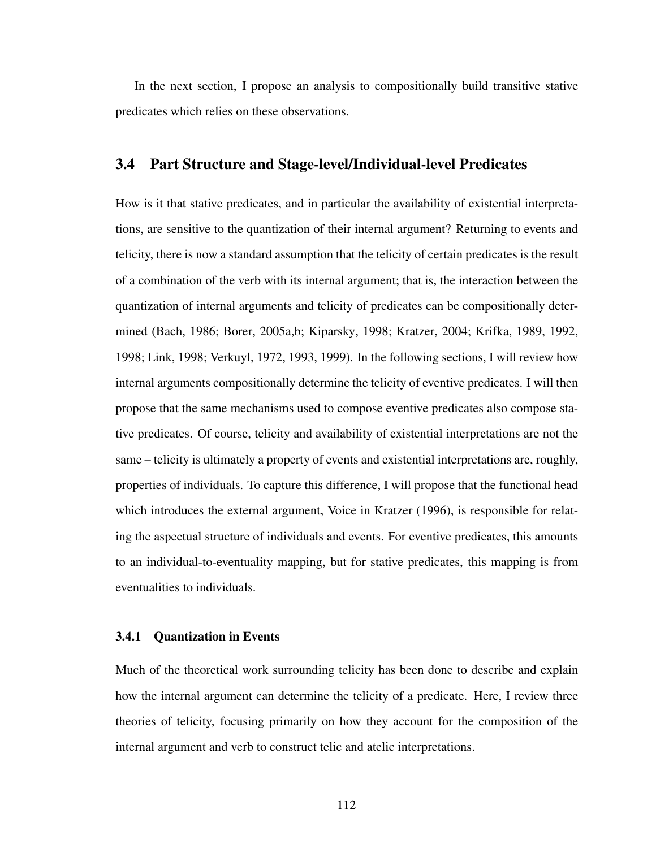In the next section, I propose an analysis to compositionally build transitive stative predicates which relies on these observations.

# 3.4 Part Structure and Stage-level/Individual-level Predicates

How is it that stative predicates, and in particular the availability of existential interpretations, are sensitive to the quantization of their internal argument? Returning to events and telicity, there is now a standard assumption that the telicity of certain predicates is the result of a combination of the verb with its internal argument; that is, the interaction between the quantization of internal arguments and telicity of predicates can be compositionally determined (Bach, 1986; Borer, 2005a,b; Kiparsky, 1998; Kratzer, 2004; Krifka, 1989, 1992, 1998; Link, 1998; Verkuyl, 1972, 1993, 1999). In the following sections, I will review how internal arguments compositionally determine the telicity of eventive predicates. I will then propose that the same mechanisms used to compose eventive predicates also compose stative predicates. Of course, telicity and availability of existential interpretations are not the same – telicity is ultimately a property of events and existential interpretations are, roughly, properties of individuals. To capture this difference, I will propose that the functional head which introduces the external argument, Voice in Kratzer (1996), is responsible for relating the aspectual structure of individuals and events. For eventive predicates, this amounts to an individual-to-eventuality mapping, but for stative predicates, this mapping is from eventualities to individuals.

## 3.4.1 Quantization in Events

Much of the theoretical work surrounding telicity has been done to describe and explain how the internal argument can determine the telicity of a predicate. Here, I review three theories of telicity, focusing primarily on how they account for the composition of the internal argument and verb to construct telic and atelic interpretations.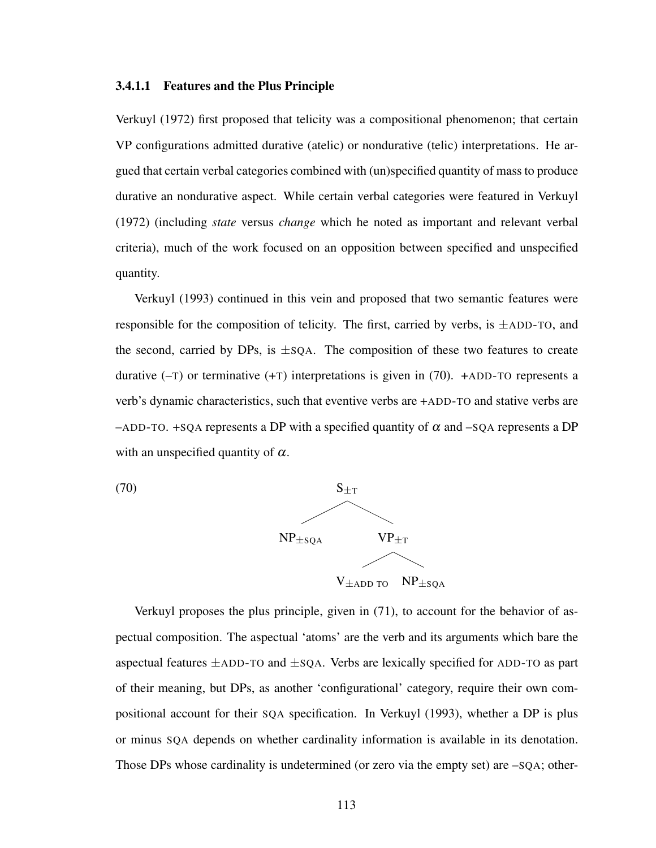#### 3.4.1.1 Features and the Plus Principle

Verkuyl (1972) first proposed that telicity was a compositional phenomenon; that certain VP configurations admitted durative (atelic) or nondurative (telic) interpretations. He argued that certain verbal categories combined with (un)specified quantity of mass to produce durative an nondurative aspect. While certain verbal categories were featured in Verkuyl (1972) (including *state* versus *change* which he noted as important and relevant verbal criteria), much of the work focused on an opposition between specified and unspecified quantity.

Verkuyl (1993) continued in this vein and proposed that two semantic features were responsible for the composition of telicity. The first, carried by verbs, is  $\pm$ ADD-TO, and the second, carried by DPs, is  $\pm$ SQA. The composition of these two features to create durative  $(-T)$  or terminative  $(+T)$  interpretations is given in (70). +ADD-TO represents a verb's dynamic characteristics, such that eventive verbs are +ADD-TO and stative verbs are  $-\text{ADD-TO.}$  +SQA represents a DP with a specified quantity of  $\alpha$  and  $-\text{SQA}$  represents a DP with an unspecified quantity of  $\alpha$ .





Verkuyl proposes the plus principle, given in (71), to account for the behavior of aspectual composition. The aspectual 'atoms' are the verb and its arguments which bare the aspectual features  $\pm$ ADD-TO and  $\pm$ SQA. Verbs are lexically specified for ADD-TO as part of their meaning, but DPs, as another 'configurational' category, require their own compositional account for their SQA specification. In Verkuyl (1993), whether a DP is plus or minus SQA depends on whether cardinality information is available in its denotation. Those DPs whose cardinality is undetermined (or zero via the empty set) are –SQA; other-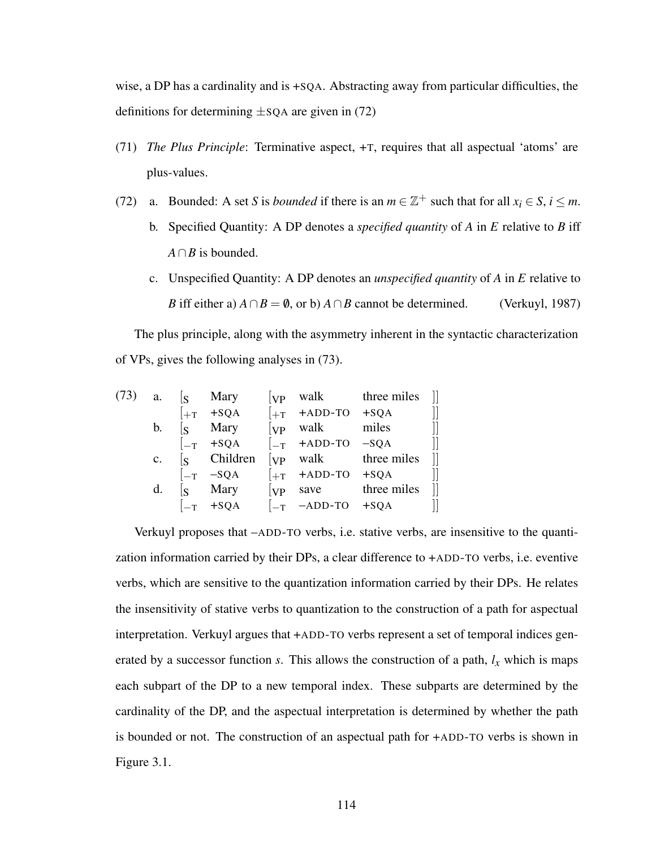wise, a DP has a cardinality and is +SQA. Abstracting away from particular difficulties, the definitions for determining  $\pm$ SQA are given in (72)

- (71) *The Plus Principle*: Terminative aspect, +T, requires that all aspectual 'atoms' are plus-values.
- (72) a. Bounded: A set *S* is *bounded* if there is an  $m \in \mathbb{Z}^+$  such that for all  $x_i \in S$ ,  $i \leq m$ .
	- b. Specified Quantity: A DP denotes a *specified quantity* of *A* in *E* relative to *B* iff *A*∩*B* is bounded.
	- c. Unspecified Quantity: A DP denotes an *unspecified quantity* of *A* in *E* relative to *B* iff either a)  $A \cap B = \emptyset$ , or b)  $A \cap B$  cannot be determined. (Verkuyl, 1987)

The plus principle, along with the asymmetry inherent in the syntactic characterization of VPs, gives the following analyses in (73).

| (73) | a.          | $\vert$ $\vert$ $\vert$ | Mary |                                                                                                   | $[\text{vp} \quad \text{walk} \quad \text{three miles} \quad ]$      |              |
|------|-------------|-------------------------|------|---------------------------------------------------------------------------------------------------|----------------------------------------------------------------------|--------------|
|      |             | $+T$                    |      | $+SQA$ $\Big _{+T}$ $+ADD-TO$ $+SQA$                                                              |                                                                      |              |
|      | b.          | $\overline{\mathsf{c}}$ |      | Mary [ <sub>VP</sub> walk miles                                                                   |                                                                      |              |
|      |             |                         |      | $\begin{bmatrix} -T & +SQA & \end{bmatrix}$ +ADD-TO -SQA                                          |                                                                      | $\mathbf{H}$ |
|      | $c_{\cdot}$ | $\vert_{\mathcal{S}}$   |      |                                                                                                   | Children $[\text{vp}$ walk three miles $]$                           |              |
|      |             |                         |      | $\begin{bmatrix} -T & -SQA & \end{bmatrix}$ + $\begin{bmatrix} +T & +ADD-TO & +SQA \end{bmatrix}$ |                                                                      |              |
|      | d.          | $\overline{\mathsf{c}}$ |      |                                                                                                   | Mary $[\text{vp} \quad \text{save} \quad \text{three miles} \quad ]$ |              |
|      |             |                         |      | $\begin{vmatrix} -T & +SQA \end{vmatrix}$ $\begin{vmatrix} -T & -ADD-TO & +SQA \end{vmatrix}$     |                                                                      |              |
|      |             |                         |      |                                                                                                   |                                                                      |              |

Verkuyl proposes that –ADD-TO verbs, i.e. stative verbs, are insensitive to the quantization information carried by their DPs, a clear difference to +ADD-TO verbs, i.e. eventive verbs, which are sensitive to the quantization information carried by their DPs. He relates the insensitivity of stative verbs to quantization to the construction of a path for aspectual interpretation. Verkuyl argues that +ADD-TO verbs represent a set of temporal indices generated by a successor function *s*. This allows the construction of a path,  $l_x$  which is maps each subpart of the DP to a new temporal index. These subparts are determined by the cardinality of the DP, and the aspectual interpretation is determined by whether the path is bounded or not. The construction of an aspectual path for +ADD-TO verbs is shown in Figure 3.1.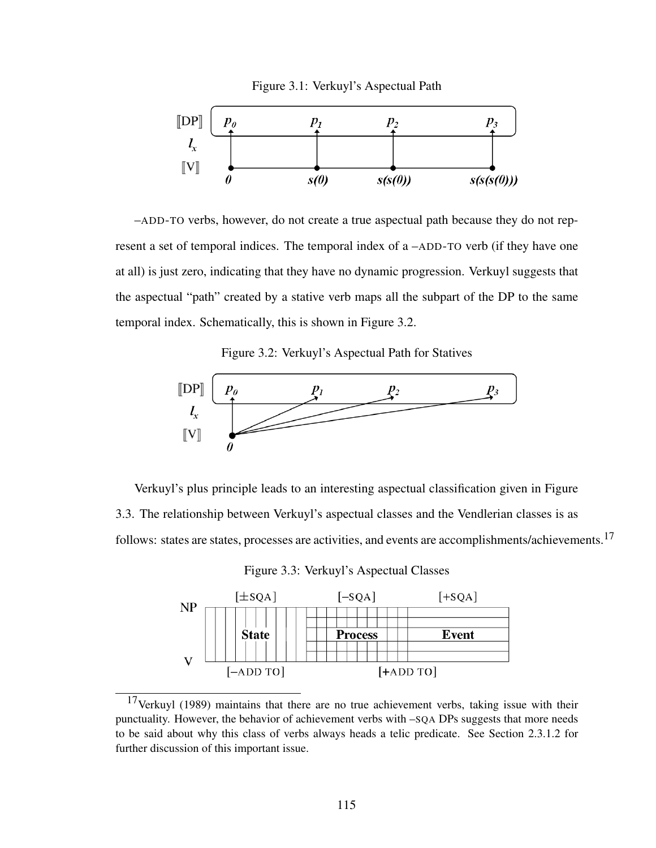

–ADD-TO verbs, however, do not create a true aspectual path because they do not represent a set of temporal indices. The temporal index of a –ADD-TO verb (if they have one at all) is just zero, indicating that they have no dynamic progression. Verkuyl suggests that the aspectual "path" created by a stative verb maps all the subpart of the DP to the same temporal index. Schematically, this is shown in Figure 3.2.

Figure 3.2: Verkuyl's Aspectual Path for Statives



Verkuyl's plus principle leads to an interesting aspectual classification given in Figure 3.3. The relationship between Verkuyl's aspectual classes and the Vendlerian classes is as follows: states are states, processes are activities, and events are accomplishments/achievements.<sup>17</sup>



Figure 3.3: Verkuyl's Aspectual Classes

 $17$ Verkuyl (1989) maintains that there are no true achievement verbs, taking issue with their punctuality. However, the behavior of achievement verbs with –SQA DPs suggests that more needs to be said about why this class of verbs always heads a telic predicate. See Section 2.3.1.2 for further discussion of this important issue.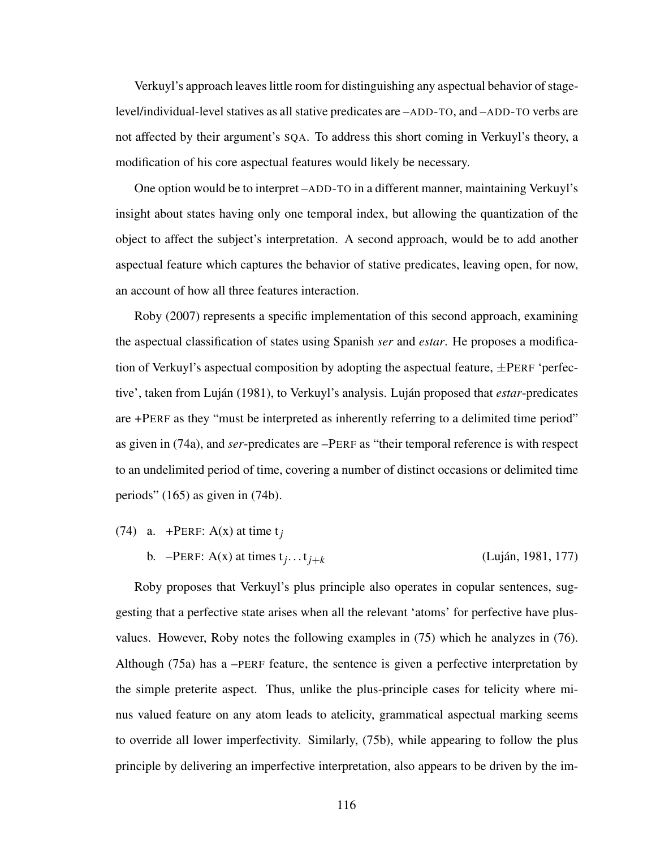Verkuyl's approach leaves little room for distinguishing any aspectual behavior of stagelevel/individual-level statives as all stative predicates are –ADD-TO, and –ADD-TO verbs are not affected by their argument's SQA. To address this short coming in Verkuyl's theory, a modification of his core aspectual features would likely be necessary.

One option would be to interpret –ADD-TO in a different manner, maintaining Verkuyl's insight about states having only one temporal index, but allowing the quantization of the object to affect the subject's interpretation. A second approach, would be to add another aspectual feature which captures the behavior of stative predicates, leaving open, for now, an account of how all three features interaction.

Roby (2007) represents a specific implementation of this second approach, examining the aspectual classification of states using Spanish *ser* and *estar*. He proposes a modification of Verkuyl's aspectual composition by adopting the aspectual feature,  $\pm$ PERF 'perfective', taken from Luján (1981), to Verkuyl's analysis. Luján proposed that *estar*-predicates are +PERF as they "must be interpreted as inherently referring to a delimited time period" as given in (74a), and *ser*-predicates are –PERF as "their temporal reference is with respect to an undelimited period of time, covering a number of distinct occasions or delimited time periods" (165) as given in (74b).

- (74) a. +PERF:  $A(x)$  at time t<sub>*j*</sub>
	- b.  $-PERF: A(x)$  at times  $t_j \dots t_{j+k}$ (Luján, 1981, 177)

Roby proposes that Verkuyl's plus principle also operates in copular sentences, suggesting that a perfective state arises when all the relevant 'atoms' for perfective have plusvalues. However, Roby notes the following examples in (75) which he analyzes in (76). Although (75a) has a –PERF feature, the sentence is given a perfective interpretation by the simple preterite aspect. Thus, unlike the plus-principle cases for telicity where minus valued feature on any atom leads to atelicity, grammatical aspectual marking seems to override all lower imperfectivity. Similarly, (75b), while appearing to follow the plus principle by delivering an imperfective interpretation, also appears to be driven by the im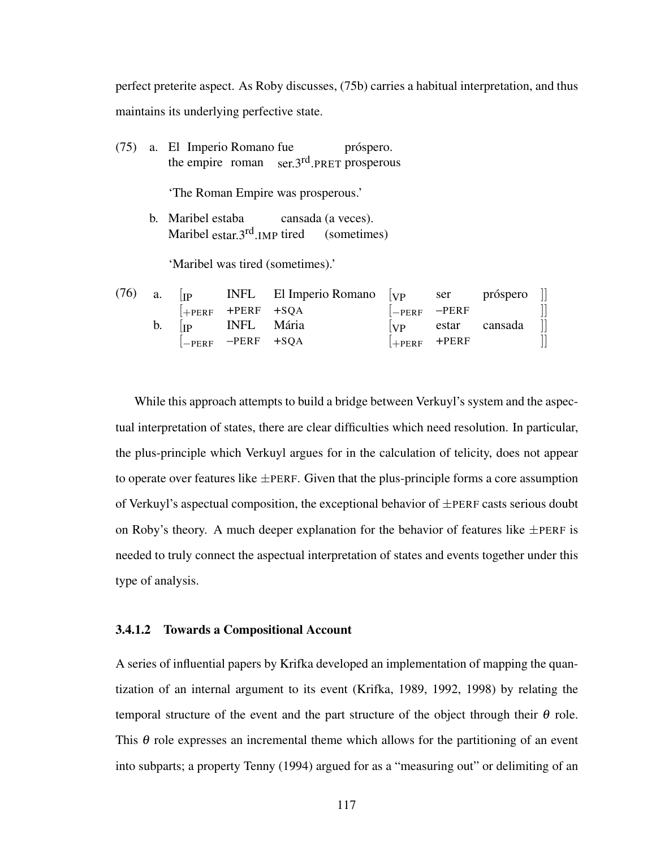perfect preterite aspect. As Roby discusses, (75b) carries a habitual interpretation, and thus maintains its underlying perfective state.

|      |    |                 |                          | (75) a. El Imperio Romano fue próspero.<br>the empire roman $\text{ser.3}^{\text{rd}}$ . PRET prosperous |          |                  |             |    |
|------|----|-----------------|--------------------------|----------------------------------------------------------------------------------------------------------|----------|------------------|-------------|----|
|      |    |                 |                          | 'The Roman Empire was prosperous.'                                                                       |          |                  |             |    |
|      |    |                 |                          | b. Maribel estaba cansada (a veces).<br>Maribel estar.3 <sup>rd</sup> .IMP tired (sometimes)             |          |                  |             |    |
|      |    |                 |                          | 'Maribel was tired (sometimes).'                                                                         |          |                  |             |    |
| (76) |    | a. $\mathbf{I}$ | <b>INFL</b>              | El Imperio Romano $ _{VP}$ ser                                                                           |          |                  | próspero [] |    |
|      |    |                 | $[+PERF$ +PERF +SQA      |                                                                                                          |          | $[-PERF - PERF]$ |             | 11 |
|      | b. |                 | <sub>IP</sub> INFL Mária |                                                                                                          | VP       | estar            | cansada     | jj |
|      |    |                 | $-PERF$ -PERF +SQA       |                                                                                                          | $+$ PERF | $+PERF$          |             | 11 |

While this approach attempts to build a bridge between Verkuyl's system and the aspectual interpretation of states, there are clear difficulties which need resolution. In particular, the plus-principle which Verkuyl argues for in the calculation of telicity, does not appear to operate over features like  $\pm$ PERF. Given that the plus-principle forms a core assumption of Verkuyl's aspectual composition, the exceptional behavior of  $\pm$ PERF casts serious doubt on Roby's theory. A much deeper explanation for the behavior of features like  $\pm$ PERF is needed to truly connect the aspectual interpretation of states and events together under this type of analysis.

# 3.4.1.2 Towards a Compositional Account

A series of influential papers by Krifka developed an implementation of mapping the quantization of an internal argument to its event (Krifka, 1989, 1992, 1998) by relating the temporal structure of the event and the part structure of the object through their  $\theta$  role. This  $\theta$  role expresses an incremental theme which allows for the partitioning of an event into subparts; a property Tenny (1994) argued for as a "measuring out" or delimiting of an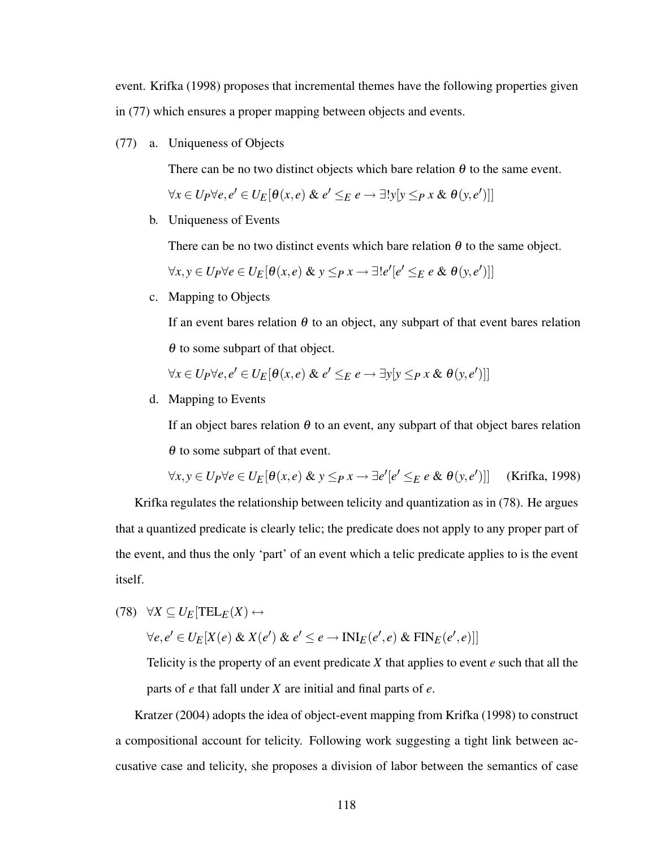event. Krifka (1998) proposes that incremental themes have the following properties given in (77) which ensures a proper mapping between objects and events.

(77) a. Uniqueness of Objects

There can be no two distinct objects which bare relation  $\theta$  to the same event.

$$
\forall x \in U_P \forall e, e' \in U_E[\theta(x, e) \& e' \leq_E e \rightarrow \exists! y [y \leq_P x \& \theta(y, e')]]
$$

b. Uniqueness of Events

There can be no two distinct events which bare relation  $\theta$  to the same object.

$$
\forall x, y \in U_P \forall e \in U_E[\theta(x, e) \& y \leq_P x \rightarrow \exists! e'[e' \leq_E e \& \theta(y, e')]]
$$

c. Mapping to Objects

If an event bares relation  $\theta$  to an object, any subpart of that event bares relation  $\theta$  to some subpart of that object.

$$
\forall x \in U_P \forall e, e' \in U_E[\theta(x, e) \& e' \leq_E e \rightarrow \exists y [y \leq_P x \& \theta(y, e')]]
$$

d. Mapping to Events

If an object bares relation  $\theta$  to an event, any subpart of that object bares relation  $\theta$  to some subpart of that event.

$$
\forall x, y \in U_P \forall e \in U_E[\theta(x, e) \& y \leq_P x \rightarrow \exists e'[e' \leq_E e \& \theta(y, e')]] \quad \text{(Krifka, 1998)}
$$

Krifka regulates the relationship between telicity and quantization as in (78). He argues that a quantized predicate is clearly telic; the predicate does not apply to any proper part of the event, and thus the only 'part' of an event which a telic predicate applies to is the event itself.

$$
(78) \quad \forall X \subseteq U_E[\text{TEL}_E(X) \leftrightarrow
$$

 $\forall e, e' \in U_E[X(e) \& X(e') \& e' \leq e \rightarrow \text{INI}_E(e', e) \& \text{FIN}_E(e', e)]$ 

Telicity is the property of an event predicate *X* that applies to event *e* such that all the parts of *e* that fall under *X* are initial and final parts of *e*.

Kratzer (2004) adopts the idea of object-event mapping from Krifka (1998) to construct a compositional account for telicity. Following work suggesting a tight link between accusative case and telicity, she proposes a division of labor between the semantics of case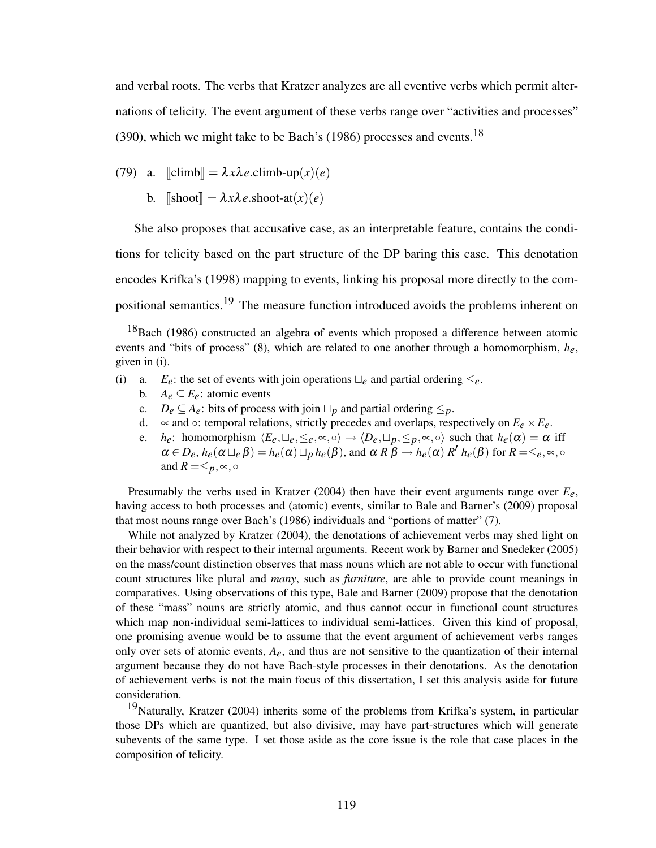and verbal roots. The verbs that Kratzer analyzes are all eventive verbs which permit alternations of telicity. The event argument of these verbs range over "activities and processes" (390), which we might take to be Bach's (1986) processes and events.<sup>18</sup>

(79) a. 
$$
[\text{climb}] = \lambda x \lambda e \text{.climb-up}(x)(e)
$$

b.  $\llbracket \text{shoot} \rrbracket = \lambda x \lambda e$ .shoot-at $(x)(e)$ 

She also proposes that accusative case, as an interpretable feature, contains the conditions for telicity based on the part structure of the DP baring this case. This denotation encodes Krifka's (1998) mapping to events, linking his proposal more directly to the compositional semantics.<sup>19</sup> The measure function introduced avoids the problems inherent on

- (i) a. *E<sub>e</sub>*: the set of events with join operations  $\sqcup_e$  and partial ordering  $\leq_e$ .
	- b.  $A_e \subseteq E_e$ : atomic events
	- c. *D<sub>e</sub>*  $\subseteq$  *A<sub>e</sub>*: bits of process with join  $\sqcup_p$  and partial ordering  $\leq_p$ .
	- d.  $\propto$  and  $\circ$ : temporal relations, strictly precedes and overlaps, respectively on *E*<sup>*e*</sup> × *E*<sup>*e*</sup>.
	- e. *h<sub>e</sub>*: homomorphism  $\langle E_e, \sqcup_e, \leq_e, \infty, \circ \rangle \rightarrow \langle D_e, \sqcup_p, \leq_p, \infty, \circ \rangle$  such that  $h_e(\alpha) = \alpha$  iff  $\alpha \in D_e$ ,  $h_e(\alpha \sqcup_e \beta) = h_e(\alpha) \sqcup_p h_e(\beta)$ , and  $\alpha R \beta \rightarrow h_e(\alpha) R' h_e(\beta)$  for  $R = \leq_e, \infty, \infty$ and  $R = \leq_p, \infty, \circ$

Presumably the verbs used in Kratzer (2004) then have their event arguments range over *Ee*, having access to both processes and (atomic) events, similar to Bale and Barner's (2009) proposal that most nouns range over Bach's (1986) individuals and "portions of matter" (7).

While not analyzed by Kratzer (2004), the denotations of achievement verbs may shed light on their behavior with respect to their internal arguments. Recent work by Barner and Snedeker (2005) on the mass/count distinction observes that mass nouns which are not able to occur with functional count structures like plural and *many*, such as *furniture*, are able to provide count meanings in comparatives. Using observations of this type, Bale and Barner (2009) propose that the denotation of these "mass" nouns are strictly atomic, and thus cannot occur in functional count structures which map non-individual semi-lattices to individual semi-lattices. Given this kind of proposal, one promising avenue would be to assume that the event argument of achievement verbs ranges only over sets of atomic events,  $A_e$ , and thus are not sensitive to the quantization of their internal argument because they do not have Bach-style processes in their denotations. As the denotation of achievement verbs is not the main focus of this dissertation, I set this analysis aside for future consideration.

<sup>19</sup>Naturally, Kratzer (2004) inherits some of the problems from Krifka's system, in particular those DPs which are quantized, but also divisive, may have part-structures which will generate subevents of the same type. I set those aside as the core issue is the role that case places in the composition of telicity.

 $18$ Bach (1986) constructed an algebra of events which proposed a difference between atomic events and "bits of process" (8), which are related to one another through a homomorphism, *he*, given in (i).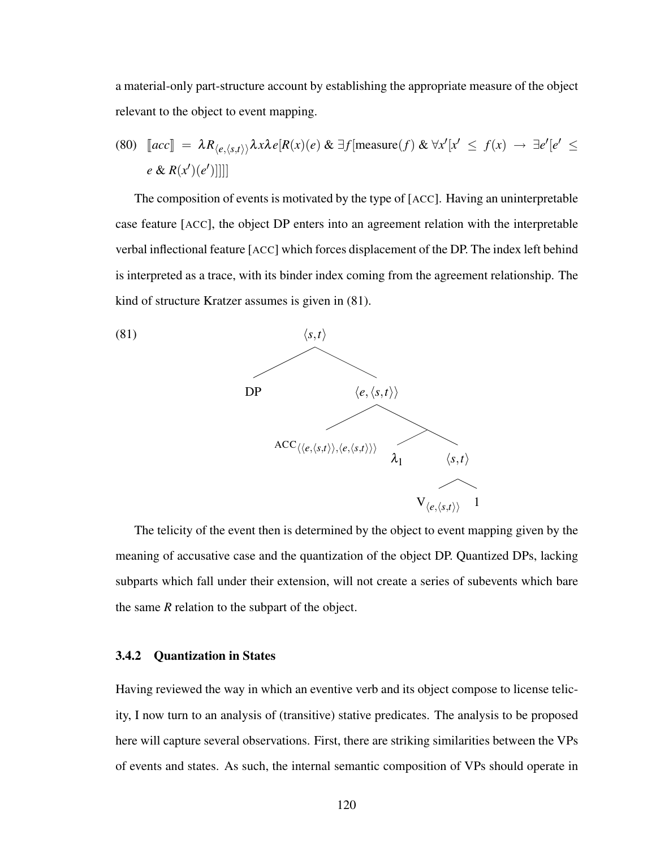a material-only part-structure account by establishing the appropriate measure of the object relevant to the object to event mapping.

(80)  $\left[acc\right] = \lambda R_{\langle e, \langle s, t \rangle} \rangle \lambda x \lambda e[R(x)(e) \& \exists f[\text{measure}(f) \& \forall x'[x' \leq f(x) \rightarrow \exists e'[e' \leq$  $e \& R(x') (e')$ ]]]]

The composition of events is motivated by the type of [ACC]. Having an uninterpretable case feature [ACC], the object DP enters into an agreement relation with the interpretable verbal inflectional feature [ACC] which forces displacement of the DP. The index left behind is interpreted as a trace, with its binder index coming from the agreement relationship. The kind of structure Kratzer assumes is given in (81).



The telicity of the event then is determined by the object to event mapping given by the meaning of accusative case and the quantization of the object DP. Quantized DPs, lacking subparts which fall under their extension, will not create a series of subevents which bare the same *R* relation to the subpart of the object.

#### 3.4.2 Quantization in States

Having reviewed the way in which an eventive verb and its object compose to license telicity, I now turn to an analysis of (transitive) stative predicates. The analysis to be proposed here will capture several observations. First, there are striking similarities between the VPs of events and states. As such, the internal semantic composition of VPs should operate in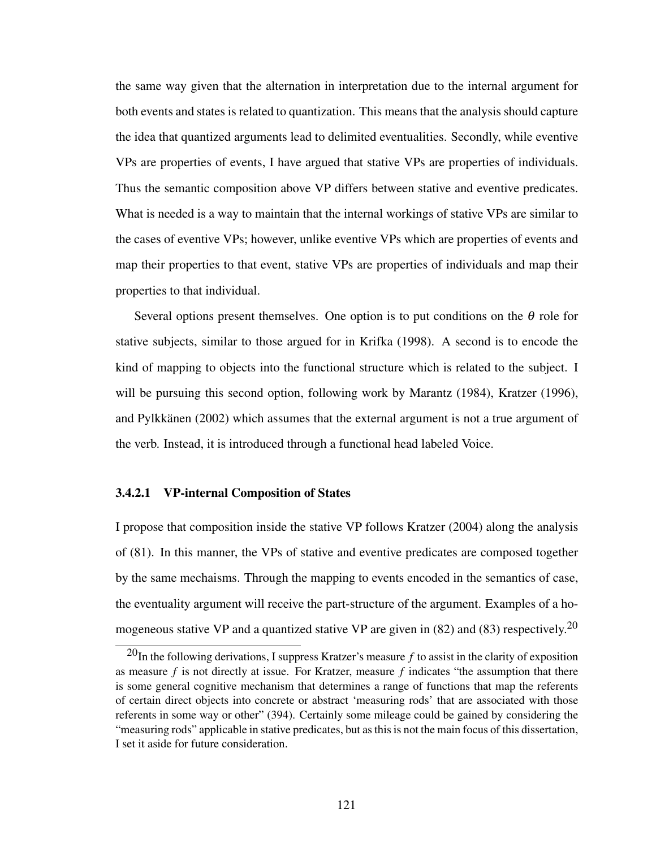the same way given that the alternation in interpretation due to the internal argument for both events and states is related to quantization. This means that the analysis should capture the idea that quantized arguments lead to delimited eventualities. Secondly, while eventive VPs are properties of events, I have argued that stative VPs are properties of individuals. Thus the semantic composition above VP differs between stative and eventive predicates. What is needed is a way to maintain that the internal workings of stative VPs are similar to the cases of eventive VPs; however, unlike eventive VPs which are properties of events and map their properties to that event, stative VPs are properties of individuals and map their properties to that individual.

Several options present themselves. One option is to put conditions on the  $\theta$  role for stative subjects, similar to those argued for in Krifka (1998). A second is to encode the kind of mapping to objects into the functional structure which is related to the subject. I will be pursuing this second option, following work by Marantz (1984), Kratzer (1996), and Pylkkänen (2002) which assumes that the external argument is not a true argument of the verb. Instead, it is introduced through a functional head labeled Voice.

# 3.4.2.1 VP-internal Composition of States

I propose that composition inside the stative VP follows Kratzer (2004) along the analysis of (81). In this manner, the VPs of stative and eventive predicates are composed together by the same mechaisms. Through the mapping to events encoded in the semantics of case, the eventuality argument will receive the part-structure of the argument. Examples of a homogeneous stative VP and a quantized stative VP are given in  $(82)$  and  $(83)$  respectively.<sup>20</sup>

 $^{20}$ In the following derivations, I suppress Kratzer's measure  $f$  to assist in the clarity of exposition as measure *f* is not directly at issue. For Kratzer, measure *f* indicates "the assumption that there is some general cognitive mechanism that determines a range of functions that map the referents of certain direct objects into concrete or abstract 'measuring rods' that are associated with those referents in some way or other" (394). Certainly some mileage could be gained by considering the "measuring rods" applicable in stative predicates, but as this is not the main focus of this dissertation, I set it aside for future consideration.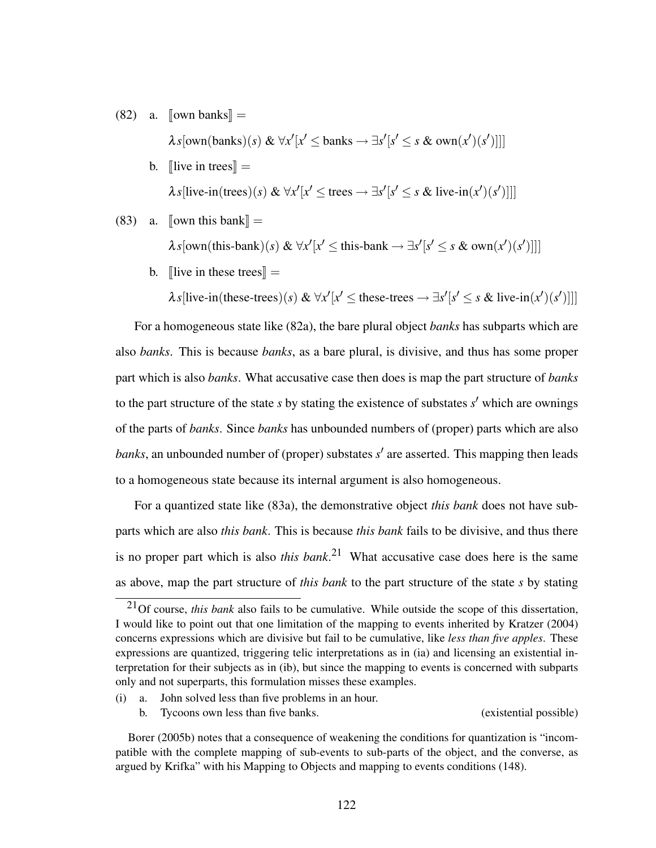- (82) a.  $\sqrt{\text{own} \text{ banks}}$  =  $\lambda s$ [own(banks)(*s*) &  $\forall x'[x' \leq$  banks  $\rightarrow \exists s'[s' \leq s \& \text{ own}(x')(s')]]$ ]
	- b.  $\left\| \text{live in trees} \right\| =$  $\lambda s[$ live-in(trees)(*s*) &  $\forall x'[x' \leq \text{trees} \rightarrow \exists s'[s' \leq s \& \text{ live-in}(x')(s')]]]$
- (83) a.  $\sqrt{\text{own}}$  this bank  $\Vert =$

 $\lambda s$ [own(this-bank)(*s*) &  $\forall x'[x' \le \text{this-bank} \rightarrow \exists s'[s' \le s \& \text{ own}(x')(s')]]$ ]

b. [live in these trees]  $=$ 

 $\lambda s$ [live-in(these-trees)(*s*) &  $\forall x'[x' \leq \text{these-trees} \rightarrow \exists s'[s' \leq s \& \text{ live-in}(x')(s')]$ ]]

For a homogeneous state like (82a), the bare plural object *banks* has subparts which are also *banks*. This is because *banks*, as a bare plural, is divisive, and thus has some proper part which is also *banks*. What accusative case then does is map the part structure of *banks* to the part structure of the state *s* by stating the existence of substates *s'* which are ownings of the parts of *banks*. Since *banks* has unbounded numbers of (proper) parts which are also banks, an unbounded number of (proper) substates s' are asserted. This mapping then leads to a homogeneous state because its internal argument is also homogeneous.

For a quantized state like (83a), the demonstrative object *this bank* does not have subparts which are also *this bank*. This is because *this bank* fails to be divisive, and thus there is no proper part which is also *this bank*. <sup>21</sup> What accusative case does here is the same as above, map the part structure of *this bank* to the part structure of the state *s* by stating

(i) a. John solved less than five problems in an hour.

b. Tycoons own less than five banks. (existential possible)

<sup>21</sup>Of course, *this bank* also fails to be cumulative. While outside the scope of this dissertation, I would like to point out that one limitation of the mapping to events inherited by Kratzer (2004) concerns expressions which are divisive but fail to be cumulative, like *less than five apples*. These expressions are quantized, triggering telic interpretations as in (ia) and licensing an existential interpretation for their subjects as in (ib), but since the mapping to events is concerned with subparts only and not superparts, this formulation misses these examples.

Borer (2005b) notes that a consequence of weakening the conditions for quantization is "incompatible with the complete mapping of sub-events to sub-parts of the object, and the converse, as argued by Krifka" with his Mapping to Objects and mapping to events conditions (148).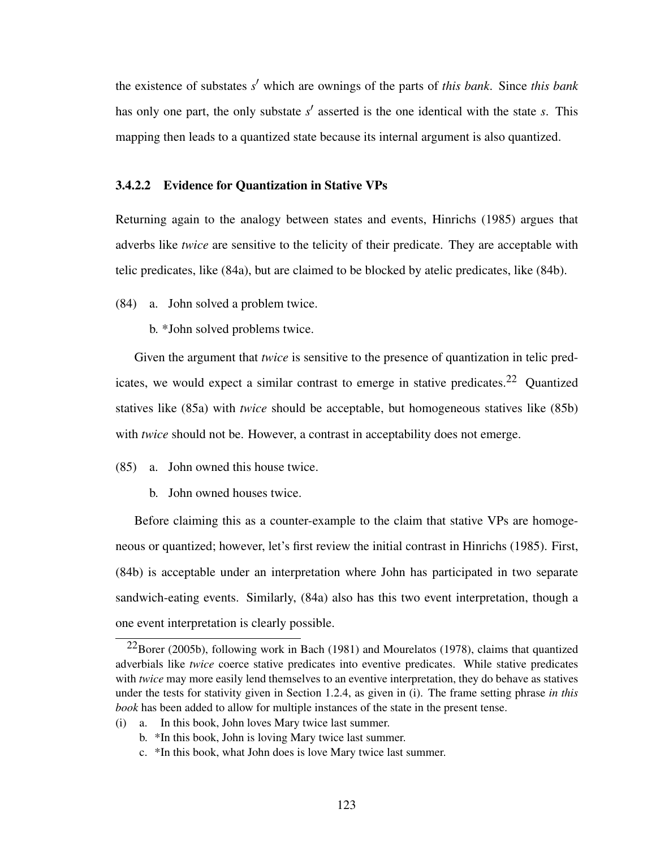the existence of substates s' which are ownings of the parts of *this bank*. Since *this bank* has only one part, the only substate  $s'$  asserted is the one identical with the state  $s$ . This mapping then leads to a quantized state because its internal argument is also quantized.

# 3.4.2.2 Evidence for Quantization in Stative VPs

Returning again to the analogy between states and events, Hinrichs (1985) argues that adverbs like *twice* are sensitive to the telicity of their predicate. They are acceptable with telic predicates, like (84a), but are claimed to be blocked by atelic predicates, like (84b).

(84) a. John solved a problem twice.

b. \*John solved problems twice.

Given the argument that *twice* is sensitive to the presence of quantization in telic predicates, we would expect a similar contrast to emerge in stative predicates.<sup>22</sup> Ouantized statives like (85a) with *twice* should be acceptable, but homogeneous statives like (85b) with *twice* should not be. However, a contrast in acceptability does not emerge.

(85) a. John owned this house twice.

b. John owned houses twice.

Before claiming this as a counter-example to the claim that stative VPs are homogeneous or quantized; however, let's first review the initial contrast in Hinrichs (1985). First, (84b) is acceptable under an interpretation where John has participated in two separate sandwich-eating events. Similarly, (84a) also has this two event interpretation, though a one event interpretation is clearly possible.

<sup>22</sup>Borer (2005b), following work in Bach (1981) and Mourelatos (1978), claims that quantized adverbials like *twice* coerce stative predicates into eventive predicates. While stative predicates with *twice* may more easily lend themselves to an eventive interpretation, they do behave as statives under the tests for stativity given in Section 1.2.4, as given in (i). The frame setting phrase *in this book* has been added to allow for multiple instances of the state in the present tense.

<sup>(</sup>i) a. In this book, John loves Mary twice last summer.

b. \*In this book, John is loving Mary twice last summer.

c. \*In this book, what John does is love Mary twice last summer.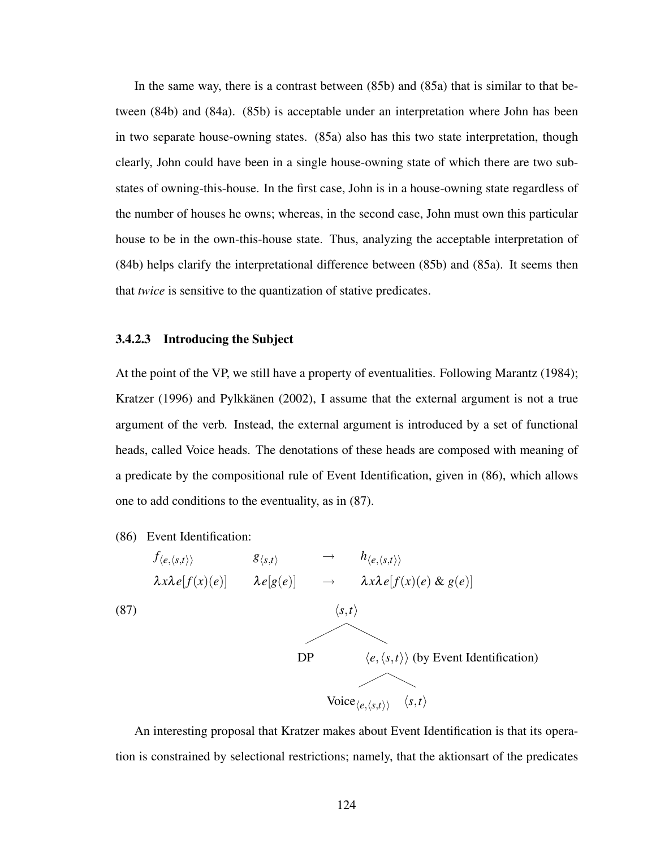In the same way, there is a contrast between (85b) and (85a) that is similar to that between (84b) and (84a). (85b) is acceptable under an interpretation where John has been in two separate house-owning states. (85a) also has this two state interpretation, though clearly, John could have been in a single house-owning state of which there are two substates of owning-this-house. In the first case, John is in a house-owning state regardless of the number of houses he owns; whereas, in the second case, John must own this particular house to be in the own-this-house state. Thus, analyzing the acceptable interpretation of (84b) helps clarify the interpretational difference between (85b) and (85a). It seems then that *twice* is sensitive to the quantization of stative predicates.

#### 3.4.2.3 Introducing the Subject

At the point of the VP, we still have a property of eventualities. Following Marantz (1984); Kratzer (1996) and Pylkkänen (2002), I assume that the external argument is not a true argument of the verb. Instead, the external argument is introduced by a set of functional heads, called Voice heads. The denotations of these heads are composed with meaning of a predicate by the compositional rule of Event Identification, given in (86), which allows one to add conditions to the eventuality, as in (87).

(86) Event Identification:



An interesting proposal that Kratzer makes about Event Identification is that its operation is constrained by selectional restrictions; namely, that the aktionsart of the predicates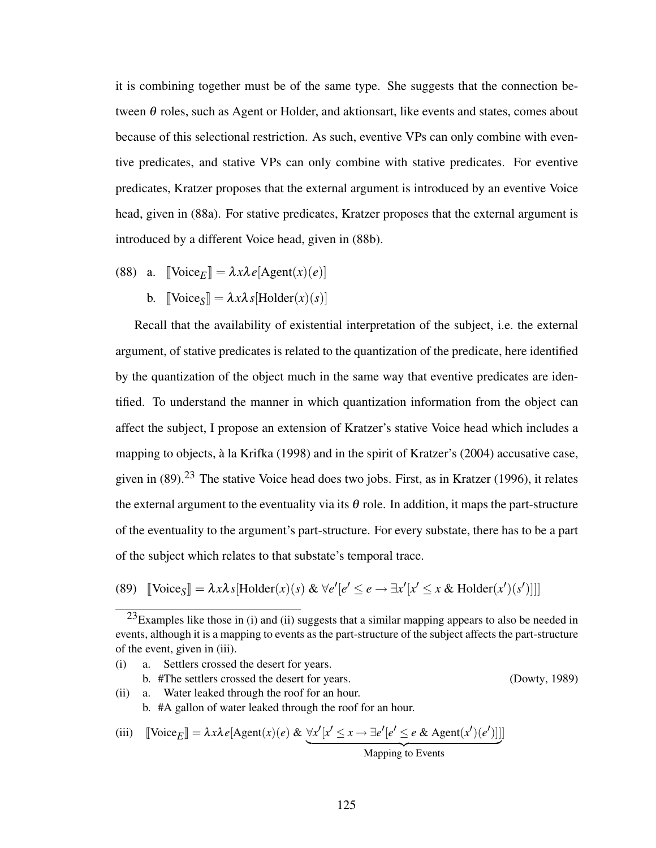it is combining together must be of the same type. She suggests that the connection between  $\theta$  roles, such as Agent or Holder, and aktionsart, like events and states, comes about because of this selectional restriction. As such, eventive VPs can only combine with eventive predicates, and stative VPs can only combine with stative predicates. For eventive predicates, Kratzer proposes that the external argument is introduced by an eventive Voice head, given in (88a). For stative predicates, Kratzer proposes that the external argument is introduced by a different Voice head, given in (88b).

- (88) a.  $[\text{Voice}_E] = \lambda x \lambda e[\text{Agent}(x)(e)]$ 
	- b.  $[\text{Voice}_S] = \lambda x \lambda s[\text{Holder}(x)(s)]$

Recall that the availability of existential interpretation of the subject, i.e. the external argument, of stative predicates is related to the quantization of the predicate, here identified by the quantization of the object much in the same way that eventive predicates are identified. To understand the manner in which quantization information from the object can affect the subject, I propose an extension of Kratzer's stative Voice head which includes a mapping to objects, à la Krifka (1998) and in the spirit of Kratzer's (2004) accusative case, given in  $(89)$ <sup>23</sup>. The stative Voice head does two jobs. First, as in Kratzer (1996), it relates the external argument to the eventuality via its  $\theta$  role. In addition, it maps the part-structure of the eventuality to the argument's part-structure. For every substate, there has to be a part of the subject which relates to that substate's temporal trace.

(89) 
$$
\llbracket \text{Voice}_{S} \rrbracket = \lambda x \lambda s [\text{Holder}(x)(s) \& \forall e' [e' \le e \rightarrow \exists x' [x' \le x \& \text{Holder}(x')(s')]]]
$$

- (i) a. Settlers crossed the desert for years.
	- b. #The settlers crossed the desert for years. (Dowty, 1989)

(ii) a. Water leaked through the roof for an hour. b. #A gallon of water leaked through the roof for an hour.

(iii) [Voice<sub>E</sub>] = 
$$
\lambda x \lambda e
$$
[Agent(*x*)(*e*) &  $\forall x'[x' \le x \rightarrow \exists e'[e' \le e \& \text{Agent}(x')(e')]]$    
Mapping to Events

 $^{23}$ Examples like those in (i) and (ii) suggests that a similar mapping appears to also be needed in events, although it is a mapping to events as the part-structure of the subject affects the part-structure of the event, given in (iii).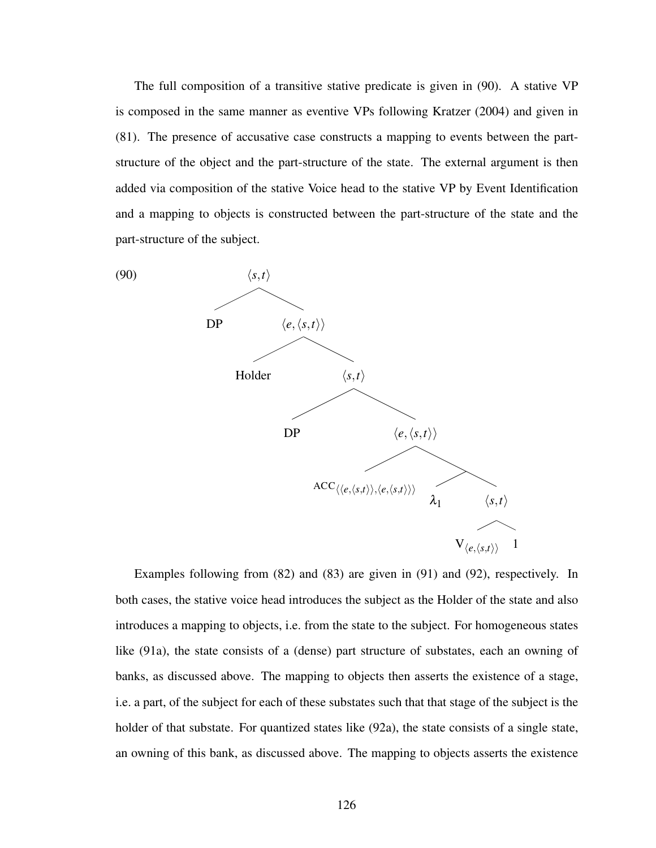The full composition of a transitive stative predicate is given in (90). A stative VP is composed in the same manner as eventive VPs following Kratzer (2004) and given in (81). The presence of accusative case constructs a mapping to events between the partstructure of the object and the part-structure of the state. The external argument is then added via composition of the stative Voice head to the stative VP by Event Identification and a mapping to objects is constructed between the part-structure of the state and the part-structure of the subject.



Examples following from (82) and (83) are given in (91) and (92), respectively. In both cases, the stative voice head introduces the subject as the Holder of the state and also introduces a mapping to objects, i.e. from the state to the subject. For homogeneous states like (91a), the state consists of a (dense) part structure of substates, each an owning of banks, as discussed above. The mapping to objects then asserts the existence of a stage, i.e. a part, of the subject for each of these substates such that that stage of the subject is the holder of that substate. For quantized states like (92a), the state consists of a single state, an owning of this bank, as discussed above. The mapping to objects asserts the existence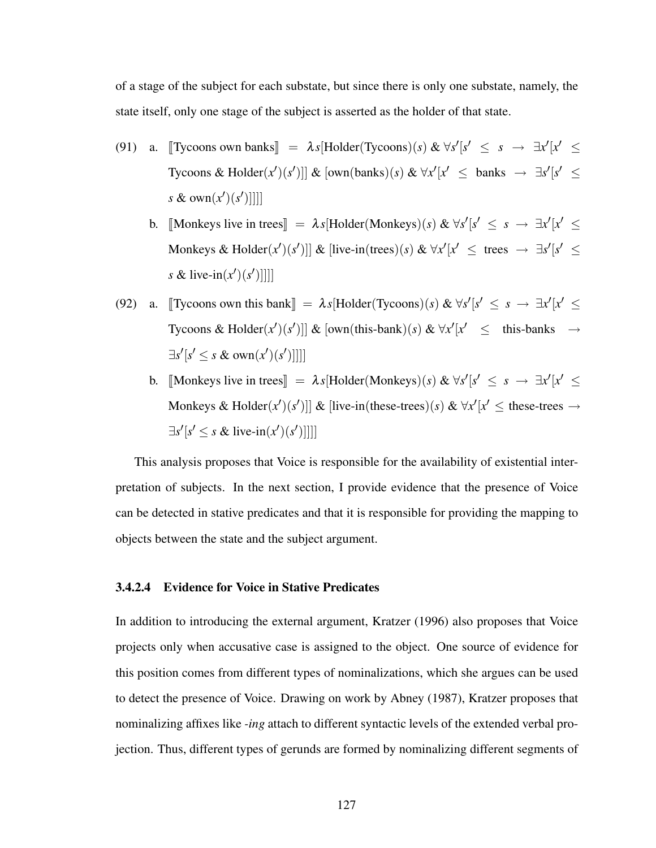of a stage of the subject for each substate, but since there is only one substate, namely, the state itself, only one stage of the subject is asserted as the holder of that state.

- (91) a.  $[\text{Tycoons own banks}] = \lambda s[\text{Holder(Tycoons})(s) \& \forall s'[s' \le s \rightarrow \exists x'[x' \le s$ Tycoons & Holder(*x'*)(*s'*)]] & [own(banks)(*s*) &  $\forall x'[x' \leq$  banks  $\rightarrow \exists s'[s' \leq$  $s \& \text{own}(x')(s')$ ]]]]
	- b. [Monkeys live in trees] =  $\lambda s$ [Holder(Monkeys)(*s*) &  $\forall s'[s' \leq s \rightarrow \exists x'[x' \leq s']$ Monkeys & Holder(*x'*)(*s'*)]] & [live-in(trees)(*s*) &  $\forall x'[x' \leq \text{trees } \rightarrow \exists s'[s' \leq \text{forest}$ *s* & live-in $(x')(s')$ ]]]]
- (92) a. [Tycoons own this bank] =  $\lambda s$ [Holder(Tycoons)(*s*) &  $\forall s'$ [ $s' \leq s \rightarrow \exists x'$ [ $x' \leq$ Tycoons & Holder $(x')(s')$ ]] &  $[own(this-bank)(s)$  &  $\forall x'[x' \leq this-banks \rightarrow$  $\exists s'[s' \leq s \& \text{ own}(x')(s')]]]]$ 
	- b. [Monkeys live in trees] =  $\lambda s$ [Holder(Monkeys)(*s*) &  $\forall s'[s' \leq s \rightarrow \exists x'[x' \leq s']$ Monkeys & Holder(*x'*)(*s'*)]] & [live-in(these-trees)(*s*) &  $\forall x'[x' \leq$  these-trees  $\rightarrow$  $\exists s'[s' \leq s \& \text{ live-in}(x')(s')]]]$

This analysis proposes that Voice is responsible for the availability of existential interpretation of subjects. In the next section, I provide evidence that the presence of Voice can be detected in stative predicates and that it is responsible for providing the mapping to objects between the state and the subject argument.

#### 3.4.2.4 Evidence for Voice in Stative Predicates

In addition to introducing the external argument, Kratzer (1996) also proposes that Voice projects only when accusative case is assigned to the object. One source of evidence for this position comes from different types of nominalizations, which she argues can be used to detect the presence of Voice. Drawing on work by Abney (1987), Kratzer proposes that nominalizing affixes like *-ing* attach to different syntactic levels of the extended verbal projection. Thus, different types of gerunds are formed by nominalizing different segments of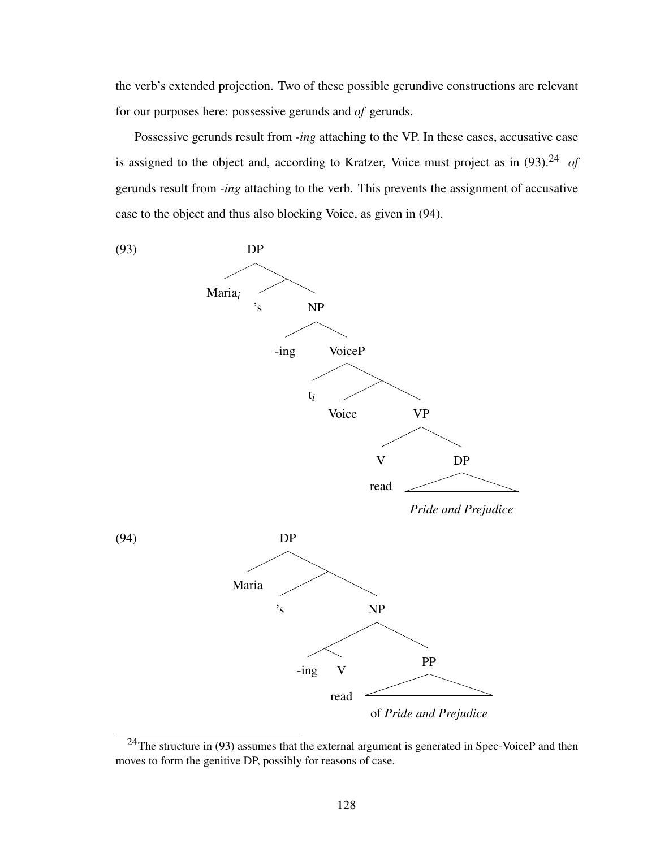the verb's extended projection. Two of these possible gerundive constructions are relevant for our purposes here: possessive gerunds and *of* gerunds.

Possessive gerunds result from *-ing* attaching to the VP. In these cases, accusative case is assigned to the object and, according to Kratzer, Voice must project as in (93).<sup>24</sup> *of* gerunds result from *-ing* attaching to the verb. This prevents the assignment of accusative case to the object and thus also blocking Voice, as given in (94).



 $24$ The structure in (93) assumes that the external argument is generated in Spec-VoiceP and then moves to form the genitive DP, possibly for reasons of case.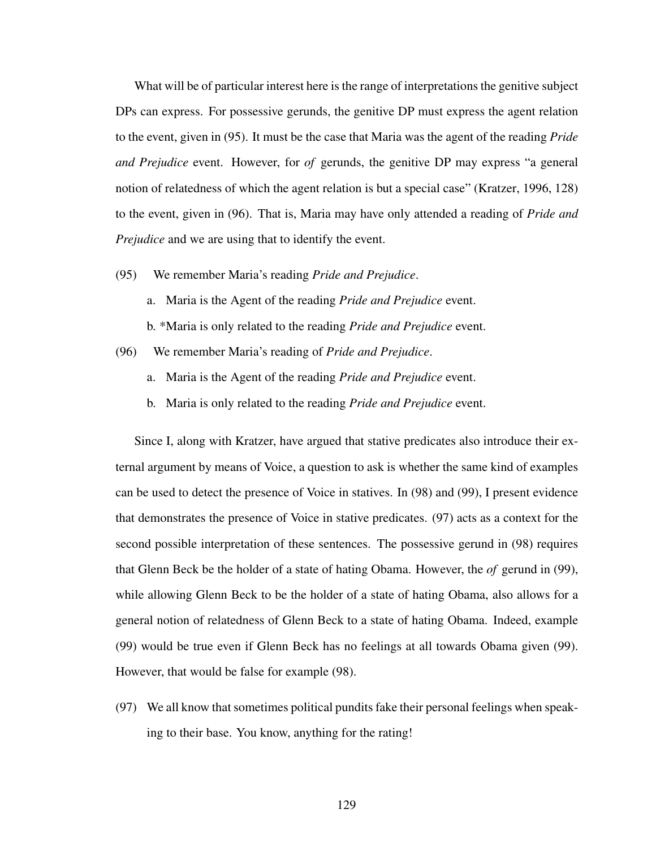What will be of particular interest here is the range of interpretations the genitive subject DPs can express. For possessive gerunds, the genitive DP must express the agent relation to the event, given in (95). It must be the case that Maria was the agent of the reading *Pride and Prejudice* event. However, for *of* gerunds, the genitive DP may express "a general notion of relatedness of which the agent relation is but a special case" (Kratzer, 1996, 128) to the event, given in (96). That is, Maria may have only attended a reading of *Pride and Prejudice* and we are using that to identify the event.

- (95) We remember Maria's reading *Pride and Prejudice*.
	- a. Maria is the Agent of the reading *Pride and Prejudice* event.
	- b. \*Maria is only related to the reading *Pride and Prejudice* event.
- (96) We remember Maria's reading of *Pride and Prejudice*.
	- a. Maria is the Agent of the reading *Pride and Prejudice* event.
	- b. Maria is only related to the reading *Pride and Prejudice* event.

Since I, along with Kratzer, have argued that stative predicates also introduce their external argument by means of Voice, a question to ask is whether the same kind of examples can be used to detect the presence of Voice in statives. In (98) and (99), I present evidence that demonstrates the presence of Voice in stative predicates. (97) acts as a context for the second possible interpretation of these sentences. The possessive gerund in (98) requires that Glenn Beck be the holder of a state of hating Obama. However, the *of* gerund in (99), while allowing Glenn Beck to be the holder of a state of hating Obama, also allows for a general notion of relatedness of Glenn Beck to a state of hating Obama. Indeed, example (99) would be true even if Glenn Beck has no feelings at all towards Obama given (99). However, that would be false for example (98).

(97) We all know that sometimes political pundits fake their personal feelings when speaking to their base. You know, anything for the rating!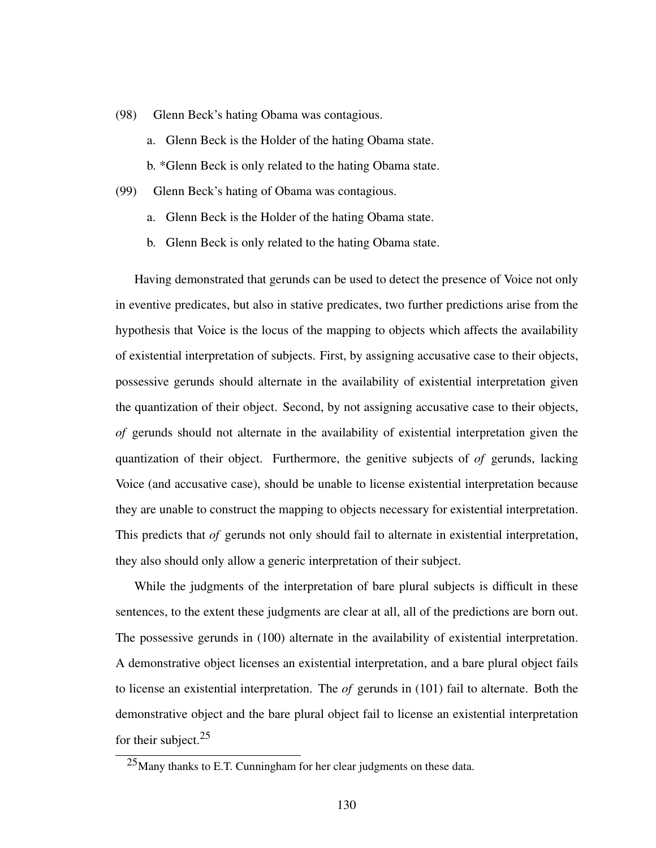- (98) Glenn Beck's hating Obama was contagious.
	- a. Glenn Beck is the Holder of the hating Obama state.
	- b. \*Glenn Beck is only related to the hating Obama state.
- (99) Glenn Beck's hating of Obama was contagious.
	- a. Glenn Beck is the Holder of the hating Obama state.
	- b. Glenn Beck is only related to the hating Obama state.

Having demonstrated that gerunds can be used to detect the presence of Voice not only in eventive predicates, but also in stative predicates, two further predictions arise from the hypothesis that Voice is the locus of the mapping to objects which affects the availability of existential interpretation of subjects. First, by assigning accusative case to their objects, possessive gerunds should alternate in the availability of existential interpretation given the quantization of their object. Second, by not assigning accusative case to their objects, *of* gerunds should not alternate in the availability of existential interpretation given the quantization of their object. Furthermore, the genitive subjects of *of* gerunds, lacking Voice (and accusative case), should be unable to license existential interpretation because they are unable to construct the mapping to objects necessary for existential interpretation. This predicts that *of* gerunds not only should fail to alternate in existential interpretation, they also should only allow a generic interpretation of their subject.

While the judgments of the interpretation of bare plural subjects is difficult in these sentences, to the extent these judgments are clear at all, all of the predictions are born out. The possessive gerunds in (100) alternate in the availability of existential interpretation. A demonstrative object licenses an existential interpretation, and a bare plural object fails to license an existential interpretation. The *of* gerunds in (101) fail to alternate. Both the demonstrative object and the bare plural object fail to license an existential interpretation for their subject.<sup>25</sup>

<sup>25</sup>Many thanks to E.T. Cunningham for her clear judgments on these data.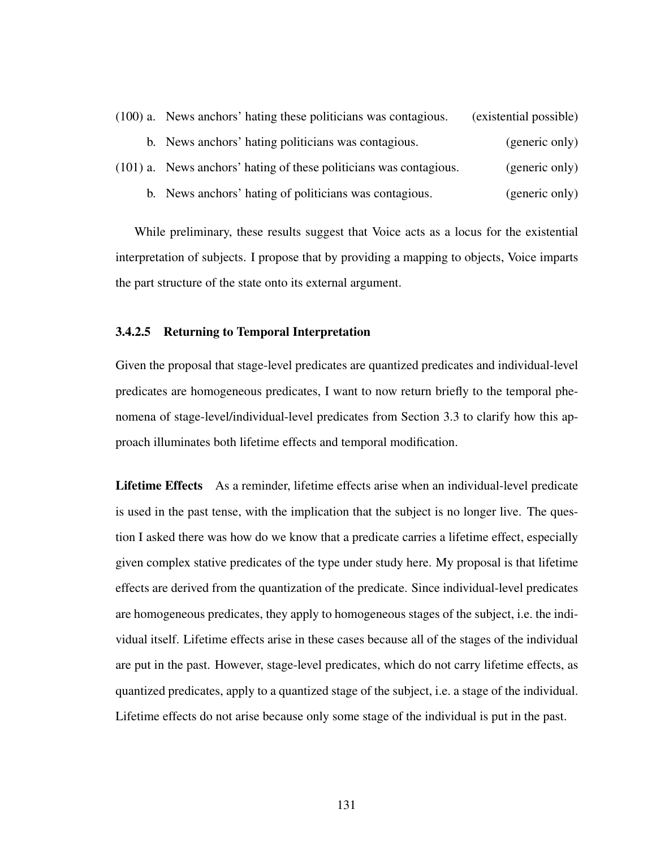| (100) a. News anchors' hating these politicians was contagious.      | (existential possible) |
|----------------------------------------------------------------------|------------------------|
| b. News anchors' hating politicians was contagious.                  | (generic only)         |
| $(101)$ a. News anchors' hating of these politicians was contagious. | (generic only)         |
| b. News anchors' hating of politicians was contagious.               | (generic only)         |

While preliminary, these results suggest that Voice acts as a locus for the existential interpretation of subjects. I propose that by providing a mapping to objects, Voice imparts the part structure of the state onto its external argument.

#### 3.4.2.5 Returning to Temporal Interpretation

Given the proposal that stage-level predicates are quantized predicates and individual-level predicates are homogeneous predicates, I want to now return briefly to the temporal phenomena of stage-level/individual-level predicates from Section 3.3 to clarify how this approach illuminates both lifetime effects and temporal modification.

Lifetime Effects As a reminder, lifetime effects arise when an individual-level predicate is used in the past tense, with the implication that the subject is no longer live. The question I asked there was how do we know that a predicate carries a lifetime effect, especially given complex stative predicates of the type under study here. My proposal is that lifetime effects are derived from the quantization of the predicate. Since individual-level predicates are homogeneous predicates, they apply to homogeneous stages of the subject, i.e. the individual itself. Lifetime effects arise in these cases because all of the stages of the individual are put in the past. However, stage-level predicates, which do not carry lifetime effects, as quantized predicates, apply to a quantized stage of the subject, i.e. a stage of the individual. Lifetime effects do not arise because only some stage of the individual is put in the past.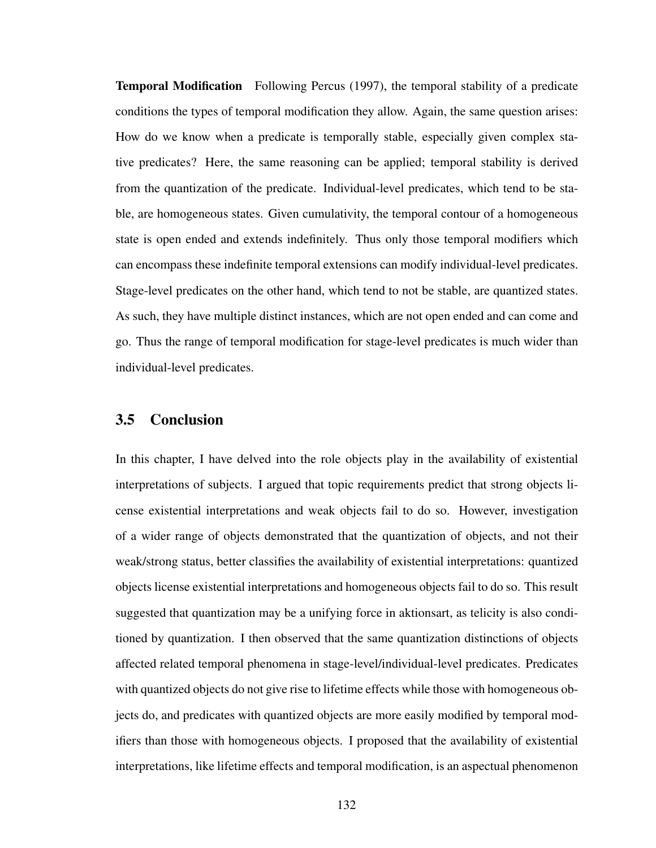Temporal Modification Following Percus (1997), the temporal stability of a predicate conditions the types of temporal modification they allow. Again, the same question arises: How do we know when a predicate is temporally stable, especially given complex stative predicates? Here, the same reasoning can be applied; temporal stability is derived from the quantization of the predicate. Individual-level predicates, which tend to be stable, are homogeneous states. Given cumulativity, the temporal contour of a homogeneous state is open ended and extends indefinitely. Thus only those temporal modifiers which can encompass these indefinite temporal extensions can modify individual-level predicates. Stage-level predicates on the other hand, which tend to not be stable, are quantized states. As such, they have multiple distinct instances, which are not open ended and can come and go. Thus the range of temporal modification for stage-level predicates is much wider than individual-level predicates.

## 3.5 Conclusion

In this chapter, I have delved into the role objects play in the availability of existential interpretations of subjects. I argued that topic requirements predict that strong objects license existential interpretations and weak objects fail to do so. However, investigation of a wider range of objects demonstrated that the quantization of objects, and not their weak/strong status, better classifies the availability of existential interpretations: quantized objects license existential interpretations and homogeneous objects fail to do so. This result suggested that quantization may be a unifying force in aktionsart, as telicity is also conditioned by quantization. I then observed that the same quantization distinctions of objects affected related temporal phenomena in stage-level/individual-level predicates. Predicates with quantized objects do not give rise to lifetime effects while those with homogeneous objects do, and predicates with quantized objects are more easily modified by temporal modifiers than those with homogeneous objects. I proposed that the availability of existential interpretations, like lifetime effects and temporal modification, is an aspectual phenomenon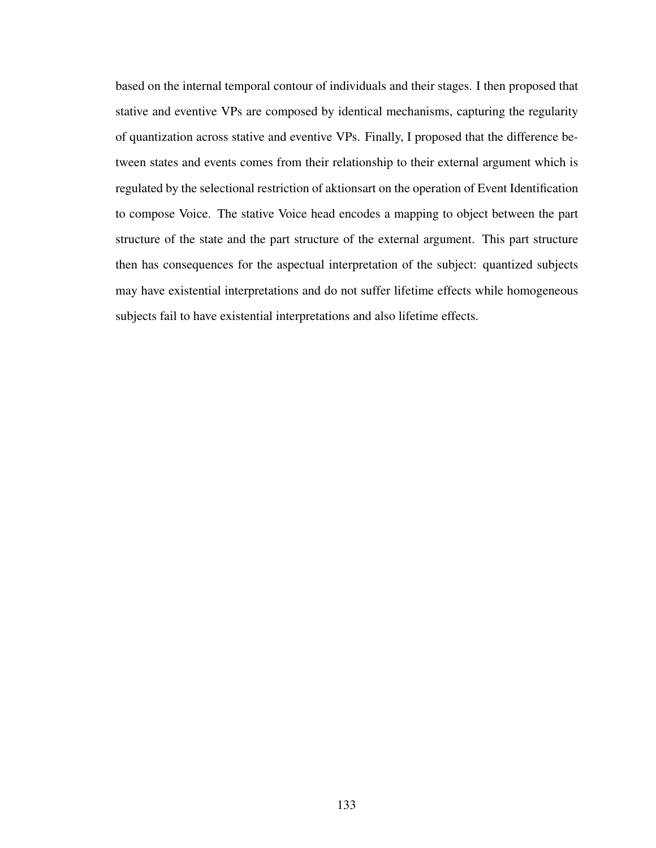based on the internal temporal contour of individuals and their stages. I then proposed that stative and eventive VPs are composed by identical mechanisms, capturing the regularity of quantization across stative and eventive VPs. Finally, I proposed that the difference between states and events comes from their relationship to their external argument which is regulated by the selectional restriction of aktionsart on the operation of Event Identification to compose Voice. The stative Voice head encodes a mapping to object between the part structure of the state and the part structure of the external argument. This part structure then has consequences for the aspectual interpretation of the subject: quantized subjects may have existential interpretations and do not suffer lifetime effects while homogeneous subjects fail to have existential interpretations and also lifetime effects.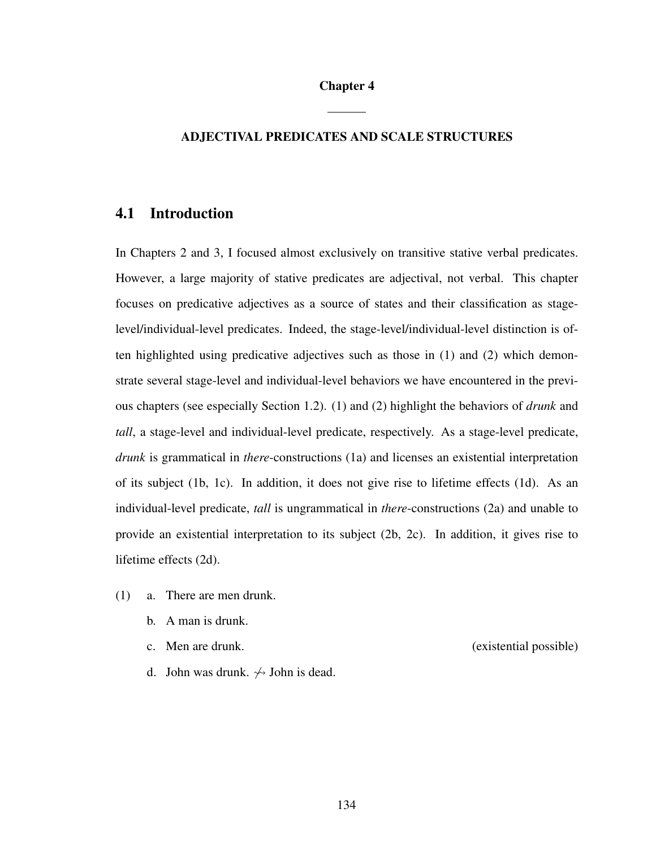### Chapter 4

## ADJECTIVAL PREDICATES AND SCALE STRUCTURES

# 4.1 Introduction

In Chapters 2 and 3, I focused almost exclusively on transitive stative verbal predicates. However, a large majority of stative predicates are adjectival, not verbal. This chapter focuses on predicative adjectives as a source of states and their classification as stagelevel/individual-level predicates. Indeed, the stage-level/individual-level distinction is often highlighted using predicative adjectives such as those in (1) and (2) which demonstrate several stage-level and individual-level behaviors we have encountered in the previous chapters (see especially Section 1.2). (1) and (2) highlight the behaviors of *drunk* and *tall*, a stage-level and individual-level predicate, respectively. As a stage-level predicate, *drunk* is grammatical in *there*-constructions (1a) and licenses an existential interpretation of its subject (1b, 1c). In addition, it does not give rise to lifetime effects (1d). As an individual-level predicate, *tall* is ungrammatical in *there*-constructions (2a) and unable to provide an existential interpretation to its subject (2b, 2c). In addition, it gives rise to lifetime effects (2d).

- (1) a. There are men drunk.
	- b. A man is drunk.
	- c. Men are drunk. (existential possible)

d. John was drunk.  $\leftrightarrow$  John is dead.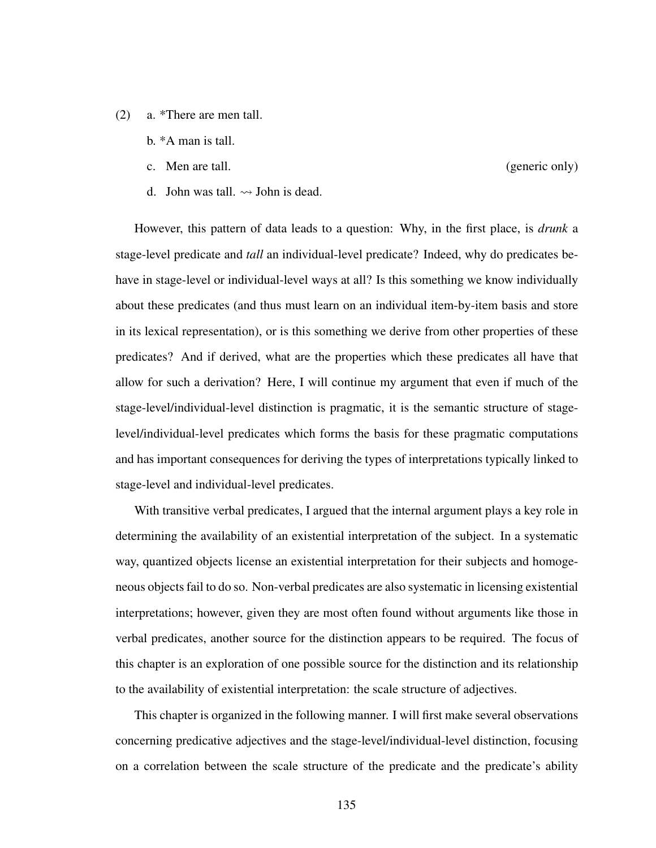- (2) a. \*There are men tall.
	- b. \*A man is tall.
	- c. Men are tall. (generic only)
	- d. John was tall.  $\rightsquigarrow$  John is dead.

However, this pattern of data leads to a question: Why, in the first place, is *drunk* a stage-level predicate and *tall* an individual-level predicate? Indeed, why do predicates behave in stage-level or individual-level ways at all? Is this something we know individually about these predicates (and thus must learn on an individual item-by-item basis and store in its lexical representation), or is this something we derive from other properties of these predicates? And if derived, what are the properties which these predicates all have that allow for such a derivation? Here, I will continue my argument that even if much of the stage-level/individual-level distinction is pragmatic, it is the semantic structure of stagelevel/individual-level predicates which forms the basis for these pragmatic computations and has important consequences for deriving the types of interpretations typically linked to stage-level and individual-level predicates.

With transitive verbal predicates, I argued that the internal argument plays a key role in determining the availability of an existential interpretation of the subject. In a systematic way, quantized objects license an existential interpretation for their subjects and homogeneous objects fail to do so. Non-verbal predicates are also systematic in licensing existential interpretations; however, given they are most often found without arguments like those in verbal predicates, another source for the distinction appears to be required. The focus of this chapter is an exploration of one possible source for the distinction and its relationship to the availability of existential interpretation: the scale structure of adjectives.

This chapter is organized in the following manner. I will first make several observations concerning predicative adjectives and the stage-level/individual-level distinction, focusing on a correlation between the scale structure of the predicate and the predicate's ability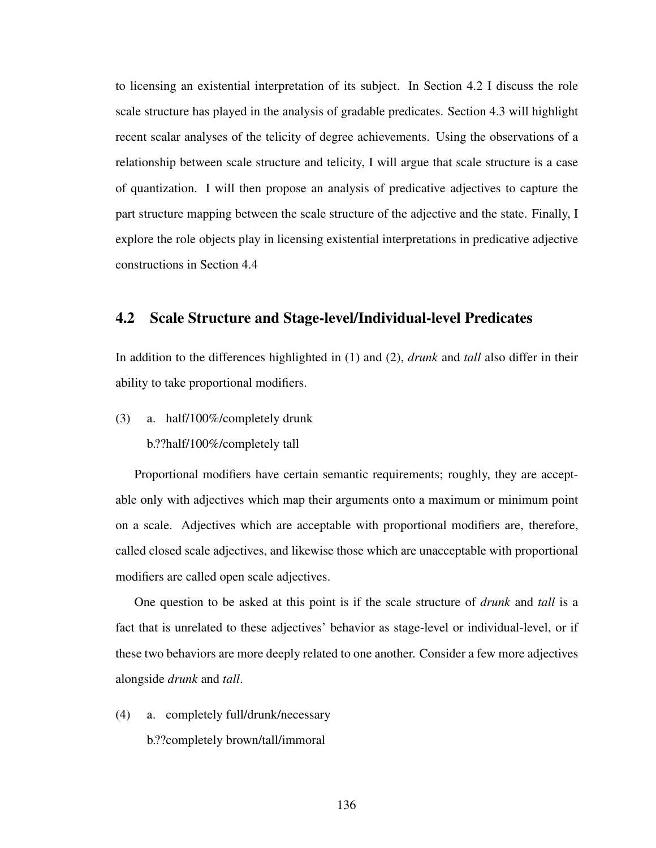to licensing an existential interpretation of its subject. In Section 4.2 I discuss the role scale structure has played in the analysis of gradable predicates. Section 4.3 will highlight recent scalar analyses of the telicity of degree achievements. Using the observations of a relationship between scale structure and telicity, I will argue that scale structure is a case of quantization. I will then propose an analysis of predicative adjectives to capture the part structure mapping between the scale structure of the adjective and the state. Finally, I explore the role objects play in licensing existential interpretations in predicative adjective constructions in Section 4.4

## 4.2 Scale Structure and Stage-level/Individual-level Predicates

In addition to the differences highlighted in (1) and (2), *drunk* and *tall* also differ in their ability to take proportional modifiers.

(3) a. half/100%/completely drunk

b.??half/100%/completely tall

Proportional modifiers have certain semantic requirements; roughly, they are acceptable only with adjectives which map their arguments onto a maximum or minimum point on a scale. Adjectives which are acceptable with proportional modifiers are, therefore, called closed scale adjectives, and likewise those which are unacceptable with proportional modifiers are called open scale adjectives.

One question to be asked at this point is if the scale structure of *drunk* and *tall* is a fact that is unrelated to these adjectives' behavior as stage-level or individual-level, or if these two behaviors are more deeply related to one another. Consider a few more adjectives alongside *drunk* and *tall*.

(4) a. completely full/drunk/necessary b.??completely brown/tall/immoral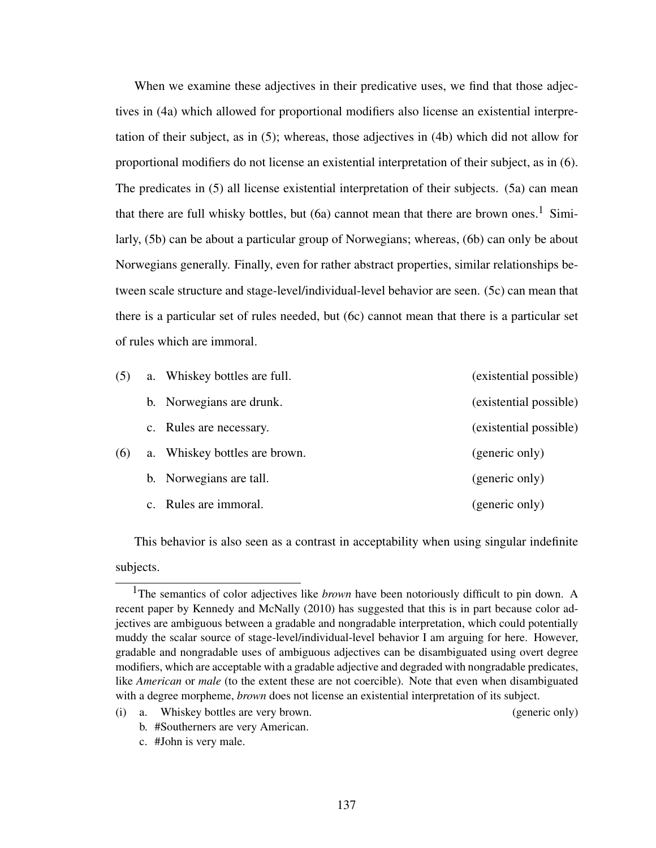When we examine these adjectives in their predicative uses, we find that those adjectives in (4a) which allowed for proportional modifiers also license an existential interpretation of their subject, as in (5); whereas, those adjectives in (4b) which did not allow for proportional modifiers do not license an existential interpretation of their subject, as in (6). The predicates in (5) all license existential interpretation of their subjects. (5a) can mean that there are full whisky bottles, but (6a) cannot mean that there are brown ones.<sup>1</sup> Similarly, (5b) can be about a particular group of Norwegians; whereas, (6b) can only be about Norwegians generally. Finally, even for rather abstract properties, similar relationships between scale structure and stage-level/individual-level behavior are seen. (5c) can mean that there is a particular set of rules needed, but (6c) cannot mean that there is a particular set of rules which are immoral.

| (5) | a. Whiskey bottles are full.  | (existential possible) |
|-----|-------------------------------|------------------------|
|     | b. Norwegians are drunk.      | (existential possible) |
|     | c. Rules are necessary.       | (existential possible) |
| (6) | a. Whiskey bottles are brown. | (generic only)         |
|     | b. Norwegians are tall.       | (generic only)         |
|     | c. Rules are immoral.         | (generic only)         |

This behavior is also seen as a contrast in acceptability when using singular indefinite subjects.

c. #John is very male.

<sup>&</sup>lt;sup>1</sup>The semantics of color adjectives like *brown* have been notoriously difficult to pin down. A recent paper by Kennedy and McNally (2010) has suggested that this is in part because color adjectives are ambiguous between a gradable and nongradable interpretation, which could potentially muddy the scalar source of stage-level/individual-level behavior I am arguing for here. However, gradable and nongradable uses of ambiguous adjectives can be disambiguated using overt degree modifiers, which are acceptable with a gradable adjective and degraded with nongradable predicates, like *American* or *male* (to the extent these are not coercible). Note that even when disambiguated with a degree morpheme, *brown* does not license an existential interpretation of its subject.

<sup>(</sup>i) a. Whiskey bottles are very brown. (generic only)

b. #Southerners are very American.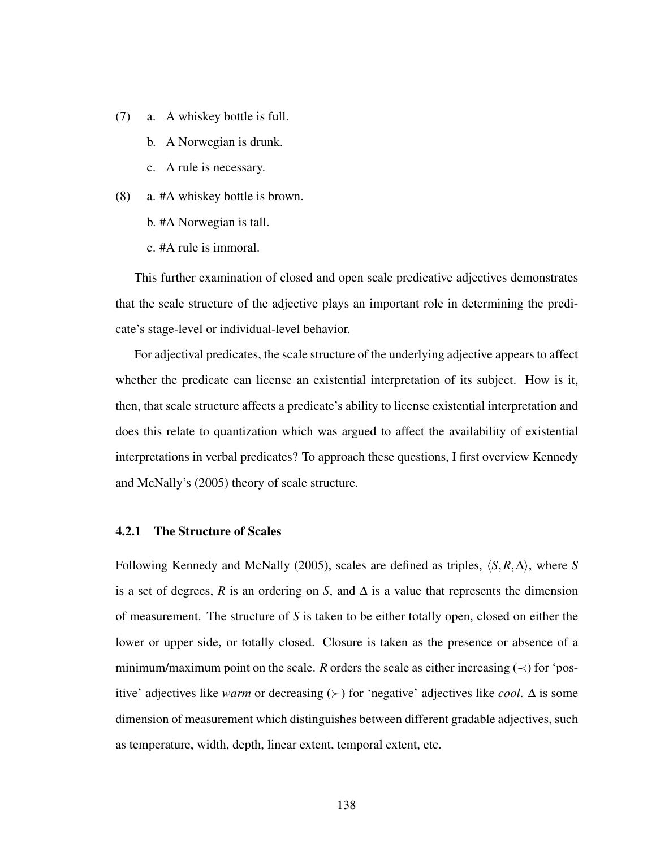- (7) a. A whiskey bottle is full.
	- b. A Norwegian is drunk.
	- c. A rule is necessary.
- (8) a. #A whiskey bottle is brown.
	- b. #A Norwegian is tall.
	- c. #A rule is immoral.

This further examination of closed and open scale predicative adjectives demonstrates that the scale structure of the adjective plays an important role in determining the predicate's stage-level or individual-level behavior.

For adjectival predicates, the scale structure of the underlying adjective appears to affect whether the predicate can license an existential interpretation of its subject. How is it, then, that scale structure affects a predicate's ability to license existential interpretation and does this relate to quantization which was argued to affect the availability of existential interpretations in verbal predicates? To approach these questions, I first overview Kennedy and McNally's (2005) theory of scale structure.

### 4.2.1 The Structure of Scales

Following Kennedy and McNally (2005), scales are defined as triples,  $\langle S, R, \Delta \rangle$ , where *S* is a set of degrees,  $R$  is an ordering on  $S$ , and  $\Delta$  is a value that represents the dimension of measurement. The structure of *S* is taken to be either totally open, closed on either the lower or upper side, or totally closed. Closure is taken as the presence or absence of a minimum/maximum point on the scale. *R* orders the scale as either increasing  $\left(\prec\right)$  for 'positive' adjectives like *warm* or decreasing ( $\succ$ ) for 'negative' adjectives like *cool*. ∆ is some dimension of measurement which distinguishes between different gradable adjectives, such as temperature, width, depth, linear extent, temporal extent, etc.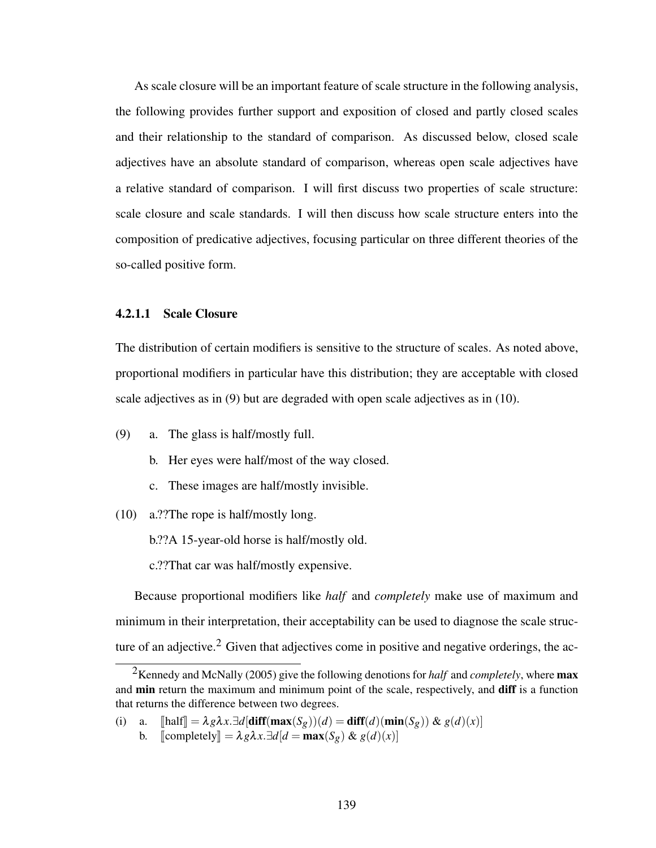As scale closure will be an important feature of scale structure in the following analysis, the following provides further support and exposition of closed and partly closed scales and their relationship to the standard of comparison. As discussed below, closed scale adjectives have an absolute standard of comparison, whereas open scale adjectives have a relative standard of comparison. I will first discuss two properties of scale structure: scale closure and scale standards. I will then discuss how scale structure enters into the composition of predicative adjectives, focusing particular on three different theories of the so-called positive form.

### 4.2.1.1 Scale Closure

The distribution of certain modifiers is sensitive to the structure of scales. As noted above, proportional modifiers in particular have this distribution; they are acceptable with closed scale adjectives as in (9) but are degraded with open scale adjectives as in (10).

- (9) a. The glass is half/mostly full.
	- b. Her eyes were half/most of the way closed.
	- c. These images are half/mostly invisible.
- (10) a.??The rope is half/mostly long.

b.??A 15-year-old horse is half/mostly old.

c.??That car was half/mostly expensive.

Because proportional modifiers like *half* and *completely* make use of maximum and minimum in their interpretation, their acceptability can be used to diagnose the scale structure of an adjective.<sup>2</sup> Given that adjectives come in positive and negative orderings, the ac-

<sup>2</sup>Kennedy and McNally (2005) give the following denotions for *half* and *completely*, where max and min return the maximum and minimum point of the scale, respectively, and diff is a function that returns the difference between two degrees.

<sup>(</sup>i) a.  $[\text{half}] = \lambda g \lambda x \cdot \exists d [\text{diff}(\text{max}(S_g))(d) = \text{diff}(d)(\text{min}(S_g)) \& g(d)(x)]$ <br>b.  $[\text{complete}] = \lambda g \lambda x \cdot \exists d [d = \text{max}(S_o) \& g(d)(x)]$  $\llbracket \text{completely} \rrbracket = \lambda g \lambda x. \exists d \, [d = \max(S_g) \& g(d)(x)]$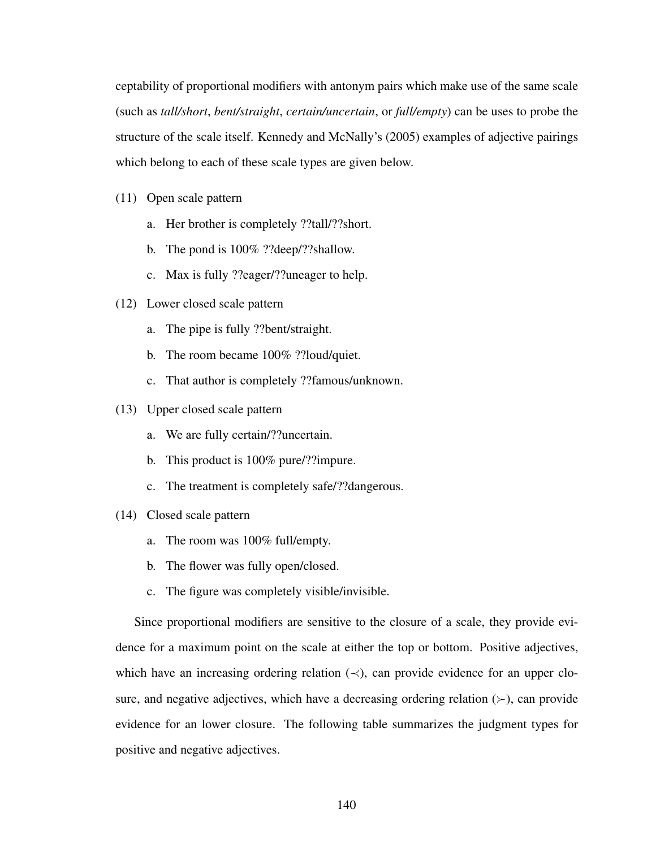ceptability of proportional modifiers with antonym pairs which make use of the same scale (such as *tall/short*, *bent/straight*, *certain/uncertain*, or *full/empty*) can be uses to probe the structure of the scale itself. Kennedy and McNally's (2005) examples of adjective pairings which belong to each of these scale types are given below.

- (11) Open scale pattern
	- a. Her brother is completely ??tall/??short.
	- b. The pond is 100% ??deep/??shallow.
	- c. Max is fully ??eager/??uneager to help.
- (12) Lower closed scale pattern
	- a. The pipe is fully ??bent/straight.
	- b. The room became 100% ??loud/quiet.
	- c. That author is completely ??famous/unknown.
- (13) Upper closed scale pattern
	- a. We are fully certain/??uncertain.
	- b. This product is 100% pure/??impure.
	- c. The treatment is completely safe/??dangerous.
- (14) Closed scale pattern
	- a. The room was 100% full/empty.
	- b. The flower was fully open/closed.
	- c. The figure was completely visible/invisible.

Since proportional modifiers are sensitive to the closure of a scale, they provide evidence for a maximum point on the scale at either the top or bottom. Positive adjectives, which have an increasing ordering relation  $(\prec)$ , can provide evidence for an upper closure, and negative adjectives, which have a decreasing ordering relation  $(\succ)$ , can provide evidence for an lower closure. The following table summarizes the judgment types for positive and negative adjectives.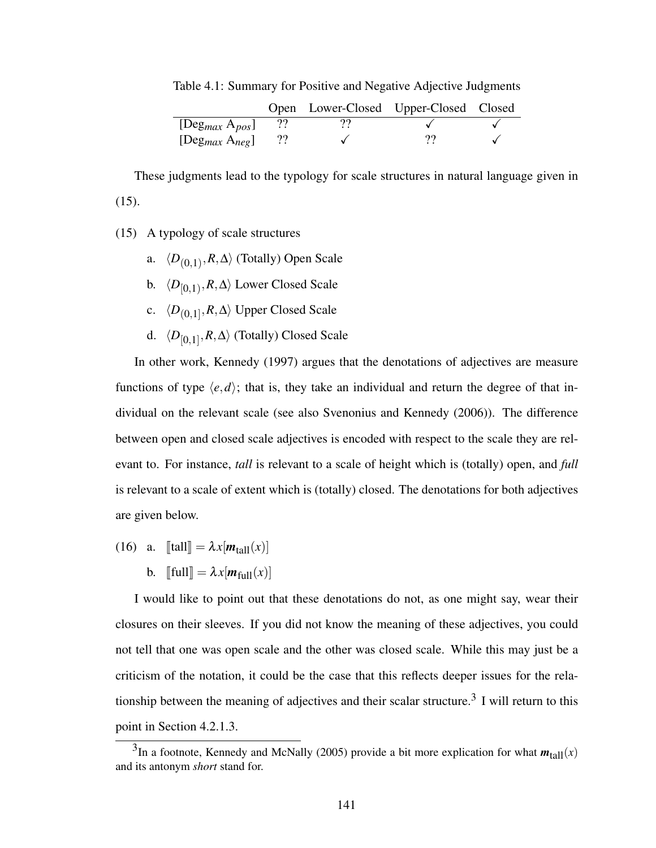Open Lower-Closed Upper-Closed Closed  $[Deg_{max} A_{pos}]$  ?? ??  $\checkmark$  $[Deg_{max} A_{neg}]$  ??  $\checkmark$  ??  $\checkmark$ 

Table 4.1: Summary for Positive and Negative Adjective Judgments

These judgments lead to the typology for scale structures in natural language given in (15).

(15) A typology of scale structures

- a.  $\langle D_{(0,1)}, R, \Delta \rangle$  (Totally) Open Scale
- b. *∖D*<sub>[0,1)</sub>,*R*,∆≀ Lower Closed Scale
- c. h*D*(0,1] ,*R*,∆i Upper Closed Scale
- d. *∖D*<sub>[0,1]</sub>,*R*,∆≀ (Totally) Closed Scale

In other work, Kennedy (1997) argues that the denotations of adjectives are measure functions of type  $\langle e, d \rangle$ ; that is, they take an individual and return the degree of that individual on the relevant scale (see also Svenonius and Kennedy (2006)). The difference between open and closed scale adjectives is encoded with respect to the scale they are relevant to. For instance, *tall* is relevant to a scale of height which is (totally) open, and *full* is relevant to a scale of extent which is (totally) closed. The denotations for both adjectives are given below.

- (16) a.  $\llbracket \text{tall} \rrbracket = \lambda x[\mathbf{m}_{\text{tall}}(x)]$ 
	- b.  $\llbracket \text{full} \rrbracket = \lambda x[m_{\text{full}}(x)]$

I would like to point out that these denotations do not, as one might say, wear their closures on their sleeves. If you did not know the meaning of these adjectives, you could not tell that one was open scale and the other was closed scale. While this may just be a criticism of the notation, it could be the case that this reflects deeper issues for the relationship between the meaning of adjectives and their scalar structure.<sup>3</sup> I will return to this point in Section 4.2.1.3.

<sup>&</sup>lt;sup>3</sup>In a footnote, Kennedy and McNally (2005) provide a bit more explication for what  $m_{\text{tall}}(x)$ and its antonym *short* stand for.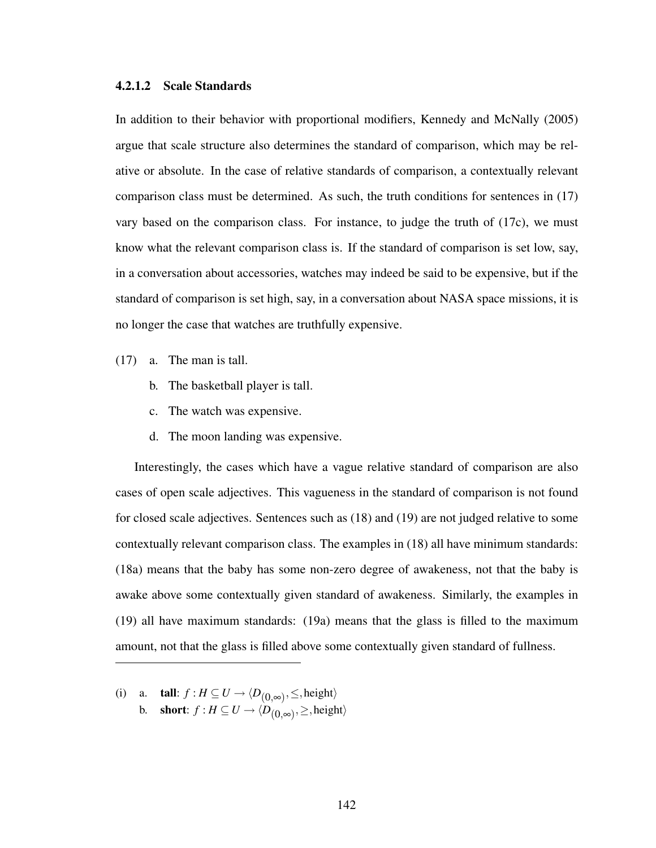### 4.2.1.2 Scale Standards

In addition to their behavior with proportional modifiers, Kennedy and McNally (2005) argue that scale structure also determines the standard of comparison, which may be relative or absolute. In the case of relative standards of comparison, a contextually relevant comparison class must be determined. As such, the truth conditions for sentences in (17) vary based on the comparison class. For instance, to judge the truth of (17c), we must know what the relevant comparison class is. If the standard of comparison is set low, say, in a conversation about accessories, watches may indeed be said to be expensive, but if the standard of comparison is set high, say, in a conversation about NASA space missions, it is no longer the case that watches are truthfully expensive.

- (17) a. The man is tall.
	- b. The basketball player is tall.
	- c. The watch was expensive.
	- d. The moon landing was expensive.

Interestingly, the cases which have a vague relative standard of comparison are also cases of open scale adjectives. This vagueness in the standard of comparison is not found for closed scale adjectives. Sentences such as (18) and (19) are not judged relative to some contextually relevant comparison class. The examples in (18) all have minimum standards: (18a) means that the baby has some non-zero degree of awakeness, not that the baby is awake above some contextually given standard of awakeness. Similarly, the examples in (19) all have maximum standards: (19a) means that the glass is filled to the maximum amount, not that the glass is filled above some contextually given standard of fullness.

- (i) a. **tall:**  $f : H \subseteq U \rightarrow \langle D_{(0,\infty)}, \leq, \text{height} \rangle$ 
	- b. **short**:  $f : H \subseteq U \rightarrow \langle D_{(0,\infty)}, \geq, \text{height} \rangle$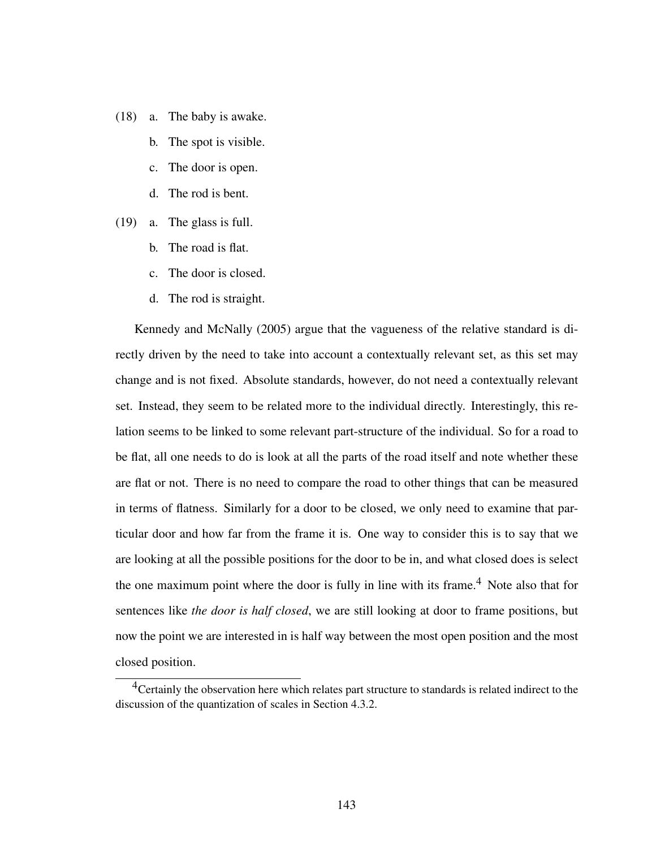- (18) a. The baby is awake.
	- b. The spot is visible.
	- c. The door is open.
	- d. The rod is bent.
- (19) a. The glass is full.
	- b. The road is flat.
	- c. The door is closed.
	- d. The rod is straight.

Kennedy and McNally (2005) argue that the vagueness of the relative standard is directly driven by the need to take into account a contextually relevant set, as this set may change and is not fixed. Absolute standards, however, do not need a contextually relevant set. Instead, they seem to be related more to the individual directly. Interestingly, this relation seems to be linked to some relevant part-structure of the individual. So for a road to be flat, all one needs to do is look at all the parts of the road itself and note whether these are flat or not. There is no need to compare the road to other things that can be measured in terms of flatness. Similarly for a door to be closed, we only need to examine that particular door and how far from the frame it is. One way to consider this is to say that we are looking at all the possible positions for the door to be in, and what closed does is select the one maximum point where the door is fully in line with its frame.<sup>4</sup> Note also that for sentences like *the door is half closed*, we are still looking at door to frame positions, but now the point we are interested in is half way between the most open position and the most closed position.

<sup>&</sup>lt;sup>4</sup>Certainly the observation here which relates part structure to standards is related indirect to the discussion of the quantization of scales in Section 4.3.2.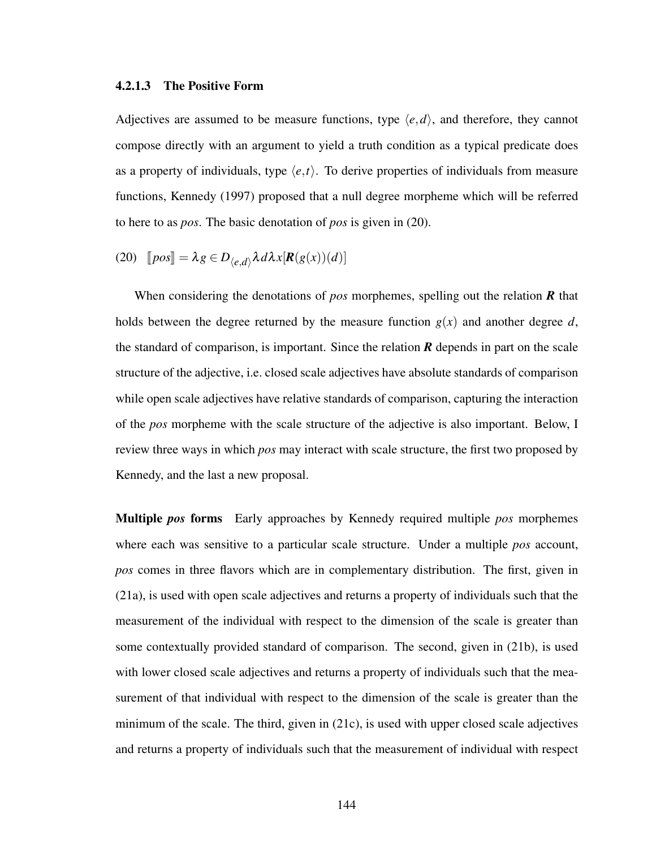### 4.2.1.3 The Positive Form

Adjectives are assumed to be measure functions, type  $\langle e, d \rangle$ , and therefore, they cannot compose directly with an argument to yield a truth condition as a typical predicate does as a property of individuals, type  $\langle e, t \rangle$ . To derive properties of individuals from measure functions, Kennedy (1997) proposed that a null degree morpheme which will be referred to here to as *pos*. The basic denotation of *pos* is given in (20).

$$
(20) \quad [[pos]] = \lambda g \in D_{\langle e,d \rangle} \lambda d\lambda x [\mathbf{R}(g(x))(d)]
$$

When considering the denotations of *pos* morphemes, spelling out the relation *R* that holds between the degree returned by the measure function  $g(x)$  and another degree *d*, the standard of comparison, is important. Since the relation  *depends in part on the scale* structure of the adjective, i.e. closed scale adjectives have absolute standards of comparison while open scale adjectives have relative standards of comparison, capturing the interaction of the *pos* morpheme with the scale structure of the adjective is also important. Below, I review three ways in which *pos* may interact with scale structure, the first two proposed by Kennedy, and the last a new proposal.

Multiple *pos* forms Early approaches by Kennedy required multiple *pos* morphemes where each was sensitive to a particular scale structure. Under a multiple *pos* account, *pos* comes in three flavors which are in complementary distribution. The first, given in (21a), is used with open scale adjectives and returns a property of individuals such that the measurement of the individual with respect to the dimension of the scale is greater than some contextually provided standard of comparison. The second, given in (21b), is used with lower closed scale adjectives and returns a property of individuals such that the measurement of that individual with respect to the dimension of the scale is greater than the minimum of the scale. The third, given in (21c), is used with upper closed scale adjectives and returns a property of individuals such that the measurement of individual with respect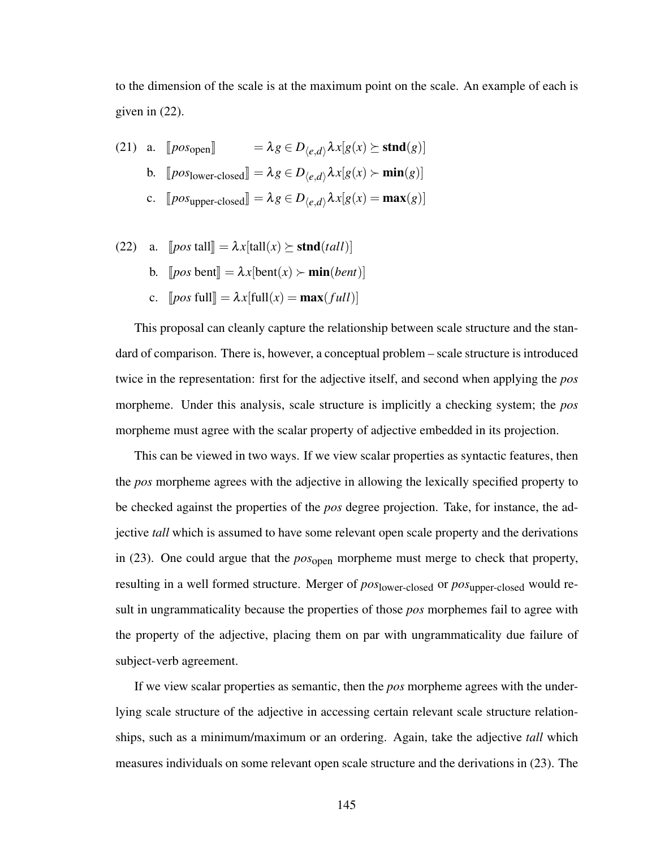to the dimension of the scale is at the maximum point on the scale. An example of each is given in (22).

(21) a.  $[pos_{\text{open}}] = \lambda g \in D_{\langle e,d \rangle} \lambda x[g(x) \succeq \text{stnd}(g)]$ b.  $[pos<sub>lower-closed</sub>] = \lambda g \in D_{\langle e,d \rangle} \lambda x[g(x) \succ \min(g)]$ c.  $[pos_{\text{upper-closed}}] = \lambda g \in D_{\langle e,d \rangle} \lambda x[g(x) = \max(g)]$ 

(22) a. 
$$
\llbracket pos \operatorname{tall} \rrbracket = \lambda x[\operatorname{tall}(x) \succeq \operatorname{stnd}(tall)]
$$

- b.  $\lbrack \lbrack pos \rbrack$  bent $\lbrack \rbrack = \lambda x \lbrack bent(x) \succ min(bent) \rbrack$
- c.  $\lbrack \lbrack pos$  full $\rbrack = \lambda x$ [full(*x*) = **max**(*full*)]

This proposal can cleanly capture the relationship between scale structure and the standard of comparison. There is, however, a conceptual problem – scale structure is introduced twice in the representation: first for the adjective itself, and second when applying the *pos* morpheme. Under this analysis, scale structure is implicitly a checking system; the *pos* morpheme must agree with the scalar property of adjective embedded in its projection.

This can be viewed in two ways. If we view scalar properties as syntactic features, then the *pos* morpheme agrees with the adjective in allowing the lexically specified property to be checked against the properties of the *pos* degree projection. Take, for instance, the adjective *tall* which is assumed to have some relevant open scale property and the derivations in (23). One could argue that the *pos*open morpheme must merge to check that property, resulting in a well formed structure. Merger of *pos*lower-closed or *pos*upper-closed would result in ungrammaticality because the properties of those *pos* morphemes fail to agree with the property of the adjective, placing them on par with ungrammaticality due failure of subject-verb agreement.

If we view scalar properties as semantic, then the *pos* morpheme agrees with the underlying scale structure of the adjective in accessing certain relevant scale structure relationships, such as a minimum/maximum or an ordering. Again, take the adjective *tall* which measures individuals on some relevant open scale structure and the derivations in (23). The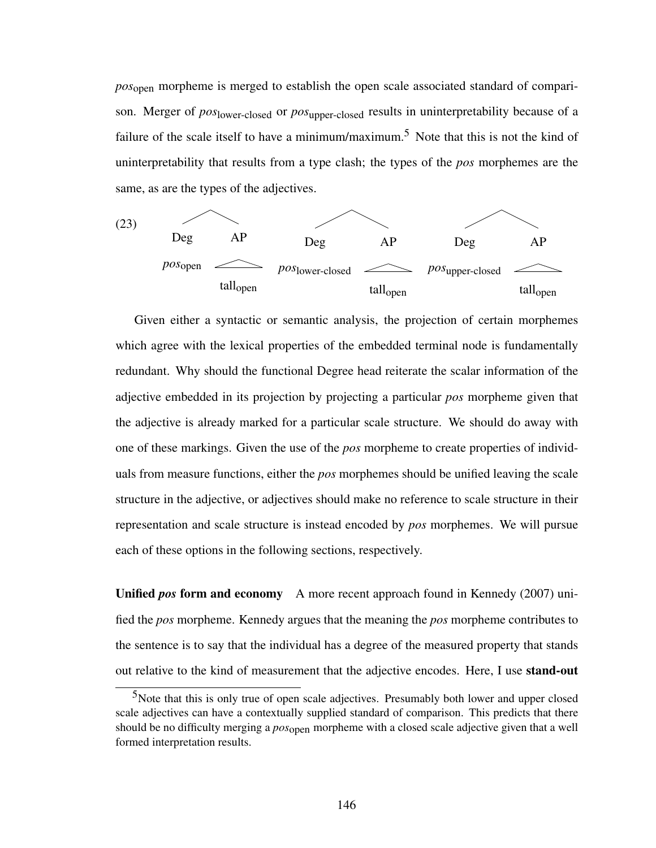*pos*open morpheme is merged to establish the open scale associated standard of comparison. Merger of *pos*lower-closed or *pos*upper-closed results in uninterpretability because of a failure of the scale itself to have a minimum/maximum.<sup>5</sup> Note that this is not the kind of uninterpretability that results from a type clash; the types of the *pos* morphemes are the same, as are the types of the adjectives.



Given either a syntactic or semantic analysis, the projection of certain morphemes which agree with the lexical properties of the embedded terminal node is fundamentally redundant. Why should the functional Degree head reiterate the scalar information of the adjective embedded in its projection by projecting a particular *pos* morpheme given that the adjective is already marked for a particular scale structure. We should do away with one of these markings. Given the use of the *pos* morpheme to create properties of individuals from measure functions, either the *pos* morphemes should be unified leaving the scale structure in the adjective, or adjectives should make no reference to scale structure in their representation and scale structure is instead encoded by *pos* morphemes. We will pursue each of these options in the following sections, respectively.

Unified *pos* form and economy A more recent approach found in Kennedy (2007) unified the *pos* morpheme. Kennedy argues that the meaning the *pos* morpheme contributes to the sentence is to say that the individual has a degree of the measured property that stands out relative to the kind of measurement that the adjective encodes. Here, I use stand-out

<sup>&</sup>lt;sup>5</sup>Note that this is only true of open scale adjectives. Presumably both lower and upper closed scale adjectives can have a contextually supplied standard of comparison. This predicts that there should be no difficulty merging a *pos*open morpheme with a closed scale adjective given that a well formed interpretation results.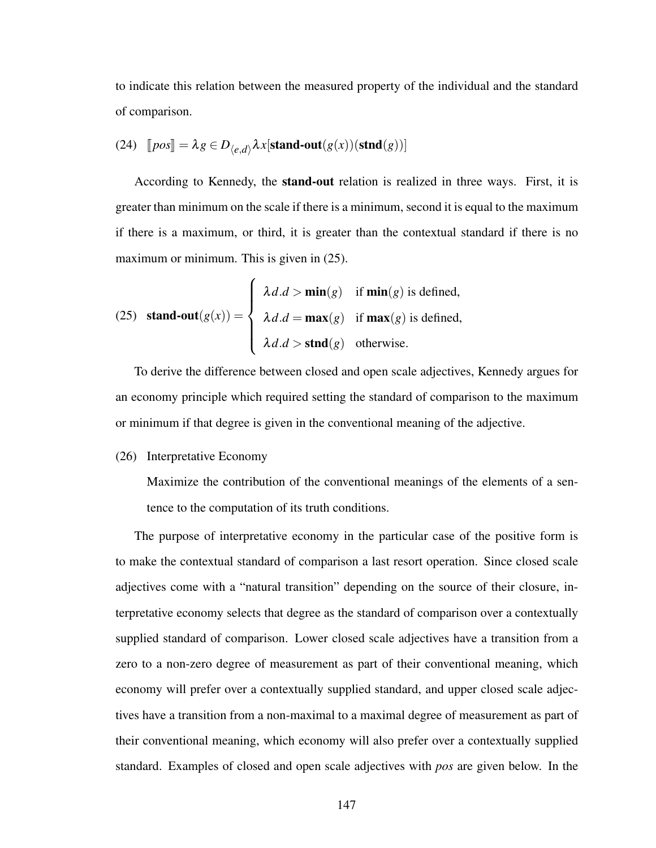to indicate this relation between the measured property of the individual and the standard of comparison.

(24) 
$$
[pos] = \lambda g \in D_{\langle e,d \rangle} \lambda x[\textbf{stand-out}(g(x))(\textbf{stud}(g))]
$$

According to Kennedy, the stand-out relation is realized in three ways. First, it is greater than minimum on the scale if there is a minimum, second it is equal to the maximum if there is a maximum, or third, it is greater than the contextual standard if there is no maximum or minimum. This is given in  $(25)$ .

(25) stand-out(
$$
g(x)
$$
) = 
$$
\begin{cases} \lambda d.d > \min(g) & \text{if } \min(g) \text{ is defined,} \\ \lambda d.d = \max(g) & \text{if } \max(g) \text{ is defined,} \\ \lambda d.d > \text{stnd}(g) & \text{otherwise.} \end{cases}
$$

To derive the difference between closed and open scale adjectives, Kennedy argues for an economy principle which required setting the standard of comparison to the maximum or minimum if that degree is given in the conventional meaning of the adjective.

#### (26) Interpretative Economy

Maximize the contribution of the conventional meanings of the elements of a sentence to the computation of its truth conditions.

The purpose of interpretative economy in the particular case of the positive form is to make the contextual standard of comparison a last resort operation. Since closed scale adjectives come with a "natural transition" depending on the source of their closure, interpretative economy selects that degree as the standard of comparison over a contextually supplied standard of comparison. Lower closed scale adjectives have a transition from a zero to a non-zero degree of measurement as part of their conventional meaning, which economy will prefer over a contextually supplied standard, and upper closed scale adjectives have a transition from a non-maximal to a maximal degree of measurement as part of their conventional meaning, which economy will also prefer over a contextually supplied standard. Examples of closed and open scale adjectives with *pos* are given below. In the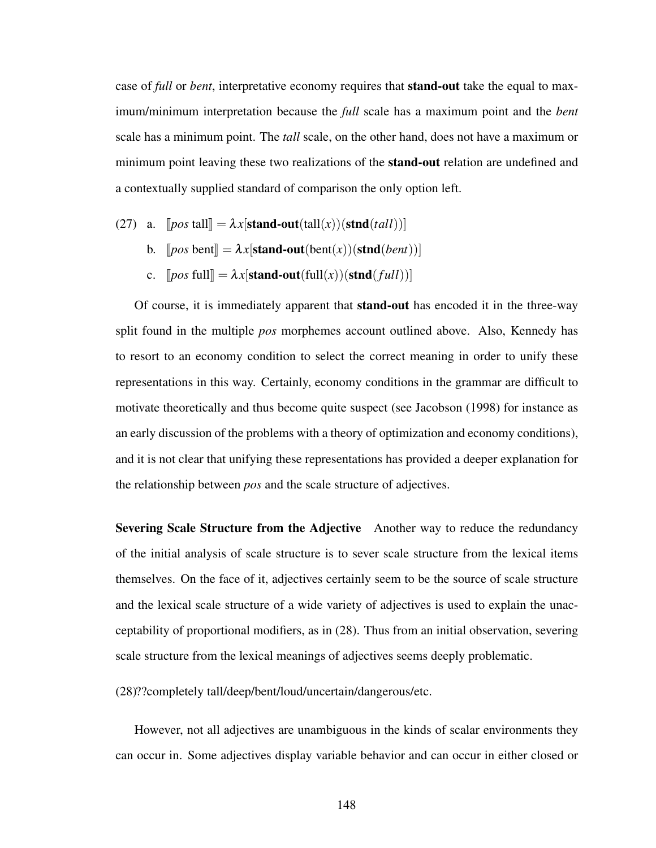case of *full* or *bent*, interpretative economy requires that stand-out take the equal to maximum/minimum interpretation because the *full* scale has a maximum point and the *bent* scale has a minimum point. The *tall* scale, on the other hand, does not have a maximum or minimum point leaving these two realizations of the **stand-out** relation are undefined and a contextually supplied standard of comparison the only option left.

- (27) a.  $\lceil pos \, \text{tall} \rceil = \lambda x[\text{stand-out}(\text{tall}(x))(\text{stnd}(tall)))]$ 
	- b.  $\lceil pos \text{ bent} \rceil = \lambda x[\text{stand-out}(\text{bent}(x))(\text{stud}(bent))]$
	- c.  $\lceil pos \text{ full} \rceil = \lambda x[\text{stand-out}(\text{full}(x))(\text{stnd}(full)))\rceil$

Of course, it is immediately apparent that stand-out has encoded it in the three-way split found in the multiple *pos* morphemes account outlined above. Also, Kennedy has to resort to an economy condition to select the correct meaning in order to unify these representations in this way. Certainly, economy conditions in the grammar are difficult to motivate theoretically and thus become quite suspect (see Jacobson (1998) for instance as an early discussion of the problems with a theory of optimization and economy conditions), and it is not clear that unifying these representations has provided a deeper explanation for the relationship between *pos* and the scale structure of adjectives.

Severing Scale Structure from the Adjective Another way to reduce the redundancy of the initial analysis of scale structure is to sever scale structure from the lexical items themselves. On the face of it, adjectives certainly seem to be the source of scale structure and the lexical scale structure of a wide variety of adjectives is used to explain the unacceptability of proportional modifiers, as in (28). Thus from an initial observation, severing scale structure from the lexical meanings of adjectives seems deeply problematic.

(28)??completely tall/deep/bent/loud/uncertain/dangerous/etc.

However, not all adjectives are unambiguous in the kinds of scalar environments they can occur in. Some adjectives display variable behavior and can occur in either closed or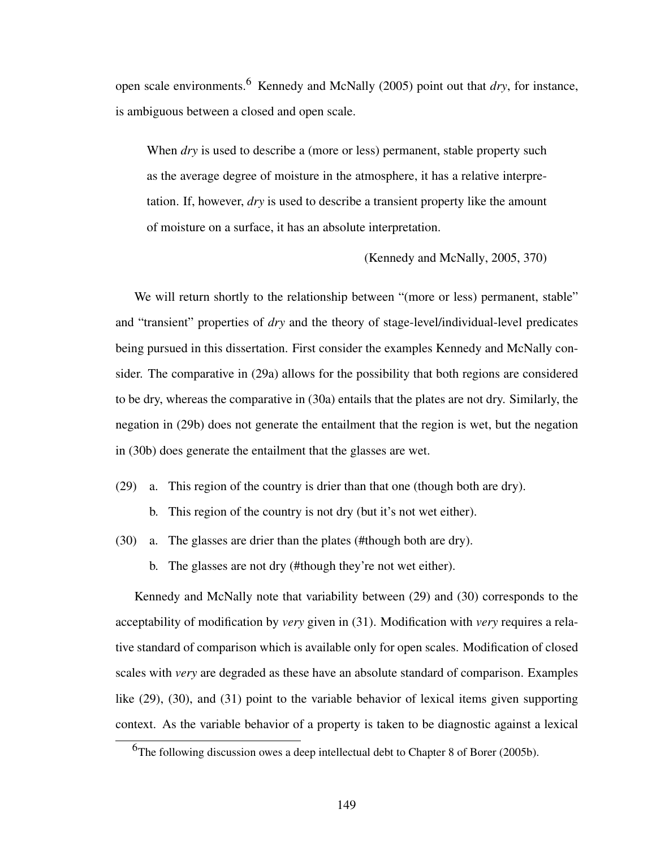open scale environments.<sup>6</sup> Kennedy and McNally (2005) point out that  $\frac{dy}{dx}$ , for instance, is ambiguous between a closed and open scale.

When *dry* is used to describe a (more or less) permanent, stable property such as the average degree of moisture in the atmosphere, it has a relative interpretation. If, however, *dry* is used to describe a transient property like the amount of moisture on a surface, it has an absolute interpretation.

(Kennedy and McNally, 2005, 370)

We will return shortly to the relationship between "(more or less) permanent, stable" and "transient" properties of *dry* and the theory of stage-level/individual-level predicates being pursued in this dissertation. First consider the examples Kennedy and McNally consider. The comparative in (29a) allows for the possibility that both regions are considered to be dry, whereas the comparative in (30a) entails that the plates are not dry. Similarly, the negation in (29b) does not generate the entailment that the region is wet, but the negation in (30b) does generate the entailment that the glasses are wet.

- (29) a. This region of the country is drier than that one (though both are dry).
	- b. This region of the country is not dry (but it's not wet either).
- (30) a. The glasses are drier than the plates (#though both are dry).
	- b. The glasses are not dry (#though they're not wet either).

Kennedy and McNally note that variability between (29) and (30) corresponds to the acceptability of modification by *very* given in (31). Modification with *very* requires a relative standard of comparison which is available only for open scales. Modification of closed scales with *very* are degraded as these have an absolute standard of comparison. Examples like (29), (30), and (31) point to the variable behavior of lexical items given supporting context. As the variable behavior of a property is taken to be diagnostic against a lexical

 $6$ The following discussion owes a deep intellectual debt to Chapter 8 of Borer (2005b).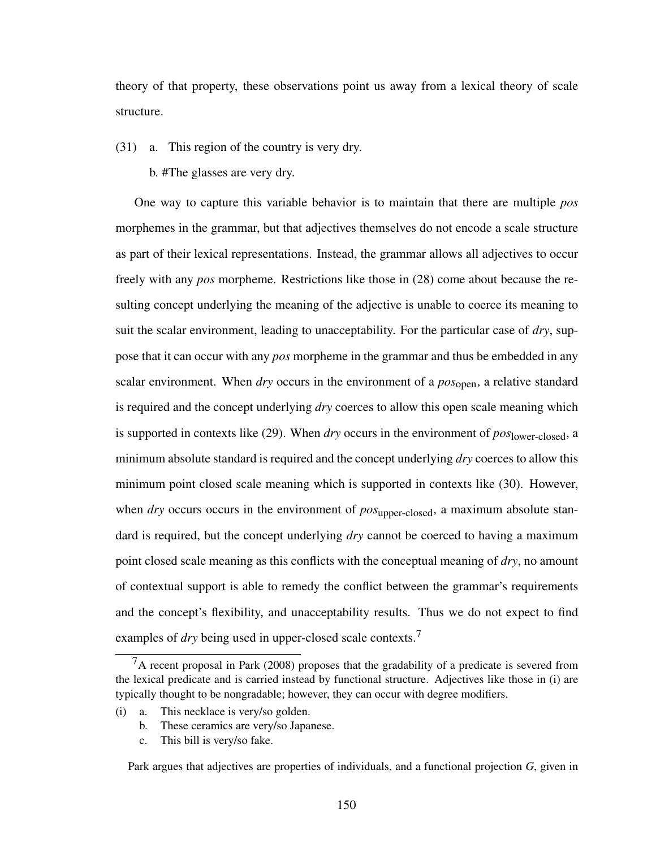theory of that property, these observations point us away from a lexical theory of scale structure.

(31) a. This region of the country is very dry.

b. #The glasses are very dry.

One way to capture this variable behavior is to maintain that there are multiple *pos* morphemes in the grammar, but that adjectives themselves do not encode a scale structure as part of their lexical representations. Instead, the grammar allows all adjectives to occur freely with any *pos* morpheme. Restrictions like those in (28) come about because the resulting concept underlying the meaning of the adjective is unable to coerce its meaning to suit the scalar environment, leading to unacceptability. For the particular case of *dry*, suppose that it can occur with any *pos* morpheme in the grammar and thus be embedded in any scalar environment. When *dry* occurs in the environment of a  $pos<sub>open</sub>$ , a relative standard is required and the concept underlying *dry* coerces to allow this open scale meaning which is supported in contexts like (29). When *dry* occurs in the environment of  $pos<sub>lower-closed</sub>$ , a minimum absolute standard is required and the concept underlying *dry* coerces to allow this minimum point closed scale meaning which is supported in contexts like (30). However, when *dry* occurs occurs in the environment of *pos*<sub>upper-closed</sub>, a maximum absolute standard is required, but the concept underlying *dry* cannot be coerced to having a maximum point closed scale meaning as this conflicts with the conceptual meaning of *dry*, no amount of contextual support is able to remedy the conflict between the grammar's requirements and the concept's flexibility, and unacceptability results. Thus we do not expect to find examples of *dry* being used in upper-closed scale contexts.<sup>7</sup>

 $7A$  recent proposal in Park (2008) proposes that the gradability of a predicate is severed from the lexical predicate and is carried instead by functional structure. Adjectives like those in (i) are typically thought to be nongradable; however, they can occur with degree modifiers.

<sup>(</sup>i) a. This necklace is very/so golden.

b. These ceramics are very/so Japanese.

c. This bill is very/so fake.

Park argues that adjectives are properties of individuals, and a functional projection *G*, given in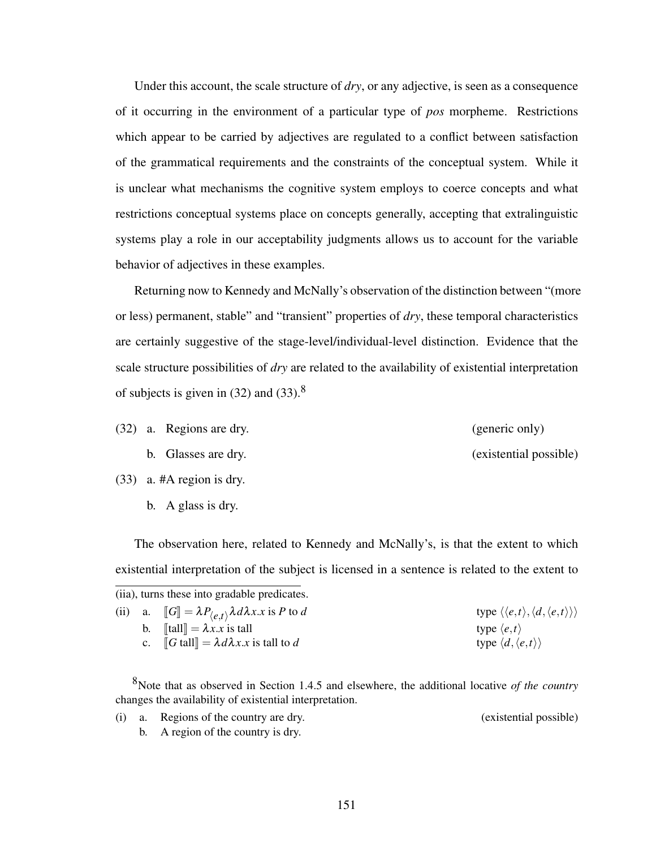Under this account, the scale structure of *dry*, or any adjective, is seen as a consequence of it occurring in the environment of a particular type of *pos* morpheme. Restrictions which appear to be carried by adjectives are regulated to a conflict between satisfaction of the grammatical requirements and the constraints of the conceptual system. While it is unclear what mechanisms the cognitive system employs to coerce concepts and what restrictions conceptual systems place on concepts generally, accepting that extralinguistic systems play a role in our acceptability judgments allows us to account for the variable behavior of adjectives in these examples.

Returning now to Kennedy and McNally's observation of the distinction between "(more or less) permanent, stable" and "transient" properties of *dry*, these temporal characteristics are certainly suggestive of the stage-level/individual-level distinction. Evidence that the scale structure possibilities of *dry* are related to the availability of existential interpretation of subjects is given in  $(32)$  and  $(33)$ .<sup>8</sup>

- (32) a. Regions are dry. (generic only) b. Glasses are dry. (existential possible)
- (33) a. #A region is dry.
	- b. A glass is dry.

The observation here, related to Kennedy and McNally's, is that the extent to which existential interpretation of the subject is licensed in a sentence is related to the extent to

<sup>(</sup>iia), turns these into gradable predicates.

|  | (ii) a. $\llbracket G \rrbracket = \lambda P_{\langle e,t \rangle} \lambda d\lambda x.x$ is P to d | type $\langle \langle e,t \rangle, \langle d, \langle e,t \rangle \rangle \rangle$ |
|--|----------------------------------------------------------------------------------------------------|------------------------------------------------------------------------------------|
|  | b. $\llbracket \text{tall} \rrbracket = \lambda x . x$ is tall                                     | type $\langle e, t \rangle$                                                        |
|  | c. $\llbracket G \text{ tall} \rrbracket = \lambda d\lambda x.x$ is tall to d                      | type $\langle d, \langle e, t \rangle \rangle$                                     |

<sup>8</sup>Note that as observed in Section 1.4.5 and elsewhere, the additional locative *of the country* changes the availability of existential interpretation.

- (i) a. Regions of the country are dry. (existential possible)
	- b. A region of the country is dry.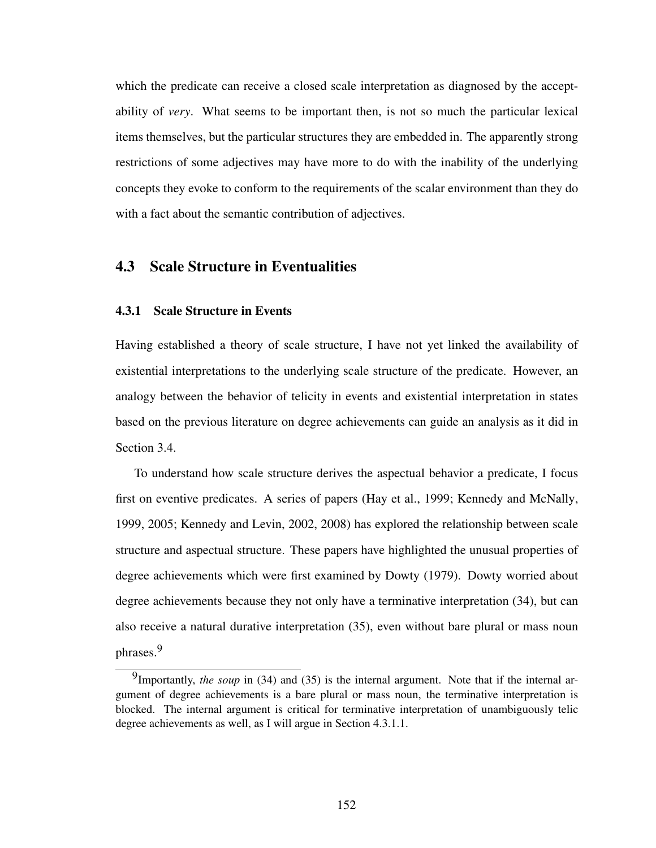which the predicate can receive a closed scale interpretation as diagnosed by the acceptability of *very*. What seems to be important then, is not so much the particular lexical items themselves, but the particular structures they are embedded in. The apparently strong restrictions of some adjectives may have more to do with the inability of the underlying concepts they evoke to conform to the requirements of the scalar environment than they do with a fact about the semantic contribution of adjectives.

## 4.3 Scale Structure in Eventualities

## 4.3.1 Scale Structure in Events

Having established a theory of scale structure, I have not yet linked the availability of existential interpretations to the underlying scale structure of the predicate. However, an analogy between the behavior of telicity in events and existential interpretation in states based on the previous literature on degree achievements can guide an analysis as it did in Section 3.4.

To understand how scale structure derives the aspectual behavior a predicate, I focus first on eventive predicates. A series of papers (Hay et al., 1999; Kennedy and McNally, 1999, 2005; Kennedy and Levin, 2002, 2008) has explored the relationship between scale structure and aspectual structure. These papers have highlighted the unusual properties of degree achievements which were first examined by Dowty (1979). Dowty worried about degree achievements because they not only have a terminative interpretation (34), but can also receive a natural durative interpretation (35), even without bare plural or mass noun phrases.<sup>9</sup>

<sup>&</sup>lt;sup>9</sup>Importantly, *the soup* in (34) and (35) is the internal argument. Note that if the internal argument of degree achievements is a bare plural or mass noun, the terminative interpretation is blocked. The internal argument is critical for terminative interpretation of unambiguously telic degree achievements as well, as I will argue in Section 4.3.1.1.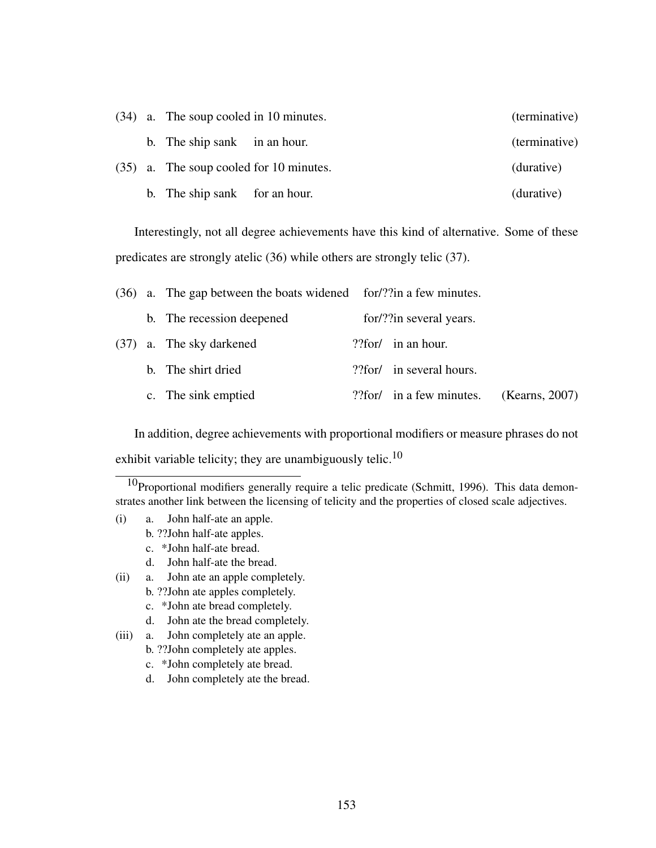|  | (34) a. The soup cooled in 10 minutes.    | (terminative) |
|--|-------------------------------------------|---------------|
|  | b. The ship sank in an hour.              | (terminative) |
|  | $(35)$ a. The soup cooled for 10 minutes. | (durative)    |
|  | b. The ship sank for an hour.             | (durative)    |

Interestingly, not all degree achievements have this kind of alternative. Some of these predicates are strongly atelic (36) while others are strongly telic (37).

|  | $(36)$ a. The gap between the boats widened for/??in a few minutes. |  |                                         |  |
|--|---------------------------------------------------------------------|--|-----------------------------------------|--|
|  | b. The recession deepened                                           |  | for/??in several years.                 |  |
|  | (37) a. The sky darkened                                            |  | ??for/ in an hour.                      |  |
|  | b. The shirt dried                                                  |  | ??for/ in several hours.                |  |
|  | c. The sink emptied                                                 |  | ??for/ in a few minutes. (Kearns, 2007) |  |

In addition, degree achievements with proportional modifiers or measure phrases do not exhibit variable telicity; they are unambiguously telic.<sup>10</sup>

 $10$ Proportional modifiers generally require a telic predicate (Schmitt, 1996). This data demonstrates another link between the licensing of telicity and the properties of closed scale adjectives.

- (i) a. John half-ate an apple.
	- b. ??John half-ate apples.
	- c. \*John half-ate bread.
	- d. John half-ate the bread.
- (ii) a. John ate an apple completely.
	- b. ??John ate apples completely.
	- c. \*John ate bread completely.
	- d. John ate the bread completely.
- (iii) a. John completely ate an apple.
	- b. ??John completely ate apples.
	- c. \*John completely ate bread.
	- d. John completely ate the bread.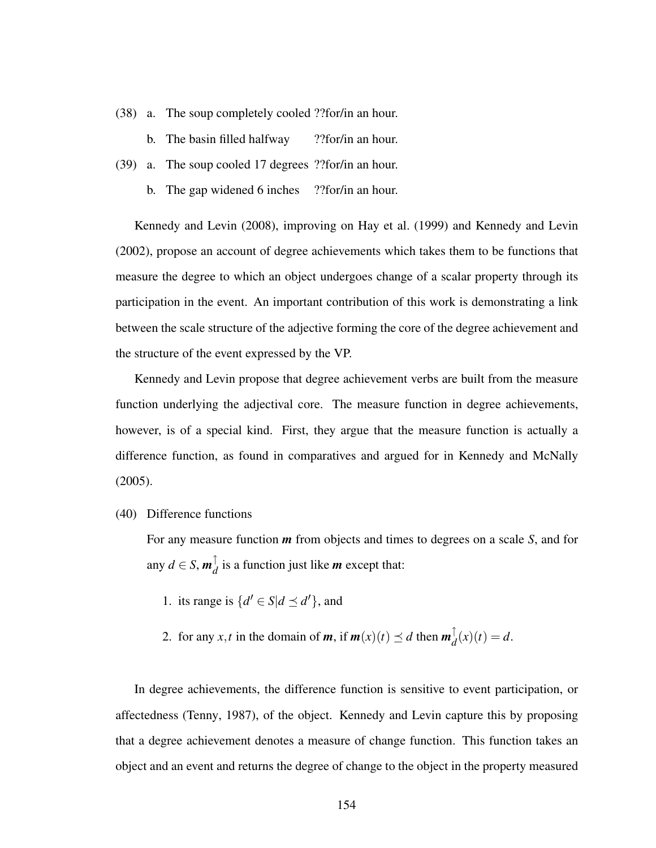- (38) a. The soup completely cooled ??for/in an hour.
	- b. The basin filled halfway ??for/in an hour.
- (39) a. The soup cooled 17 degrees ??for/in an hour.
	- b. The gap widened 6 inches ??for/in an hour.

Kennedy and Levin (2008), improving on Hay et al. (1999) and Kennedy and Levin (2002), propose an account of degree achievements which takes them to be functions that measure the degree to which an object undergoes change of a scalar property through its participation in the event. An important contribution of this work is demonstrating a link between the scale structure of the adjective forming the core of the degree achievement and the structure of the event expressed by the VP.

Kennedy and Levin propose that degree achievement verbs are built from the measure function underlying the adjectival core. The measure function in degree achievements, however, is of a special kind. First, they argue that the measure function is actually a difference function, as found in comparatives and argued for in Kennedy and McNally (2005).

(40) Difference functions

For any measure function *m* from objects and times to degrees on a scale *S*, and for any  $d \in S$ ,  $m_d^{\uparrow}$  $\frac{1}{d}$  is a function just like *m* except that:

- 1. its range is  $\{d' \in S | d \preceq d'\}$ , and
- 2. for any *x*,*t* in the domain of **m**, if  $m(x)(t) \le d$  then  $m_d$  $d^{(x)}(t) = d$ .

In degree achievements, the difference function is sensitive to event participation, or affectedness (Tenny, 1987), of the object. Kennedy and Levin capture this by proposing that a degree achievement denotes a measure of change function. This function takes an object and an event and returns the degree of change to the object in the property measured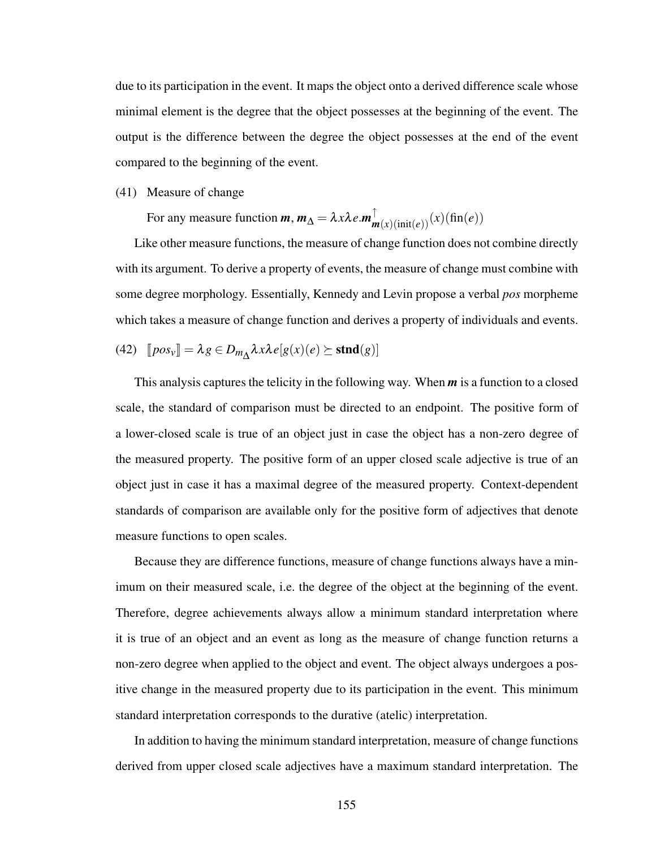due to its participation in the event. It maps the object onto a derived difference scale whose minimal element is the degree that the object possesses at the beginning of the event. The output is the difference between the degree the object possesses at the end of the event compared to the beginning of the event.

(41) Measure of change

For any measure function  $m$ ,  $m_{\Delta} = \lambda x \lambda e.m_{m(x)(init(e))}^{\uparrow}(x)(fin(e))$ 

Like other measure functions, the measure of change function does not combine directly with its argument. To derive a property of events, the measure of change must combine with some degree morphology. Essentially, Kennedy and Levin propose a verbal *pos* morpheme which takes a measure of change function and derives a property of individuals and events.

(42) 
$$
[pos_{v}] = \lambda g \in D_{m_{\Delta}} \lambda x \lambda e[g(x)(e) \succeq \text{stnd}(g)]
$$

This analysis captures the telicity in the following way. When *m* is a function to a closed scale, the standard of comparison must be directed to an endpoint. The positive form of a lower-closed scale is true of an object just in case the object has a non-zero degree of the measured property. The positive form of an upper closed scale adjective is true of an object just in case it has a maximal degree of the measured property. Context-dependent standards of comparison are available only for the positive form of adjectives that denote measure functions to open scales.

Because they are difference functions, measure of change functions always have a minimum on their measured scale, i.e. the degree of the object at the beginning of the event. Therefore, degree achievements always allow a minimum standard interpretation where it is true of an object and an event as long as the measure of change function returns a non-zero degree when applied to the object and event. The object always undergoes a positive change in the measured property due to its participation in the event. This minimum standard interpretation corresponds to the durative (atelic) interpretation.

In addition to having the minimum standard interpretation, measure of change functions derived from upper closed scale adjectives have a maximum standard interpretation. The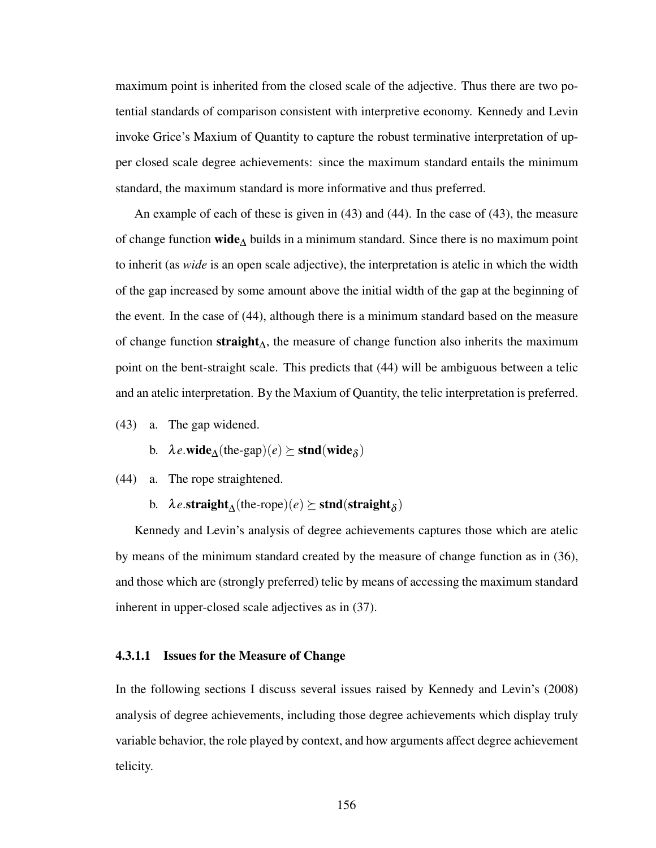maximum point is inherited from the closed scale of the adjective. Thus there are two potential standards of comparison consistent with interpretive economy. Kennedy and Levin invoke Grice's Maxium of Quantity to capture the robust terminative interpretation of upper closed scale degree achievements: since the maximum standard entails the minimum standard, the maximum standard is more informative and thus preferred.

An example of each of these is given in (43) and (44). In the case of (43), the measure of change function wide<sub> $\Delta$ </sub> builds in a minimum standard. Since there is no maximum point to inherit (as *wide* is an open scale adjective), the interpretation is atelic in which the width of the gap increased by some amount above the initial width of the gap at the beginning of the event. In the case of (44), although there is a minimum standard based on the measure of change function straight<sub> $\Lambda$ </sub>, the measure of change function also inherits the maximum point on the bent-straight scale. This predicts that (44) will be ambiguous between a telic and an atelic interpretation. By the Maxium of Quantity, the telic interpretation is preferred.

- (43) a. The gap widened.
	- b.  $\lambda e.\text{wide}_{\Delta}(\text{the-gap})(e) \succeq \text{stnd}(\text{wide}_{\delta})$
- (44) a. The rope straightened.
	- b.  $\lambda e$ .straight<sub> $\Delta$ </sub>(the-rope)(*e*)  $\succeq$  stnd(straight<sub> $\delta$ </sub>)

Kennedy and Levin's analysis of degree achievements captures those which are atelic by means of the minimum standard created by the measure of change function as in (36), and those which are (strongly preferred) telic by means of accessing the maximum standard inherent in upper-closed scale adjectives as in (37).

### 4.3.1.1 Issues for the Measure of Change

In the following sections I discuss several issues raised by Kennedy and Levin's (2008) analysis of degree achievements, including those degree achievements which display truly variable behavior, the role played by context, and how arguments affect degree achievement telicity.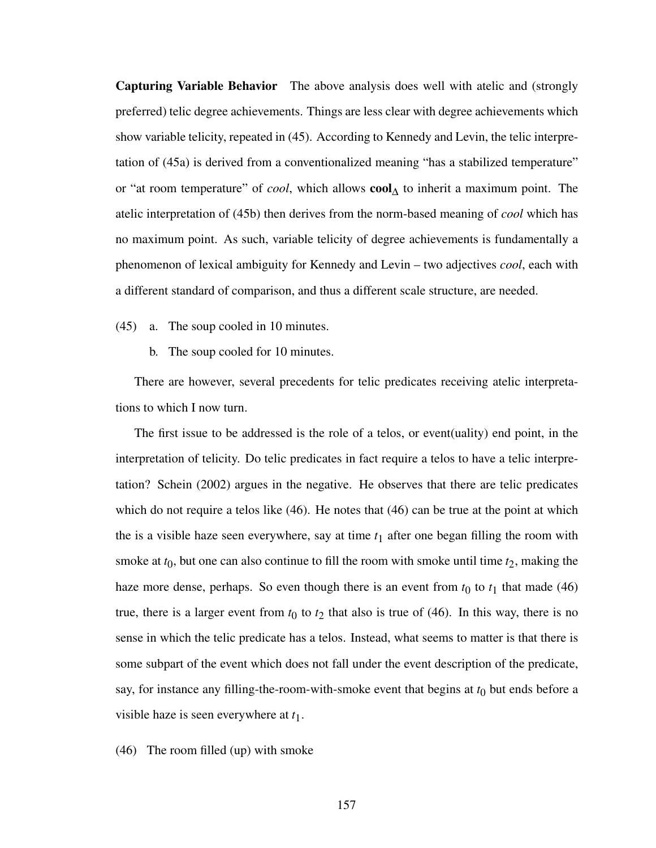Capturing Variable Behavior The above analysis does well with atelic and (strongly preferred) telic degree achievements. Things are less clear with degree achievements which show variable telicity, repeated in (45). According to Kennedy and Levin, the telic interpretation of (45a) is derived from a conventionalized meaning "has a stabilized temperature" or "at room temperature" of *cool*, which allows cool<sup>∆</sup> to inherit a maximum point. The atelic interpretation of (45b) then derives from the norm-based meaning of *cool* which has no maximum point. As such, variable telicity of degree achievements is fundamentally a phenomenon of lexical ambiguity for Kennedy and Levin – two adjectives *cool*, each with a different standard of comparison, and thus a different scale structure, are needed.

(45) a. The soup cooled in 10 minutes.

b. The soup cooled for 10 minutes.

There are however, several precedents for telic predicates receiving atelic interpretations to which I now turn.

The first issue to be addressed is the role of a telos, or event(uality) end point, in the interpretation of telicity. Do telic predicates in fact require a telos to have a telic interpretation? Schein (2002) argues in the negative. He observes that there are telic predicates which do not require a telos like (46). He notes that (46) can be true at the point at which the is a visible haze seen everywhere, say at time  $t_1$  after one began filling the room with smoke at  $t_0$ , but one can also continue to fill the room with smoke until time  $t_2$ , making the haze more dense, perhaps. So even though there is an event from  $t_0$  to  $t_1$  that made (46) true, there is a larger event from  $t_0$  to  $t_2$  that also is true of (46). In this way, there is no sense in which the telic predicate has a telos. Instead, what seems to matter is that there is some subpart of the event which does not fall under the event description of the predicate, say, for instance any filling-the-room-with-smoke event that begins at  $t_0$  but ends before a visible haze is seen everywhere at *t*<sup>1</sup> .

(46) The room filled (up) with smoke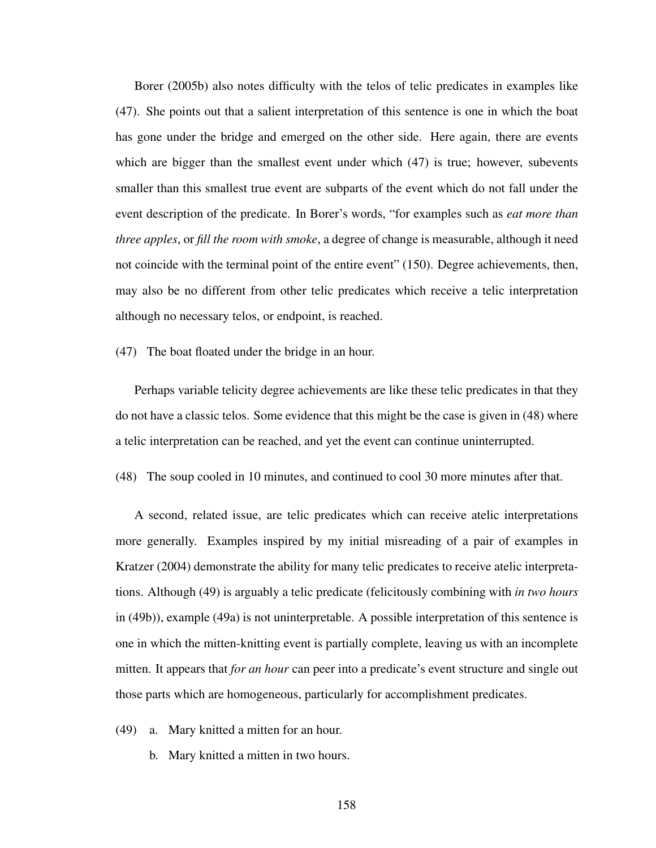Borer (2005b) also notes difficulty with the telos of telic predicates in examples like (47). She points out that a salient interpretation of this sentence is one in which the boat has gone under the bridge and emerged on the other side. Here again, there are events which are bigger than the smallest event under which  $(47)$  is true; however, subevents smaller than this smallest true event are subparts of the event which do not fall under the event description of the predicate. In Borer's words, "for examples such as *eat more than three apples*, or *fill the room with smoke*, a degree of change is measurable, although it need not coincide with the terminal point of the entire event" (150). Degree achievements, then, may also be no different from other telic predicates which receive a telic interpretation although no necessary telos, or endpoint, is reached.

(47) The boat floated under the bridge in an hour.

Perhaps variable telicity degree achievements are like these telic predicates in that they do not have a classic telos. Some evidence that this might be the case is given in (48) where a telic interpretation can be reached, and yet the event can continue uninterrupted.

(48) The soup cooled in 10 minutes, and continued to cool 30 more minutes after that.

A second, related issue, are telic predicates which can receive atelic interpretations more generally. Examples inspired by my initial misreading of a pair of examples in Kratzer (2004) demonstrate the ability for many telic predicates to receive atelic interpretations. Although (49) is arguably a telic predicate (felicitously combining with *in two hours* in (49b)), example (49a) is not uninterpretable. A possible interpretation of this sentence is one in which the mitten-knitting event is partially complete, leaving us with an incomplete mitten. It appears that *for an hour* can peer into a predicate's event structure and single out those parts which are homogeneous, particularly for accomplishment predicates.

- (49) a. Mary knitted a mitten for an hour.
	- b. Mary knitted a mitten in two hours.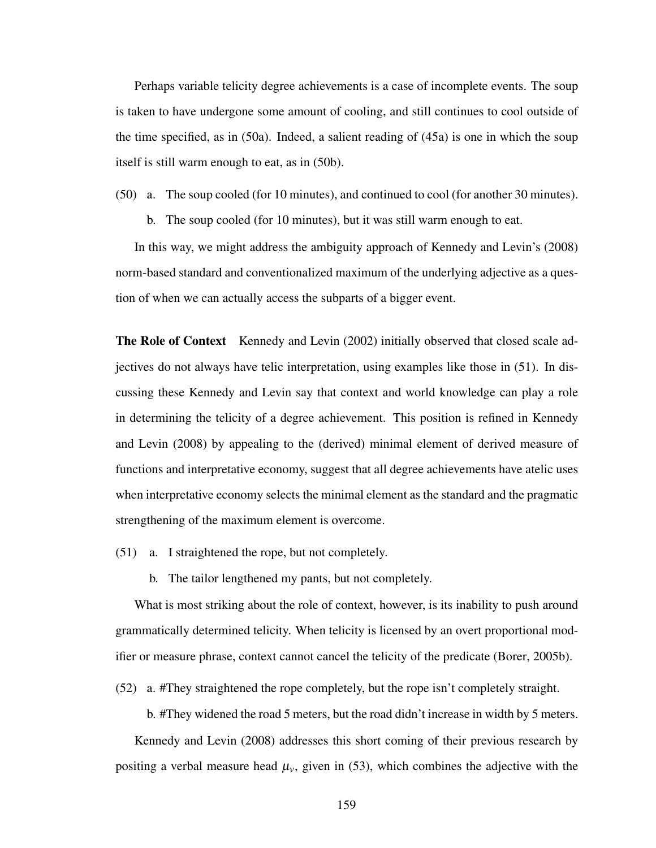Perhaps variable telicity degree achievements is a case of incomplete events. The soup is taken to have undergone some amount of cooling, and still continues to cool outside of the time specified, as in (50a). Indeed, a salient reading of (45a) is one in which the soup itself is still warm enough to eat, as in (50b).

(50) a. The soup cooled (for 10 minutes), and continued to cool (for another 30 minutes).

b. The soup cooled (for 10 minutes), but it was still warm enough to eat.

In this way, we might address the ambiguity approach of Kennedy and Levin's (2008) norm-based standard and conventionalized maximum of the underlying adjective as a question of when we can actually access the subparts of a bigger event.

The Role of Context Kennedy and Levin (2002) initially observed that closed scale adjectives do not always have telic interpretation, using examples like those in (51). In discussing these Kennedy and Levin say that context and world knowledge can play a role in determining the telicity of a degree achievement. This position is refined in Kennedy and Levin (2008) by appealing to the (derived) minimal element of derived measure of functions and interpretative economy, suggest that all degree achievements have atelic uses when interpretative economy selects the minimal element as the standard and the pragmatic strengthening of the maximum element is overcome.

- (51) a. I straightened the rope, but not completely.
	- b. The tailor lengthened my pants, but not completely.

What is most striking about the role of context, however, is its inability to push around grammatically determined telicity. When telicity is licensed by an overt proportional modifier or measure phrase, context cannot cancel the telicity of the predicate (Borer, 2005b).

(52) a. #They straightened the rope completely, but the rope isn't completely straight.

b. #They widened the road 5 meters, but the road didn't increase in width by 5 meters.

Kennedy and Levin (2008) addresses this short coming of their previous research by positing a verbal measure head  $\mu_{\nu}$ , given in (53), which combines the adjective with the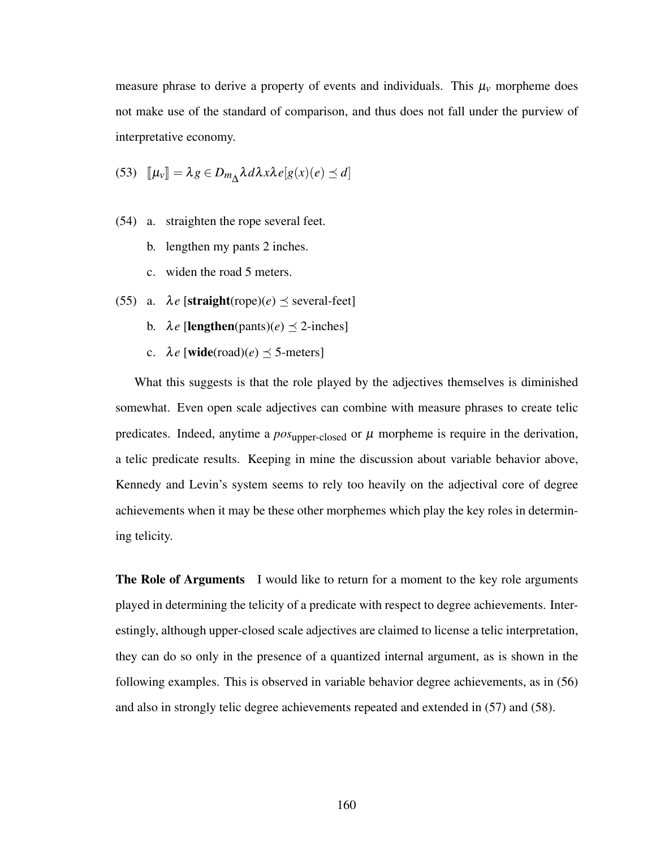measure phrase to derive a property of events and individuals. This  $\mu<sub>v</sub>$  morpheme does not make use of the standard of comparison, and thus does not fall under the purview of interpretative economy.

$$
(53) \quad [\![\mu_v]\!] = \lambda g \in D_{m_\Delta} \lambda \, d\lambda x \lambda e[g(x)(e) \preceq d]
$$

(54) a. straighten the rope several feet.

- b. lengthen my pants 2 inches.
- c. widen the road 5 meters.
- (55) a.  $\lambda e$  [**straight**(rope)(*e*)  $\leq$  several-feet]
	- b.  $\lambda e$  [lengthen(pants)(*e*)  $\leq$  2-inches]
	- c.  $\lambda e$  [wide(road)(*e*)  $\leq$  5-meters]

What this suggests is that the role played by the adjectives themselves is diminished somewhat. Even open scale adjectives can combine with measure phrases to create telic predicates. Indeed, anytime a  $pos_{\text{upper-closed}}$  or  $\mu$  morpheme is require in the derivation, a telic predicate results. Keeping in mine the discussion about variable behavior above, Kennedy and Levin's system seems to rely too heavily on the adjectival core of degree achievements when it may be these other morphemes which play the key roles in determining telicity.

**The Role of Arguments** I would like to return for a moment to the key role arguments played in determining the telicity of a predicate with respect to degree achievements. Interestingly, although upper-closed scale adjectives are claimed to license a telic interpretation, they can do so only in the presence of a quantized internal argument, as is shown in the following examples. This is observed in variable behavior degree achievements, as in (56) and also in strongly telic degree achievements repeated and extended in (57) and (58).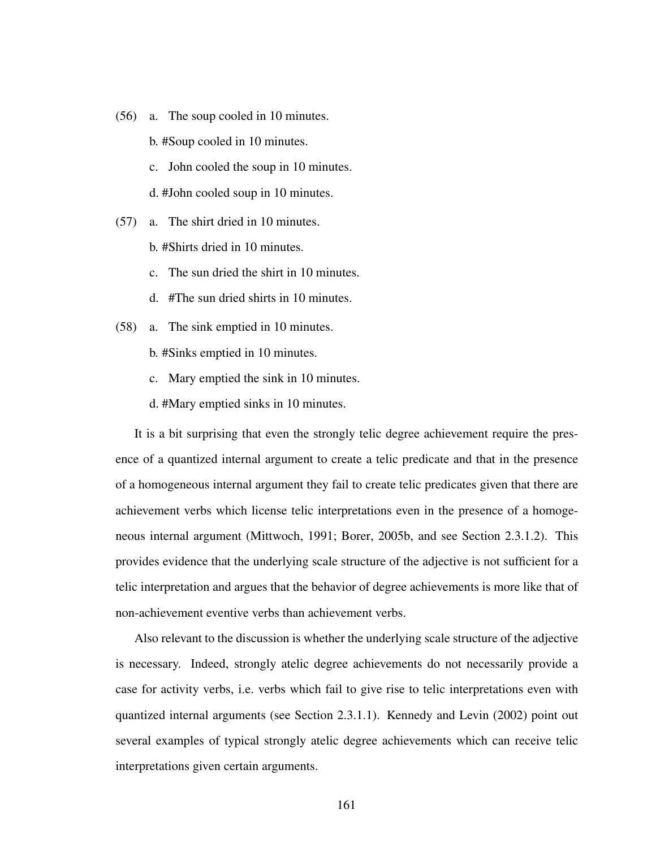- (56) a. The soup cooled in 10 minutes.
	- b. #Soup cooled in 10 minutes.
	- c. John cooled the soup in 10 minutes.
	- d. #John cooled soup in 10 minutes.
- (57) a. The shirt dried in 10 minutes.
	- b. #Shirts dried in 10 minutes.
	- c. The sun dried the shirt in 10 minutes.
	- d. #The sun dried shirts in 10 minutes.
- (58) a. The sink emptied in 10 minutes.
	- b. #Sinks emptied in 10 minutes.
	- c. Mary emptied the sink in 10 minutes.
	- d. #Mary emptied sinks in 10 minutes.

It is a bit surprising that even the strongly telic degree achievement require the presence of a quantized internal argument to create a telic predicate and that in the presence of a homogeneous internal argument they fail to create telic predicates given that there are achievement verbs which license telic interpretations even in the presence of a homogeneous internal argument (Mittwoch, 1991; Borer, 2005b, and see Section 2.3.1.2). This provides evidence that the underlying scale structure of the adjective is not sufficient for a telic interpretation and argues that the behavior of degree achievements is more like that of non-achievement eventive verbs than achievement verbs.

Also relevant to the discussion is whether the underlying scale structure of the adjective is necessary. Indeed, strongly atelic degree achievements do not necessarily provide a case for activity verbs, i.e. verbs which fail to give rise to telic interpretations even with quantized internal arguments (see Section 2.3.1.1). Kennedy and Levin (2002) point out several examples of typical strongly atelic degree achievements which can receive telic interpretations given certain arguments.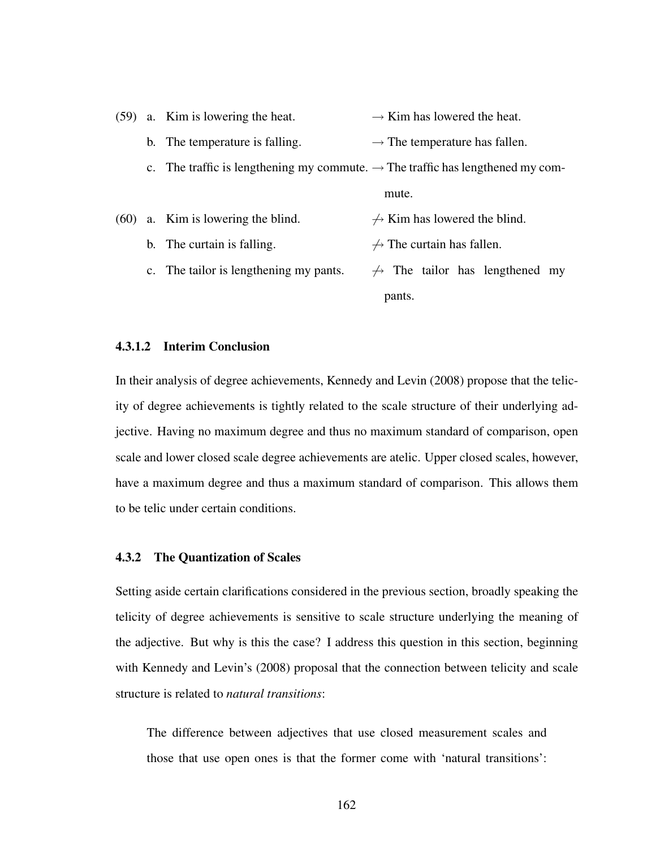| (59) | a. Kim is lowering the heat.                                                               | $\rightarrow$ Kim has lowered the heat.    |
|------|--------------------------------------------------------------------------------------------|--------------------------------------------|
|      | b. The temperature is falling.                                                             | $\rightarrow$ The temperature has fallen.  |
|      | c. The traffic is lengthening my commute. $\rightarrow$ The traffic has lengthened my com- |                                            |
|      |                                                                                            | mute.                                      |
| (60) | a. Kim is lowering the blind.                                                              | $\rightarrow$ Kim has lowered the blind.   |
|      | b. The curtain is falling.                                                                 | $\rightarrow$ The curtain has fallen.      |
|      | c. The tailor is lengthening my pants.                                                     | $\rightarrow$ The tailor has lengthened my |
|      |                                                                                            | pants.                                     |

### 4.3.1.2 Interim Conclusion

In their analysis of degree achievements, Kennedy and Levin (2008) propose that the telicity of degree achievements is tightly related to the scale structure of their underlying adjective. Having no maximum degree and thus no maximum standard of comparison, open scale and lower closed scale degree achievements are atelic. Upper closed scales, however, have a maximum degree and thus a maximum standard of comparison. This allows them to be telic under certain conditions.

#### 4.3.2 The Quantization of Scales

Setting aside certain clarifications considered in the previous section, broadly speaking the telicity of degree achievements is sensitive to scale structure underlying the meaning of the adjective. But why is this the case? I address this question in this section, beginning with Kennedy and Levin's (2008) proposal that the connection between telicity and scale structure is related to *natural transitions*:

The difference between adjectives that use closed measurement scales and those that use open ones is that the former come with 'natural transitions':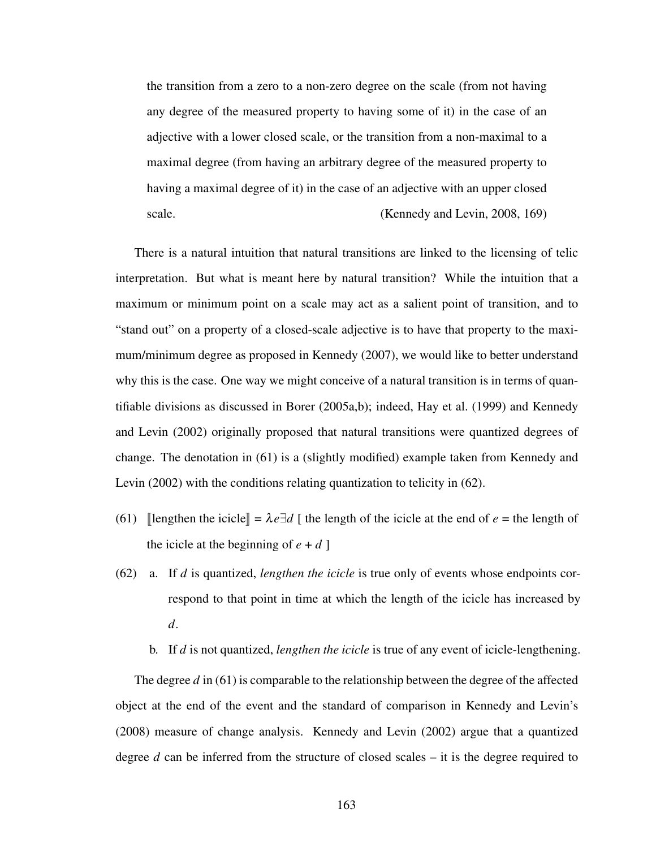the transition from a zero to a non-zero degree on the scale (from not having any degree of the measured property to having some of it) in the case of an adjective with a lower closed scale, or the transition from a non-maximal to a maximal degree (from having an arbitrary degree of the measured property to having a maximal degree of it) in the case of an adjective with an upper closed scale. (Kennedy and Levin, 2008, 169)

There is a natural intuition that natural transitions are linked to the licensing of telic interpretation. But what is meant here by natural transition? While the intuition that a maximum or minimum point on a scale may act as a salient point of transition, and to "stand out" on a property of a closed-scale adjective is to have that property to the maximum/minimum degree as proposed in Kennedy (2007), we would like to better understand why this is the case. One way we might conceive of a natural transition is in terms of quantifiable divisions as discussed in Borer (2005a,b); indeed, Hay et al. (1999) and Kennedy and Levin (2002) originally proposed that natural transitions were quantized degrees of change. The denotation in (61) is a (slightly modified) example taken from Kennedy and Levin (2002) with the conditions relating quantization to telicity in (62).

- (61)  $\Box$  [lengthen the icicle $\Box$  =  $\lambda e \exists d \Box$  [ the length of the icicle at the end of  $e =$  the length of the icicle at the beginning of  $e + d$  ]
- (62) a. If *d* is quantized, *lengthen the icicle* is true only of events whose endpoints correspond to that point in time at which the length of the icicle has increased by *d*.
	- b. If *d* is not quantized, *lengthen the icicle* is true of any event of icicle-lengthening.

The degree *d* in (61) is comparable to the relationship between the degree of the affected object at the end of the event and the standard of comparison in Kennedy and Levin's (2008) measure of change analysis. Kennedy and Levin (2002) argue that a quantized degree *d* can be inferred from the structure of closed scales – it is the degree required to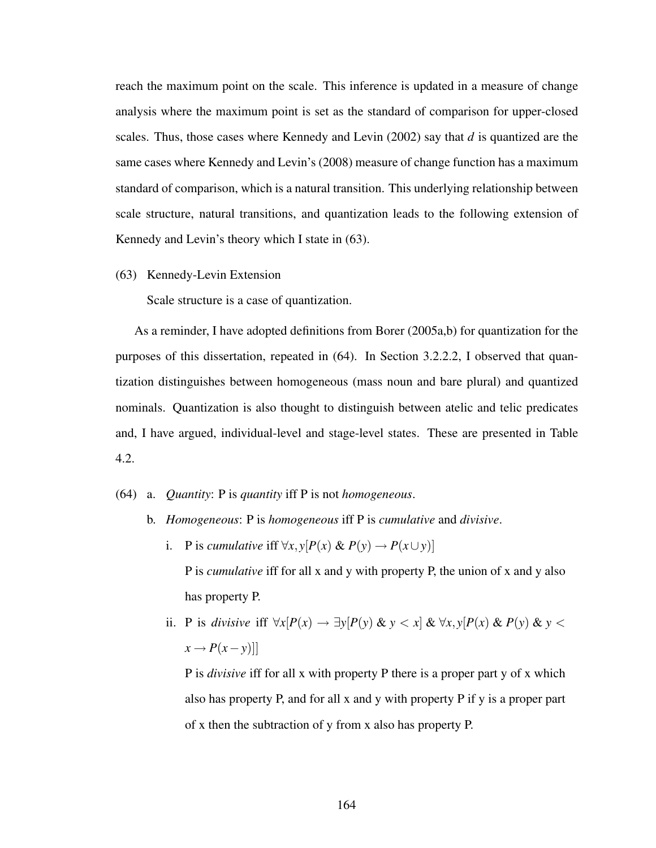reach the maximum point on the scale. This inference is updated in a measure of change analysis where the maximum point is set as the standard of comparison for upper-closed scales. Thus, those cases where Kennedy and Levin (2002) say that *d* is quantized are the same cases where Kennedy and Levin's (2008) measure of change function has a maximum standard of comparison, which is a natural transition. This underlying relationship between scale structure, natural transitions, and quantization leads to the following extension of Kennedy and Levin's theory which I state in (63).

(63) Kennedy-Levin Extension

Scale structure is a case of quantization.

As a reminder, I have adopted definitions from Borer (2005a,b) for quantization for the purposes of this dissertation, repeated in (64). In Section 3.2.2.2, I observed that quantization distinguishes between homogeneous (mass noun and bare plural) and quantized nominals. Quantization is also thought to distinguish between atelic and telic predicates and, I have argued, individual-level and stage-level states. These are presented in Table 4.2.

## (64) a. *Quantity*: P is *quantity* iff P is not *homogeneous*.

- b. *Homogeneous*: P is *homogeneous* iff P is *cumulative* and *divisive*.
	- i. P is *cumulative* iff  $\forall x, y$ [ $P(x) \& P(y) \rightarrow P(x \cup y)$ ] P is *cumulative* iff for all x and y with property P, the union of x and y also has property P.
	- ii. P is *divisive* iff ∀*x*[*P*(*x*) → ∃*y*[*P*(*y*) & *y* < *x*] & ∀*x*, *y*[*P*(*x*) & *P*(*y*) & *y* <  $x \rightarrow P(x-y)$ ]]

P is *divisive* iff for all x with property P there is a proper part y of x which also has property P, and for all x and y with property P if y is a proper part of x then the subtraction of y from x also has property P.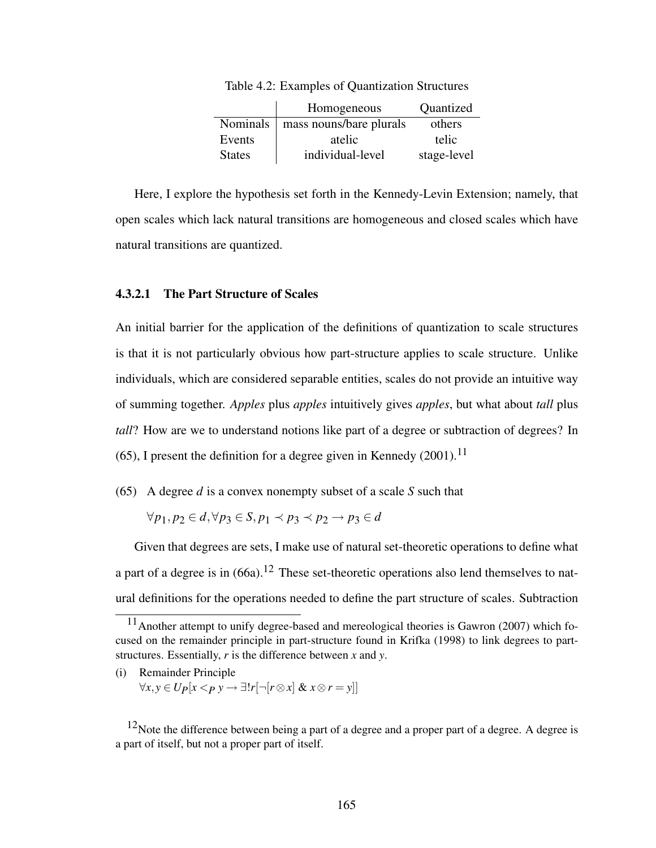|                 | Homogeneous             | Quantized   |
|-----------------|-------------------------|-------------|
| <b>Nominals</b> | mass nouns/bare plurals | others      |
| Events          | atelic                  | telic       |
| <b>States</b>   | individual-level        | stage-level |

Table 4.2: Examples of Quantization Structures

Here, I explore the hypothesis set forth in the Kennedy-Levin Extension; namely, that open scales which lack natural transitions are homogeneous and closed scales which have natural transitions are quantized.

### 4.3.2.1 The Part Structure of Scales

An initial barrier for the application of the definitions of quantization to scale structures is that it is not particularly obvious how part-structure applies to scale structure. Unlike individuals, which are considered separable entities, scales do not provide an intuitive way of summing together. *Apples* plus *apples* intuitively gives *apples*, but what about *tall* plus *tall*? How are we to understand notions like part of a degree or subtraction of degrees? In (65), I present the definition for a degree given in Kennedy (2001).<sup>11</sup>

(65) A degree *d* is a convex nonempty subset of a scale *S* such that

∀*p*<sup>1</sup> , *p*<sup>2</sup> ∈ *d*,∀*p*<sup>3</sup> ∈ *S*, *p*<sup>1</sup> ≺ *p*<sup>3</sup> ≺ *p*<sup>2</sup> → *p*<sup>3</sup> ∈ *d*

Given that degrees are sets, I make use of natural set-theoretic operations to define what a part of a degree is in  $(66a)$ <sup>12</sup>. These set-theoretic operations also lend themselves to natural definitions for the operations needed to define the part structure of scales. Subtraction

(i) Remainder Principle ∀*x*, *y* ∈ *UP*[*x* <*P y* → ∃!*r*[¬[*r* ⊗*x*] & *x*⊗*r* = *y*]]

 $12$ Note the difference between being a part of a degree and a proper part of a degree. A degree is a part of itself, but not a proper part of itself.

 $11$ Another attempt to unify degree-based and mereological theories is Gawron (2007) which focused on the remainder principle in part-structure found in Krifka (1998) to link degrees to partstructures. Essentially, *r* is the difference between *x* and *y*.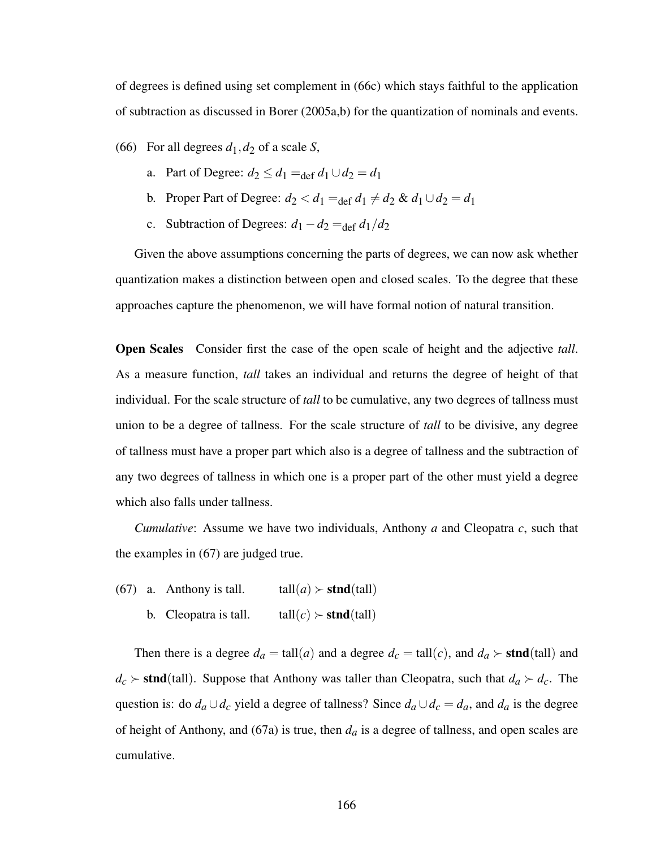of degrees is defined using set complement in (66c) which stays faithful to the application of subtraction as discussed in Borer (2005a,b) for the quantization of nominals and events.

- (66) For all degrees  $d_1$ ,  $d_2$  of a scale *S*,
	- a. Part of Degree:  $d_2 \leq d_1 = \det d_1 \cup d_2 = d_1$
	- b. Proper Part of Degree:  $d_2 < d_1 = \text{def } d_1 \neq d_2 \& d_1 \cup d_2 = d_1$
	- c. Subtraction of Degrees:  $d_1 d_2 = \det d_1/d_2$

Given the above assumptions concerning the parts of degrees, we can now ask whether quantization makes a distinction between open and closed scales. To the degree that these approaches capture the phenomenon, we will have formal notion of natural transition.

Open Scales Consider first the case of the open scale of height and the adjective *tall*. As a measure function, *tall* takes an individual and returns the degree of height of that individual. For the scale structure of *tall* to be cumulative, any two degrees of tallness must union to be a degree of tallness. For the scale structure of *tall* to be divisive, any degree of tallness must have a proper part which also is a degree of tallness and the subtraction of any two degrees of tallness in which one is a proper part of the other must yield a degree which also falls under tallness.

*Cumulative*: Assume we have two individuals, Anthony *a* and Cleopatra *c*, such that the examples in (67) are judged true.

- (67) a. Anthony is tall.  $tall(a) > stnd(tall)$ 
	- b. Cleopatra is tall.  $tall(c) > stnd(tall)$

Then there is a degree  $d_a = \text{tall}(a)$  and a degree  $d_c = \text{tall}(c)$ , and  $d_a \succ \text{stnd}(\text{tall})$  and  $d_c \succ$  **stnd**(tall). Suppose that Anthony was taller than Cleopatra, such that  $d_a \succ d_c$ . The question is: do  $d_a \cup d_c$  yield a degree of tallness? Since  $d_a \cup d_c = d_a$ , and  $d_a$  is the degree of height of Anthony, and (67a) is true, then  $d_a$  is a degree of tallness, and open scales are cumulative.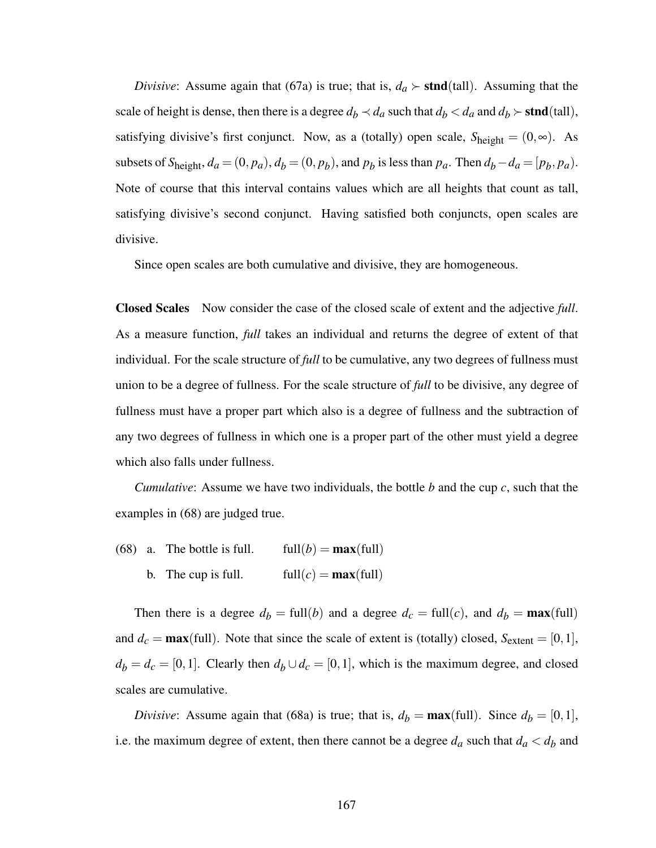*Divisive*: Assume again that (67a) is true; that is,  $d_a \succ \text{stnd}(\text{tall})$ . Assuming that the scale of height is dense, then there is a degree  $d_b \prec d_a$  such that  $d_b \prec d_a$  and  $d_b \succ \text{stnd}(\text{tall})$ , satisfying divisive's first conjunct. Now, as a (totally) open scale,  $S_{height} = (0, \infty)$ . As subsets of  $S_{height}$ ,  $d_a = (0, p_a)$ ,  $d_b = (0, p_b)$ , and  $p_b$  is less than  $p_a$ . Then  $d_b - d_a = [p_b, p_a)$ . Note of course that this interval contains values which are all heights that count as tall, satisfying divisive's second conjunct. Having satisfied both conjuncts, open scales are divisive.

Since open scales are both cumulative and divisive, they are homogeneous.

Closed Scales Now consider the case of the closed scale of extent and the adjective *full*. As a measure function, *full* takes an individual and returns the degree of extent of that individual. For the scale structure of *full* to be cumulative, any two degrees of fullness must union to be a degree of fullness. For the scale structure of *full* to be divisive, any degree of fullness must have a proper part which also is a degree of fullness and the subtraction of any two degrees of fullness in which one is a proper part of the other must yield a degree which also falls under fullness.

*Cumulative*: Assume we have two individuals, the bottle *b* and the cup *c*, such that the examples in (68) are judged true.

(68) a. The bottle is full.  $\text{full}(b) = \max(\text{full})$ b. The cup is full.  $\text{full}(c) = \max(\text{full})$ 

Then there is a degree  $d_b = \text{full}(b)$  and a degree  $d_c = \text{full}(c)$ , and  $d_b = \text{max}(\text{full})$ and  $d_c = \max(\text{full})$ . Note that since the scale of extent is (totally) closed,  $S_{\text{extent}} = [0,1]$ ,  $d_b = d_c = [0, 1]$ . Clearly then  $d_b \cup d_c = [0, 1]$ , which is the maximum degree, and closed scales are cumulative.

*Divisive*: Assume again that (68a) is true; that is,  $d_b = \max(\text{full})$ . Since  $d_b = [0,1]$ , i.e. the maximum degree of extent, then there cannot be a degree  $d_a$  such that  $d_a < d_b$  and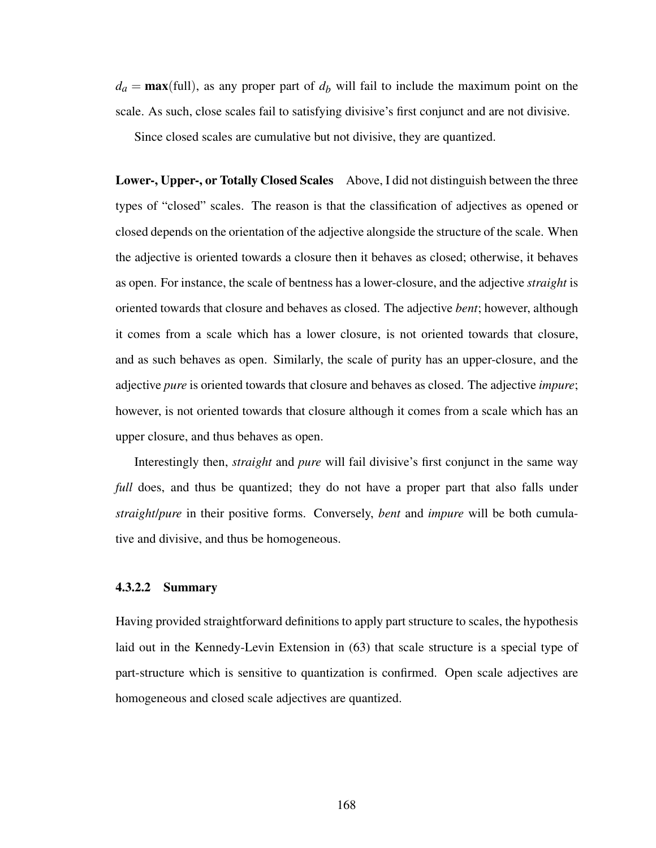$d_a = \max(\text{full})$ , as any proper part of  $d_b$  will fail to include the maximum point on the scale. As such, close scales fail to satisfying divisive's first conjunct and are not divisive.

Since closed scales are cumulative but not divisive, they are quantized.

Lower-, Upper-, or Totally Closed Scales Above, I did not distinguish between the three types of "closed" scales. The reason is that the classification of adjectives as opened or closed depends on the orientation of the adjective alongside the structure of the scale. When the adjective is oriented towards a closure then it behaves as closed; otherwise, it behaves as open. For instance, the scale of bentness has a lower-closure, and the adjective *straight* is oriented towards that closure and behaves as closed. The adjective *bent*; however, although it comes from a scale which has a lower closure, is not oriented towards that closure, and as such behaves as open. Similarly, the scale of purity has an upper-closure, and the adjective *pure* is oriented towards that closure and behaves as closed. The adjective *impure*; however, is not oriented towards that closure although it comes from a scale which has an upper closure, and thus behaves as open.

Interestingly then, *straight* and *pure* will fail divisive's first conjunct in the same way *full* does, and thus be quantized; they do not have a proper part that also falls under *straight*/*pure* in their positive forms. Conversely, *bent* and *impure* will be both cumulative and divisive, and thus be homogeneous.

#### 4.3.2.2 Summary

Having provided straightforward definitions to apply part structure to scales, the hypothesis laid out in the Kennedy-Levin Extension in (63) that scale structure is a special type of part-structure which is sensitive to quantization is confirmed. Open scale adjectives are homogeneous and closed scale adjectives are quantized.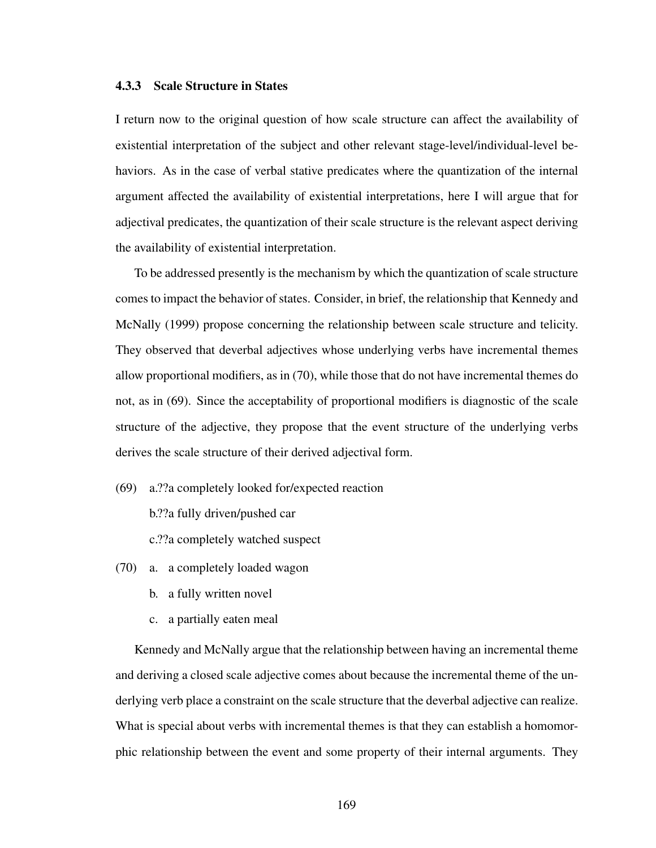### 4.3.3 Scale Structure in States

I return now to the original question of how scale structure can affect the availability of existential interpretation of the subject and other relevant stage-level/individual-level behaviors. As in the case of verbal stative predicates where the quantization of the internal argument affected the availability of existential interpretations, here I will argue that for adjectival predicates, the quantization of their scale structure is the relevant aspect deriving the availability of existential interpretation.

To be addressed presently is the mechanism by which the quantization of scale structure comes to impact the behavior of states. Consider, in brief, the relationship that Kennedy and McNally (1999) propose concerning the relationship between scale structure and telicity. They observed that deverbal adjectives whose underlying verbs have incremental themes allow proportional modifiers, as in (70), while those that do not have incremental themes do not, as in (69). Since the acceptability of proportional modifiers is diagnostic of the scale structure of the adjective, they propose that the event structure of the underlying verbs derives the scale structure of their derived adjectival form.

- (69) a.??a completely looked for/expected reaction b.??a fully driven/pushed car c.??a completely watched suspect
- (70) a. a completely loaded wagon
	- b. a fully written novel
	- c. a partially eaten meal

Kennedy and McNally argue that the relationship between having an incremental theme and deriving a closed scale adjective comes about because the incremental theme of the underlying verb place a constraint on the scale structure that the deverbal adjective can realize. What is special about verbs with incremental themes is that they can establish a homomorphic relationship between the event and some property of their internal arguments. They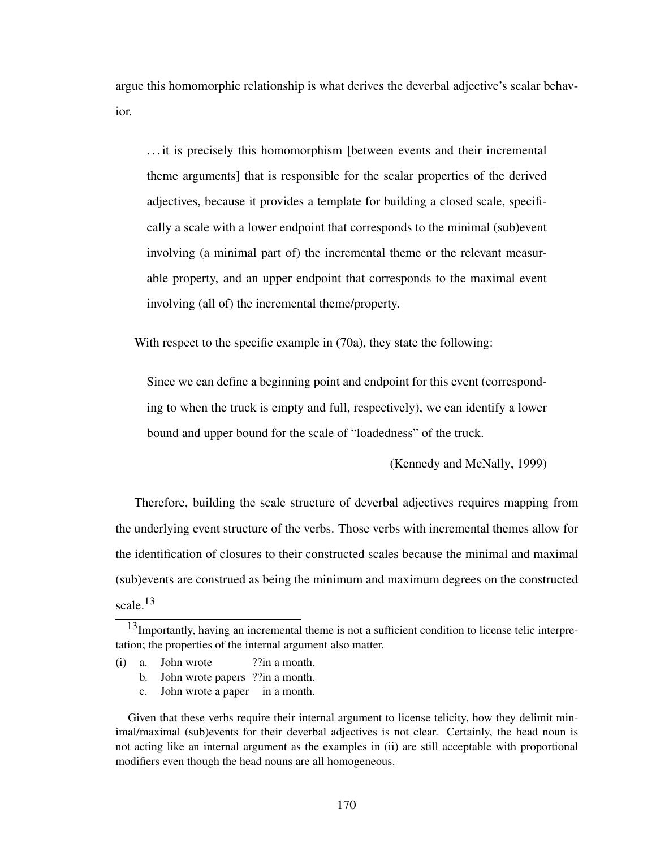argue this homomorphic relationship is what derives the deverbal adjective's scalar behavior.

. . . it is precisely this homomorphism [between events and their incremental theme arguments] that is responsible for the scalar properties of the derived adjectives, because it provides a template for building a closed scale, specifically a scale with a lower endpoint that corresponds to the minimal (sub)event involving (a minimal part of) the incremental theme or the relevant measurable property, and an upper endpoint that corresponds to the maximal event involving (all of) the incremental theme/property.

With respect to the specific example in (70a), they state the following:

Since we can define a beginning point and endpoint for this event (corresponding to when the truck is empty and full, respectively), we can identify a lower bound and upper bound for the scale of "loadedness" of the truck.

(Kennedy and McNally, 1999)

Therefore, building the scale structure of deverbal adjectives requires mapping from the underlying event structure of the verbs. Those verbs with incremental themes allow for the identification of closures to their constructed scales because the minimal and maximal (sub)events are construed as being the minimum and maximum degrees on the constructed scale.<sup>13</sup>

- (i) a. John wrote ??in a month.
	- b. John wrote papers ??in a month.
	- c. John wrote a paper in a month.

Given that these verbs require their internal argument to license telicity, how they delimit minimal/maximal (sub)events for their deverbal adjectives is not clear. Certainly, the head noun is not acting like an internal argument as the examples in (ii) are still acceptable with proportional modifiers even though the head nouns are all homogeneous.

<sup>&</sup>lt;sup>13</sup>Importantly, having an incremental theme is not a sufficient condition to license telic interpretation; the properties of the internal argument also matter.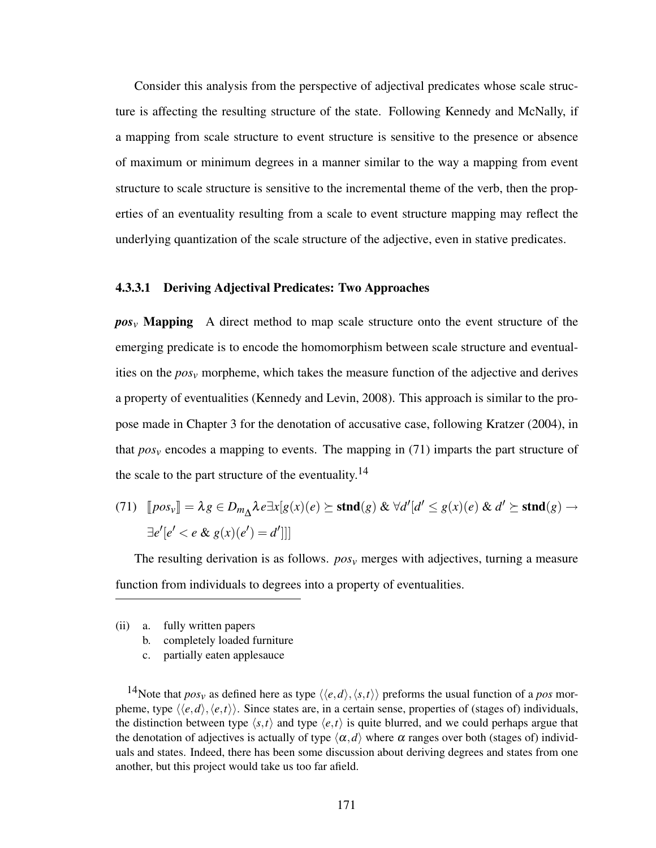Consider this analysis from the perspective of adjectival predicates whose scale structure is affecting the resulting structure of the state. Following Kennedy and McNally, if a mapping from scale structure to event structure is sensitive to the presence or absence of maximum or minimum degrees in a manner similar to the way a mapping from event structure to scale structure is sensitive to the incremental theme of the verb, then the properties of an eventuality resulting from a scale to event structure mapping may reflect the underlying quantization of the scale structure of the adjective, even in stative predicates.

### 4.3.3.1 Deriving Adjectival Predicates: Two Approaches

*posv* Mapping A direct method to map scale structure onto the event structure of the emerging predicate is to encode the homomorphism between scale structure and eventualities on the *posv* morpheme, which takes the measure function of the adjective and derives a property of eventualities (Kennedy and Levin, 2008). This approach is similar to the propose made in Chapter 3 for the denotation of accusative case, following Kratzer (2004), in that  $pos_v$  encodes a mapping to events. The mapping in (71) imparts the part structure of the scale to the part structure of the eventuality.<sup>14</sup>

 $\mathcal{L}(71)$   $\llbracket pos_v \rrbracket = \lambda g \in D_{m_{\Delta}} \lambda e \exists x [g(x)(e) \succeq \textbf{stnd}(g) \& \forall d'[d' \leq g(x)(e) \& d' \succeq \textbf{stnd}(g) \rightarrow 0]$  $\exists e'[e' < e \& g(x)(e') = d']$ 

The resulting derivation is as follows. *pos*<sup>*v*</sup> merges with adjectives, turning a measure function from individuals to degrees into a property of eventualities.

- (ii) a. fully written papers
	- b. completely loaded furniture
	- c. partially eaten applesauce

<sup>14</sup>Note that  $pos_v$  as defined here as type  $\langle \langle e, d \rangle, \langle s, t \rangle \rangle$  preforms the usual function of a *pos* morpheme, type  $\langle \langle e, d \rangle, \langle e, t \rangle$ . Since states are, in a certain sense, properties of (stages of) individuals, the distinction between type  $\langle s,t \rangle$  and type  $\langle e,t \rangle$  is quite blurred, and we could perhaps argue that the denotation of adjectives is actually of type  $\langle \alpha, d \rangle$  where  $\alpha$  ranges over both (stages of) individuals and states. Indeed, there has been some discussion about deriving degrees and states from one another, but this project would take us too far afield.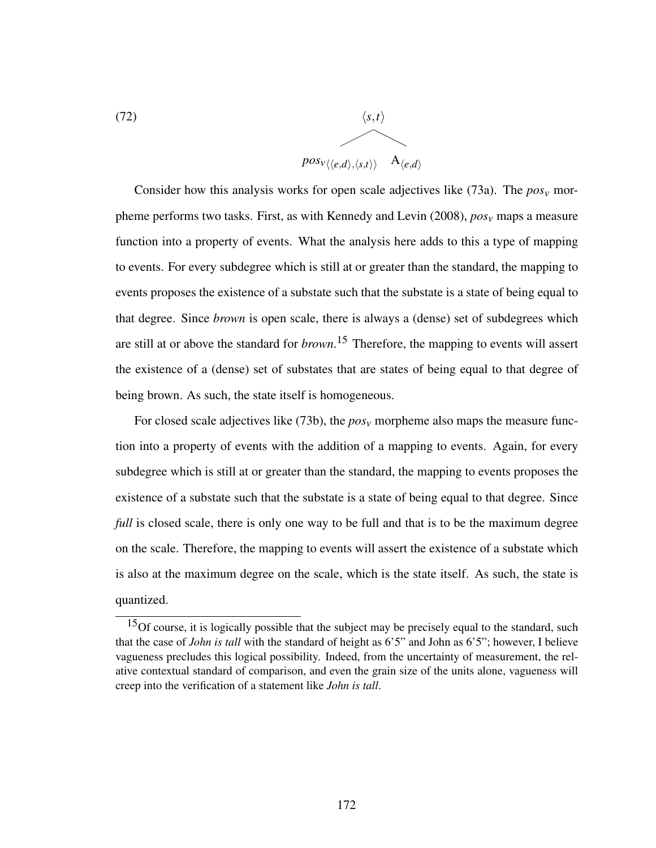$$
\langle 72 \rangle \qquad \qquad \langle s, t \rangle
$$

 $P^{OS}v \langle \langle e, d \rangle, \langle s, t \rangle \rangle$  A $\langle e, d \rangle$ 

Consider how this analysis works for open scale adjectives like (73a). The *posv* morpheme performs two tasks. First, as with Kennedy and Levin (2008), *posv* maps a measure function into a property of events. What the analysis here adds to this a type of mapping to events. For every subdegree which is still at or greater than the standard, the mapping to events proposes the existence of a substate such that the substate is a state of being equal to that degree. Since *brown* is open scale, there is always a (dense) set of subdegrees which are still at or above the standard for *brown*. <sup>15</sup> Therefore, the mapping to events will assert the existence of a (dense) set of substates that are states of being equal to that degree of being brown. As such, the state itself is homogeneous.

For closed scale adjectives like (73b), the *posv* morpheme also maps the measure function into a property of events with the addition of a mapping to events. Again, for every subdegree which is still at or greater than the standard, the mapping to events proposes the existence of a substate such that the substate is a state of being equal to that degree. Since *full* is closed scale, there is only one way to be full and that is to be the maximum degree on the scale. Therefore, the mapping to events will assert the existence of a substate which is also at the maximum degree on the scale, which is the state itself. As such, the state is quantized.

 $15$ Of course, it is logically possible that the subject may be precisely equal to the standard, such that the case of *John is tall* with the standard of height as 6'5" and John as 6'5"; however, I believe vagueness precludes this logical possibility. Indeed, from the uncertainty of measurement, the relative contextual standard of comparison, and even the grain size of the units alone, vagueness will creep into the verification of a statement like *John is tall*.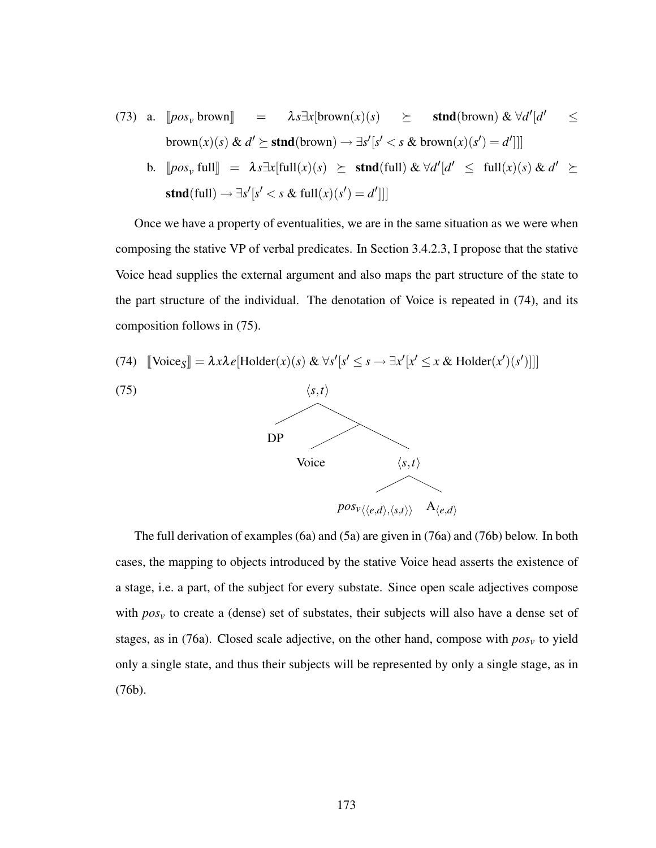- (73) a.  $[\text{pos}_{\nu} \text{ brown}] = \lambda s \exists x [\text{brown}(x)(s) \succeq \text{stud}(\text{brown}) \& \forall d'[d$  $<\,$  $\text{brown}(x)(s) \& d' \succeq \text{stnd}(\text{brown}) \rightarrow \exists s' [s' < s \& \text{brown}(x)(s') = d']$ 
	- b.  $[\text{pos}_v \text{ full}] = \lambda s \exists x [\text{full}(x)(s) \succeq \text{stnd}(\text{full}) \& \forall d' [d' \leq \text{full}(x)(s) \& d' \succeq$  $\text{stnd}(\text{full}) \rightarrow \exists s' [s' < s \& \text{full}(x)(s') = d']$

Once we have a property of eventualities, we are in the same situation as we were when composing the stative VP of verbal predicates. In Section 3.4.2.3, I propose that the stative Voice head supplies the external argument and also maps the part structure of the state to the part structure of the individual. The denotation of Voice is repeated in (74), and its composition follows in (75).

(74) 
$$
\llbracket \text{Voice}_{S} \rrbracket = \lambda x \lambda e [\text{Holder}(x)(s) \& \forall s'[s' \leq s \rightarrow \exists x'[x' \leq x \& \text{Holder}(x')(s')]]]
$$
\n(75)

The full derivation of examples (6a) and (5a) are given in (76a) and (76b) below. In both cases, the mapping to objects introduced by the stative Voice head asserts the existence of a stage, i.e. a part, of the subject for every substate. Since open scale adjectives compose with  $pos<sub>v</sub>$  to create a (dense) set of substates, their subjects will also have a dense set of stages, as in (76a). Closed scale adjective, on the other hand, compose with  $pos<sub>v</sub>$  to yield only a single state, and thus their subjects will be represented by only a single stage, as in (76b).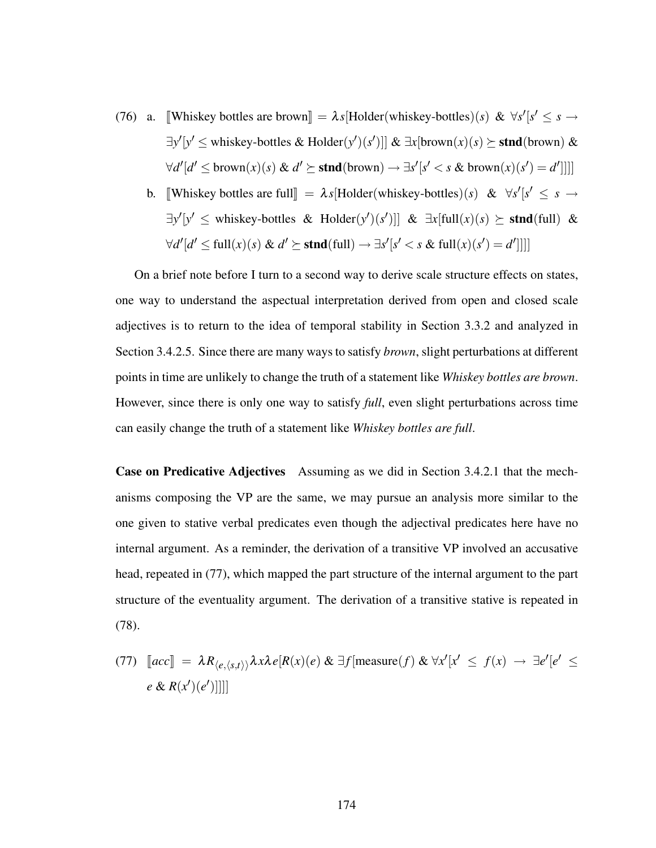- (76) a. [Whiskey bottles are brown] =  $\lambda s$  [Holder(whiskey-bottles)(*s*) &  $\forall s'$  [ $s' \leq s \rightarrow$  $\exists y'[y' \le \text{whiskey-bottles} \& \text{Holder}(y')(s')] \& \exists x[\text{brown}(x)(s) \succeq \text{stud}(\text{brown}) \& \exists y$  $\forall d' [d' \leq \text{brown}(x)(s) \& d' \geq \text{stnd}(\text{brown}) \rightarrow \exists s' [s' < s \& \text{brown}(x)(s') = d']]]$ 
	- b. [Whiskey bottles are full] =  $\lambda s$  [Holder(whiskey-bottles)(*s*) &  $\forall s'$  [ $s' \leq s \rightarrow$  $\exists y'[y' \le \text{whiskey-bottles } \& \text{Holder}(y')(s')] \& \exists x[\text{full}(x)(s) \succeq \text{stnd}(\text{full}) \& \exists y$  $\forall d'[d' \leq \text{full}(x)(s) \& d' \succeq \text{stnd}(\text{full}) \rightarrow \exists s'[s' < s \& \text{full}(x)(s') = d']]]$

On a brief note before I turn to a second way to derive scale structure effects on states, one way to understand the aspectual interpretation derived from open and closed scale adjectives is to return to the idea of temporal stability in Section 3.3.2 and analyzed in Section 3.4.2.5. Since there are many ways to satisfy *brown*, slight perturbations at different points in time are unlikely to change the truth of a statement like *Whiskey bottles are brown*. However, since there is only one way to satisfy *full*, even slight perturbations across time can easily change the truth of a statement like *Whiskey bottles are full*.

Case on Predicative Adjectives Assuming as we did in Section 3.4.2.1 that the mechanisms composing the VP are the same, we may pursue an analysis more similar to the one given to stative verbal predicates even though the adjectival predicates here have no internal argument. As a reminder, the derivation of a transitive VP involved an accusative head, repeated in (77), which mapped the part structure of the internal argument to the part structure of the eventuality argument. The derivation of a transitive stative is repeated in (78).

(77) 
$$
[acc] = \lambda R_{\langle e, \langle s, t \rangle \rangle} \lambda x \lambda e[R(x)(e) \& \exists f[\text{measure}(f) \& \forall x'[x' \leq f(x) \rightarrow \exists e'[e' \leq e \& R(x')(e')]]]]
$$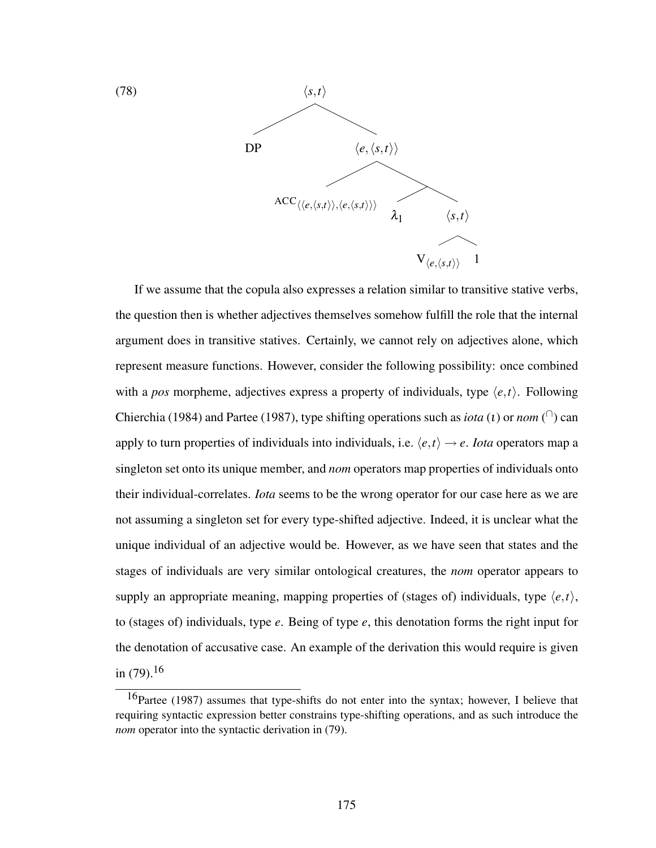

If we assume that the copula also expresses a relation similar to transitive stative verbs, the question then is whether adjectives themselves somehow fulfill the role that the internal argument does in transitive statives. Certainly, we cannot rely on adjectives alone, which represent measure functions. However, consider the following possibility: once combined with a *pos* morpheme, adjectives express a property of individuals, type  $\langle e, t \rangle$ . Following Chierchia (1984) and Partee (1987), type shifting operations such as *iota* (*t*) or *nom* (<sup>∩</sup>) can apply to turn properties of individuals into individuals, i.e.  $\langle e, t \rangle \rightarrow e$ . *Iota* operators map a singleton set onto its unique member, and *nom* operators map properties of individuals onto their individual-correlates. *Iota* seems to be the wrong operator for our case here as we are not assuming a singleton set for every type-shifted adjective. Indeed, it is unclear what the unique individual of an adjective would be. However, as we have seen that states and the stages of individuals are very similar ontological creatures, the *nom* operator appears to supply an appropriate meaning, mapping properties of (stages of) individuals, type  $\langle e, t \rangle$ , to (stages of) individuals, type *e*. Being of type *e*, this denotation forms the right input for the denotation of accusative case. An example of the derivation this would require is given in  $(79)$ <sup>16</sup>

<sup>16</sup>Partee (1987) assumes that type-shifts do not enter into the syntax; however, I believe that requiring syntactic expression better constrains type-shifting operations, and as such introduce the *nom* operator into the syntactic derivation in (79).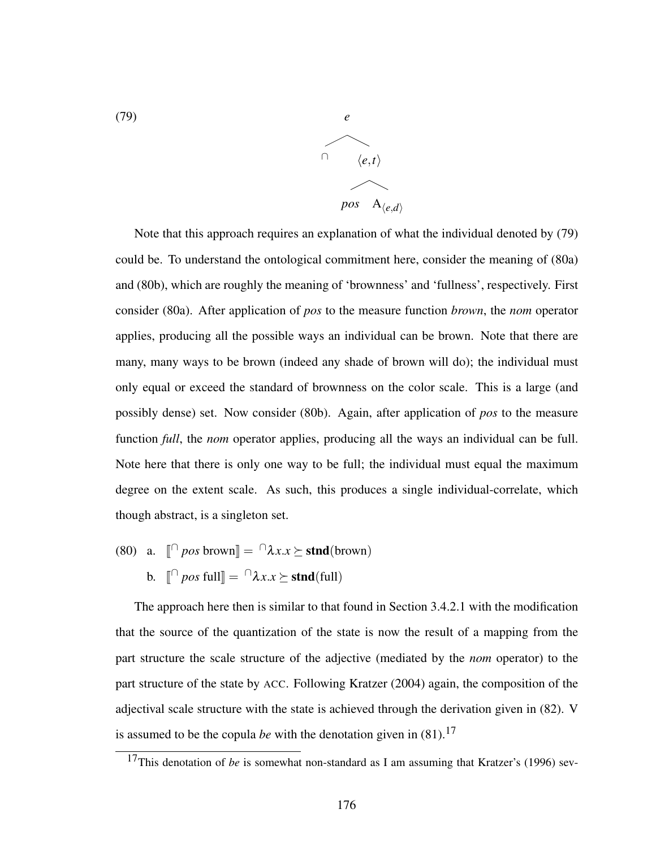

Note that this approach requires an explanation of what the individual denoted by (79) could be. To understand the ontological commitment here, consider the meaning of (80a) and (80b), which are roughly the meaning of 'brownness' and 'fullness', respectively. First consider (80a). After application of *pos* to the measure function *brown*, the *nom* operator applies, producing all the possible ways an individual can be brown. Note that there are many, many ways to be brown (indeed any shade of brown will do); the individual must only equal or exceed the standard of brownness on the color scale. This is a large (and possibly dense) set. Now consider (80b). Again, after application of *pos* to the measure function *full*, the *nom* operator applies, producing all the ways an individual can be full. Note here that there is only one way to be full; the individual must equal the maximum degree on the extent scale. As such, this produces a single individual-correlate, which though abstract, is a singleton set.

(80) a.  $[\![ \cap \text{pos brown} ]\!] = \cap \lambda x.x \succeq \text{stnd}(\text{brown})$ b.  $[\![ \cap \text{pos full}]\!] = \cap \lambda x.x \succeq \text{stnd}(\text{full})$ 

The approach here then is similar to that found in Section 3.4.2.1 with the modification that the source of the quantization of the state is now the result of a mapping from the part structure the scale structure of the adjective (mediated by the *nom* operator) to the part structure of the state by ACC. Following Kratzer (2004) again, the composition of the adjectival scale structure with the state is achieved through the derivation given in (82). V is assumed to be the copula *be* with the denotation given in  $(81)$ .<sup>17</sup>

<sup>&</sup>lt;sup>17</sup>This denotation of *be* is somewhat non-standard as I am assuming that Kratzer's (1996) sev-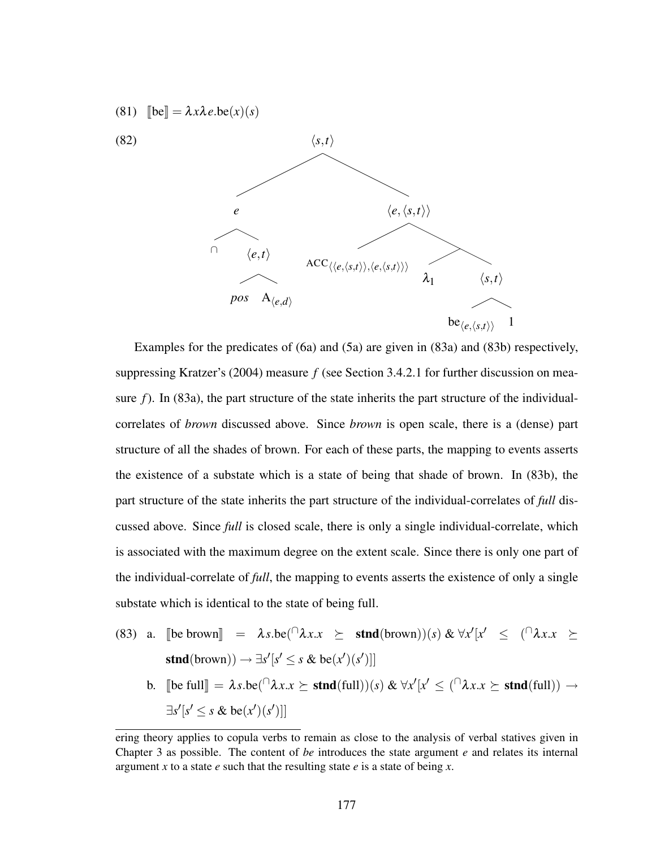

Examples for the predicates of (6a) and (5a) are given in (83a) and (83b) respectively, suppressing Kratzer's (2004) measure *f* (see Section 3.4.2.1 for further discussion on measure  $f$ ). In (83a), the part structure of the state inherits the part structure of the individualcorrelates of *brown* discussed above. Since *brown* is open scale, there is a (dense) part structure of all the shades of brown. For each of these parts, the mapping to events asserts the existence of a substate which is a state of being that shade of brown. In (83b), the part structure of the state inherits the part structure of the individual-correlates of *full* discussed above. Since *full* is closed scale, there is only a single individual-correlate, which is associated with the maximum degree on the extent scale. Since there is only one part of the individual-correlate of *full*, the mapping to events asserts the existence of only a single substate which is identical to the state of being full.

- (83) a. [be brown] =  $\lambda s.\text{be}(\lambda x \times \Sigma) \geq \text{stnd}(\text{brown})$  $(s) \& \forall x'[x' \leq (\lambda x \cdot x \Sigma)$  $\text{stnd}(\text{brown})) \rightarrow \exists s' [s' \leq s \& \text{be}(x')(s')]$ 
	- b. [be full] =  $\lambda s.\text{be}(\bigcap \lambda x.x \succeq \text{stnd}(\text{full}))(s) \& \forall x'[x' \leq (\bigcap \lambda x.x \succeq \text{stnd}(\text{full})) \rightarrow$  $\exists s'[s' \leq s \& \text{be}(x')(s')]$

ering theory applies to copula verbs to remain as close to the analysis of verbal statives given in Chapter 3 as possible. The content of *be* introduces the state argument *e* and relates its internal argument *x* to a state *e* such that the resulting state *e* is a state of being *x*.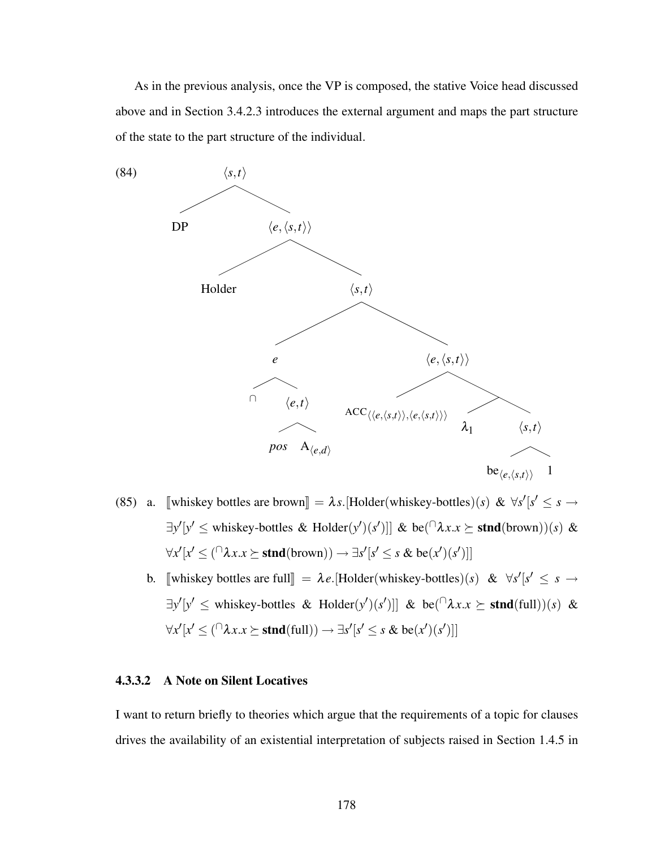As in the previous analysis, once the VP is composed, the stative Voice head discussed above and in Section 3.4.2.3 introduces the external argument and maps the part structure of the state to the part structure of the individual.



- (85) a. [whiskey bottles are brown] =  $\lambda s$ .[Holder(whiskey-bottles)(*s*) &  $\forall s'[s' \le s \rightarrow s']$  $\exists y'[y' \le \text{whiskey-bottles} \& \text{Holder}(y')(s')] \& \text{be}(\bigcap \lambda x.x \succeq \text{stnd}(\text{brown}))(s) \& \text{attned}(\lambda x.x)$  $\forall x' [x' \leq (\bigcap \lambda x.x \succeq \textbf{stnd}(\text{brown})) \rightarrow \exists s' [s' \leq s \& \textbf{be}(x')(s')]$ 
	- b. [whiskey bottles are full] =  $\lambda e$ .[Holder(whiskey-bottles)(*s*) &  $\forall s'[s' \leq s \rightarrow s']$  $\exists y'[y' \le \text{whiskey-bottles} \& \text{Holder}(y')(s')] \& \text{be}(\bigcap \lambda x.x \succeq \text{stnd}(\text{full}))(s) \&$  $\forall x' [x' \leq (\bigcap \lambda x.x \succeq \textbf{stnd}(\text{full})) \rightarrow \exists s' [s' \leq s \& \textbf{be}(x')(s')]$

## 4.3.3.2 A Note on Silent Locatives

I want to return briefly to theories which argue that the requirements of a topic for clauses drives the availability of an existential interpretation of subjects raised in Section 1.4.5 in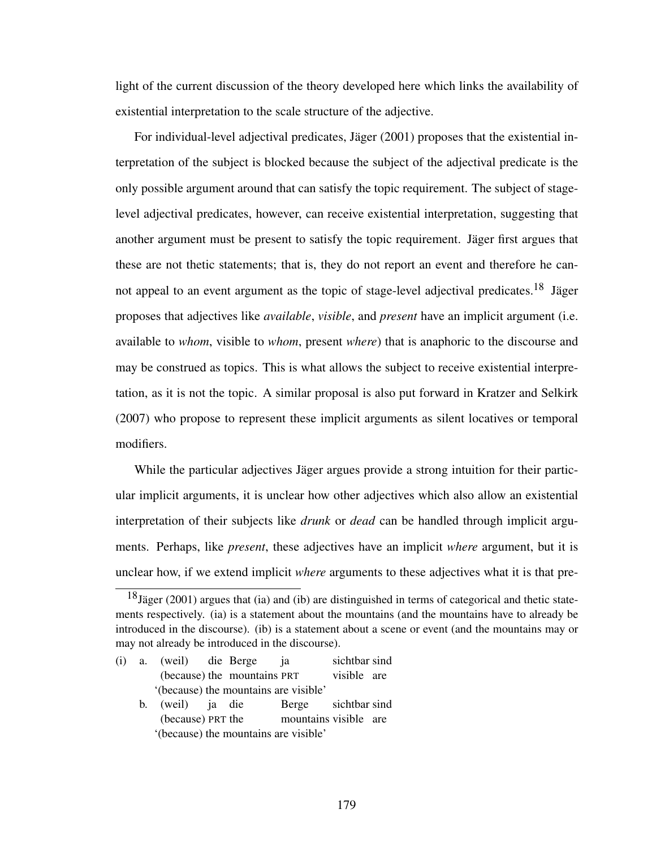light of the current discussion of the theory developed here which links the availability of existential interpretation to the scale structure of the adjective.

For individual-level adjectival predicates, Jäger (2001) proposes that the existential interpretation of the subject is blocked because the subject of the adjectival predicate is the only possible argument around that can satisfy the topic requirement. The subject of stagelevel adjectival predicates, however, can receive existential interpretation, suggesting that another argument must be present to satisfy the topic requirement. Jäger first argues that these are not thetic statements; that is, they do not report an event and therefore he cannot appeal to an event argument as the topic of stage-level adjectival predicates.<sup>18</sup> Jäger proposes that adjectives like *available*, *visible*, and *present* have an implicit argument (i.e. available to *whom*, visible to *whom*, present *where*) that is anaphoric to the discourse and may be construed as topics. This is what allows the subject to receive existential interpretation, as it is not the topic. A similar proposal is also put forward in Kratzer and Selkirk (2007) who propose to represent these implicit arguments as silent locatives or temporal modifiers.

While the particular adjectives Jäger argues provide a strong intuition for their particular implicit arguments, it is unclear how other adjectives which also allow an existential interpretation of their subjects like *drunk* or *dead* can be handled through implicit arguments. Perhaps, like *present*, these adjectives have an implicit *where* argument, but it is unclear how, if we extend implicit *where* arguments to these adjectives what it is that pre-

- (i) a. (weil) die Berge ja sichtbar sind (because) the mountains PRT visible are '(because) the mountains are visible'
	- b. (weil) ja die Berge sichtbar sind (because) PRT the mountains visible are '(because) the mountains are visible'

 $18$ Jäger (2001) argues that (ia) and (ib) are distinguished in terms of categorical and thetic statements respectively. (ia) is a statement about the mountains (and the mountains have to already be introduced in the discourse). (ib) is a statement about a scene or event (and the mountains may or may not already be introduced in the discourse).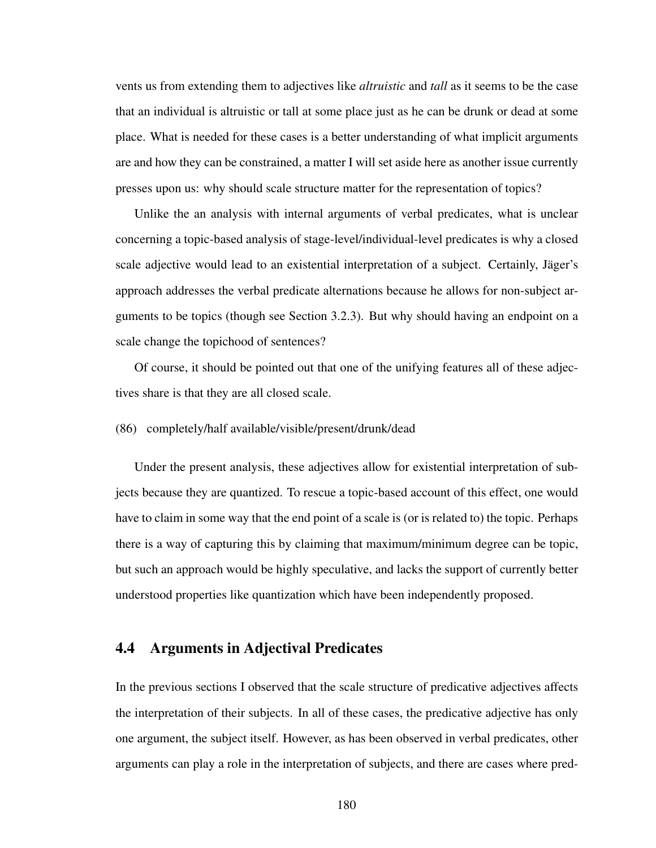vents us from extending them to adjectives like *altruistic* and *tall* as it seems to be the case that an individual is altruistic or tall at some place just as he can be drunk or dead at some place. What is needed for these cases is a better understanding of what implicit arguments are and how they can be constrained, a matter I will set aside here as another issue currently presses upon us: why should scale structure matter for the representation of topics?

Unlike the an analysis with internal arguments of verbal predicates, what is unclear concerning a topic-based analysis of stage-level/individual-level predicates is why a closed scale adjective would lead to an existential interpretation of a subject. Certainly, Jäger's approach addresses the verbal predicate alternations because he allows for non-subject arguments to be topics (though see Section 3.2.3). But why should having an endpoint on a scale change the topichood of sentences?

Of course, it should be pointed out that one of the unifying features all of these adjectives share is that they are all closed scale.

## (86) completely/half available/visible/present/drunk/dead

Under the present analysis, these adjectives allow for existential interpretation of subjects because they are quantized. To rescue a topic-based account of this effect, one would have to claim in some way that the end point of a scale is (or is related to) the topic. Perhaps there is a way of capturing this by claiming that maximum/minimum degree can be topic, but such an approach would be highly speculative, and lacks the support of currently better understood properties like quantization which have been independently proposed.

# 4.4 Arguments in Adjectival Predicates

In the previous sections I observed that the scale structure of predicative adjectives affects the interpretation of their subjects. In all of these cases, the predicative adjective has only one argument, the subject itself. However, as has been observed in verbal predicates, other arguments can play a role in the interpretation of subjects, and there are cases where pred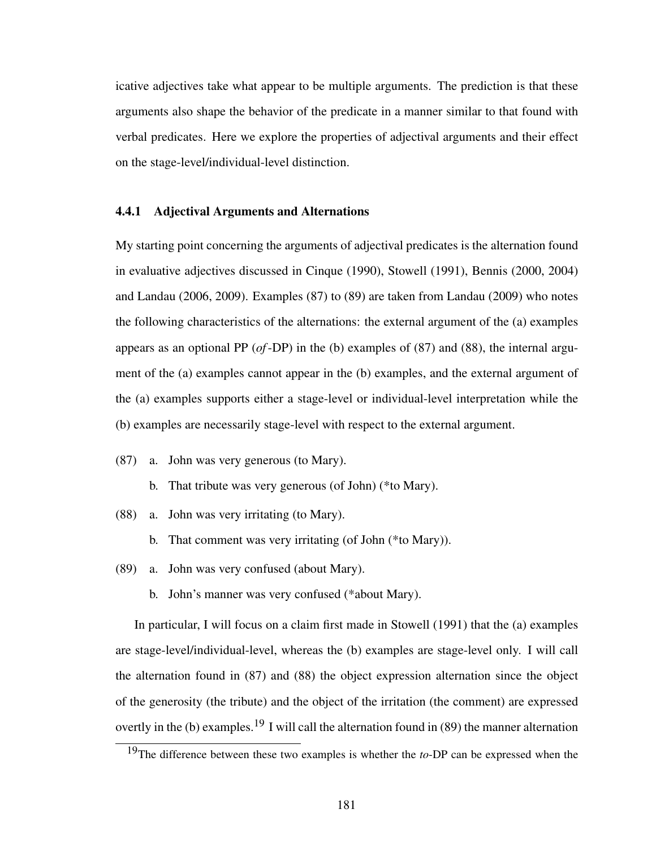icative adjectives take what appear to be multiple arguments. The prediction is that these arguments also shape the behavior of the predicate in a manner similar to that found with verbal predicates. Here we explore the properties of adjectival arguments and their effect on the stage-level/individual-level distinction.

## 4.4.1 Adjectival Arguments and Alternations

My starting point concerning the arguments of adjectival predicates is the alternation found in evaluative adjectives discussed in Cinque (1990), Stowell (1991), Bennis (2000, 2004) and Landau (2006, 2009). Examples (87) to (89) are taken from Landau (2009) who notes the following characteristics of the alternations: the external argument of the (a) examples appears as an optional PP (*of*-DP) in the (b) examples of (87) and (88), the internal argument of the (a) examples cannot appear in the (b) examples, and the external argument of the (a) examples supports either a stage-level or individual-level interpretation while the (b) examples are necessarily stage-level with respect to the external argument.

- (87) a. John was very generous (to Mary).
	- b. That tribute was very generous (of John) (\*to Mary).
- (88) a. John was very irritating (to Mary).
	- b. That comment was very irritating (of John (\*to Mary)).
- (89) a. John was very confused (about Mary).
	- b. John's manner was very confused (\*about Mary).

In particular, I will focus on a claim first made in Stowell (1991) that the (a) examples are stage-level/individual-level, whereas the (b) examples are stage-level only. I will call the alternation found in (87) and (88) the object expression alternation since the object of the generosity (the tribute) and the object of the irritation (the comment) are expressed overtly in the (b) examples.<sup>19</sup> I will call the alternation found in (89) the manner alternation

<sup>&</sup>lt;sup>19</sup>The difference between these two examples is whether the *to*-DP can be expressed when the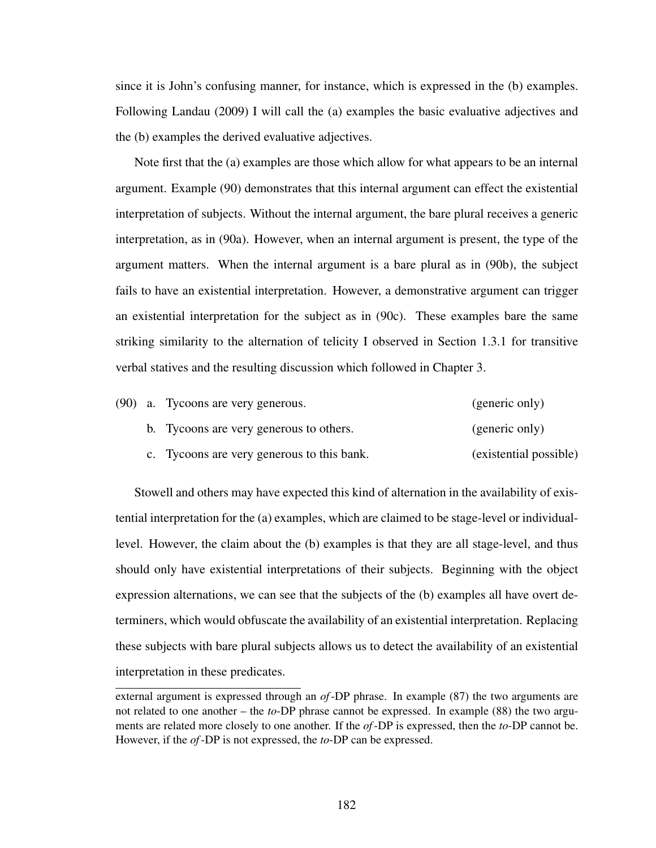since it is John's confusing manner, for instance, which is expressed in the (b) examples. Following Landau (2009) I will call the (a) examples the basic evaluative adjectives and the (b) examples the derived evaluative adjectives.

Note first that the (a) examples are those which allow for what appears to be an internal argument. Example (90) demonstrates that this internal argument can effect the existential interpretation of subjects. Without the internal argument, the bare plural receives a generic interpretation, as in (90a). However, when an internal argument is present, the type of the argument matters. When the internal argument is a bare plural as in (90b), the subject fails to have an existential interpretation. However, a demonstrative argument can trigger an existential interpretation for the subject as in (90c). These examples bare the same striking similarity to the alternation of telicity I observed in Section 1.3.1 for transitive verbal statives and the resulting discussion which followed in Chapter 3.

|  | (90) a. Tycoons are very generous.         | (generic only)         |
|--|--------------------------------------------|------------------------|
|  | b. Tycoons are very generous to others.    | (generic only)         |
|  | c. Tycoons are very generous to this bank. | (existential possible) |

Stowell and others may have expected this kind of alternation in the availability of existential interpretation for the (a) examples, which are claimed to be stage-level or individuallevel. However, the claim about the (b) examples is that they are all stage-level, and thus should only have existential interpretations of their subjects. Beginning with the object expression alternations, we can see that the subjects of the (b) examples all have overt determiners, which would obfuscate the availability of an existential interpretation. Replacing these subjects with bare plural subjects allows us to detect the availability of an existential interpretation in these predicates.

external argument is expressed through an *of*-DP phrase. In example (87) the two arguments are not related to one another – the *to*-DP phrase cannot be expressed. In example (88) the two arguments are related more closely to one another. If the *of*-DP is expressed, then the *to*-DP cannot be. However, if the *of*-DP is not expressed, the *to*-DP can be expressed.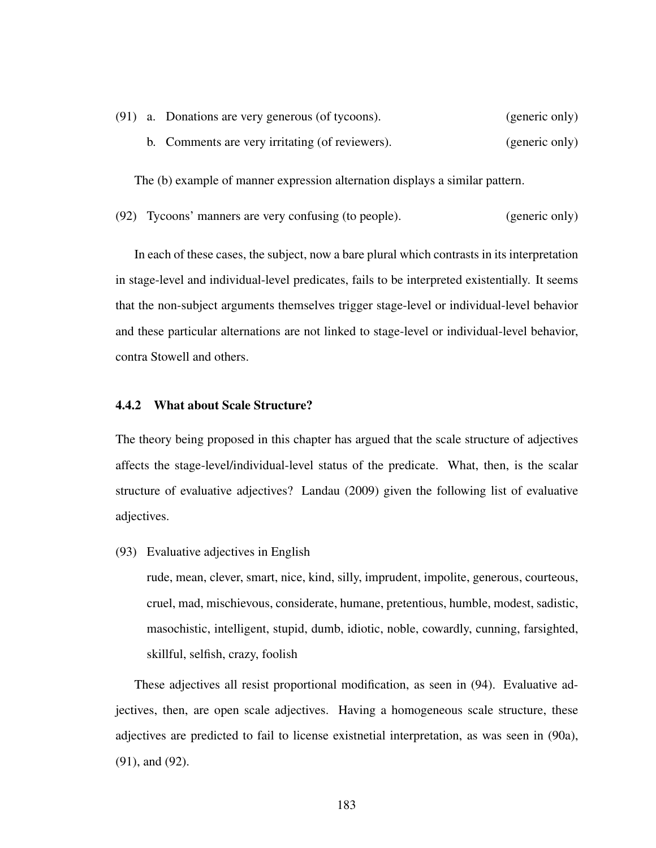|  | (91) a. Donations are very generous (of tycoons). | (generic only) |
|--|---------------------------------------------------|----------------|
|  | b. Comments are very irritating (of reviewers).   | (generic only) |

The (b) example of manner expression alternation displays a similar pattern.

(92) Tycoons' manners are very confusing (to people). (generic only)

In each of these cases, the subject, now a bare plural which contrasts in its interpretation in stage-level and individual-level predicates, fails to be interpreted existentially. It seems that the non-subject arguments themselves trigger stage-level or individual-level behavior and these particular alternations are not linked to stage-level or individual-level behavior, contra Stowell and others.

## 4.4.2 What about Scale Structure?

The theory being proposed in this chapter has argued that the scale structure of adjectives affects the stage-level/individual-level status of the predicate. What, then, is the scalar structure of evaluative adjectives? Landau (2009) given the following list of evaluative adjectives.

(93) Evaluative adjectives in English

rude, mean, clever, smart, nice, kind, silly, imprudent, impolite, generous, courteous, cruel, mad, mischievous, considerate, humane, pretentious, humble, modest, sadistic, masochistic, intelligent, stupid, dumb, idiotic, noble, cowardly, cunning, farsighted, skillful, selfish, crazy, foolish

These adjectives all resist proportional modification, as seen in (94). Evaluative adjectives, then, are open scale adjectives. Having a homogeneous scale structure, these adjectives are predicted to fail to license existnetial interpretation, as was seen in (90a), (91), and (92).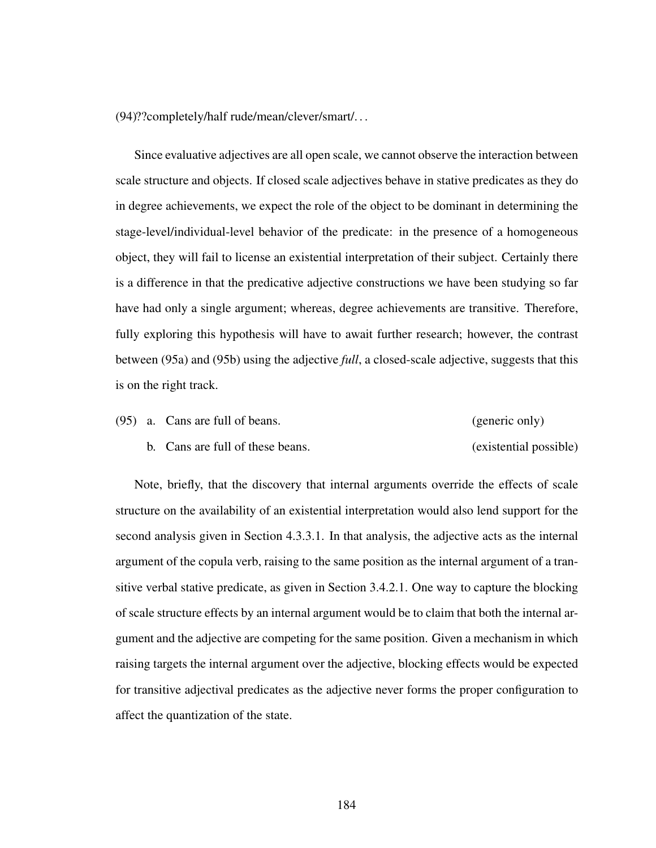(94)??completely/half rude/mean/clever/smart/. . .

Since evaluative adjectives are all open scale, we cannot observe the interaction between scale structure and objects. If closed scale adjectives behave in stative predicates as they do in degree achievements, we expect the role of the object to be dominant in determining the stage-level/individual-level behavior of the predicate: in the presence of a homogeneous object, they will fail to license an existential interpretation of their subject. Certainly there is a difference in that the predicative adjective constructions we have been studying so far have had only a single argument; whereas, degree achievements are transitive. Therefore, fully exploring this hypothesis will have to await further research; however, the contrast between (95a) and (95b) using the adjective *full*, a closed-scale adjective, suggests that this is on the right track.

(95) a. Cans are full of beans. (generic only)

b. Cans are full of these beans. (existential possible)

Note, briefly, that the discovery that internal arguments override the effects of scale structure on the availability of an existential interpretation would also lend support for the second analysis given in Section 4.3.3.1. In that analysis, the adjective acts as the internal argument of the copula verb, raising to the same position as the internal argument of a transitive verbal stative predicate, as given in Section 3.4.2.1. One way to capture the blocking of scale structure effects by an internal argument would be to claim that both the internal argument and the adjective are competing for the same position. Given a mechanism in which raising targets the internal argument over the adjective, blocking effects would be expected for transitive adjectival predicates as the adjective never forms the proper configuration to affect the quantization of the state.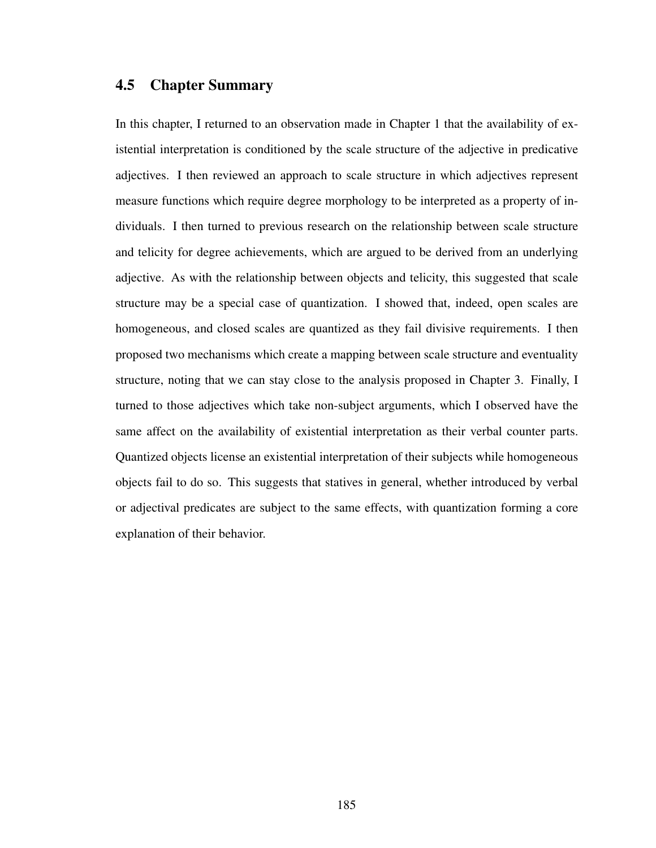# 4.5 Chapter Summary

In this chapter, I returned to an observation made in Chapter 1 that the availability of existential interpretation is conditioned by the scale structure of the adjective in predicative adjectives. I then reviewed an approach to scale structure in which adjectives represent measure functions which require degree morphology to be interpreted as a property of individuals. I then turned to previous research on the relationship between scale structure and telicity for degree achievements, which are argued to be derived from an underlying adjective. As with the relationship between objects and telicity, this suggested that scale structure may be a special case of quantization. I showed that, indeed, open scales are homogeneous, and closed scales are quantized as they fail divisive requirements. I then proposed two mechanisms which create a mapping between scale structure and eventuality structure, noting that we can stay close to the analysis proposed in Chapter 3. Finally, I turned to those adjectives which take non-subject arguments, which I observed have the same affect on the availability of existential interpretation as their verbal counter parts. Quantized objects license an existential interpretation of their subjects while homogeneous objects fail to do so. This suggests that statives in general, whether introduced by verbal or adjectival predicates are subject to the same effects, with quantization forming a core explanation of their behavior.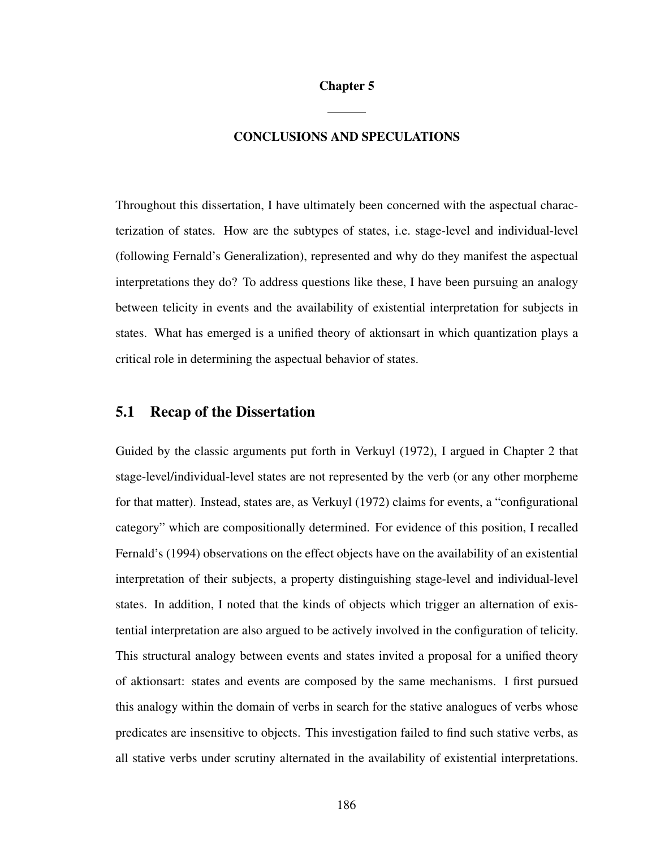## Chapter 5

## CONCLUSIONS AND SPECULATIONS

Throughout this dissertation, I have ultimately been concerned with the aspectual characterization of states. How are the subtypes of states, i.e. stage-level and individual-level (following Fernald's Generalization), represented and why do they manifest the aspectual interpretations they do? To address questions like these, I have been pursuing an analogy between telicity in events and the availability of existential interpretation for subjects in states. What has emerged is a unified theory of aktionsart in which quantization plays a critical role in determining the aspectual behavior of states.

## 5.1 Recap of the Dissertation

Guided by the classic arguments put forth in Verkuyl (1972), I argued in Chapter 2 that stage-level/individual-level states are not represented by the verb (or any other morpheme for that matter). Instead, states are, as Verkuyl (1972) claims for events, a "configurational category" which are compositionally determined. For evidence of this position, I recalled Fernald's (1994) observations on the effect objects have on the availability of an existential interpretation of their subjects, a property distinguishing stage-level and individual-level states. In addition, I noted that the kinds of objects which trigger an alternation of existential interpretation are also argued to be actively involved in the configuration of telicity. This structural analogy between events and states invited a proposal for a unified theory of aktionsart: states and events are composed by the same mechanisms. I first pursued this analogy within the domain of verbs in search for the stative analogues of verbs whose predicates are insensitive to objects. This investigation failed to find such stative verbs, as all stative verbs under scrutiny alternated in the availability of existential interpretations.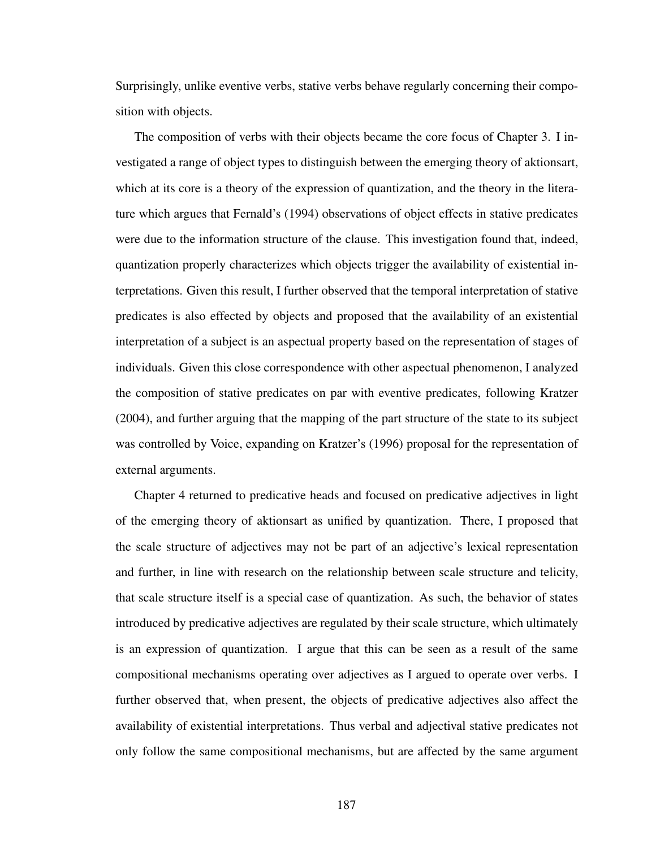Surprisingly, unlike eventive verbs, stative verbs behave regularly concerning their composition with objects.

The composition of verbs with their objects became the core focus of Chapter 3. I investigated a range of object types to distinguish between the emerging theory of aktionsart, which at its core is a theory of the expression of quantization, and the theory in the literature which argues that Fernald's (1994) observations of object effects in stative predicates were due to the information structure of the clause. This investigation found that, indeed, quantization properly characterizes which objects trigger the availability of existential interpretations. Given this result, I further observed that the temporal interpretation of stative predicates is also effected by objects and proposed that the availability of an existential interpretation of a subject is an aspectual property based on the representation of stages of individuals. Given this close correspondence with other aspectual phenomenon, I analyzed the composition of stative predicates on par with eventive predicates, following Kratzer (2004), and further arguing that the mapping of the part structure of the state to its subject was controlled by Voice, expanding on Kratzer's (1996) proposal for the representation of external arguments.

Chapter 4 returned to predicative heads and focused on predicative adjectives in light of the emerging theory of aktionsart as unified by quantization. There, I proposed that the scale structure of adjectives may not be part of an adjective's lexical representation and further, in line with research on the relationship between scale structure and telicity, that scale structure itself is a special case of quantization. As such, the behavior of states introduced by predicative adjectives are regulated by their scale structure, which ultimately is an expression of quantization. I argue that this can be seen as a result of the same compositional mechanisms operating over adjectives as I argued to operate over verbs. I further observed that, when present, the objects of predicative adjectives also affect the availability of existential interpretations. Thus verbal and adjectival stative predicates not only follow the same compositional mechanisms, but are affected by the same argument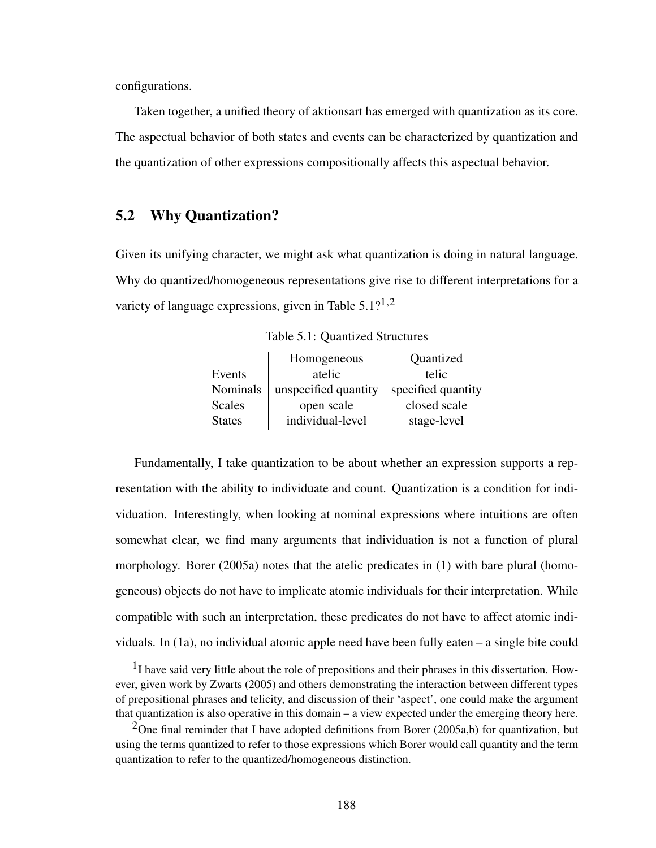configurations.

Taken together, a unified theory of aktionsart has emerged with quantization as its core. The aspectual behavior of both states and events can be characterized by quantization and the quantization of other expressions compositionally affects this aspectual behavior.

# 5.2 Why Quantization?

Given its unifying character, we might ask what quantization is doing in natural language. Why do quantized/homogeneous representations give rise to different interpretations for a variety of language expressions, given in Table  $5.1$ ?<sup>1,2</sup>

Table 5.1: Quantized Structures

|               | Homogeneous          | Quantized          |
|---------------|----------------------|--------------------|
| Events        | atelic               | telic              |
| Nominals      | unspecified quantity | specified quantity |
| Scales        | open scale           | closed scale       |
| <b>States</b> | individual-level     | stage-level        |

Fundamentally, I take quantization to be about whether an expression supports a representation with the ability to individuate and count. Quantization is a condition for individuation. Interestingly, when looking at nominal expressions where intuitions are often somewhat clear, we find many arguments that individuation is not a function of plural morphology. Borer (2005a) notes that the atelic predicates in (1) with bare plural (homogeneous) objects do not have to implicate atomic individuals for their interpretation. While compatible with such an interpretation, these predicates do not have to affect atomic individuals. In (1a), no individual atomic apple need have been fully eaten – a single bite could

 $<sup>1</sup>I$  have said very little about the role of prepositions and their phrases in this dissertation. How-</sup> ever, given work by Zwarts (2005) and others demonstrating the interaction between different types of prepositional phrases and telicity, and discussion of their 'aspect', one could make the argument that quantization is also operative in this domain – a view expected under the emerging theory here.

<sup>&</sup>lt;sup>2</sup>One final reminder that I have adopted definitions from Borer (2005a,b) for quantization, but using the terms quantized to refer to those expressions which Borer would call quantity and the term quantization to refer to the quantized/homogeneous distinction.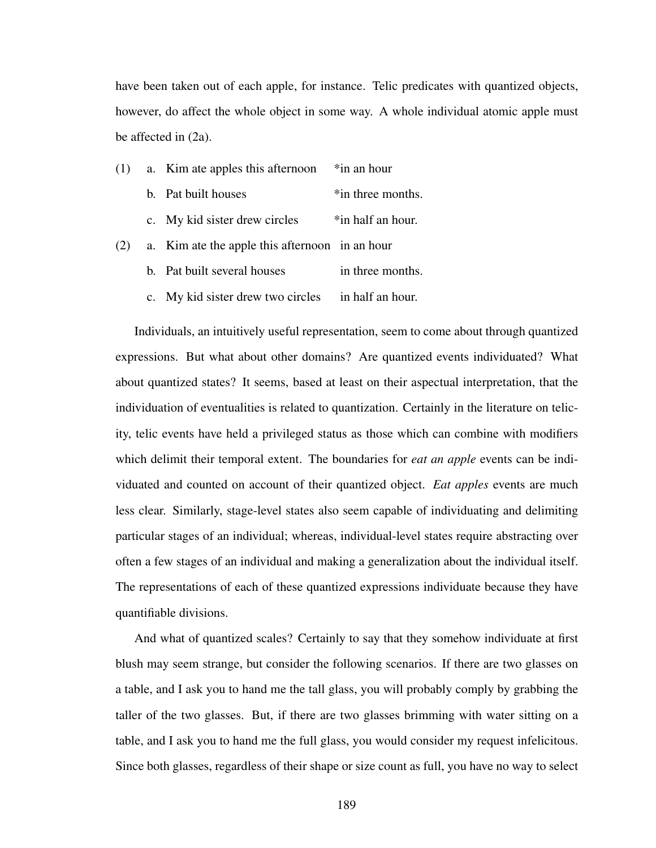have been taken out of each apple, for instance. Telic predicates with quantized objects, however, do affect the whole object in some way. A whole individual atomic apple must be affected in (2a).

| (1) | a. Kim ate apples this afternoon               | *in an hour       |
|-----|------------------------------------------------|-------------------|
|     | b. Pat built houses                            | *in three months. |
|     | c. My kid sister drew circles                  | *in half an hour. |
| (2) | a. Kim ate the apple this afternoon in an hour |                   |
|     | b. Pat built several houses                    | in three months.  |
|     |                                                |                   |

c. My kid sister drew two circles in half an hour.

Individuals, an intuitively useful representation, seem to come about through quantized expressions. But what about other domains? Are quantized events individuated? What about quantized states? It seems, based at least on their aspectual interpretation, that the individuation of eventualities is related to quantization. Certainly in the literature on telicity, telic events have held a privileged status as those which can combine with modifiers which delimit their temporal extent. The boundaries for *eat an apple* events can be individuated and counted on account of their quantized object. *Eat apples* events are much less clear. Similarly, stage-level states also seem capable of individuating and delimiting particular stages of an individual; whereas, individual-level states require abstracting over often a few stages of an individual and making a generalization about the individual itself. The representations of each of these quantized expressions individuate because they have quantifiable divisions.

And what of quantized scales? Certainly to say that they somehow individuate at first blush may seem strange, but consider the following scenarios. If there are two glasses on a table, and I ask you to hand me the tall glass, you will probably comply by grabbing the taller of the two glasses. But, if there are two glasses brimming with water sitting on a table, and I ask you to hand me the full glass, you would consider my request infelicitous. Since both glasses, regardless of their shape or size count as full, you have no way to select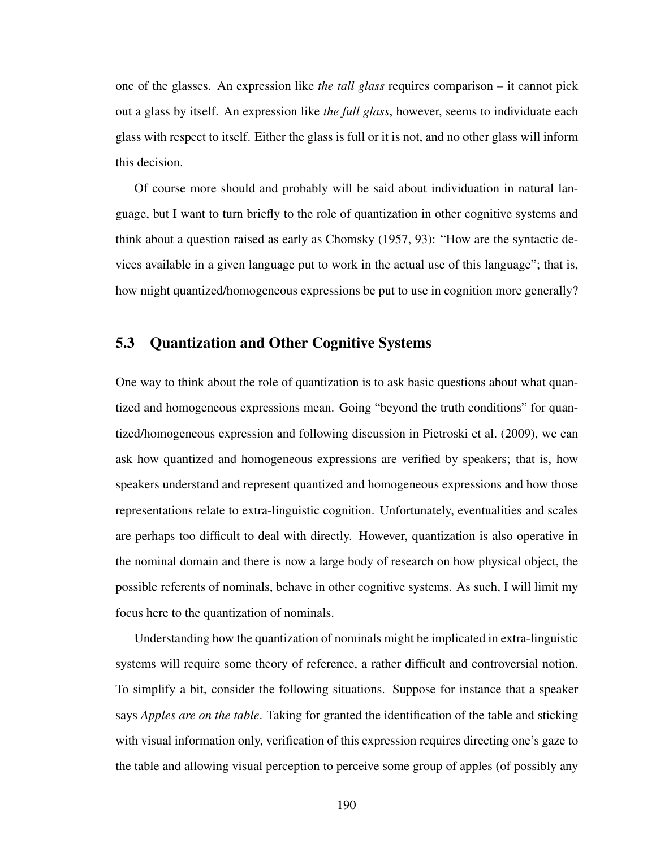one of the glasses. An expression like *the tall glass* requires comparison – it cannot pick out a glass by itself. An expression like *the full glass*, however, seems to individuate each glass with respect to itself. Either the glass is full or it is not, and no other glass will inform this decision.

Of course more should and probably will be said about individuation in natural language, but I want to turn briefly to the role of quantization in other cognitive systems and think about a question raised as early as Chomsky (1957, 93): "How are the syntactic devices available in a given language put to work in the actual use of this language"; that is, how might quantized/homogeneous expressions be put to use in cognition more generally?

# 5.3 Quantization and Other Cognitive Systems

One way to think about the role of quantization is to ask basic questions about what quantized and homogeneous expressions mean. Going "beyond the truth conditions" for quantized/homogeneous expression and following discussion in Pietroski et al. (2009), we can ask how quantized and homogeneous expressions are verified by speakers; that is, how speakers understand and represent quantized and homogeneous expressions and how those representations relate to extra-linguistic cognition. Unfortunately, eventualities and scales are perhaps too difficult to deal with directly. However, quantization is also operative in the nominal domain and there is now a large body of research on how physical object, the possible referents of nominals, behave in other cognitive systems. As such, I will limit my focus here to the quantization of nominals.

Understanding how the quantization of nominals might be implicated in extra-linguistic systems will require some theory of reference, a rather difficult and controversial notion. To simplify a bit, consider the following situations. Suppose for instance that a speaker says *Apples are on the table*. Taking for granted the identification of the table and sticking with visual information only, verification of this expression requires directing one's gaze to the table and allowing visual perception to perceive some group of apples (of possibly any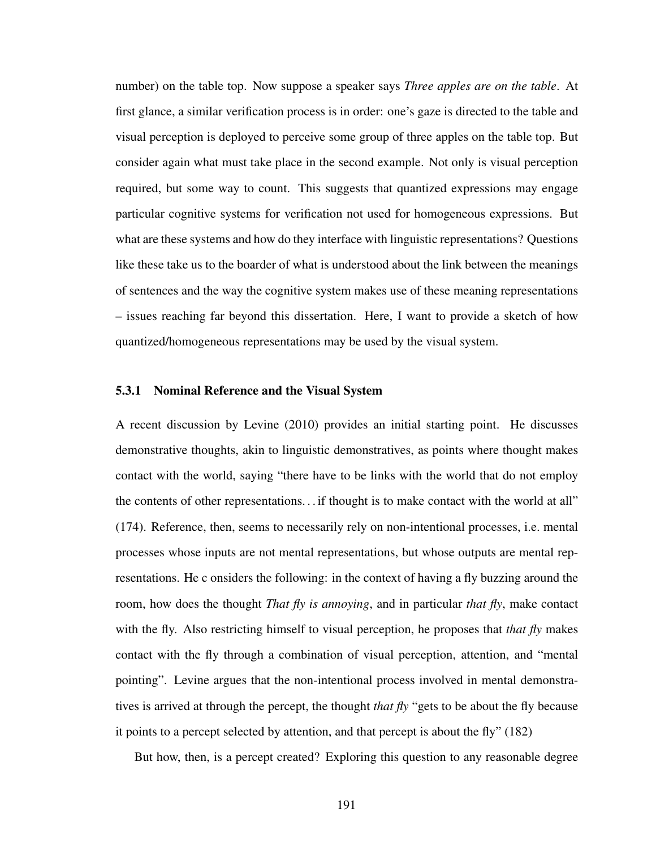number) on the table top. Now suppose a speaker says *Three apples are on the table*. At first glance, a similar verification process is in order: one's gaze is directed to the table and visual perception is deployed to perceive some group of three apples on the table top. But consider again what must take place in the second example. Not only is visual perception required, but some way to count. This suggests that quantized expressions may engage particular cognitive systems for verification not used for homogeneous expressions. But what are these systems and how do they interface with linguistic representations? Questions like these take us to the boarder of what is understood about the link between the meanings of sentences and the way the cognitive system makes use of these meaning representations – issues reaching far beyond this dissertation. Here, I want to provide a sketch of how quantized/homogeneous representations may be used by the visual system.

## 5.3.1 Nominal Reference and the Visual System

A recent discussion by Levine (2010) provides an initial starting point. He discusses demonstrative thoughts, akin to linguistic demonstratives, as points where thought makes contact with the world, saying "there have to be links with the world that do not employ the contents of other representations. . . if thought is to make contact with the world at all" (174). Reference, then, seems to necessarily rely on non-intentional processes, i.e. mental processes whose inputs are not mental representations, but whose outputs are mental representations. He c onsiders the following: in the context of having a fly buzzing around the room, how does the thought *That fly is annoying*, and in particular *that fly*, make contact with the fly. Also restricting himself to visual perception, he proposes that *that fly* makes contact with the fly through a combination of visual perception, attention, and "mental pointing". Levine argues that the non-intentional process involved in mental demonstratives is arrived at through the percept, the thought *that fly* "gets to be about the fly because it points to a percept selected by attention, and that percept is about the fly" (182)

But how, then, is a percept created? Exploring this question to any reasonable degree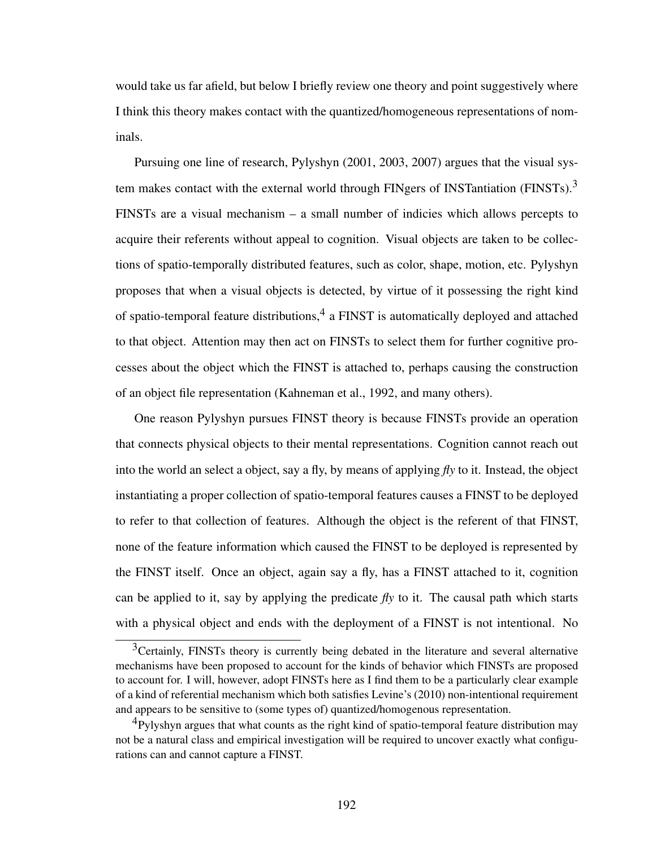would take us far afield, but below I briefly review one theory and point suggestively where I think this theory makes contact with the quantized/homogeneous representations of nominals.

Pursuing one line of research, Pylyshyn (2001, 2003, 2007) argues that the visual system makes contact with the external world through FINgers of INSTantiation (FINSTs).<sup>3</sup> FINSTs are a visual mechanism – a small number of indicies which allows percepts to acquire their referents without appeal to cognition. Visual objects are taken to be collections of spatio-temporally distributed features, such as color, shape, motion, etc. Pylyshyn proposes that when a visual objects is detected, by virtue of it possessing the right kind of spatio-temporal feature distributions,<sup>4</sup> a FINST is automatically deployed and attached to that object. Attention may then act on FINSTs to select them for further cognitive processes about the object which the FINST is attached to, perhaps causing the construction of an object file representation (Kahneman et al., 1992, and many others).

One reason Pylyshyn pursues FINST theory is because FINSTs provide an operation that connects physical objects to their mental representations. Cognition cannot reach out into the world an select a object, say a fly, by means of applying *fly* to it. Instead, the object instantiating a proper collection of spatio-temporal features causes a FINST to be deployed to refer to that collection of features. Although the object is the referent of that FINST, none of the feature information which caused the FINST to be deployed is represented by the FINST itself. Once an object, again say a fly, has a FINST attached to it, cognition can be applied to it, say by applying the predicate *fly* to it. The causal path which starts with a physical object and ends with the deployment of a FINST is not intentional. No

 $3$ Certainly, FINSTs theory is currently being debated in the literature and several alternative mechanisms have been proposed to account for the kinds of behavior which FINSTs are proposed to account for. I will, however, adopt FINSTs here as I find them to be a particularly clear example of a kind of referential mechanism which both satisfies Levine's (2010) non-intentional requirement and appears to be sensitive to (some types of) quantized/homogenous representation.

 $^{4}$ Pylyshyn argues that what counts as the right kind of spatio-temporal feature distribution may not be a natural class and empirical investigation will be required to uncover exactly what configurations can and cannot capture a FINST.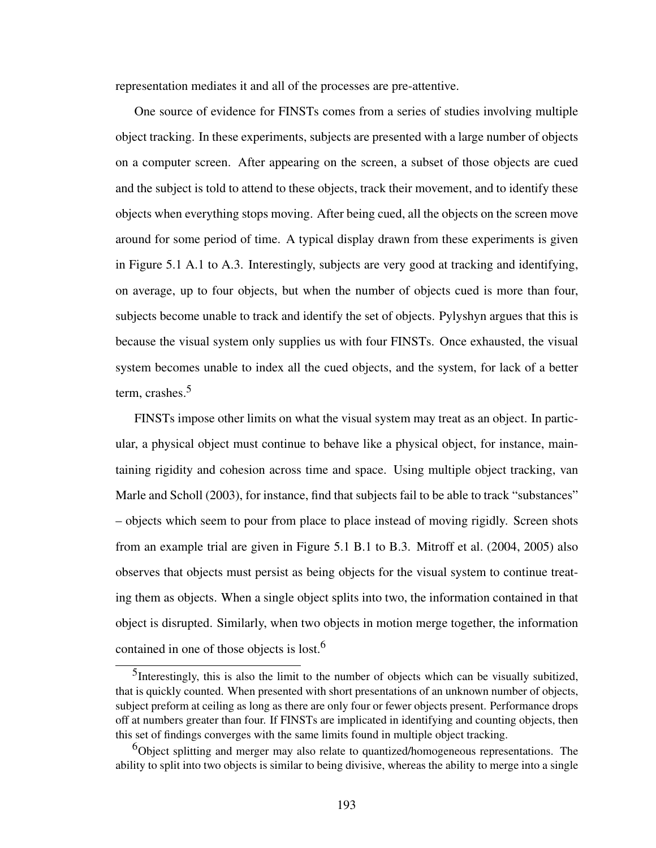representation mediates it and all of the processes are pre-attentive.

One source of evidence for FINSTs comes from a series of studies involving multiple object tracking. In these experiments, subjects are presented with a large number of objects on a computer screen. After appearing on the screen, a subset of those objects are cued and the subject is told to attend to these objects, track their movement, and to identify these objects when everything stops moving. After being cued, all the objects on the screen move around for some period of time. A typical display drawn from these experiments is given in Figure 5.1 A.1 to A.3. Interestingly, subjects are very good at tracking and identifying, on average, up to four objects, but when the number of objects cued is more than four, subjects become unable to track and identify the set of objects. Pylyshyn argues that this is because the visual system only supplies us with four FINSTs. Once exhausted, the visual system becomes unable to index all the cued objects, and the system, for lack of a better term, crashes.<sup>5</sup>

FINSTs impose other limits on what the visual system may treat as an object. In particular, a physical object must continue to behave like a physical object, for instance, maintaining rigidity and cohesion across time and space. Using multiple object tracking, van Marle and Scholl (2003), for instance, find that subjects fail to be able to track "substances" – objects which seem to pour from place to place instead of moving rigidly. Screen shots from an example trial are given in Figure 5.1 B.1 to B.3. Mitroff et al. (2004, 2005) also observes that objects must persist as being objects for the visual system to continue treating them as objects. When a single object splits into two, the information contained in that object is disrupted. Similarly, when two objects in motion merge together, the information contained in one of those objects is lost.<sup>6</sup>

 $<sup>5</sup>$ Interestingly, this is also the limit to the number of objects which can be visually subitized,</sup> that is quickly counted. When presented with short presentations of an unknown number of objects, subject preform at ceiling as long as there are only four or fewer objects present. Performance drops off at numbers greater than four. If FINSTs are implicated in identifying and counting objects, then this set of findings converges with the same limits found in multiple object tracking.

<sup>&</sup>lt;sup>6</sup>Object splitting and merger may also relate to quantized/homogeneous representations. The ability to split into two objects is similar to being divisive, whereas the ability to merge into a single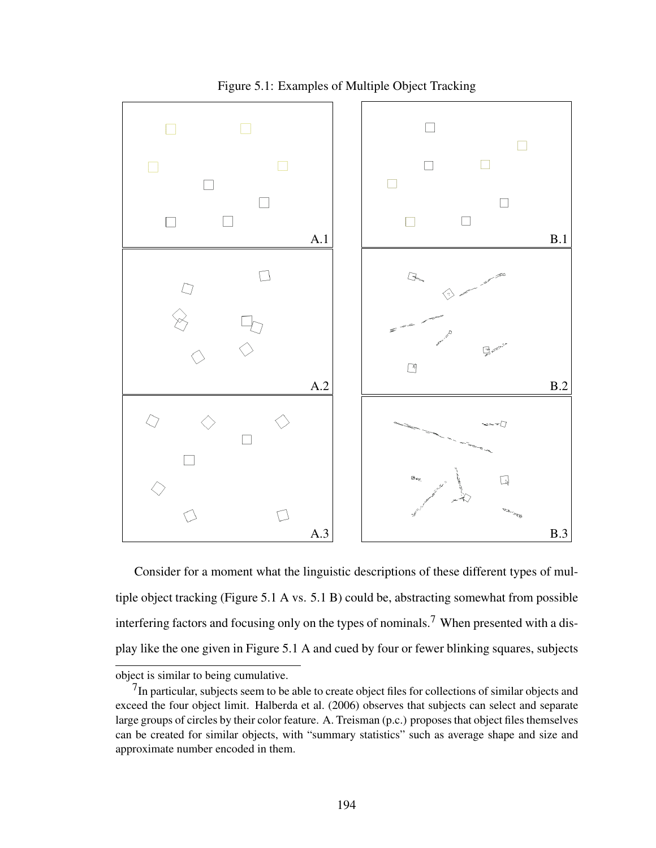

Figure 5.1: Examples of Multiple Object Tracking

Consider for a moment what the linguistic descriptions of these different types of multiple object tracking (Figure 5.1 A vs. 5.1 B) could be, abstracting somewhat from possible interfering factors and focusing only on the types of nominals.<sup>7</sup> When presented with a display like the one given in Figure 5.1 A and cued by four or fewer blinking squares, subjects

object is similar to being cumulative.

 $<sup>7</sup>$  In particular, subjects seem to be able to create object files for collections of similar objects and</sup> exceed the four object limit. Halberda et al. (2006) observes that subjects can select and separate large groups of circles by their color feature. A. Treisman (p.c.) proposes that object files themselves can be created for similar objects, with "summary statistics" such as average shape and size and approximate number encoded in them.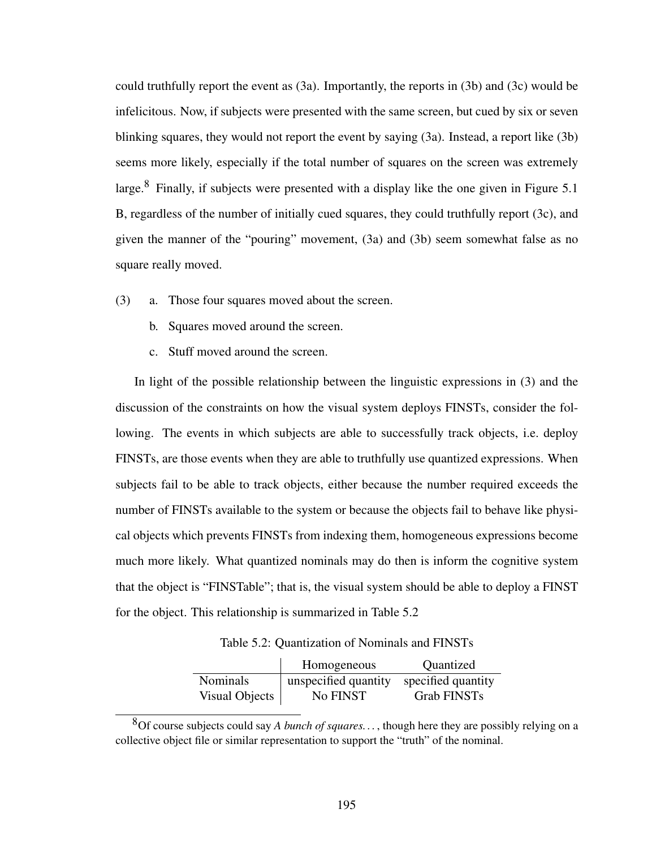could truthfully report the event as (3a). Importantly, the reports in (3b) and (3c) would be infelicitous. Now, if subjects were presented with the same screen, but cued by six or seven blinking squares, they would not report the event by saying (3a). Instead, a report like (3b) seems more likely, especially if the total number of squares on the screen was extremely large.<sup>8</sup> Finally, if subjects were presented with a display like the one given in Figure 5.1 B, regardless of the number of initially cued squares, they could truthfully report (3c), and given the manner of the "pouring" movement, (3a) and (3b) seem somewhat false as no square really moved.

- (3) a. Those four squares moved about the screen.
	- b. Squares moved around the screen.
	- c. Stuff moved around the screen.

In light of the possible relationship between the linguistic expressions in (3) and the discussion of the constraints on how the visual system deploys FINSTs, consider the following. The events in which subjects are able to successfully track objects, i.e. deploy FINSTs, are those events when they are able to truthfully use quantized expressions. When subjects fail to be able to track objects, either because the number required exceeds the number of FINSTs available to the system or because the objects fail to behave like physical objects which prevents FINSTs from indexing them, homogeneous expressions become much more likely. What quantized nominals may do then is inform the cognitive system that the object is "FINSTable"; that is, the visual system should be able to deploy a FINST for the object. This relationship is summarized in Table 5.2

Table 5.2: Quantization of Nominals and FINSTs

|                 | Homogeneous          | Quantized          |
|-----------------|----------------------|--------------------|
| <b>Nominals</b> | unspecified quantity | specified quantity |
| Visual Objects  | No FINST             | <b>Grab FINSTs</b> |

<sup>8</sup>Of course subjects could say *A bunch of squares. . .* , though here they are possibly relying on a collective object file or similar representation to support the "truth" of the nominal.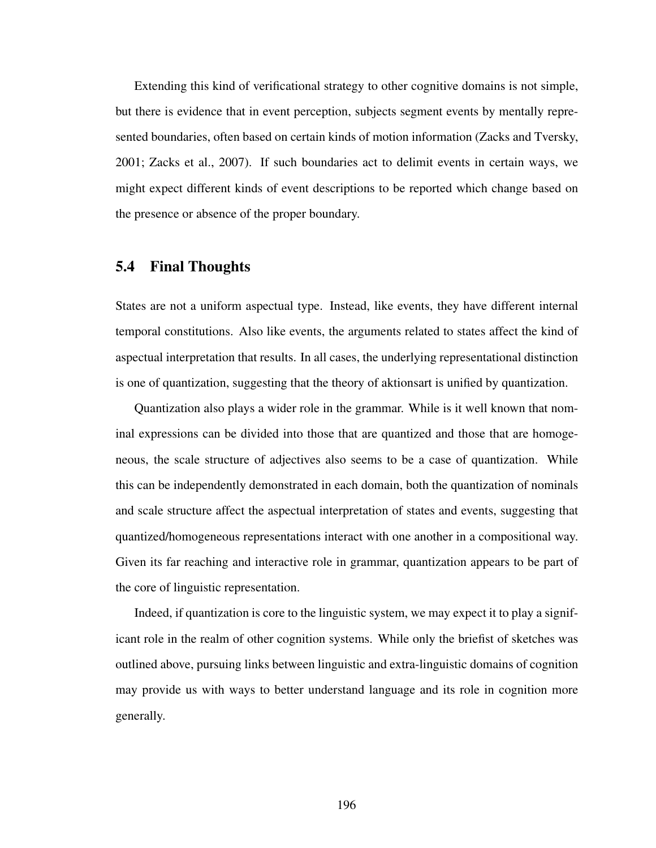Extending this kind of verificational strategy to other cognitive domains is not simple, but there is evidence that in event perception, subjects segment events by mentally represented boundaries, often based on certain kinds of motion information (Zacks and Tversky, 2001; Zacks et al., 2007). If such boundaries act to delimit events in certain ways, we might expect different kinds of event descriptions to be reported which change based on the presence or absence of the proper boundary.

# 5.4 Final Thoughts

States are not a uniform aspectual type. Instead, like events, they have different internal temporal constitutions. Also like events, the arguments related to states affect the kind of aspectual interpretation that results. In all cases, the underlying representational distinction is one of quantization, suggesting that the theory of aktionsart is unified by quantization.

Quantization also plays a wider role in the grammar. While is it well known that nominal expressions can be divided into those that are quantized and those that are homogeneous, the scale structure of adjectives also seems to be a case of quantization. While this can be independently demonstrated in each domain, both the quantization of nominals and scale structure affect the aspectual interpretation of states and events, suggesting that quantized/homogeneous representations interact with one another in a compositional way. Given its far reaching and interactive role in grammar, quantization appears to be part of the core of linguistic representation.

Indeed, if quantization is core to the linguistic system, we may expect it to play a significant role in the realm of other cognition systems. While only the briefist of sketches was outlined above, pursuing links between linguistic and extra-linguistic domains of cognition may provide us with ways to better understand language and its role in cognition more generally.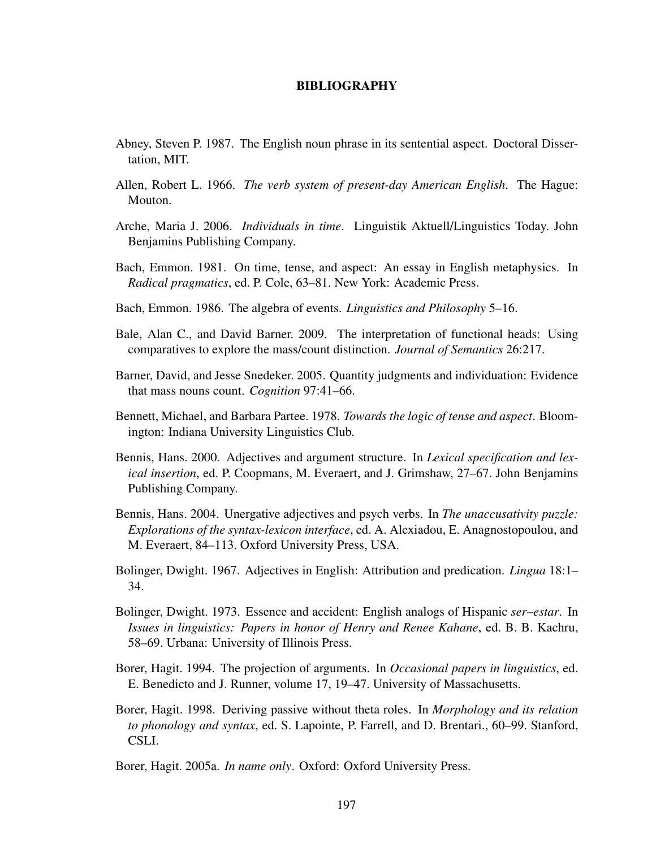## BIBLIOGRAPHY

- Abney, Steven P. 1987. The English noun phrase in its sentential aspect. Doctoral Dissertation, MIT.
- Allen, Robert L. 1966. *The verb system of present-day American English*. The Hague: Mouton.
- Arche, Maria J. 2006. *Individuals in time*. Linguistik Aktuell/Linguistics Today. John Benjamins Publishing Company.
- Bach, Emmon. 1981. On time, tense, and aspect: An essay in English metaphysics. In *Radical pragmatics*, ed. P. Cole, 63–81. New York: Academic Press.
- Bach, Emmon. 1986. The algebra of events. *Linguistics and Philosophy* 5–16.
- Bale, Alan C., and David Barner. 2009. The interpretation of functional heads: Using comparatives to explore the mass/count distinction. *Journal of Semantics* 26:217.
- Barner, David, and Jesse Snedeker. 2005. Quantity judgments and individuation: Evidence that mass nouns count. *Cognition* 97:41–66.
- Bennett, Michael, and Barbara Partee. 1978. *Towards the logic of tense and aspect*. Bloomington: Indiana University Linguistics Club.
- Bennis, Hans. 2000. Adjectives and argument structure. In *Lexical specification and lexical insertion*, ed. P. Coopmans, M. Everaert, and J. Grimshaw, 27–67. John Benjamins Publishing Company.
- Bennis, Hans. 2004. Unergative adjectives and psych verbs. In *The unaccusativity puzzle: Explorations of the syntax-lexicon interface*, ed. A. Alexiadou, E. Anagnostopoulou, and M. Everaert, 84–113. Oxford University Press, USA.
- Bolinger, Dwight. 1967. Adjectives in English: Attribution and predication. *Lingua* 18:1– 34.
- Bolinger, Dwight. 1973. Essence and accident: English analogs of Hispanic *ser*–*estar*. In *Issues in linguistics: Papers in honor of Henry and Renee Kahane*, ed. B. B. Kachru, 58–69. Urbana: University of Illinois Press.
- Borer, Hagit. 1994. The projection of arguments. In *Occasional papers in linguistics*, ed. E. Benedicto and J. Runner, volume 17, 19–47. University of Massachusetts.
- Borer, Hagit. 1998. Deriving passive without theta roles. In *Morphology and its relation to phonology and syntax*, ed. S. Lapointe, P. Farrell, and D. Brentari., 60–99. Stanford, CSLI.
- Borer, Hagit. 2005a. *In name only*. Oxford: Oxford University Press.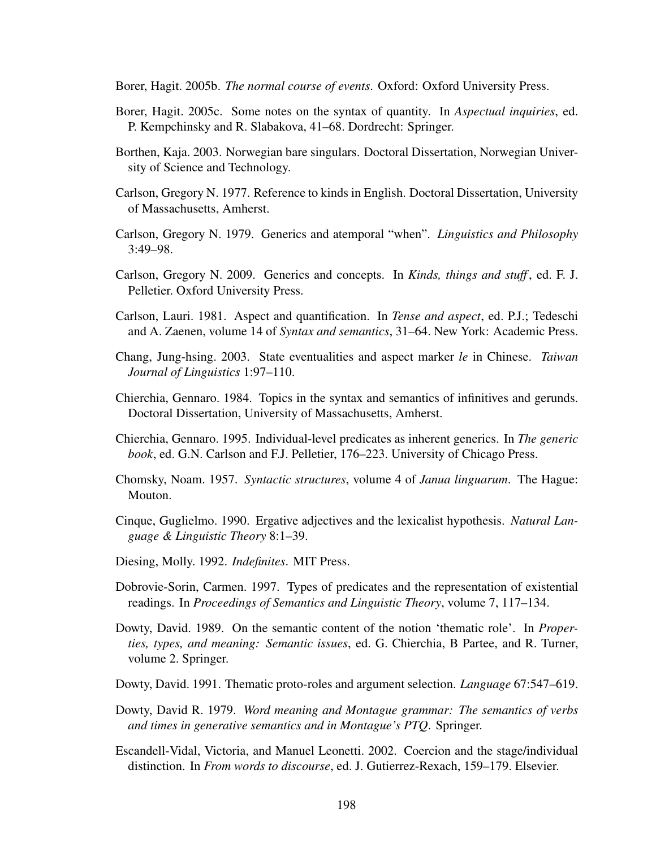Borer, Hagit. 2005b. *The normal course of events*. Oxford: Oxford University Press.

- Borer, Hagit. 2005c. Some notes on the syntax of quantity. In *Aspectual inquiries*, ed. P. Kempchinsky and R. Slabakova, 41–68. Dordrecht: Springer.
- Borthen, Kaja. 2003. Norwegian bare singulars. Doctoral Dissertation, Norwegian University of Science and Technology.
- Carlson, Gregory N. 1977. Reference to kinds in English. Doctoral Dissertation, University of Massachusetts, Amherst.
- Carlson, Gregory N. 1979. Generics and atemporal "when". *Linguistics and Philosophy* 3:49–98.
- Carlson, Gregory N. 2009. Generics and concepts. In *Kinds, things and stuff* , ed. F. J. Pelletier. Oxford University Press.
- Carlson, Lauri. 1981. Aspect and quantification. In *Tense and aspect*, ed. P.J.; Tedeschi and A. Zaenen, volume 14 of *Syntax and semantics*, 31–64. New York: Academic Press.
- Chang, Jung-hsing. 2003. State eventualities and aspect marker *le* in Chinese. *Taiwan Journal of Linguistics* 1:97–110.
- Chierchia, Gennaro. 1984. Topics in the syntax and semantics of infinitives and gerunds. Doctoral Dissertation, University of Massachusetts, Amherst.
- Chierchia, Gennaro. 1995. Individual-level predicates as inherent generics. In *The generic book*, ed. G.N. Carlson and F.J. Pelletier, 176–223. University of Chicago Press.
- Chomsky, Noam. 1957. *Syntactic structures*, volume 4 of *Janua linguarum*. The Hague: Mouton.
- Cinque, Guglielmo. 1990. Ergative adjectives and the lexicalist hypothesis. *Natural Language & Linguistic Theory* 8:1–39.
- Diesing, Molly. 1992. *Indefinites*. MIT Press.
- Dobrovie-Sorin, Carmen. 1997. Types of predicates and the representation of existential readings. In *Proceedings of Semantics and Linguistic Theory*, volume 7, 117–134.
- Dowty, David. 1989. On the semantic content of the notion 'thematic role'. In *Properties, types, and meaning: Semantic issues*, ed. G. Chierchia, B Partee, and R. Turner, volume 2. Springer.
- Dowty, David. 1991. Thematic proto-roles and argument selection. *Language* 67:547–619.
- Dowty, David R. 1979. *Word meaning and Montague grammar: The semantics of verbs and times in generative semantics and in Montague's PTQ*. Springer.
- Escandell-Vidal, Victoria, and Manuel Leonetti. 2002. Coercion and the stage/individual distinction. In *From words to discourse*, ed. J. Gutierrez-Rexach, 159–179. Elsevier.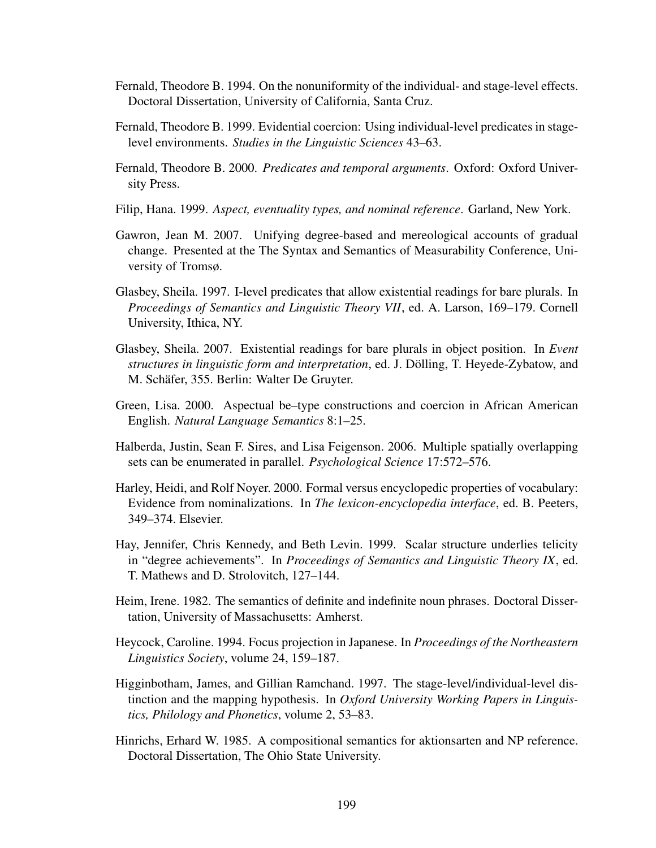- Fernald, Theodore B. 1994. On the nonuniformity of the individual- and stage-level effects. Doctoral Dissertation, University of California, Santa Cruz.
- Fernald, Theodore B. 1999. Evidential coercion: Using individual-level predicates in stagelevel environments. *Studies in the Linguistic Sciences* 43–63.
- Fernald, Theodore B. 2000. *Predicates and temporal arguments*. Oxford: Oxford University Press.
- Filip, Hana. 1999. *Aspect, eventuality types, and nominal reference*. Garland, New York.
- Gawron, Jean M. 2007. Unifying degree-based and mereological accounts of gradual change. Presented at the The Syntax and Semantics of Measurability Conference, University of Tromsø.
- Glasbey, Sheila. 1997. I-level predicates that allow existential readings for bare plurals. In *Proceedings of Semantics and Linguistic Theory VII*, ed. A. Larson, 169–179. Cornell University, Ithica, NY.
- Glasbey, Sheila. 2007. Existential readings for bare plurals in object position. In *Event structures in linguistic form and interpretation*, ed. J. Dölling, T. Heyede-Zybatow, and M. Schäfer, 355. Berlin: Walter De Gruyter.
- Green, Lisa. 2000. Aspectual be–type constructions and coercion in African American English. *Natural Language Semantics* 8:1–25.
- Halberda, Justin, Sean F. Sires, and Lisa Feigenson. 2006. Multiple spatially overlapping sets can be enumerated in parallel. *Psychological Science* 17:572–576.
- Harley, Heidi, and Rolf Noyer. 2000. Formal versus encyclopedic properties of vocabulary: Evidence from nominalizations. In *The lexicon-encyclopedia interface*, ed. B. Peeters, 349–374. Elsevier.
- Hay, Jennifer, Chris Kennedy, and Beth Levin. 1999. Scalar structure underlies telicity in "degree achievements". In *Proceedings of Semantics and Linguistic Theory IX*, ed. T. Mathews and D. Strolovitch, 127–144.
- Heim, Irene. 1982. The semantics of definite and indefinite noun phrases. Doctoral Dissertation, University of Massachusetts: Amherst.
- Heycock, Caroline. 1994. Focus projection in Japanese. In *Proceedings of the Northeastern Linguistics Society*, volume 24, 159–187.
- Higginbotham, James, and Gillian Ramchand. 1997. The stage-level/individual-level distinction and the mapping hypothesis. In *Oxford University Working Papers in Linguistics, Philology and Phonetics*, volume 2, 53–83.
- Hinrichs, Erhard W. 1985. A compositional semantics for aktionsarten and NP reference. Doctoral Dissertation, The Ohio State University.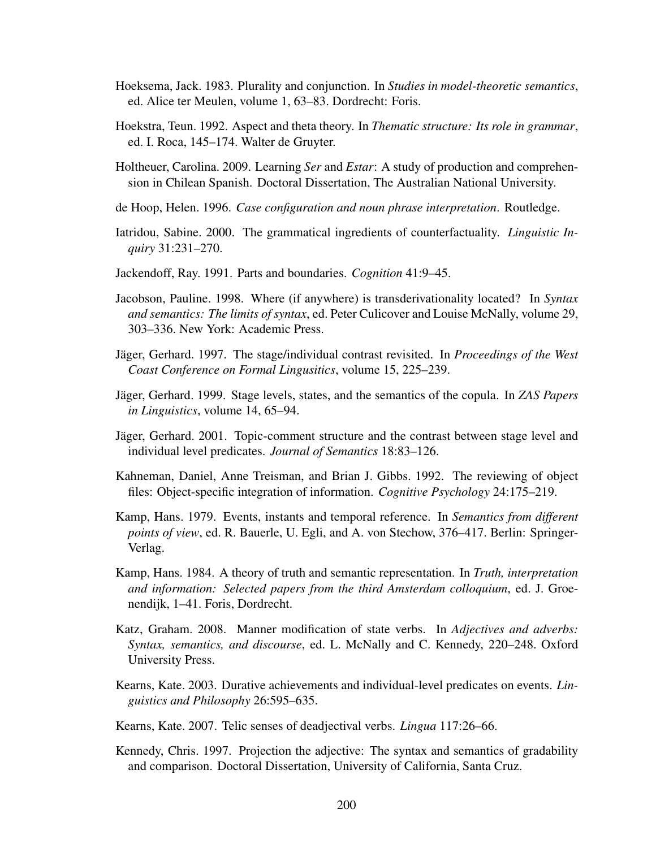- Hoeksema, Jack. 1983. Plurality and conjunction. In *Studies in model-theoretic semantics*, ed. Alice ter Meulen, volume 1, 63–83. Dordrecht: Foris.
- Hoekstra, Teun. 1992. Aspect and theta theory. In *Thematic structure: Its role in grammar*, ed. I. Roca, 145–174. Walter de Gruyter.
- Holtheuer, Carolina. 2009. Learning *Ser* and *Estar*: A study of production and comprehension in Chilean Spanish. Doctoral Dissertation, The Australian National University.
- de Hoop, Helen. 1996. *Case configuration and noun phrase interpretation*. Routledge.
- Iatridou, Sabine. 2000. The grammatical ingredients of counterfactuality. *Linguistic Inquiry* 31:231–270.
- Jackendoff, Ray. 1991. Parts and boundaries. *Cognition* 41:9–45.
- Jacobson, Pauline. 1998. Where (if anywhere) is transderivationality located? In *Syntax and semantics: The limits of syntax*, ed. Peter Culicover and Louise McNally, volume 29, 303–336. New York: Academic Press.
- Jäger, Gerhard. 1997. The stage/individual contrast revisited. In *Proceedings of the West Coast Conference on Formal Lingusitics*, volume 15, 225–239.
- Jäger, Gerhard. 1999. Stage levels, states, and the semantics of the copula. In *ZAS Papers in Linguistics*, volume 14, 65–94.
- Jäger, Gerhard. 2001. Topic-comment structure and the contrast between stage level and individual level predicates. *Journal of Semantics* 18:83–126.
- Kahneman, Daniel, Anne Treisman, and Brian J. Gibbs. 1992. The reviewing of object files: Object-specific integration of information. *Cognitive Psychology* 24:175–219.
- Kamp, Hans. 1979. Events, instants and temporal reference. In *Semantics from different points of view*, ed. R. Bauerle, U. Egli, and A. von Stechow, 376–417. Berlin: Springer-Verlag.
- Kamp, Hans. 1984. A theory of truth and semantic representation. In *Truth, interpretation and information: Selected papers from the third Amsterdam colloquium*, ed. J. Groenendijk, 1–41. Foris, Dordrecht.
- Katz, Graham. 2008. Manner modification of state verbs. In *Adjectives and adverbs: Syntax, semantics, and discourse*, ed. L. McNally and C. Kennedy, 220–248. Oxford University Press.
- Kearns, Kate. 2003. Durative achievements and individual-level predicates on events. *Linguistics and Philosophy* 26:595–635.
- Kearns, Kate. 2007. Telic senses of deadjectival verbs. *Lingua* 117:26–66.
- Kennedy, Chris. 1997. Projection the adjective: The syntax and semantics of gradability and comparison. Doctoral Dissertation, University of California, Santa Cruz.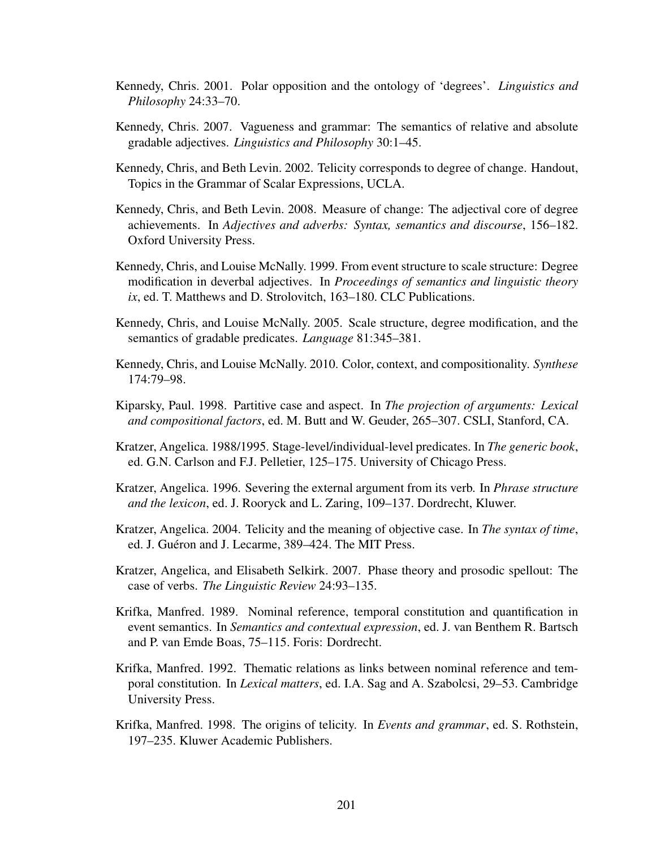- Kennedy, Chris. 2001. Polar opposition and the ontology of 'degrees'. *Linguistics and Philosophy* 24:33–70.
- Kennedy, Chris. 2007. Vagueness and grammar: The semantics of relative and absolute gradable adjectives. *Linguistics and Philosophy* 30:1–45.
- Kennedy, Chris, and Beth Levin. 2002. Telicity corresponds to degree of change. Handout, Topics in the Grammar of Scalar Expressions, UCLA.
- Kennedy, Chris, and Beth Levin. 2008. Measure of change: The adjectival core of degree achievements. In *Adjectives and adverbs: Syntax, semantics and discourse*, 156–182. Oxford University Press.
- Kennedy, Chris, and Louise McNally. 1999. From event structure to scale structure: Degree modification in deverbal adjectives. In *Proceedings of semantics and linguistic theory ix*, ed. T. Matthews and D. Strolovitch, 163–180. CLC Publications.
- Kennedy, Chris, and Louise McNally. 2005. Scale structure, degree modification, and the semantics of gradable predicates. *Language* 81:345–381.
- Kennedy, Chris, and Louise McNally. 2010. Color, context, and compositionality. *Synthese* 174:79–98.
- Kiparsky, Paul. 1998. Partitive case and aspect. In *The projection of arguments: Lexical and compositional factors*, ed. M. Butt and W. Geuder, 265–307. CSLI, Stanford, CA.
- Kratzer, Angelica. 1988/1995. Stage-level/individual-level predicates. In *The generic book*, ed. G.N. Carlson and F.J. Pelletier, 125–175. University of Chicago Press.
- Kratzer, Angelica. 1996. Severing the external argument from its verb. In *Phrase structure and the lexicon*, ed. J. Rooryck and L. Zaring, 109–137. Dordrecht, Kluwer.
- Kratzer, Angelica. 2004. Telicity and the meaning of objective case. In *The syntax of time*, ed. J. Guéron and J. Lecarme, 389–424. The MIT Press.
- Kratzer, Angelica, and Elisabeth Selkirk. 2007. Phase theory and prosodic spellout: The case of verbs. *The Linguistic Review* 24:93–135.
- Krifka, Manfred. 1989. Nominal reference, temporal constitution and quantification in event semantics. In *Semantics and contextual expression*, ed. J. van Benthem R. Bartsch and P. van Emde Boas, 75–115. Foris: Dordrecht.
- Krifka, Manfred. 1992. Thematic relations as links between nominal reference and temporal constitution. In *Lexical matters*, ed. I.A. Sag and A. Szabolcsi, 29–53. Cambridge University Press.
- Krifka, Manfred. 1998. The origins of telicity. In *Events and grammar*, ed. S. Rothstein, 197–235. Kluwer Academic Publishers.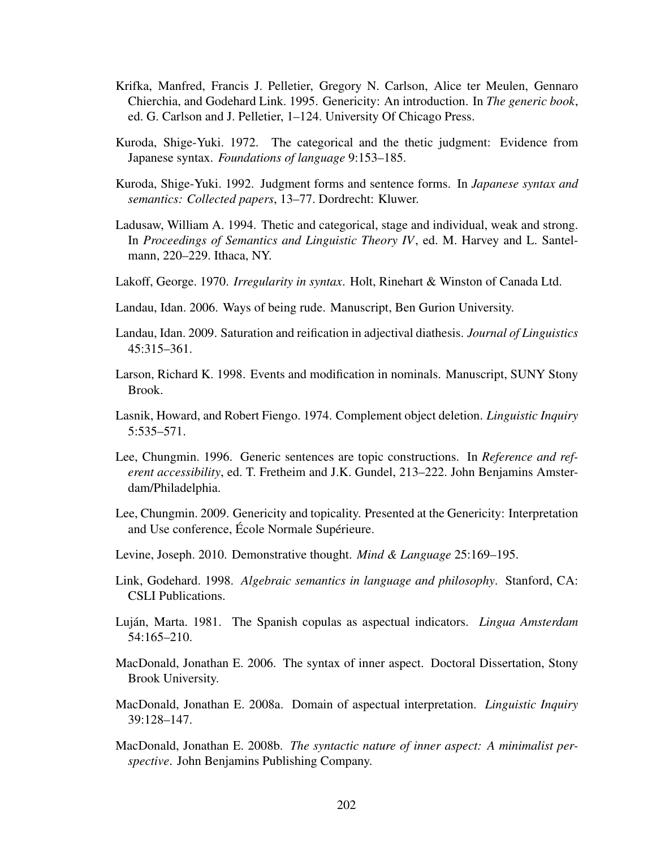- Krifka, Manfred, Francis J. Pelletier, Gregory N. Carlson, Alice ter Meulen, Gennaro Chierchia, and Godehard Link. 1995. Genericity: An introduction. In *The generic book*, ed. G. Carlson and J. Pelletier, 1–124. University Of Chicago Press.
- Kuroda, Shige-Yuki. 1972. The categorical and the thetic judgment: Evidence from Japanese syntax. *Foundations of language* 9:153–185.
- Kuroda, Shige-Yuki. 1992. Judgment forms and sentence forms. In *Japanese syntax and semantics: Collected papers*, 13–77. Dordrecht: Kluwer.
- Ladusaw, William A. 1994. Thetic and categorical, stage and individual, weak and strong. In *Proceedings of Semantics and Linguistic Theory IV*, ed. M. Harvey and L. Santelmann, 220–229. Ithaca, NY.
- Lakoff, George. 1970. *Irregularity in syntax*. Holt, Rinehart & Winston of Canada Ltd.
- Landau, Idan. 2006. Ways of being rude. Manuscript, Ben Gurion University.
- Landau, Idan. 2009. Saturation and reification in adjectival diathesis. *Journal of Linguistics* 45:315–361.
- Larson, Richard K. 1998. Events and modification in nominals. Manuscript, SUNY Stony Brook.
- Lasnik, Howard, and Robert Fiengo. 1974. Complement object deletion. *Linguistic Inquiry* 5:535–571.
- Lee, Chungmin. 1996. Generic sentences are topic constructions. In *Reference and referent accessibility*, ed. T. Fretheim and J.K. Gundel, 213–222. John Benjamins Amsterdam/Philadelphia.
- Lee, Chungmin. 2009. Genericity and topicality. Presented at the Genericity: Interpretation and Use conference, École Normale Supérieure.
- Levine, Joseph. 2010. Demonstrative thought. *Mind & Language* 25:169–195.
- Link, Godehard. 1998. *Algebraic semantics in language and philosophy*. Stanford, CA: CSLI Publications.
- Luján, Marta. 1981. The Spanish copulas as aspectual indicators. *Lingua Amsterdam* 54:165–210.
- MacDonald, Jonathan E. 2006. The syntax of inner aspect. Doctoral Dissertation, Stony Brook University.
- MacDonald, Jonathan E. 2008a. Domain of aspectual interpretation. *Linguistic Inquiry* 39:128–147.
- MacDonald, Jonathan E. 2008b. *The syntactic nature of inner aspect: A minimalist perspective*. John Benjamins Publishing Company.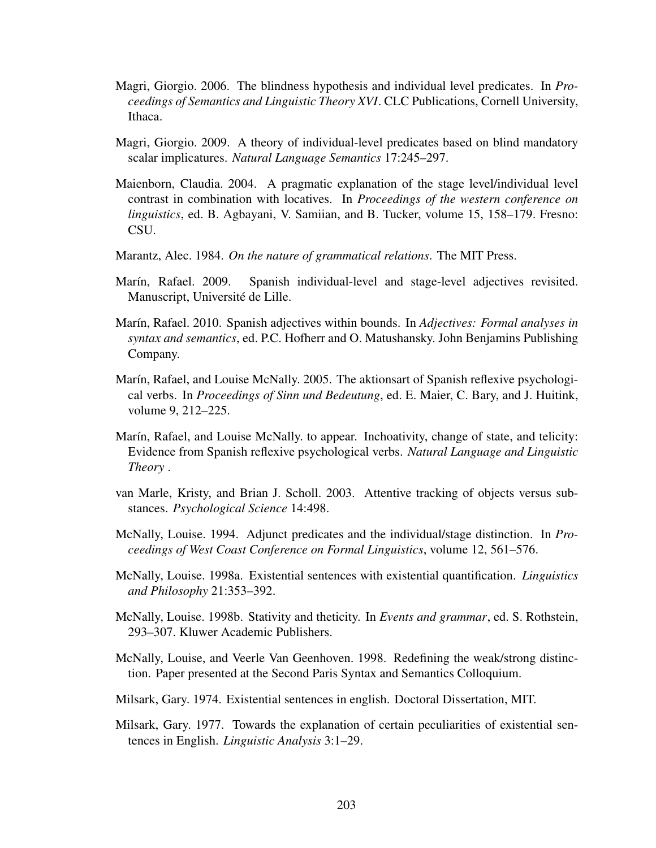- Magri, Giorgio. 2006. The blindness hypothesis and individual level predicates. In *Proceedings of Semantics and Linguistic Theory XVI*. CLC Publications, Cornell University, Ithaca.
- Magri, Giorgio. 2009. A theory of individual-level predicates based on blind mandatory scalar implicatures. *Natural Language Semantics* 17:245–297.
- Maienborn, Claudia. 2004. A pragmatic explanation of the stage level/individual level contrast in combination with locatives. In *Proceedings of the western conference on linguistics*, ed. B. Agbayani, V. Samiian, and B. Tucker, volume 15, 158–179. Fresno: CSU.
- Marantz, Alec. 1984. *On the nature of grammatical relations*. The MIT Press.
- Marín, Rafael. 2009. Spanish individual-level and stage-level adjectives revisited. Manuscript, Université de Lille.
- Marín, Rafael. 2010. Spanish adjectives within bounds. In *Adjectives: Formal analyses in syntax and semantics*, ed. P.C. Hofherr and O. Matushansky. John Benjamins Publishing Company.
- Marín, Rafael, and Louise McNally. 2005. The aktionsart of Spanish reflexive psychological verbs. In *Proceedings of Sinn und Bedeutung*, ed. E. Maier, C. Bary, and J. Huitink, volume 9, 212–225.
- Marín, Rafael, and Louise McNally. to appear. Inchoativity, change of state, and telicity: Evidence from Spanish reflexive psychological verbs. *Natural Language and Linguistic Theory* .
- van Marle, Kristy, and Brian J. Scholl. 2003. Attentive tracking of objects versus substances. *Psychological Science* 14:498.
- McNally, Louise. 1994. Adjunct predicates and the individual/stage distinction. In *Proceedings of West Coast Conference on Formal Linguistics*, volume 12, 561–576.
- McNally, Louise. 1998a. Existential sentences with existential quantification. *Linguistics and Philosophy* 21:353–392.
- McNally, Louise. 1998b. Stativity and theticity. In *Events and grammar*, ed. S. Rothstein, 293–307. Kluwer Academic Publishers.
- McNally, Louise, and Veerle Van Geenhoven. 1998. Redefining the weak/strong distinction. Paper presented at the Second Paris Syntax and Semantics Colloquium.
- Milsark, Gary. 1974. Existential sentences in english. Doctoral Dissertation, MIT.
- Milsark, Gary. 1977. Towards the explanation of certain peculiarities of existential sentences in English. *Linguistic Analysis* 3:1–29.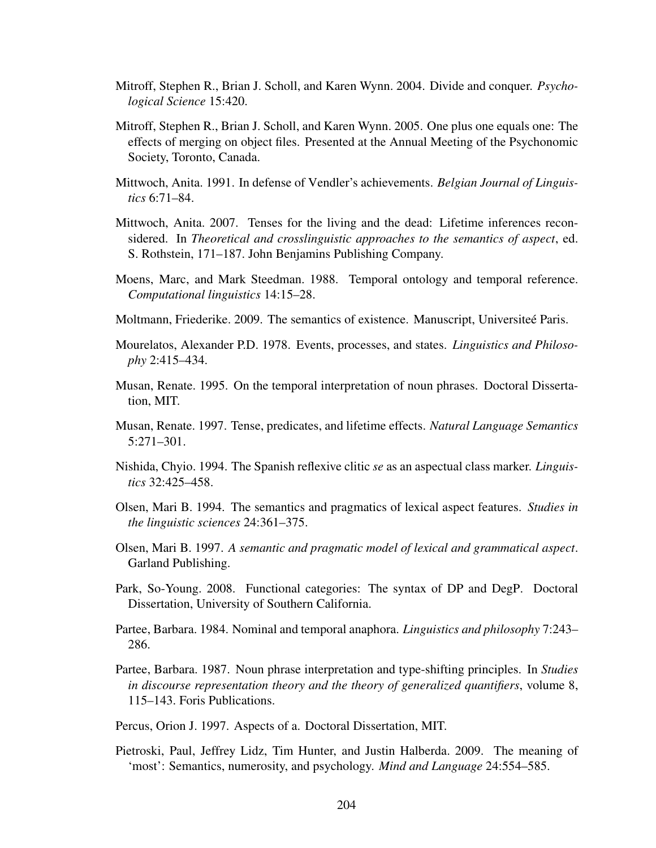- Mitroff, Stephen R., Brian J. Scholl, and Karen Wynn. 2004. Divide and conquer. *Psychological Science* 15:420.
- Mitroff, Stephen R., Brian J. Scholl, and Karen Wynn. 2005. One plus one equals one: The effects of merging on object files. Presented at the Annual Meeting of the Psychonomic Society, Toronto, Canada.
- Mittwoch, Anita. 1991. In defense of Vendler's achievements. *Belgian Journal of Linguistics* 6:71–84.
- Mittwoch, Anita. 2007. Tenses for the living and the dead: Lifetime inferences reconsidered. In *Theoretical and crosslinguistic approaches to the semantics of aspect*, ed. S. Rothstein, 171–187. John Benjamins Publishing Company.
- Moens, Marc, and Mark Steedman. 1988. Temporal ontology and temporal reference. *Computational linguistics* 14:15–28.
- Moltmann, Friederike. 2009. The semantics of existence. Manuscript, Universiteé Paris.
- Mourelatos, Alexander P.D. 1978. Events, processes, and states. *Linguistics and Philosophy* 2:415–434.
- Musan, Renate. 1995. On the temporal interpretation of noun phrases. Doctoral Dissertation, MIT.
- Musan, Renate. 1997. Tense, predicates, and lifetime effects. *Natural Language Semantics* 5:271–301.
- Nishida, Chyio. 1994. The Spanish reflexive clitic *se* as an aspectual class marker. *Linguistics* 32:425–458.
- Olsen, Mari B. 1994. The semantics and pragmatics of lexical aspect features. *Studies in the linguistic sciences* 24:361–375.
- Olsen, Mari B. 1997. *A semantic and pragmatic model of lexical and grammatical aspect*. Garland Publishing.
- Park, So-Young. 2008. Functional categories: The syntax of DP and DegP. Doctoral Dissertation, University of Southern California.
- Partee, Barbara. 1984. Nominal and temporal anaphora. *Linguistics and philosophy* 7:243– 286.
- Partee, Barbara. 1987. Noun phrase interpretation and type-shifting principles. In *Studies in discourse representation theory and the theory of generalized quantifiers*, volume 8, 115–143. Foris Publications.
- Percus, Orion J. 1997. Aspects of a. Doctoral Dissertation, MIT.
- Pietroski, Paul, Jeffrey Lidz, Tim Hunter, and Justin Halberda. 2009. The meaning of 'most': Semantics, numerosity, and psychology. *Mind and Language* 24:554–585.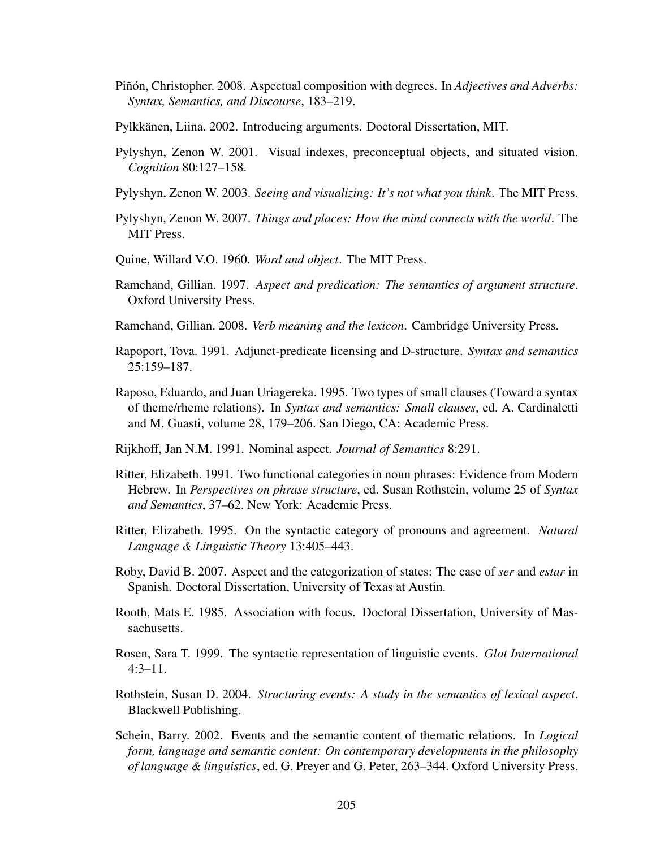- Piñón, Christopher. 2008. Aspectual composition with degrees. In *Adjectives and Adverbs: Syntax, Semantics, and Discourse*, 183–219.
- Pylkkänen, Liina. 2002. Introducing arguments. Doctoral Dissertation, MIT.
- Pylyshyn, Zenon W. 2001. Visual indexes, preconceptual objects, and situated vision. *Cognition* 80:127–158.
- Pylyshyn, Zenon W. 2003. *Seeing and visualizing: It's not what you think*. The MIT Press.
- Pylyshyn, Zenon W. 2007. *Things and places: How the mind connects with the world*. The MIT Press.
- Quine, Willard V.O. 1960. *Word and object*. The MIT Press.
- Ramchand, Gillian. 1997. *Aspect and predication: The semantics of argument structure*. Oxford University Press.
- Ramchand, Gillian. 2008. *Verb meaning and the lexicon*. Cambridge University Press.
- Rapoport, Tova. 1991. Adjunct-predicate licensing and D-structure. *Syntax and semantics* 25:159–187.
- Raposo, Eduardo, and Juan Uriagereka. 1995. Two types of small clauses (Toward a syntax of theme/rheme relations). In *Syntax and semantics: Small clauses*, ed. A. Cardinaletti and M. Guasti, volume 28, 179–206. San Diego, CA: Academic Press.
- Rijkhoff, Jan N.M. 1991. Nominal aspect. *Journal of Semantics* 8:291.
- Ritter, Elizabeth. 1991. Two functional categories in noun phrases: Evidence from Modern Hebrew. In *Perspectives on phrase structure*, ed. Susan Rothstein, volume 25 of *Syntax and Semantics*, 37–62. New York: Academic Press.
- Ritter, Elizabeth. 1995. On the syntactic category of pronouns and agreement. *Natural Language & Linguistic Theory* 13:405–443.
- Roby, David B. 2007. Aspect and the categorization of states: The case of *ser* and *estar* in Spanish. Doctoral Dissertation, University of Texas at Austin.
- Rooth, Mats E. 1985. Association with focus. Doctoral Dissertation, University of Massachusetts.
- Rosen, Sara T. 1999. The syntactic representation of linguistic events. *Glot International* 4:3–11.
- Rothstein, Susan D. 2004. *Structuring events: A study in the semantics of lexical aspect*. Blackwell Publishing.
- Schein, Barry. 2002. Events and the semantic content of thematic relations. In *Logical form, language and semantic content: On contemporary developments in the philosophy of language & linguistics*, ed. G. Preyer and G. Peter, 263–344. Oxford University Press.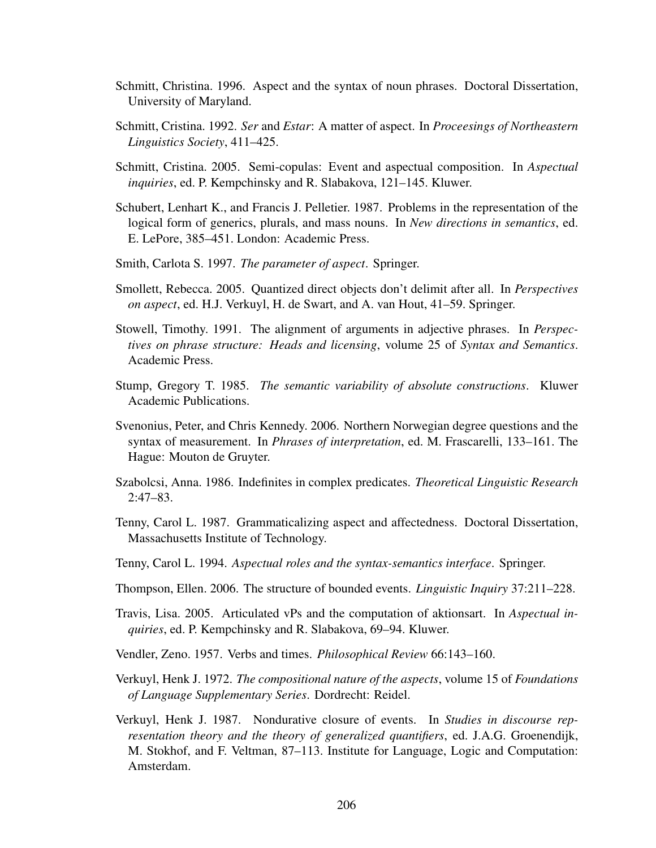- Schmitt, Christina. 1996. Aspect and the syntax of noun phrases. Doctoral Dissertation, University of Maryland.
- Schmitt, Cristina. 1992. *Ser* and *Estar*: A matter of aspect. In *Proceesings of Northeastern Linguistics Society*, 411–425.
- Schmitt, Cristina. 2005. Semi-copulas: Event and aspectual composition. In *Aspectual inquiries*, ed. P. Kempchinsky and R. Slabakova, 121–145. Kluwer.
- Schubert, Lenhart K., and Francis J. Pelletier. 1987. Problems in the representation of the logical form of generics, plurals, and mass nouns. In *New directions in semantics*, ed. E. LePore, 385–451. London: Academic Press.
- Smith, Carlota S. 1997. *The parameter of aspect*. Springer.
- Smollett, Rebecca. 2005. Quantized direct objects don't delimit after all. In *Perspectives on aspect*, ed. H.J. Verkuyl, H. de Swart, and A. van Hout, 41–59. Springer.
- Stowell, Timothy. 1991. The alignment of arguments in adjective phrases. In *Perspectives on phrase structure: Heads and licensing*, volume 25 of *Syntax and Semantics*. Academic Press.
- Stump, Gregory T. 1985. *The semantic variability of absolute constructions*. Kluwer Academic Publications.
- Svenonius, Peter, and Chris Kennedy. 2006. Northern Norwegian degree questions and the syntax of measurement. In *Phrases of interpretation*, ed. M. Frascarelli, 133–161. The Hague: Mouton de Gruyter.
- Szabolcsi, Anna. 1986. Indefinites in complex predicates. *Theoretical Linguistic Research*  $2:47 - 83$ .
- Tenny, Carol L. 1987. Grammaticalizing aspect and affectedness. Doctoral Dissertation, Massachusetts Institute of Technology.
- Tenny, Carol L. 1994. *Aspectual roles and the syntax-semantics interface*. Springer.
- Thompson, Ellen. 2006. The structure of bounded events. *Linguistic Inquiry* 37:211–228.
- Travis, Lisa. 2005. Articulated vPs and the computation of aktionsart. In *Aspectual inquiries*, ed. P. Kempchinsky and R. Slabakova, 69–94. Kluwer.
- Vendler, Zeno. 1957. Verbs and times. *Philosophical Review* 66:143–160.
- Verkuyl, Henk J. 1972. *The compositional nature of the aspects*, volume 15 of *Foundations of Language Supplementary Series*. Dordrecht: Reidel.
- Verkuyl, Henk J. 1987. Nondurative closure of events. In *Studies in discourse representation theory and the theory of generalized quantifiers*, ed. J.A.G. Groenendijk, M. Stokhof, and F. Veltman, 87–113. Institute for Language, Logic and Computation: Amsterdam.